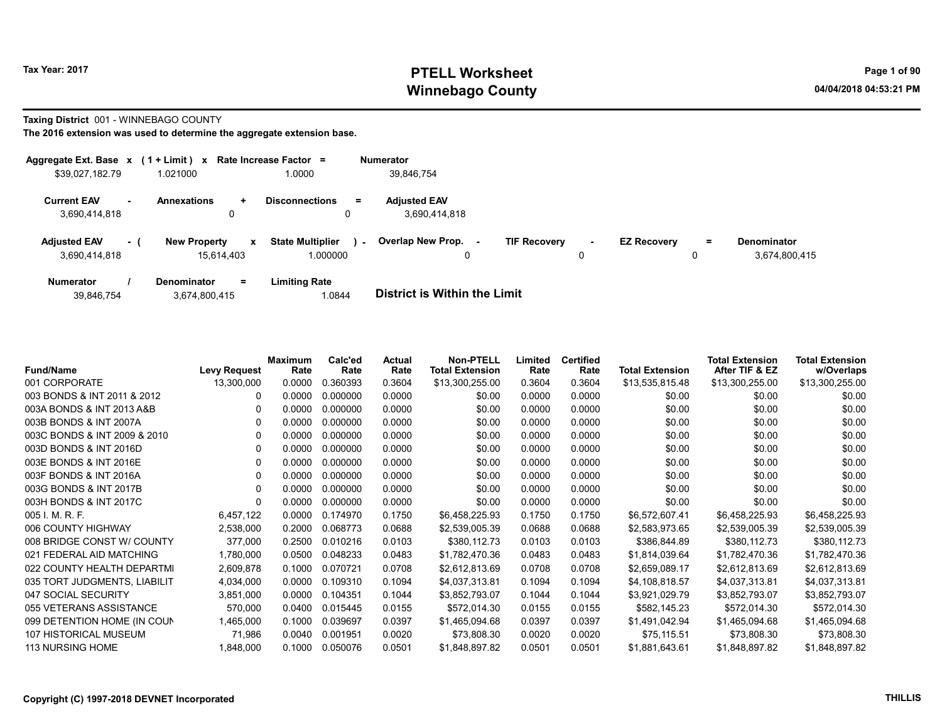# Tax Year: 2017 **PTELL Worksheet** Page 1 of 90 Winnebago County and the County of the County of the County of the County of the County of the County of the County of the County of the County of the County of the County of the County of the County of the County of the C

#### Taxing District 001 - WINNEBAGO COUNTY

| Aggregate Ext. Base $x$ (1 + Limit) $x$ |     |                                                   | Rate Increase Factor =              | <b>Numerator</b>                     |         |                     |             |                    |          |                                     |
|-----------------------------------------|-----|---------------------------------------------------|-------------------------------------|--------------------------------------|---------|---------------------|-------------|--------------------|----------|-------------------------------------|
| \$39,027,182.79                         |     | 1.021000                                          | 0000.1                              | 39.846.754                           |         |                     |             |                    |          |                                     |
| <b>Current EAV</b><br>3,690,414,818     |     | <b>Annexations</b><br>÷.<br>0                     | <b>Disconnections</b><br>$=$<br>0   | <b>Adjusted EAV</b><br>3,690,414,818 |         |                     |             |                    |          |                                     |
| <b>Adjusted EAV</b><br>3,690,414,818    | - 1 | <b>New Property</b><br>$\mathbf{x}$<br>15,614,403 | <b>State Multiplier</b><br>1.000000 | <b>Overlap New Prop.</b><br>$\sim$   | ٠.<br>0 | <b>TIF Recovery</b> | $\sim$<br>0 | <b>EZ Recovery</b> | $=$<br>0 | <b>Denominator</b><br>3,674,800,415 |
| <b>Numerator</b>                        |     | Denominator<br>Ξ.                                 | <b>Limiting Rate</b>                |                                      |         |                     |             |                    |          |                                     |

| 39,846,754 | 3,674,800,415 | .0844 | <b>District is Within the Limit</b> |
|------------|---------------|-------|-------------------------------------|
|            |               |       |                                     |

| <b>Fund/Name</b>             | <b>Levy Request</b> | <b>Maximum</b><br>Rate | Calc'ed<br>Rate | Actual<br>Rate | <b>Non-PTELL</b><br><b>Total Extension</b> | Limited<br>Rate | <b>Certified</b><br>Rate | <b>Total Extension</b> | <b>Total Extension</b><br>After TIF & EZ | <b>Total Extension</b><br>w/Overlaps |
|------------------------------|---------------------|------------------------|-----------------|----------------|--------------------------------------------|-----------------|--------------------------|------------------------|------------------------------------------|--------------------------------------|
| 001 CORPORATE                | 13,300,000          | 0.0000                 | 0.360393        | 0.3604         | \$13,300,255.00                            | 0.3604          | 0.3604                   | \$13,535,815.48        | \$13,300,255.00                          | \$13,300,255.00                      |
| 003 BONDS & INT 2011 & 2012  | 0                   | 0.0000                 | 0.000000        | 0.0000         | \$0.00                                     | 0.0000          | 0.0000                   | \$0.00                 | \$0.00                                   | \$0.00                               |
| 003A BONDS & INT 2013 A&B    | 0                   | 0.0000                 | 0.000000        | 0.0000         | \$0.00                                     | 0.0000          | 0.0000                   | \$0.00                 | \$0.00                                   | \$0.00                               |
| 003B BONDS & INT 2007A       | $\Omega$            | 0.0000                 | 0.000000        | 0.0000         | \$0.00                                     | 0.0000          | 0.0000                   | \$0.00                 | \$0.00                                   | \$0.00                               |
| 003C BONDS & INT 2009 & 2010 |                     | 0.0000                 | 0.000000        | 0.0000         | \$0.00                                     | 0.0000          | 0.0000                   | \$0.00                 | \$0.00                                   | \$0.00                               |
| 003D BONDS & INT 2016D       | 0                   | 0.0000                 | 0.000000        | 0.0000         | \$0.00                                     | 0.0000          | 0.0000                   | \$0.00                 | \$0.00                                   | \$0.00                               |
| 003E BONDS & INT 2016E       | 0                   | 0.0000                 | 0.000000        | 0.0000         | \$0.00                                     | 0.0000          | 0.0000                   | \$0.00                 | \$0.00                                   | \$0.00                               |
| 003F BONDS & INT 2016A       | 0                   | 0.0000                 | 0.000000        | 0.0000         | \$0.00                                     | 0.0000          | 0.0000                   | \$0.00                 | \$0.00                                   | \$0.00                               |
| 003G BONDS & INT 2017B       | 0                   | 0.0000                 | 0.000000        | 0.0000         | \$0.00                                     | 0.0000          | 0.0000                   | \$0.00                 | \$0.00                                   | \$0.00                               |
| 003H BONDS & INT 2017C       | 0                   | 0.0000                 | 0.000000        | 0.0000         | \$0.00                                     | 0.0000          | 0.0000                   | \$0.00                 | \$0.00                                   | \$0.00                               |
| 005 I. M. R. F.              | 6,457,122           | 0.0000                 | 0.174970        | 0.1750         | \$6,458,225.93                             | 0.1750          | 0.1750                   | \$6,572,607.41         | \$6,458,225.93                           | \$6,458,225.93                       |
| 006 COUNTY HIGHWAY           | 2,538,000           | 0.2000                 | 0.068773        | 0.0688         | \$2,539,005.39                             | 0.0688          | 0.0688                   | \$2,583,973.65         | \$2,539,005.39                           | \$2,539,005.39                       |
| 008 BRIDGE CONST W/ COUNTY   | 377,000             | 0.2500                 | 0.010216        | 0.0103         | \$380,112.73                               | 0.0103          | 0.0103                   | \$386,844.89           | \$380,112.73                             | \$380,112.73                         |
| 021 FEDERAL AID MATCHING     | 1,780,000           | 0.0500                 | 0.048233        | 0.0483         | \$1,782,470.36                             | 0.0483          | 0.0483                   | \$1,814,039.64         | \$1,782,470.36                           | \$1,782,470.36                       |
| 022 COUNTY HEALTH DEPARTMI   | 2,609,878           | 0.1000                 | 0.070721        | 0.0708         | \$2,612,813.69                             | 0.0708          | 0.0708                   | \$2,659,089.17         | \$2,612,813.69                           | \$2,612,813.69                       |
| 035 TORT JUDGMENTS, LIABILIT | 4,034,000           | 0.0000                 | 0.109310        | 0.1094         | \$4,037,313.81                             | 0.1094          | 0.1094                   | \$4,108,818.57         | \$4,037,313.81                           | \$4,037,313.81                       |
| 047 SOCIAL SECURITY          | 3,851,000           | 0.0000                 | 0.104351        | 0.1044         | \$3,852,793.07                             | 0.1044          | 0.1044                   | \$3,921,029.79         | \$3,852,793.07                           | \$3,852,793.07                       |
| 055 VETERANS ASSISTANCE      | 570,000             | 0.0400                 | 0.015445        | 0.0155         | \$572,014.30                               | 0.0155          | 0.0155                   | \$582,145.23           | \$572,014.30                             | \$572,014.30                         |
| 099 DETENTION HOME (IN COUN  | 1,465,000           | 0.1000                 | 0.039697        | 0.0397         | \$1,465,094.68                             | 0.0397          | 0.0397                   | \$1,491,042.94         | \$1,465,094.68                           | \$1,465,094.68                       |
| 107 HISTORICAL MUSEUM        | 71,986              | 0.0040                 | 0.001951        | 0.0020         | \$73,808.30                                | 0.0020          | 0.0020                   | \$75,115.51            | \$73,808.30                              | \$73,808.30                          |
| 113 NURSING HOME             | 1,848,000           | 0.1000                 | 0.050076        | 0.0501         | \$1,848,897.82                             | 0.0501          | 0.0501                   | \$1,881,643.61         | \$1,848,897.82                           | \$1,848,897.82                       |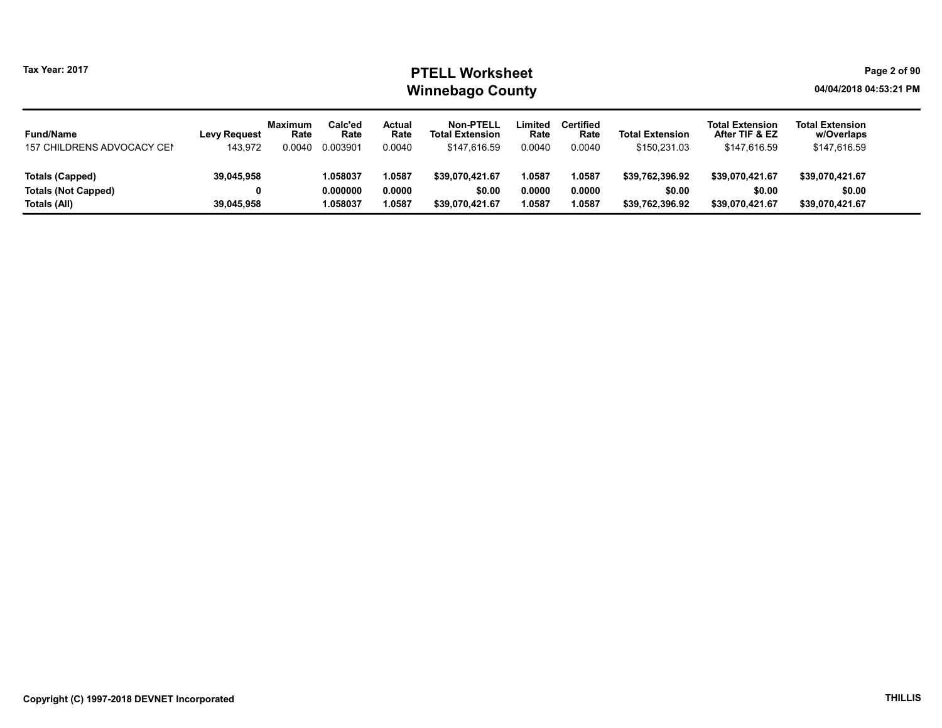#### Tax Year: 2017 **PTELL Worksheet** Page 2 of 90 Winnebago County and the County of the County of the County of the County of the County of the County of the County of the County of the County of the County of the County of the County of the County of the County of the C

| <b>Fund/Name</b>           | <b>Levy Request</b> | <b>Maximum</b><br>Rate | Calc'ed<br>Rate | Actual<br>Rate | Non-PTELL<br><b>Total Extension</b> | Limited<br>Rate | <b>Certified</b><br>Rate | <b>Total Extension</b> | <b>Total Extension</b><br>After TIF & EZ | <b>Total Extension</b><br>w/Overlaps |
|----------------------------|---------------------|------------------------|-----------------|----------------|-------------------------------------|-----------------|--------------------------|------------------------|------------------------------------------|--------------------------------------|
| 157 CHILDRENS ADVOCACY CEN | 143,972             | 0.0040                 | 0.003901        | 0.0040         | \$147,616.59                        | 0.0040          | 0.0040                   | \$150,231.03           | \$147,616.59                             | \$147,616.59                         |
|                            |                     |                        |                 |                |                                     |                 |                          |                        |                                          |                                      |
| Totals (Capped)            | 39,045,958          |                        | 1.058037        | 1.0587         | \$39.070.421.67                     | 1.0587          | .0587                    | \$39.762.396.92        | \$39.070.421.67                          | \$39,070,421.67                      |
| <b>Totals (Not Capped)</b> |                     |                        | 0.000000        | 0.0000         | \$0.00                              | 0.0000          | 0.0000                   | \$0.00                 | \$0.00                                   | \$0.00                               |
| Totals (All)               | 39,045,958          |                        | 1.058037        | 1.0587         | \$39.070.421.67                     | 0587.،          | .0587                    | \$39.762.396.92        | \$39,070,421.67                          | \$39,070,421.67                      |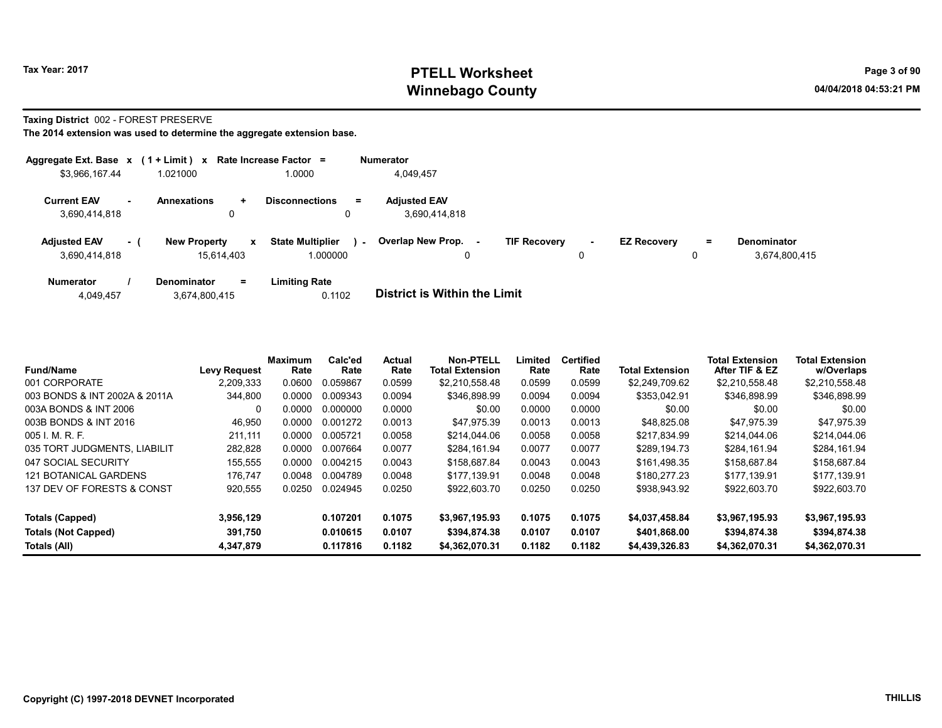# Tax Year: 2017 **PTELL Worksheet** Page 3 of 90 Winnebago County and the County of the County of the County of the County of the County of the County of the County of the County of the County of the County of the County of the County of the County of the County of the C

#### Taxing District 002 - FOREST PRESERVE

|                                      |        | Aggregate Ext. Base $x$ (1 + Limit) x Rate Increase Factor = |                                          |        | <b>Numerator</b>                     |                     |        |                    |          |                                     |
|--------------------------------------|--------|--------------------------------------------------------------|------------------------------------------|--------|--------------------------------------|---------------------|--------|--------------------|----------|-------------------------------------|
| \$3,966,167.44                       |        | 1.021000                                                     | .0000                                    |        | 4,049,457                            |                     |        |                    |          |                                     |
| <b>Current EAV</b><br>3,690,414,818  | $\sim$ | <b>Annexations</b><br>$\ddot{}$<br>0                         | <b>Disconnections</b><br>0               | $=$    | <b>Adjusted EAV</b><br>3,690,414,818 |                     |        |                    |          |                                     |
| <b>Adjusted EAV</b><br>3.690.414.818 | $-1$   | <b>New Property</b><br>15.614.403                            | <b>State Multiplier</b><br>x<br>1.000000 | $\sim$ | <b>Overlap New Prop.</b><br>0        | <b>TIF Recovery</b> | ۰<br>0 | <b>EZ Recovery</b> | $=$<br>0 | <b>Denominator</b><br>3,674,800,415 |
| <b>Numerator</b>                     |        | Denominator<br>$=$                                           | <b>Limiting Rate</b>                     |        |                                      |                     |        |                    |          |                                     |

| <b>District is Within the Limit</b> | 0.1102 | 3,674,800,415 | 4,049,457 |
|-------------------------------------|--------|---------------|-----------|
|                                     |        |               |           |

| <b>Fund/Name</b>              | <b>Levy Request</b> | <b>Maximum</b><br>Rate | Calc'ed<br>Rate | <b>Actual</b><br>Rate | <b>Non-PTELL</b><br><b>Total Extension</b> | Limited<br>Rate | <b>Certified</b><br>Rate | <b>Total Extension</b> | <b>Total Extension</b><br>After TIF & EZ | <b>Total Extension</b><br>w/Overlaps |
|-------------------------------|---------------------|------------------------|-----------------|-----------------------|--------------------------------------------|-----------------|--------------------------|------------------------|------------------------------------------|--------------------------------------|
| 001 CORPORATE                 | 2,209,333           | 0.0600                 | 0.059867        | 0.0599                | \$2,210,558.48                             | 0.0599          | 0.0599                   | \$2,249,709.62         | \$2,210,558.48                           | \$2,210,558.48                       |
| 003 BONDS & INT 2002A & 2011A | 344,800             | 0.0000                 | 0.009343        | 0.0094                | \$346.898.99                               | 0.0094          | 0.0094                   | \$353.042.91           | \$346.898.99                             | \$346,898.99                         |
| 003A BONDS & INT 2006         |                     | 0.0000                 | 0.000000        | 0.0000                | \$0.00                                     | 0.0000          | 0.0000                   | \$0.00                 | \$0.00                                   | \$0.00                               |
| 003B BONDS & INT 2016         | 46,950              | 0.0000                 | 0.001272        | 0.0013                | \$47.975.39                                | 0.0013          | 0.0013                   | \$48.825.08            | \$47.975.39                              | \$47.975.39                          |
| 005 I. M. R. F.               | 211.111             | 0.0000                 | 0.005721        | 0.0058                | \$214,044.06                               | 0.0058          | 0.0058                   | \$217.834.99           | \$214.044.06                             | \$214,044.06                         |
| 035 TORT JUDGMENTS, LIABILIT  | 282.828             | 0.0000                 | 0.007664        | 0.0077                | \$284.161.94                               | 0.0077          | 0.0077                   | \$289.194.73           | \$284.161.94                             | \$284.161.94                         |
| 047 SOCIAL SECURITY           | 155,555             | 0.0000                 | 0.004215        | 0.0043                | \$158,687.84                               | 0.0043          | 0.0043                   | \$161,498.35           | \$158,687.84                             | \$158,687.84                         |
| 121 BOTANICAL GARDENS         | 176.747             | 0.0048                 | 0.004789        | 0.0048                | \$177.139.91                               | 0.0048          | 0.0048                   | \$180.277.23           | \$177.139.91                             | \$177.139.91                         |
| 137 DEV OF FORESTS & CONST    | 920,555             | 0.0250                 | 0.024945        | 0.0250                | \$922,603.70                               | 0.0250          | 0.0250                   | \$938,943.92           | \$922,603.70                             | \$922,603.70                         |
| Totals (Capped)               | 3.956.129           |                        | 0.107201        | 0.1075                | \$3.967.195.93                             | 0.1075          | 0.1075                   | \$4.037.458.84         | \$3.967.195.93                           | \$3.967.195.93                       |
| Totals (Not Capped)           | 391,750             |                        | 0.010615        | 0.0107                | \$394,874.38                               | 0.0107          | 0.0107                   | \$401,868.00           | \$394,874.38                             | \$394,874.38                         |
| Totals (All)                  | 4.347.879           |                        | 0.117816        | 0.1182                | \$4.362.070.31                             | 0.1182          | 0.1182                   | \$4,439,326,83         | \$4.362.070.31                           | \$4,362,070.31                       |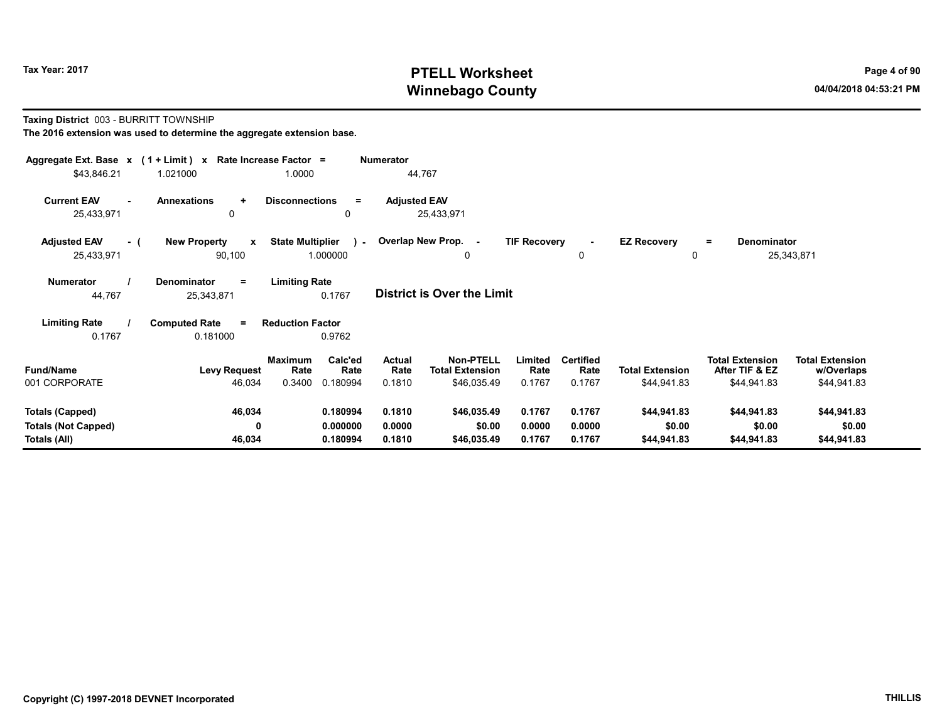# Tax Year: 2017 **PTELL Worksheet** Page 4 of 90 Winnebago County and the County of the County of the County of the County of the County of the County of the County of the County of the County of the County of the County of the County of the County of the County of the C

#### Taxing District 003 - BURRITT TOWNSHIP

| Aggregate Ext. Base $x$ (1 + Limit) $x$<br>\$43,846.21               | 1.021000                                      | Rate Increase Factor =<br>1.0000                         | <b>Numerator</b><br>44,767        |                                                           |                            |                                    |                                       |                                                         |                                                     |
|----------------------------------------------------------------------|-----------------------------------------------|----------------------------------------------------------|-----------------------------------|-----------------------------------------------------------|----------------------------|------------------------------------|---------------------------------------|---------------------------------------------------------|-----------------------------------------------------|
| <b>Current EAV</b><br>$\sim$<br>25,433,971                           | <b>Annexations</b><br>$\ddot{}$<br>0          | <b>Disconnections</b><br>$\equiv$<br>0                   | <b>Adjusted EAV</b><br>25,433,971 |                                                           |                            |                                    |                                       |                                                         |                                                     |
| <b>Adjusted EAV</b><br>- 1<br>25,433,971                             | <b>New Property</b><br>$\mathbf{x}$<br>90,100 | <b>State Multiplier</b><br>$\mathbf{L}$<br>1.000000      | Overlap New Prop. -               | 0                                                         | <b>TIF Recovery</b>        | 0                                  | <b>EZ Recovery</b><br>0               | <b>Denominator</b><br>$\equiv$                          | 25,343,871                                          |
| <b>Numerator</b><br>44,767                                           | <b>Denominator</b><br>$=$<br>25,343,871       | <b>Limiting Rate</b><br>0.1767                           | <b>District is Over the Limit</b> |                                                           |                            |                                    |                                       |                                                         |                                                     |
| <b>Limiting Rate</b><br>0.1767                                       | <b>Computed Rate</b><br>$=$<br>0.181000       | <b>Reduction Factor</b><br>0.9762                        |                                   |                                                           |                            |                                    |                                       |                                                         |                                                     |
| <b>Fund/Name</b><br>001 CORPORATE                                    | <b>Levy Request</b><br>46,034                 | Calc'ed<br>Maximum<br>Rate<br>Rate<br>0.3400<br>0.180994 | <b>Actual</b><br>Rate<br>0.1810   | <b>Non-PTELL</b><br><b>Total Extension</b><br>\$46,035.49 | Limited<br>Rate<br>0.1767  | <b>Certified</b><br>Rate<br>0.1767 | <b>Total Extension</b><br>\$44,941.83 | <b>Total Extension</b><br>After TIF & EZ<br>\$44,941.83 | <b>Total Extension</b><br>w/Overlaps<br>\$44,941.83 |
| <b>Totals (Capped)</b><br><b>Totals (Not Capped)</b><br>Totals (All) | 46,034<br>0<br>46,034                         | 0.180994<br>0.000000<br>0.180994                         | 0.1810<br>0.0000<br>0.1810        | \$46,035.49<br>\$0.00<br>\$46,035.49                      | 0.1767<br>0.0000<br>0.1767 | 0.1767<br>0.0000<br>0.1767         | \$44,941.83<br>\$0.00<br>\$44,941.83  | \$44,941.83<br>\$0.00<br>\$44,941.83                    | \$44,941.83<br>\$0.00<br>\$44,941.83                |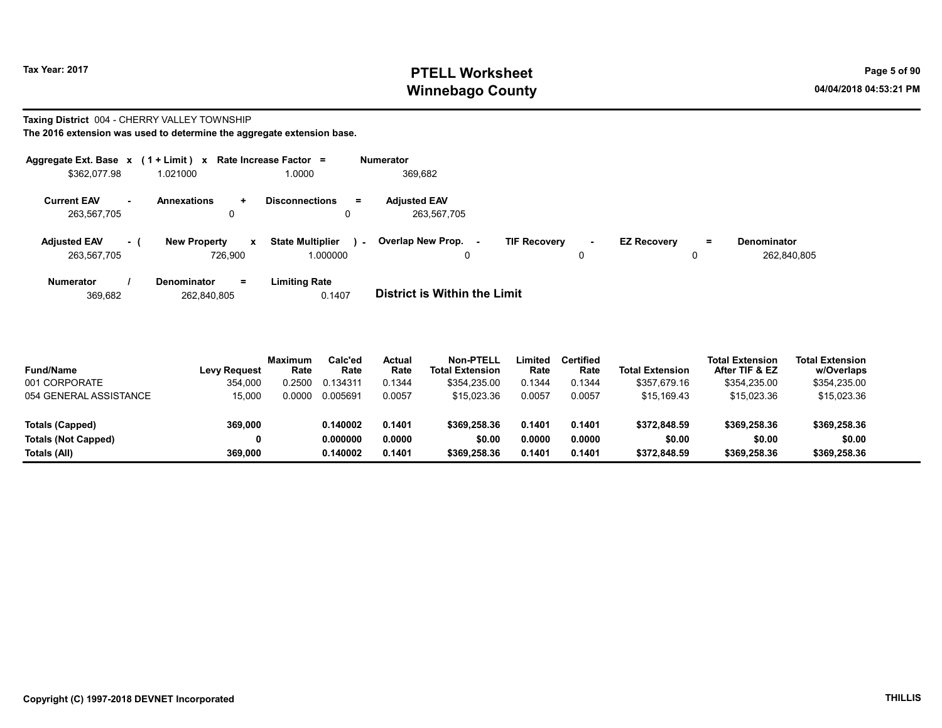# Tax Year: 2017 **PTELL Worksheet** Page 5 of 90 Winnebago County and the County of the County of the County of the County of the County of the County of the County of the County of the County of the County of the County of the County of the County of the County of the C

#### Taxing District 004 - CHERRY VALLEY TOWNSHIP The 2016 extension was used to determine the aggregate extension base.

|                                    |           | Aggregate Ext. Base $x$ (1 + Limit) x Rate Increase Factor = |                                               | <b>Numerator</b>                   |                                    |                    |         |                                   |
|------------------------------------|-----------|--------------------------------------------------------------|-----------------------------------------------|------------------------------------|------------------------------------|--------------------|---------|-----------------------------------|
| \$362,077.98                       |           | 1.021000                                                     | 1.0000                                        | 369.682                            |                                    |                    |         |                                   |
| <b>Current EAV</b><br>263,567,705  | <b>м.</b> | <b>Annexations</b><br>$\pm$<br>0                             | <b>Disconnections</b><br>$=$                  | <b>Adjusted EAV</b><br>263.567.705 |                                    |                    |         |                                   |
| <b>Adjusted EAV</b><br>263,567,705 | $\sim$ 1  | <b>New Property</b><br>$\mathbf{x}$<br>726.900               | <b>State Multiplier</b><br>$\sim$<br>1.000000 | Overlap New Prop. -<br>0           | <b>TIF Recovery</b><br>$\sim$<br>0 | <b>EZ Recovery</b> | Ξ.<br>0 | <b>Denominator</b><br>262,840,805 |
| <b>Numerator</b>                   |           | <b>Denominator</b><br>$\equiv$                               | <b>Limiting Rate</b>                          |                                    |                                    |                    |         |                                   |

369,682 262,840,805 0.1407 District is Within the Limit

| <b>Fund/Name</b>           | <b>Levy Request</b> | <b>Maximum</b><br>Rate | Calc'ed<br>Rate | Actual<br>Rate | <b>Non-PTELL</b><br><b>Total Extension</b> | Limited<br>Rate | <b>Certified</b><br>Rate | <b>Total Extension</b> | <b>Total Extension</b><br>After TIF & EZ | <b>Total Extension</b><br>w/Overlaps |  |
|----------------------------|---------------------|------------------------|-----------------|----------------|--------------------------------------------|-----------------|--------------------------|------------------------|------------------------------------------|--------------------------------------|--|
| 001 CORPORATE              | 354.000             | 0.2500                 | 0.134311        | 0.1344         | \$354.235.00                               | 0.1344          | 0.1344                   | \$357,679.16           | \$354,235.00                             | \$354,235.00                         |  |
| 054 GENERAL ASSISTANCE     | 15.000              | 0.0000                 | 0.005691        | 0.0057         | \$15.023.36                                | 0.0057          | 0.0057                   | \$15.169.43            | \$15.023.36                              | \$15,023.36                          |  |
| Totals (Capped)            | 369,000             |                        | 0.140002        | 0.1401         | \$369,258.36                               | 0.1401          | 0.1401                   | \$372,848.59           | \$369,258.36                             | \$369,258.36                         |  |
| <b>Totals (Not Capped)</b> |                     |                        | 0.000000        | 0.0000         | \$0.00                                     | 0.0000          | 0.0000                   | \$0.00                 | \$0.00                                   | \$0.00                               |  |
| Totals (All)               | 369,000             |                        | 0.140002        | 0.1401         | \$369,258.36                               | 0.1401          | 0.1401                   | \$372,848.59           | \$369,258.36                             | \$369,258.36                         |  |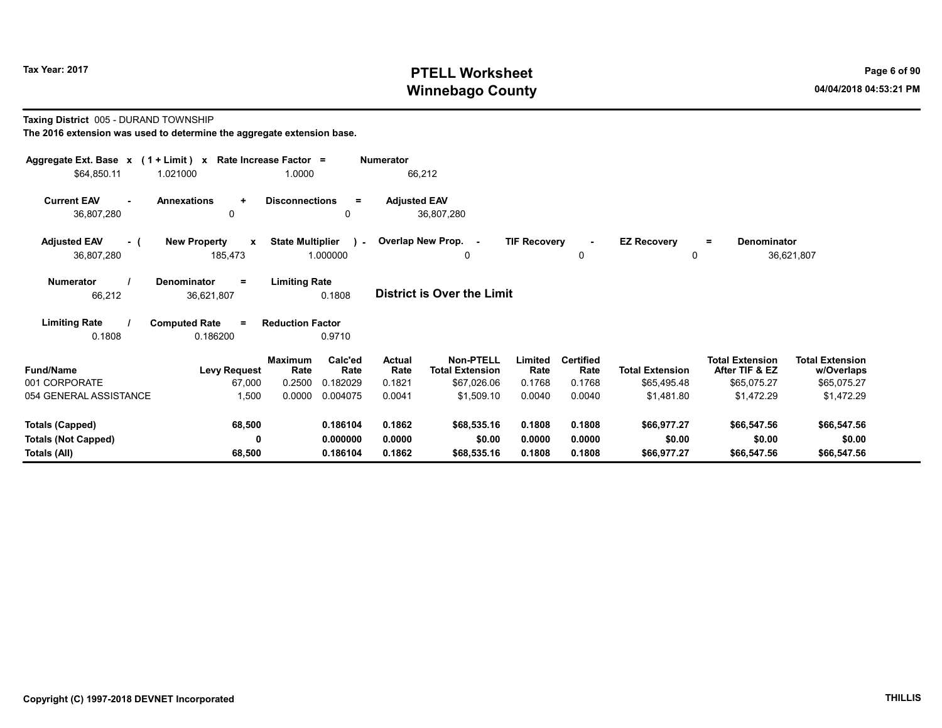# Tax Year: 2017 **PTELL Worksheet** Page 6 of 90 Winnebago County and the County of the County of the County of the County of the County of the County of the County of the County of the County of the County of the County of the County of the County of the County of the C

#### Taxing District 005 - DURAND TOWNSHIP

| Aggregate Ext. Base $x$ (1 + Limit) x Rate Increase Factor = |                                              |                         |                 | <b>Numerator</b>    |                                            |                     |                          |                        |                                          |                                      |  |
|--------------------------------------------------------------|----------------------------------------------|-------------------------|-----------------|---------------------|--------------------------------------------|---------------------|--------------------------|------------------------|------------------------------------------|--------------------------------------|--|
| \$64,850.11                                                  | 1.021000                                     | 1.0000                  |                 |                     | 66,212                                     |                     |                          |                        |                                          |                                      |  |
| <b>Current EAV</b><br>$\sim$<br>36,807,280                   | <b>Annexations</b><br>$\ddot{}$<br>$\Omega$  | <b>Disconnections</b>   | $\equiv$<br>0   | <b>Adjusted EAV</b> | 36,807,280                                 |                     |                          |                        |                                          |                                      |  |
| <b>Adjusted EAV</b><br>- (                                   | <b>New Property</b><br>$\mathbf{x}$          | <b>State Multiplier</b> |                 |                     | ) - Overlap New Prop. -                    | <b>TIF Recovery</b> | $\blacksquare$           | <b>EZ Recovery</b>     | Denominator<br>Ξ.                        |                                      |  |
| 36,807,280                                                   | 185,473                                      |                         | 1.000000        |                     | 0                                          |                     | $\mathbf 0$              | $\mathbf{0}$           |                                          | 36,621,807                           |  |
| <b>Numerator</b><br>66,212                                   | <b>Denominator</b><br>$\equiv$<br>36,621,807 | <b>Limiting Rate</b>    | 0.1808          |                     | <b>District is Over the Limit</b>          |                     |                          |                        |                                          |                                      |  |
| <b>Limiting Rate</b><br>0.1808                               | <b>Computed Rate</b><br>$\equiv$<br>0.186200 | <b>Reduction Factor</b> | 0.9710          |                     |                                            |                     |                          |                        |                                          |                                      |  |
| <b>Fund/Name</b>                                             | <b>Levy Request</b>                          | <b>Maximum</b><br>Rate  | Calc'ed<br>Rate | Actual<br>Rate      | <b>Non-PTELL</b><br><b>Total Extension</b> | Limited<br>Rate     | <b>Certified</b><br>Rate | <b>Total Extension</b> | <b>Total Extension</b><br>After TIF & EZ | <b>Total Extension</b><br>w/Overlaps |  |
| 001 CORPORATE                                                | 67,000                                       | 0.2500                  | 0.182029        | 0.1821              | \$67,026.06                                | 0.1768              | 0.1768                   | \$65,495.48            | \$65,075.27                              | \$65,075.27                          |  |
| 054 GENERAL ASSISTANCE                                       | 1,500                                        | 0.0000                  | 0.004075        | 0.0041              | \$1,509.10                                 | 0.0040              | 0.0040                   | \$1,481.80             | \$1,472.29                               | \$1,472.29                           |  |
| <b>Totals (Capped)</b>                                       | 68,500                                       |                         | 0.186104        | 0.1862              | \$68,535.16                                | 0.1808              | 0.1808                   | \$66,977.27            | \$66,547.56                              | \$66,547.56                          |  |
| <b>Totals (Not Capped)</b>                                   | 0                                            |                         | 0.000000        | 0.0000              | \$0.00                                     | 0.0000              | 0.0000                   | \$0.00                 | \$0.00                                   | \$0.00                               |  |
| Totals (All)                                                 | 68,500                                       |                         | 0.186104        | 0.1862              | \$68,535.16                                | 0.1808              | 0.1808                   | \$66,977.27            | \$66,547.56                              | \$66,547.56                          |  |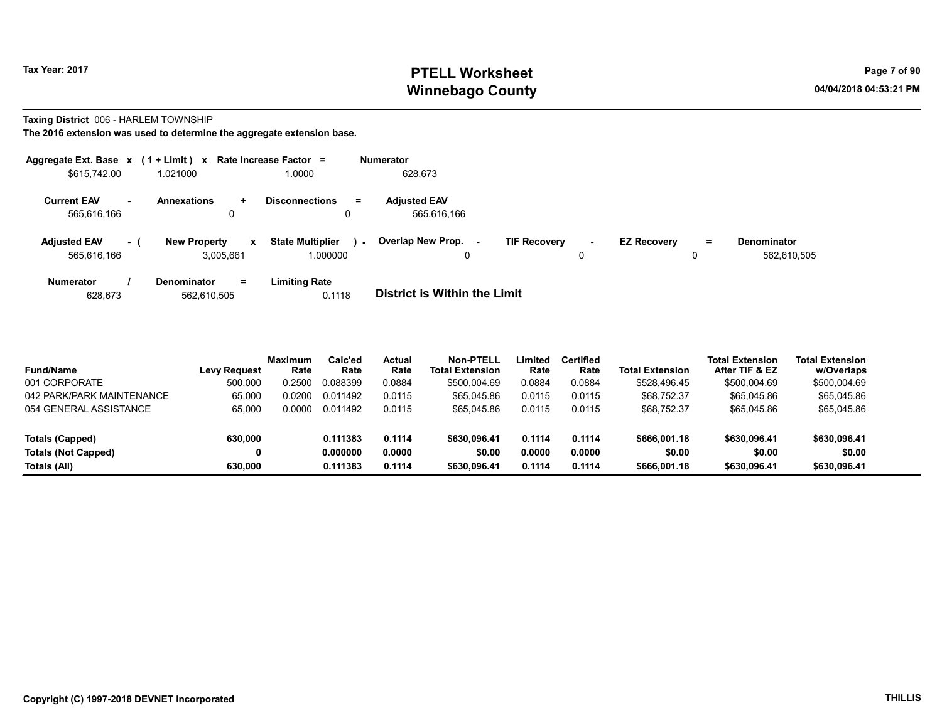# Tax Year: 2017 **PTELL Worksheet** Page 7 of 90 Winnebago County and the County of the County of the County of the County of the County of the County of the County of the County of the County of the County of the County of the County of the County of the County of the C

#### Taxing District 006 - HARLEM TOWNSHIP

|                                    |        | Aggregate Ext. Base $x$ (1 + Limit) x Rate Increase Factor = |                                               | <b>Numerator</b>                                                                                                                     |
|------------------------------------|--------|--------------------------------------------------------------|-----------------------------------------------|--------------------------------------------------------------------------------------------------------------------------------------|
| \$615,742.00                       |        | 1.021000                                                     | 1.0000                                        | 628,673                                                                                                                              |
| <b>Current EAV</b><br>565,616,166  | $\sim$ | <b>Annexations</b><br>÷.<br>0                                | <b>Disconnections</b><br>$\equiv$             | <b>Adjusted EAV</b><br>565,616,166                                                                                                   |
| <b>Adjusted EAV</b><br>565.616.166 | - 1    | <b>New Property</b><br>$\mathbf{x}$<br>3.005.661             | <b>State Multiplier</b><br>$\sim$<br>1.000000 | Overlap New Prop. -<br><b>TIF Recovery</b><br><b>EZ Recovery</b><br><b>Denominator</b><br>Ξ.<br>$\sim$<br>562,610,505<br>0<br>0<br>0 |
| <b>Numerator</b><br>628,673        |        | <b>Denominator</b><br>$=$<br>562.610.505                     | <b>Limiting Rate</b><br>0.1118                | <b>District is Within the Limit</b>                                                                                                  |

| <b>Fund/Name</b>           | <b>Levy Request</b> | <b>Maximum</b><br>Rate | Calc'ed<br>Rate | <b>Actual</b><br>Rate | Non-PTELL<br><b>Total Extension</b> | Limited<br>Rate | <b>Certified</b><br>Rate | <b>Total Extension</b> | <b>Total Extension</b><br>After TIF & EZ | <b>Total Extension</b><br>w/Overlaps |  |
|----------------------------|---------------------|------------------------|-----------------|-----------------------|-------------------------------------|-----------------|--------------------------|------------------------|------------------------------------------|--------------------------------------|--|
| 001 CORPORATE              | 500.000             | 0.2500                 | 0.088399        | 0.0884                | \$500,004.69                        | 0.0884          | 0.0884                   | \$528.496.45           | \$500,004.69                             | \$500,004.69                         |  |
| 042 PARK/PARK MAINTENANCE  | 65.000              | 0.0200                 | 0.011492        | 0.0115                | \$65.045.86                         | 0.0115          | 0.0115                   | \$68,752.37            | \$65,045.86                              | \$65,045.86                          |  |
| 054 GENERAL ASSISTANCE     | 65.000              | 0.0000                 | 0.011492        | 0.0115                | \$65.045.86                         | 0.0115          | 0.0115                   | \$68,752.37            | \$65,045.86                              | \$65,045.86                          |  |
| Totals (Capped)            | 630,000             |                        | 0.111383        | 0.1114                | \$630.096.41                        | 0.1114          | 0.1114                   | \$666,001.18           | \$630,096.41                             | \$630,096.41                         |  |
| <b>Totals (Not Capped)</b> |                     |                        | 0.000000        | 0.0000                | \$0.00                              | 0.0000          | 0.0000                   | \$0.00                 | \$0.00                                   | \$0.00                               |  |
| Totals (All)               | 630,000             |                        | 0.111383        | 0.1114                | \$630.096.41                        | 0.1114          | 0.1114                   | \$666,001.18           | \$630,096.41                             | \$630,096.41                         |  |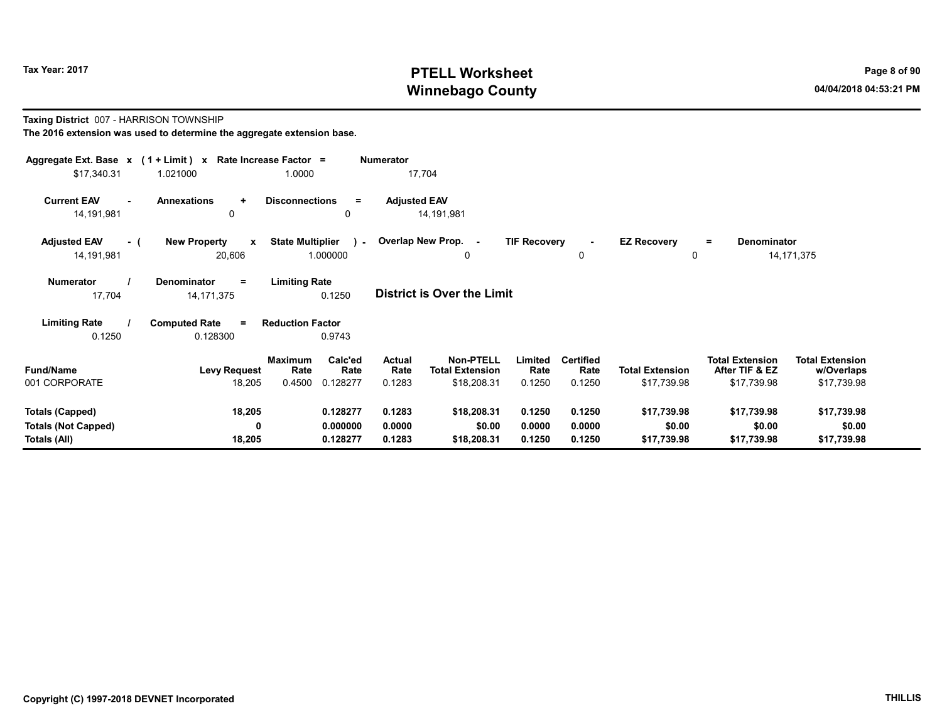# Tax Year: 2017 **PTELL Worksheet** Page 8 of 90 Winnebago County and the County of the County of the County of the County of the County of the County of the County of the County of the County of the County of the County of the County of the County of the County of the C

Taxing District 007 - HARRISON TOWNSHIP

| Aggregate Ext. Base x (1 + Limit) x Rate Increase Factor = |                                               |                                           | <b>Numerator</b>        |                                            |                     |                   |                         |                                          |                                      |
|------------------------------------------------------------|-----------------------------------------------|-------------------------------------------|-------------------------|--------------------------------------------|---------------------|-------------------|-------------------------|------------------------------------------|--------------------------------------|
| \$17,340.31                                                | 1.021000                                      | 1.0000                                    | 17,704                  |                                            |                     |                   |                         |                                          |                                      |
| <b>Current EAV</b><br>14,191,981                           | <b>Annexations</b><br>$\ddotmark$<br>0        | <b>Disconnections</b><br>$=$<br>0         | <b>Adjusted EAV</b>     | 14,191,981                                 |                     |                   |                         |                                          |                                      |
| <b>Adjusted EAV</b><br>- (<br>14,191,981                   | <b>New Property</b><br>$\mathbf{x}$<br>20,606 | <b>State Multiplier</b><br>1.000000       | ) - Overlap New Prop. - | 0                                          | <b>TIF Recovery</b> | 0                 | <b>EZ Recovery</b><br>0 | Denominator<br>$\equiv$                  | 14, 171, 375                         |
| <b>Numerator</b><br>17,704                                 | Denominator<br>$=$<br>14, 171, 375            | <b>Limiting Rate</b><br>0.1250            |                         | <b>District is Over the Limit</b>          |                     |                   |                         |                                          |                                      |
| <b>Limiting Rate</b>                                       | <b>Computed Rate</b><br>$\equiv$              | <b>Reduction Factor</b>                   |                         |                                            |                     |                   |                         |                                          |                                      |
| 0.1250                                                     | 0.128300                                      | 0.9743                                    |                         |                                            |                     |                   |                         |                                          |                                      |
| <b>Fund/Name</b>                                           | <b>Levy Request</b>                           | Calc'ed<br><b>Maximum</b><br>Rate<br>Rate | Actual<br>Rate          | <b>Non-PTELL</b><br><b>Total Extension</b> | Limited<br>Rate     | Certified<br>Rate | <b>Total Extension</b>  | <b>Total Extension</b><br>After TIF & EZ | <b>Total Extension</b><br>w/Overlaps |
| 001 CORPORATE                                              | 18,205                                        | 0.4500<br>0.128277                        | 0.1283                  | \$18,208.31                                | 0.1250              | 0.1250            | \$17,739.98             | \$17,739.98                              | \$17,739.98                          |
|                                                            |                                               |                                           |                         |                                            |                     |                   |                         |                                          |                                      |
| <b>Totals (Capped)</b>                                     | 18,205                                        | 0.128277                                  | 0.1283                  | \$18,208.31                                | 0.1250              | 0.1250            | \$17,739.98             | \$17,739.98                              | \$17,739.98                          |
| <b>Totals (Not Capped)</b>                                 | 0                                             | 0.000000                                  | 0.0000                  | \$0.00                                     | 0.0000              | 0.0000            | \$0.00                  | \$0.00                                   | \$0.00                               |
| Totals (All)                                               | 18,205                                        | 0.128277                                  | 0.1283                  | \$18,208.31                                | 0.1250              | 0.1250            | \$17,739.98             | \$17,739.98                              | \$17,739.98                          |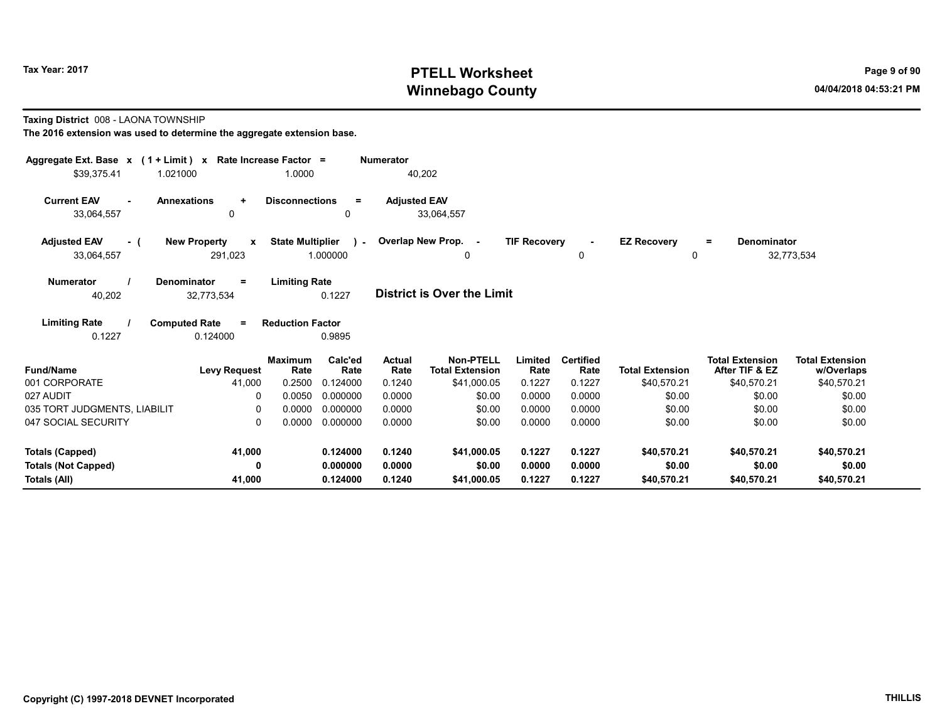# Tax Year: 2017 **PTELL Worksheet** Page 9 of 90 Winnebago County and the County of the County of the County of the County of the County of the County of the County of the County of the County of the County of the County of the County of the County of the County of the C

Taxing District 008 - LAONA TOWNSHIP

| Aggregate Ext. Base $x$ (1 + Limit) $x$ Rate Increase Factor = |                                                                         |                                                    | <b>Numerator</b>      |                                            |                     |                          |                                |                                          |                                      |
|----------------------------------------------------------------|-------------------------------------------------------------------------|----------------------------------------------------|-----------------------|--------------------------------------------|---------------------|--------------------------|--------------------------------|------------------------------------------|--------------------------------------|
| \$39,375.41<br>1.021000                                        | 1.0000                                                                  |                                                    |                       | 40,202                                     |                     |                          |                                |                                          |                                      |
| <b>Current EAV</b><br>33,064,557                               | <b>Annexations</b><br><b>Disconnections</b><br>$\ddot{}$<br>0           | $=$<br>0                                           | <b>Adjusted EAV</b>   | 33,064,557                                 |                     |                          |                                |                                          |                                      |
| <b>Adjusted EAV</b><br>- (<br>33,064,557                       | <b>New Property</b><br>$\mathbf{x}$<br>291,023                          | <b>State Multiplier</b><br>$\lambda$ -<br>1.000000 |                       | Overlap New Prop. -<br>0                   | <b>TIF Recovery</b> | 0                        | <b>EZ Recovery</b><br>$\Omega$ | <b>Denominator</b><br>$=$                | 32,773,534                           |
| <b>Numerator</b><br>40,202                                     | <b>Limiting Rate</b><br>Denominator<br>$=$<br>32,773,534                | 0.1227                                             |                       | District is Over the Limit                 |                     |                          |                                |                                          |                                      |
| <b>Limiting Rate</b><br>0.1227                                 | <b>Computed Rate</b><br><b>Reduction Factor</b><br>$\equiv$<br>0.124000 | 0.9895                                             |                       |                                            |                     |                          |                                |                                          |                                      |
| <b>Fund/Name</b>                                               | <b>Maximum</b><br>Rate<br><b>Levy Request</b>                           | Calc'ed<br>Rate                                    | <b>Actual</b><br>Rate | <b>Non-PTELL</b><br><b>Total Extension</b> | Limited<br>Rate     | <b>Certified</b><br>Rate | <b>Total Extension</b>         | <b>Total Extension</b><br>After TIF & EZ | <b>Total Extension</b><br>w/Overlaps |
| 001 CORPORATE                                                  | 41,000<br>0.2500                                                        | 0.124000                                           | 0.1240                | \$41,000.05                                | 0.1227              | 0.1227                   | \$40,570.21                    | \$40,570.21                              | \$40,570.21                          |
| 027 AUDIT                                                      | 0.0050<br>0                                                             | 0.000000                                           | 0.0000                | \$0.00                                     | 0.0000              | 0.0000                   | \$0.00                         | \$0.00                                   | \$0.00                               |
| 035 TORT JUDGMENTS, LIABILIT                                   | 0.0000<br>0                                                             | 0.000000                                           | 0.0000                | \$0.00                                     | 0.0000              | 0.0000                   | \$0.00                         | \$0.00                                   | \$0.00                               |
| 047 SOCIAL SECURITY                                            | $\Omega$<br>0.0000                                                      | 0.000000                                           | 0.0000                | \$0.00                                     | 0.0000              | 0.0000                   | \$0.00                         | \$0.00                                   | \$0.00                               |
| <b>Totals (Capped)</b>                                         | 41,000                                                                  | 0.124000                                           | 0.1240                | \$41,000.05                                | 0.1227              | 0.1227                   | \$40,570.21                    | \$40,570.21                              | \$40,570.21                          |
| <b>Totals (Not Capped)</b>                                     | 0                                                                       | 0.000000                                           | 0.0000                | \$0.00                                     | 0.0000              | 0.0000                   | \$0.00                         | \$0.00                                   | \$0.00                               |
| Totals (All)                                                   | 41,000                                                                  | 0.124000                                           | 0.1240                | \$41,000.05                                | 0.1227              | 0.1227                   | \$40,570.21                    | \$40,570.21                              | \$40,570.21                          |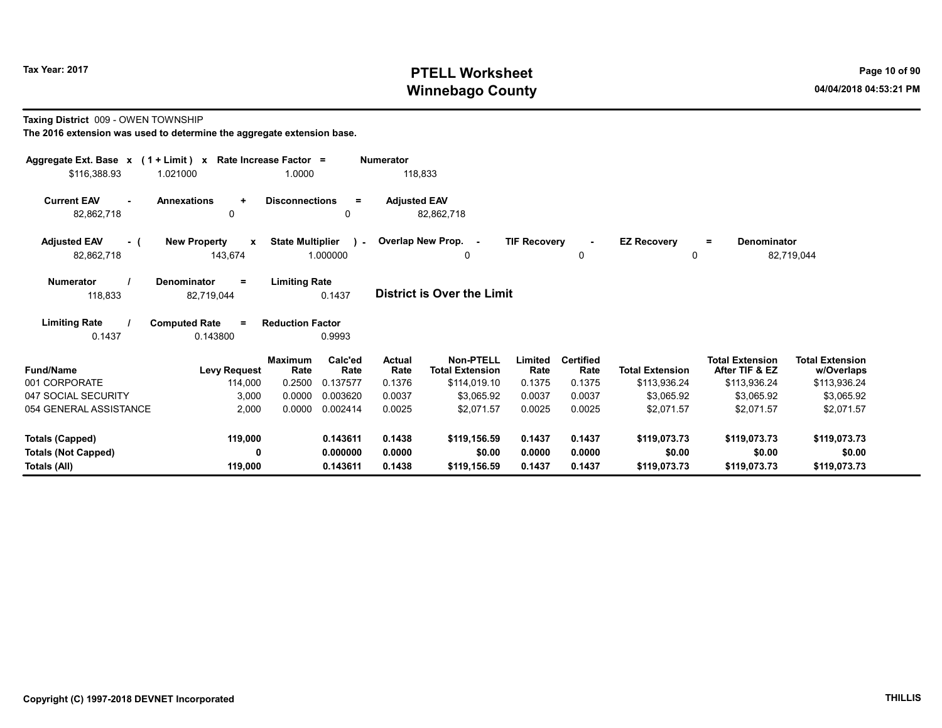# Tax Year: 2017 **PTELL Worksheet** Page 10 of 90 Winnebago County and the County of the County of the County of the County of the County of the County of the County of the County of the County of the County of the County of the County of the County of the County of the C

#### Taxing District 009 - OWEN TOWNSHIP

| Aggregate Ext. Base $x$ (1 + Limit) $x$  |                                                 | Rate Increase Factor =  |                          | <b>Numerator</b>      |                                            |                     |                          |                        |                                          |                                      |
|------------------------------------------|-------------------------------------------------|-------------------------|--------------------------|-----------------------|--------------------------------------------|---------------------|--------------------------|------------------------|------------------------------------------|--------------------------------------|
| \$116,388.93                             | 1.021000                                        | 1.0000                  |                          | 118,833               |                                            |                     |                          |                        |                                          |                                      |
| <b>Current EAV</b><br>82,862,718         | <b>Annexations</b><br>$\ddot{}$<br>$\mathbf{0}$ | <b>Disconnections</b>   | $\equiv$<br>0            | <b>Adjusted EAV</b>   | 82,862,718                                 |                     |                          |                        |                                          |                                      |
| <b>Adjusted EAV</b><br>- (<br>82,862,718 | <b>New Property</b><br>$\mathbf{x}$<br>143,674  | <b>State Multiplier</b> | $\mathbf{r}$<br>1.000000 |                       | Overlap New Prop. -<br>0                   | <b>TIF Recovery</b> | 0                        | <b>EZ Recovery</b>     | Denominator<br>$=$<br>0                  | 82,719,044                           |
| <b>Numerator</b><br>118,833              | <b>Denominator</b><br>$\equiv$<br>82,719,044    | <b>Limiting Rate</b>    | 0.1437                   |                       | <b>District is Over the Limit</b>          |                     |                          |                        |                                          |                                      |
| <b>Limiting Rate</b><br>0.1437           | <b>Computed Rate</b><br>$\equiv$<br>0.143800    | <b>Reduction Factor</b> | 0.9993                   |                       |                                            |                     |                          |                        |                                          |                                      |
| <b>Fund/Name</b>                         | <b>Levy Request</b>                             | <b>Maximum</b><br>Rate  | Calc'ed<br>Rate          | <b>Actual</b><br>Rate | <b>Non-PTELL</b><br><b>Total Extension</b> | Limited<br>Rate     | <b>Certified</b><br>Rate | <b>Total Extension</b> | <b>Total Extension</b><br>After TIF & EZ | <b>Total Extension</b><br>w/Overlaps |
| 001 CORPORATE                            | 114,000                                         | 0.2500                  | 0.137577                 | 0.1376                | \$114,019.10                               | 0.1375              | 0.1375                   | \$113,936.24           | \$113,936.24                             | \$113,936.24                         |
| 047 SOCIAL SECURITY                      | 3,000                                           | 0.0000                  | 0.003620                 | 0.0037                | \$3,065.92                                 | 0.0037              | 0.0037                   | \$3,065.92             | \$3,065.92                               | \$3,065.92                           |
| 054 GENERAL ASSISTANCE                   | 2,000                                           | 0.0000                  | 0.002414                 | 0.0025                | \$2,071.57                                 | 0.0025              | 0.0025                   | \$2,071.57             | \$2,071.57                               | \$2,071.57                           |
| <b>Totals (Capped)</b>                   | 119,000                                         |                         | 0.143611                 | 0.1438                | \$119,156.59                               | 0.1437              | 0.1437                   | \$119,073.73           | \$119,073.73                             | \$119,073.73                         |
| <b>Totals (Not Capped)</b>               | 0                                               |                         | 0.000000                 | 0.0000                | \$0.00                                     | 0.0000              | 0.0000                   | \$0.00                 | \$0.00                                   | \$0.00                               |
| Totals (All)                             | 119,000                                         |                         | 0.143611                 | 0.1438                | \$119,156.59                               | 0.1437              | 0.1437                   | \$119,073.73           | \$119,073.73                             | \$119,073.73                         |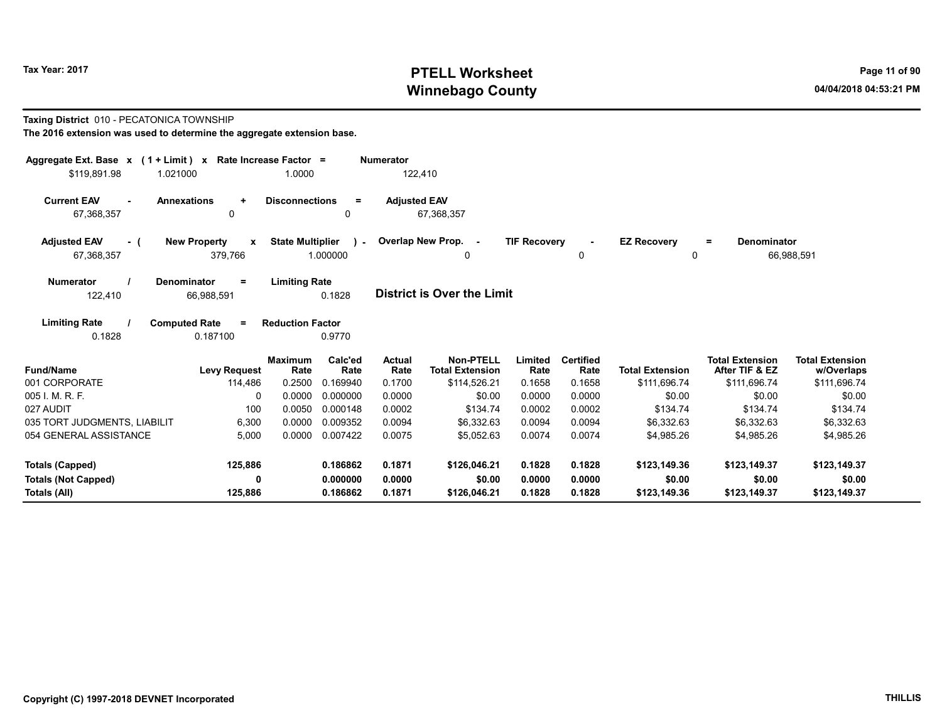# Tax Year: 2017 **PTELL Worksheet** Page 11 of 90 Winnebago County and the County of the County of the County of the County of the County of the County of the County of the County of the County of the County of the County of the County of the County of the County of the C

#### Taxing District 010 - PECATONICA TOWNSHIP

| Aggregate Ext. Base $x$ (1 + Limit) x Rate Increase Factor = |                                                |                                  |                             | <b>Numerator</b>                |                                                            |                           |                                    |                                        |                                                          |                                                      |
|--------------------------------------------------------------|------------------------------------------------|----------------------------------|-----------------------------|---------------------------------|------------------------------------------------------------|---------------------------|------------------------------------|----------------------------------------|----------------------------------------------------------|------------------------------------------------------|
| \$119,891.98                                                 | 1.021000                                       | 1.0000                           |                             | 122,410                         |                                                            |                           |                                    |                                        |                                                          |                                                      |
| <b>Current EAV</b><br>67,368,357                             | <b>Annexations</b><br>$\ddot{}$<br>0           | <b>Disconnections</b>            | $\equiv$<br>$\Omega$        | <b>Adjusted EAV</b>             | 67,368,357                                                 |                           |                                    |                                        |                                                          |                                                      |
| <b>Adjusted EAV</b><br>- (<br>67,368,357                     | <b>New Property</b><br>$\mathbf{x}$<br>379,766 | <b>State Multiplier</b>          | $\mathbf{r}$<br>1.000000    |                                 | Overlap New Prop. -<br>0                                   | <b>TIF Recovery</b>       | $\sim$<br>0                        | <b>EZ Recovery</b><br>0                | Denominator<br>Ξ.                                        | 66,988,591                                           |
| <b>Numerator</b><br>122,410                                  | <b>Denominator</b><br>$\equiv$<br>66,988,591   | <b>Limiting Rate</b>             | 0.1828                      |                                 | <b>District is Over the Limit</b>                          |                           |                                    |                                        |                                                          |                                                      |
| <b>Limiting Rate</b><br>0.1828                               | <b>Computed Rate</b><br>$\equiv$<br>0.187100   | <b>Reduction Factor</b>          | 0.9770                      |                                 |                                                            |                           |                                    |                                        |                                                          |                                                      |
| <b>Fund/Name</b><br>001 CORPORATE                            | <b>Levy Request</b><br>114,486                 | <b>Maximum</b><br>Rate<br>0.2500 | Calc'ed<br>Rate<br>0.169940 | <b>Actual</b><br>Rate<br>0.1700 | <b>Non-PTELL</b><br><b>Total Extension</b><br>\$114,526.21 | Limited<br>Rate<br>0.1658 | <b>Certified</b><br>Rate<br>0.1658 | <b>Total Extension</b><br>\$111,696.74 | <b>Total Extension</b><br>After TIF & EZ<br>\$111,696.74 | <b>Total Extension</b><br>w/Overlaps<br>\$111,696.74 |
| 005 I. M. R. F.                                              | 0                                              | 0.0000                           | 0.000000                    | 0.0000                          | \$0.00                                                     | 0.0000                    | 0.0000                             | \$0.00                                 | \$0.00                                                   | \$0.00                                               |
| 027 AUDIT                                                    | 100                                            | 0.0050                           | 0.000148                    | 0.0002                          | \$134.74                                                   | 0.0002                    | 0.0002                             | \$134.74                               | \$134.74                                                 | \$134.74                                             |
| 035 TORT JUDGMENTS, LIABILIT                                 | 6,300                                          | 0.0000                           | 0.009352                    | 0.0094                          | \$6,332.63                                                 | 0.0094                    | 0.0094                             | \$6,332.63                             | \$6,332.63                                               | \$6,332.63                                           |
| 054 GENERAL ASSISTANCE                                       | 5,000                                          | 0.0000                           | 0.007422                    | 0.0075                          | \$5.052.63                                                 | 0.0074                    | 0.0074                             | \$4,985.26                             | \$4.985.26                                               | \$4,985.26                                           |
| <b>Totals (Capped)</b>                                       | 125,886                                        |                                  | 0.186862                    | 0.1871                          | \$126,046.21                                               | 0.1828                    | 0.1828                             | \$123,149.36                           | \$123,149.37                                             | \$123,149.37                                         |
| <b>Totals (Not Capped)</b>                                   | 0                                              |                                  | 0.000000                    | 0.0000                          | \$0.00                                                     | 0.0000                    | 0.0000                             | \$0.00                                 | \$0.00                                                   | \$0.00                                               |
| Totals (All)                                                 | 125,886                                        |                                  | 0.186862                    | 0.1871                          | \$126,046.21                                               | 0.1828                    | 0.1828                             | \$123,149.36                           | \$123,149.37                                             | \$123,149.37                                         |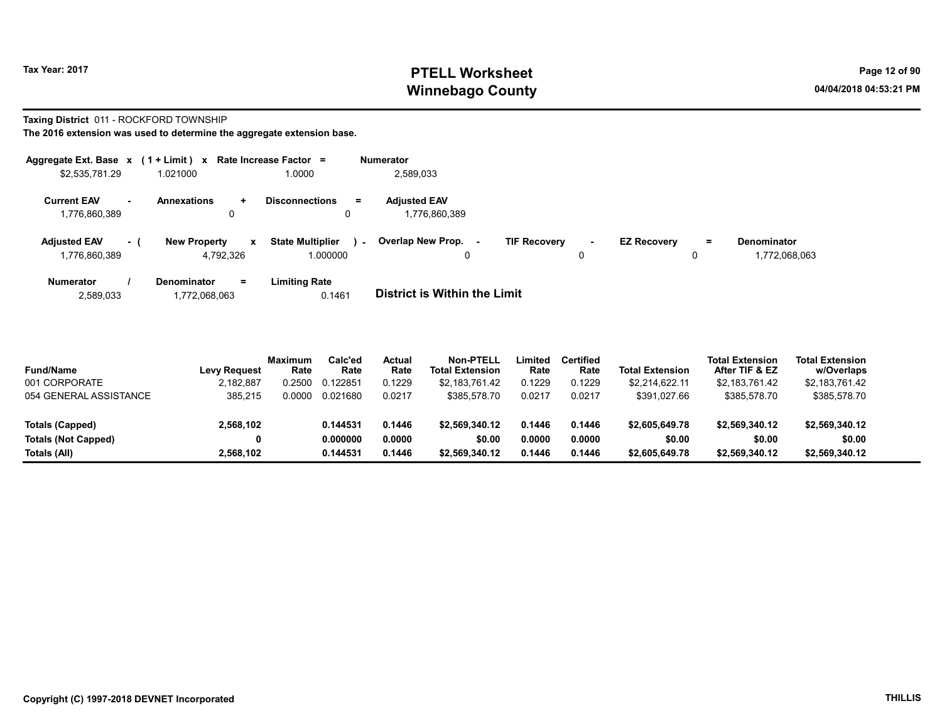# Tax Year: 2017 **PTELL Worksheet** Page 12 of 90 Winnebago County and the County of the County of the County of the County of the County of the County of the County of the County of the County of the County of the County of the County of the County of the County of the C

#### Taxing District 011 - ROCKFORD TOWNSHIP

| Aggregate Ext. Base $x$ (1 + Limit) $x$ |      |                                                  | Rate Increase Factor =                                | <b>Numerator</b>                     |                     |                     |                    |         |                                     |
|-----------------------------------------|------|--------------------------------------------------|-------------------------------------------------------|--------------------------------------|---------------------|---------------------|--------------------|---------|-------------------------------------|
| \$2,535,781.29                          |      | 1.021000                                         | 1.0000                                                | 2,589,033                            |                     |                     |                    |         |                                     |
| <b>Current EAV</b><br>1,776,860,389     | . .  | <b>Annexations</b><br>÷.<br>0                    | $=$<br><b>Disconnections</b><br>0                     | <b>Adjusted EAV</b><br>1,776,860,389 |                     |                     |                    |         |                                     |
| <b>Adjusted EAV</b><br>1,776,860,389    | $-1$ | <b>New Property</b><br>$\mathbf{x}$<br>4,792,326 | <b>State Multiplier</b><br>$\sim$ 10 $\,$<br>1.000000 | Overlap New Prop.<br>0               | <b>TIF Recovery</b> | $\blacksquare$<br>0 | <b>EZ Recovery</b> | Ξ.<br>0 | <b>Denominator</b><br>1.772.068.063 |
| <b>Numerator</b>                        |      | <b>Denominator</b><br>Ξ.                         | Limiting Rate                                         |                                      |                     |                     |                    |         |                                     |

| 2,589,033 | 1,772,068,063 | 0.1461 | <b>District is Within the Limit</b> |
|-----------|---------------|--------|-------------------------------------|
|           |               |        |                                     |

| <b>Fund/Name</b>           | <b>Levy Request</b> | Maximum<br>Rate | Calc'ed<br>Rate | Actual<br>Rate | Non-PTELL<br><b>Total Extension</b> | Limited<br>Rate | Certified<br>Rate | <b>Total Extension</b> | <b>Total Extension</b><br>After TIF & EZ | <b>Total Extension</b><br>w/Overlaps |
|----------------------------|---------------------|-----------------|-----------------|----------------|-------------------------------------|-----------------|-------------------|------------------------|------------------------------------------|--------------------------------------|
| 001 CORPORATE              | 2,182,887           | .2500           | 0.122851        | 0.1229         | \$2,183,761.42                      | 0.1229          | 0.1229            | \$2.214.622.11         | \$2,183,761.42                           | \$2,183,761.42                       |
| 054 GENERAL ASSISTANCE     | 385.215             | .0000           | 0.021680        | 0.0217         | \$385.578.70                        | 0.0217          | 0.0217            | \$391,027.66           | \$385.578.70                             | \$385,578.70                         |
|                            |                     |                 |                 |                |                                     |                 |                   |                        |                                          |                                      |
| Totals (Capped)            | 2,568,102           |                 | 0.144531        | 0.1446         | \$2.569.340.12                      | 0.1446          | 0.1446            | \$2,605,649.78         | \$2,569,340.12                           | \$2,569,340.12                       |
| <b>Totals (Not Capped)</b> | 0                   |                 | 0.000000        | 0.0000         | \$0.00                              | 0.0000          | 0.0000            | \$0.00                 | \$0.00                                   | \$0.00                               |
| Totals (All)               | 2.568.102           |                 | 0.144531        | 0.1446         | \$2.569.340.12                      | 0.1446          | 0.1446            | \$2,605,649.78         | \$2,569,340.12                           | \$2,569,340.12                       |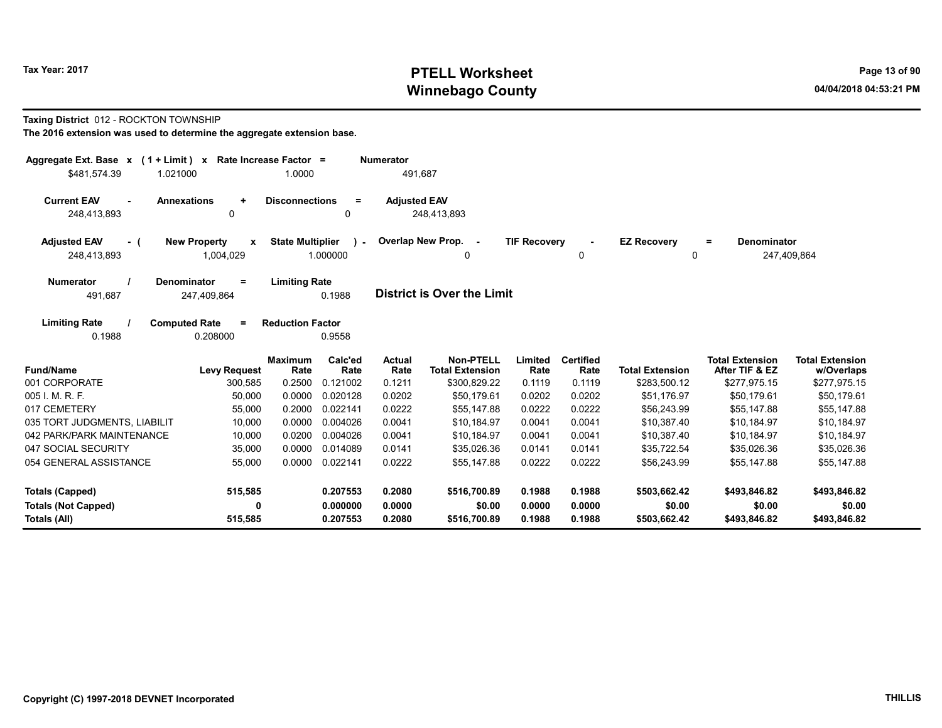# Tax Year: 2017 **PTELL Worksheet** Page 13 of 90 Winnebago County and the County of the County of the County of the County of the County of the County of the County of the County of the County of the County of the County of the County of the County of the County of the C

#### Taxing District 012 - ROCKTON TOWNSHIP

| Aggregate Ext. Base $x$ (1 + Limit) x Rate Increase Factor =              |                                                  |                                                     | <b>Numerator</b>    |                                            |                     |                          |                         |                                          |                                      |
|---------------------------------------------------------------------------|--------------------------------------------------|-----------------------------------------------------|---------------------|--------------------------------------------|---------------------|--------------------------|-------------------------|------------------------------------------|--------------------------------------|
| \$481,574.39<br>1.021000                                                  |                                                  | 1.0000                                              | 491.687             |                                            |                     |                          |                         |                                          |                                      |
| <b>Current EAV</b><br><b>Annexations</b><br>$\blacksquare$<br>248,413,893 | $\ddot{}$<br>$\mathbf{0}$                        | <b>Disconnections</b><br>$\equiv$<br>0              | <b>Adjusted EAV</b> | 248,413,893                                |                     |                          |                         |                                          |                                      |
| <b>Adjusted EAV</b><br>- (<br>248,413,893                                 | <b>New Property</b><br>$\mathbf{x}$<br>1,004,029 | <b>State Multiplier</b><br>$\mathbf{r}$<br>1.000000 |                     | Overlap New Prop. -<br>0                   | <b>TIF Recovery</b> | $\blacksquare$<br>0      | <b>EZ Recovery</b><br>0 | Denominator<br>$=$                       | 247,409,864                          |
| <b>Numerator</b><br><b>Denominator</b><br>491,687                         | Ξ<br>247,409,864                                 | <b>Limiting Rate</b><br>0.1988                      |                     | <b>District is Over the Limit</b>          |                     |                          |                         |                                          |                                      |
| <b>Limiting Rate</b><br><b>Computed Rate</b><br>0.1988                    | $=$<br>0.208000                                  | <b>Reduction Factor</b><br>0.9558                   |                     |                                            |                     |                          |                         |                                          |                                      |
| <b>Fund/Name</b>                                                          | <b>Levy Request</b>                              | Calc'ed<br><b>Maximum</b><br>Rate<br>Rate           | Actual<br>Rate      | <b>Non-PTELL</b><br><b>Total Extension</b> | Limited<br>Rate     | <b>Certified</b><br>Rate | <b>Total Extension</b>  | <b>Total Extension</b><br>After TIF & EZ | <b>Total Extension</b><br>w/Overlaps |
| 001 CORPORATE                                                             | 300,585                                          | 0.2500<br>0.121002                                  | 0.1211              | \$300,829.22                               | 0.1119              | 0.1119                   | \$283,500.12            | \$277,975.15                             | \$277,975.15                         |
| 005 I. M. R. F.                                                           | 50,000                                           | 0.0000<br>0.020128                                  | 0.0202              | \$50.179.61                                | 0.0202              | 0.0202                   | \$51,176.97             | \$50,179.61                              | \$50,179.61                          |
| 017 CEMETERY                                                              | 55,000                                           | 0.2000<br>0.022141                                  | 0.0222              | \$55,147.88                                | 0.0222              | 0.0222                   | \$56,243.99             | \$55,147.88                              | \$55,147.88                          |
| 035 TORT JUDGMENTS, LIABILIT                                              | 10,000                                           | 0.0000<br>0.004026                                  | 0.0041              | \$10,184.97                                | 0.0041              | 0.0041                   | \$10,387.40             | \$10,184.97                              | \$10,184.97                          |
| 042 PARK/PARK MAINTENANCE                                                 | 10,000                                           | 0.0200<br>0.004026                                  | 0.0041              | \$10,184.97                                | 0.0041              | 0.0041                   | \$10,387.40             | \$10,184.97                              | \$10,184.97                          |
| 047 SOCIAL SECURITY                                                       | 35,000                                           | 0.0000<br>0.014089                                  | 0.0141              | \$35,026.36                                | 0.0141              | 0.0141                   | \$35,722.54             | \$35,026.36                              | \$35,026.36                          |
| 054 GENERAL ASSISTANCE                                                    | 55,000                                           | 0.0000<br>0.022141                                  | 0.0222              | \$55,147.88                                | 0.0222              | 0.0222                   | \$56,243.99             | \$55,147.88                              | \$55,147.88                          |
| <b>Totals (Capped)</b>                                                    | 515,585                                          | 0.207553                                            | 0.2080              | \$516,700.89                               | 0.1988              | 0.1988                   | \$503,662.42            | \$493,846.82                             | \$493,846.82                         |
| <b>Totals (Not Capped)</b>                                                | 0                                                | 0.000000                                            | 0.0000              | \$0.00                                     | 0.0000              | 0.0000                   | \$0.00                  | \$0.00                                   | \$0.00                               |
| Totals (All)                                                              | 515,585                                          | 0.207553                                            | 0.2080              | \$516,700.89                               | 0.1988              | 0.1988                   | \$503,662.42            | \$493,846.82                             | \$493,846.82                         |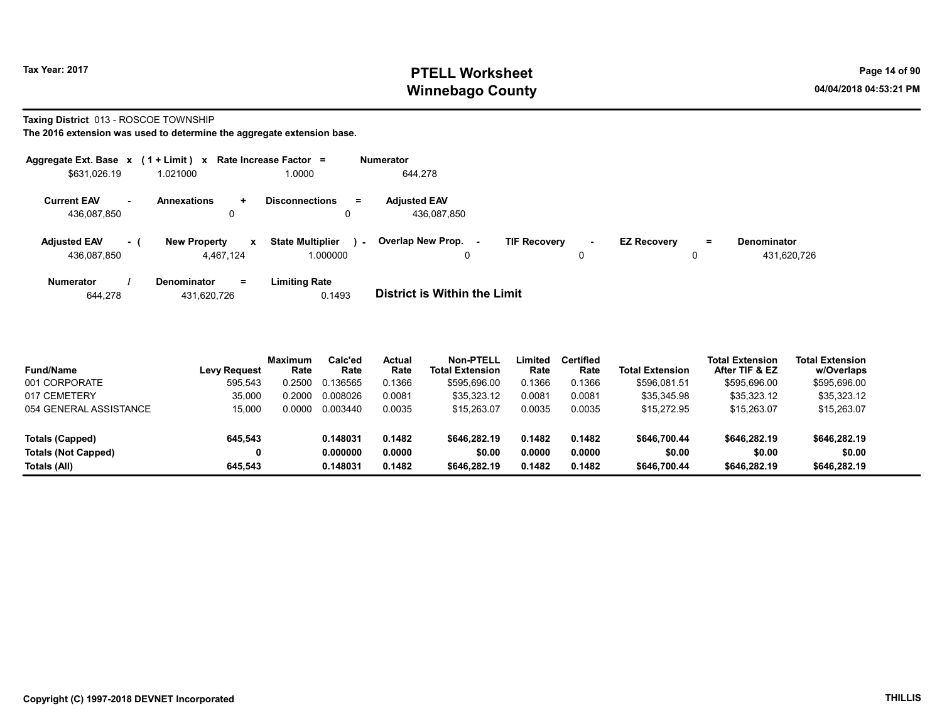# Tax Year: 2017 **PTELL Worksheet** Page 14 of 90 Winnebago County and the County of the County of the County of the County of the County of the County of the County of the County of the County of the County of the County of the County of the County of the County of the C

#### Taxing District 013 - ROSCOE TOWNSHIP

The 2016 extension was used to determine the aggregate extension base.

| Aggregate Ext. Base $x$ (1 + Limit) x Rate Increase Factor = |        |                                  |              |                                     |          | <b>Numerator</b>                   |                     |         |                    |         |                                   |
|--------------------------------------------------------------|--------|----------------------------------|--------------|-------------------------------------|----------|------------------------------------|---------------------|---------|--------------------|---------|-----------------------------------|
| \$631,026.19                                                 |        | 1.021000                         |              | 1.0000                              |          | 644.278                            |                     |         |                    |         |                                   |
| <b>Current EAV</b><br>436,087,850                            | $\sim$ | <b>Annexations</b><br>0          | $\ddot{}$    | <b>Disconnections</b>               | $\equiv$ | <b>Adjusted EAV</b><br>436,087,850 |                     |         |                    |         |                                   |
| <b>Adjusted EAV</b><br>436.087.850                           | $-1$   | <b>New Property</b><br>4.467.124 | $\mathbf{x}$ | <b>State Multiplier</b><br>1.000000 | $\sim$   | Overlap New Prop.<br>0             | <b>TIF Recovery</b> | ٠.<br>0 | <b>EZ Recovery</b> | Ξ.<br>0 | <b>Denominator</b><br>431,620,726 |
| <b>Numerator</b>                                             |        | <b>Denominator</b>               | $=$          | <b>Limiting Rate</b>                |          | _ _ _ _ _ _ _ _ _ _ _ _ _ _ _ _    |                     |         |                    |         |                                   |

644,278 431,620,726 0.1493 District is Within the Limit

| <b>Fund/Name</b>           | <b>Levy Request</b> | Maximum<br>Rate | Calc'ed<br>Rate | <b>Actual</b><br>Rate | Non-PTELL<br><b>Total Extension</b> | Limited<br>Rate | <b>Certified</b><br>Rate | <b>Total Extension</b> | <b>Total Extension</b><br>After TIF & EZ | <b>Total Extension</b><br>w/Overlaps |
|----------------------------|---------------------|-----------------|-----------------|-----------------------|-------------------------------------|-----------------|--------------------------|------------------------|------------------------------------------|--------------------------------------|
| 001 CORPORATE              | 595,543             | 0.2500          | 0.136565        | 0.1366                | \$595,696.00                        | 0.1366          | 0.1366                   | \$596.081.51           | \$595,696.00                             | \$595,696.00                         |
| 017 CEMETERY               | 35,000              | 0.2000          | 0.008026        | 0.0081                | \$35,323.12                         | 0.0081          | 0.0081                   | \$35,345.98            | \$35,323.12                              | \$35,323.12                          |
| 054 GENERAL ASSISTANCE     | 15.000              | 0.0000          | 0.003440        | 0.0035                | \$15.263.07                         | 0.0035          | 0.0035                   | \$15,272.95            | \$15,263.07                              | \$15,263.07                          |
| Totals (Capped)            | 645,543             |                 | 0.148031        | 0.1482                | \$646,282.19                        | 0.1482          | 0.1482                   | \$646,700.44           | \$646,282.19                             | \$646,282.19                         |
| <b>Totals (Not Capped)</b> |                     |                 | 0.000000        | 0.0000                | \$0.00                              | 0.0000          | 0.0000                   | \$0.00                 | \$0.00                                   | \$0.00                               |
| Totals (All)               | 645.543             |                 | 0.148031        | 0.1482                | \$646,282.19                        | 0.1482          | 0.1482                   | \$646,700.44           | \$646,282.19                             | \$646,282.19                         |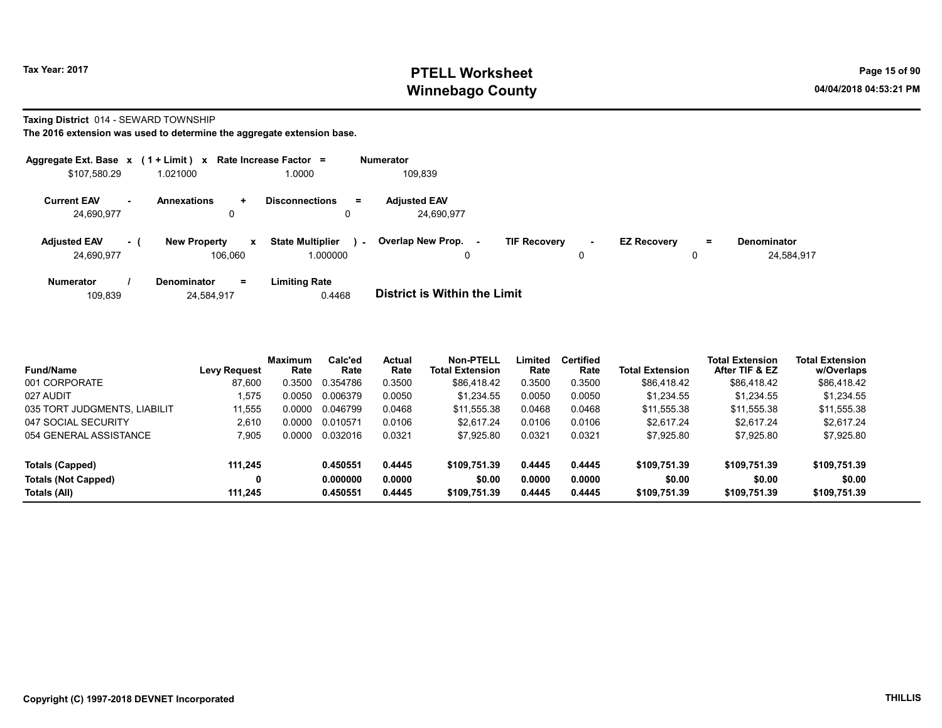# Tax Year: 2017 **PTELL Worksheet** Page 15 of 90 Winnebago County and the County of the County of the County of the County of the County of the County of the County of the County of the County of the County of the County of the County of the County of the County of the C

#### Taxing District 014 - SEWARD TOWNSHIP

| Aggregate Ext. Base $x$ (1 + Limit) $x$ Rate Increase Factor = |      |                                |             |                                     |        | <b>Numerator</b>                                |                     |        |                    |               |                                  |
|----------------------------------------------------------------|------|--------------------------------|-------------|-------------------------------------|--------|-------------------------------------------------|---------------------|--------|--------------------|---------------|----------------------------------|
| \$107,580.29                                                   |      | 1.021000                       |             | 1.0000                              |        | 109,839                                         |                     |        |                    |               |                                  |
| <b>Current EAV</b><br>24,690,977                               | ж.   | <b>Annexations</b><br>0        | ÷.          | <b>Disconnections</b><br>Ξ.         |        | <b>Adjusted EAV</b><br>24.690.977               |                     |        |                    |               |                                  |
| <b>Adjusted EAV</b><br>24,690,977                              | $-1$ | <b>New Property</b><br>106.060 | $\mathbf x$ | <b>State Multiplier</b><br>1.000000 | $\sim$ | <b>Overlap New Prop.</b><br>$\blacksquare$<br>0 | <b>TIF Recovery</b> | $\sim$ | <b>EZ Recovery</b> | $\equiv$<br>0 | <b>Denominator</b><br>24.584.917 |
| <b>Numerator</b>                                               |      | <b>Denominator</b>             | $=$         | <b>Limiting Rate</b>                |        |                                                 |                     |        |                    |               |                                  |

| 109.839 | 24,584,917 | 0.4468 | <b>District is Within the Limit</b> |
|---------|------------|--------|-------------------------------------|

| <b>Fund/Name</b>             | <b>Levy Request</b> | <b>Maximum</b><br>Rate | Calc'ed<br>Rate | <b>Actual</b><br>Rate | Non-PTELL<br><b>Total Extension</b> | Limited<br>Rate | <b>Certified</b><br>Rate | <b>Total Extension</b> | <b>Total Extension</b><br>After TIF & EZ | <b>Total Extension</b><br>w/Overlaps |  |
|------------------------------|---------------------|------------------------|-----------------|-----------------------|-------------------------------------|-----------------|--------------------------|------------------------|------------------------------------------|--------------------------------------|--|
| 001 CORPORATE                | 87,600              | 0.3500                 | 0.354786        | 0.3500                | \$86,418.42                         | 0.3500          | 0.3500                   | \$86,418.42            | \$86,418.42                              | \$86,418.42                          |  |
| 027 AUDIT                    | 1.575               | 0.0050                 | 0.006379        | 0.0050                | \$1.234.55                          | 0.0050          | 0.0050                   | \$1.234.55             | \$1.234.55                               | \$1,234.55                           |  |
| 035 TORT JUDGMENTS, LIABILIT | 11.555              | 0.0000                 | 0.046799        | 0.0468                | \$11.555.38                         | 0.0468          | 0.0468                   | \$11.555.38            | \$11.555.38                              | \$11,555.38                          |  |
| 047 SOCIAL SECURITY          | 2.610               | 0.0000                 | 0.010571        | 0.0106                | \$2.617.24                          | 0.0106          | 0.0106                   | \$2.617.24             | \$2.617.24                               | \$2.617.24                           |  |
| 054 GENERAL ASSISTANCE       | 7.905               | 0.0000                 | 0.032016        | 0.0321                | \$7,925.80                          | 0.0321          | 0.0321                   | \$7,925.80             | \$7,925.80                               | \$7,925.80                           |  |
| Totals (Capped)              | 111.245             |                        | 0.450551        | 0.4445                | \$109.751.39                        | 0.4445          | 0.4445                   | \$109,751.39           | \$109,751.39                             | \$109,751.39                         |  |
| Totals (Not Capped)          | 0                   |                        | 0.000000        | 0.0000                | \$0.00                              | 0.0000          | 0.0000                   | \$0.00                 | \$0.00                                   | \$0.00                               |  |
| Totals (All)                 | 111.245             |                        | 0.450551        | 0.4445                | \$109,751.39                        | 0.4445          | 0.4445                   | \$109.751.39           | \$109,751.39                             | \$109,751.39                         |  |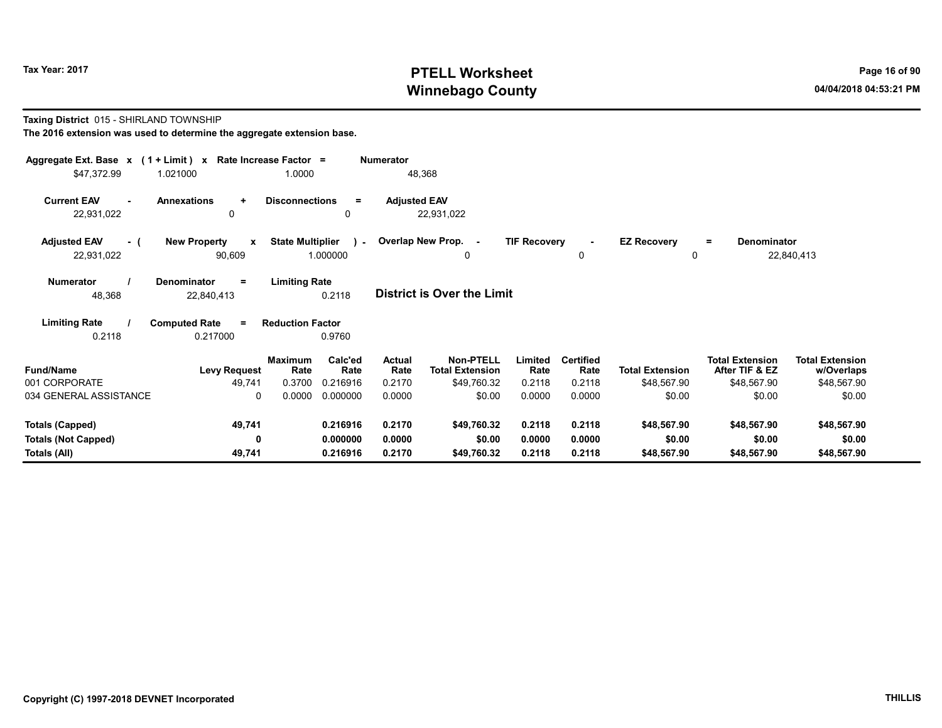# Tax Year: 2017 **PTELL Worksheet** Page 16 of 90 Winnebago County and the County of the County of the County of the County of the County of the County of the County of the County of the County of the County of the County of the County of the County of the County of the C

#### Taxing District 015 - SHIRLAND TOWNSHIP

| Aggregate Ext. Base x (1 + Limit) x Rate Increase Factor =<br><b>Numerator</b>                                                                                                                                                                          |                                               |                         |                      |                     |                                            |                     |                          |                        |                                          |                                      |  |
|---------------------------------------------------------------------------------------------------------------------------------------------------------------------------------------------------------------------------------------------------------|-----------------------------------------------|-------------------------|----------------------|---------------------|--------------------------------------------|---------------------|--------------------------|------------------------|------------------------------------------|--------------------------------------|--|
| \$47,372.99                                                                                                                                                                                                                                             | 1.021000                                      | 1.0000                  |                      |                     | 48,368                                     |                     |                          |                        |                                          |                                      |  |
| <b>Current EAV</b><br>22,931,022                                                                                                                                                                                                                        | <b>Annexations</b><br>$\ddotmark$<br>$\Omega$ | <b>Disconnections</b>   | $\equiv$<br>0        | <b>Adjusted EAV</b> | 22,931,022                                 |                     |                          |                        |                                          |                                      |  |
| <b>Adjusted EAV</b><br>- (                                                                                                                                                                                                                              | <b>New Property</b><br>$\mathbf{x}$           | <b>State Multiplier</b> |                      |                     | ) - Overlap New Prop. -                    | <b>TIF Recovery</b> | $\sim$                   | <b>EZ Recovery</b>     | Denominator<br>$\equiv$                  |                                      |  |
| 22,931,022                                                                                                                                                                                                                                              | 90,609                                        |                         | 1.000000             |                     | 0                                          |                     | 0                        | 0                      |                                          | 22,840,413                           |  |
| <b>Limiting Rate</b><br>Numerator<br><b>Denominator</b><br>$=$<br><b>District is Over the Limit</b><br>0.2118<br>48,368<br>22,840,413<br><b>Limiting Rate</b><br><b>Computed Rate</b><br><b>Reduction Factor</b><br>$=$<br>0.2118<br>0.217000<br>0.9760 |                                               |                         |                      |                     |                                            |                     |                          |                        |                                          |                                      |  |
| <b>Fund/Name</b>                                                                                                                                                                                                                                        | <b>Levy Request</b>                           | <b>Maximum</b><br>Rate  | Calc'ed<br>Rate      | Actual<br>Rate      | <b>Non-PTELL</b><br><b>Total Extension</b> | Limited<br>Rate     | <b>Certified</b><br>Rate | <b>Total Extension</b> | <b>Total Extension</b><br>After TIF & EZ | <b>Total Extension</b><br>w/Overlaps |  |
| 001 CORPORATE                                                                                                                                                                                                                                           | 49,741                                        | 0.3700                  | 0.216916             | 0.2170              | \$49,760.32                                | 0.2118              | 0.2118                   | \$48,567.90            | \$48,567.90                              | \$48,567.90                          |  |
| 034 GENERAL ASSISTANCE                                                                                                                                                                                                                                  | $\Omega$                                      | 0.0000                  | 0.000000             | 0.0000              | \$0.00                                     | 0.0000              | 0.0000                   | \$0.00                 | \$0.00                                   | \$0.00                               |  |
| Totals (Capped)                                                                                                                                                                                                                                         | 49,741                                        |                         | 0.216916             | 0.2170              | \$49,760.32                                | 0.2118              | 0.2118                   | \$48,567.90            | \$48,567.90                              | \$48,567.90                          |  |
| <b>Totals (Not Capped)</b><br>Totals (All)                                                                                                                                                                                                              | 0<br>49,741                                   |                         | 0.000000<br>0.216916 | 0.0000<br>0.2170    | \$0.00<br>\$49,760.32                      | 0.0000<br>0.2118    | 0.0000<br>0.2118         | \$0.00<br>\$48,567.90  | \$0.00<br>\$48,567.90                    | \$0.00<br>\$48,567.90                |  |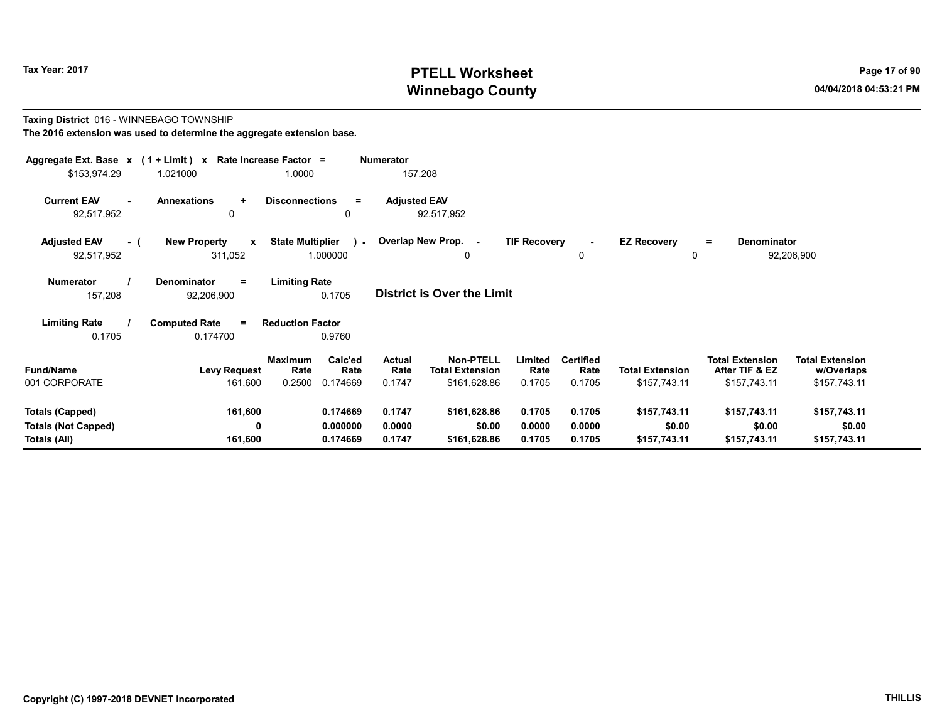# Tax Year: 2017 **PTELL Worksheet** Page 17 of 90 Winnebago County and the County of the County of the County of the County of the County of the County of the County of the County of the County of the County of the County of the County of the County of the County of the C

#### Taxing District 016 - WINNEBAGO TOWNSHIP The 2016 extension was used to determine the aggregate extension base.

| Aggregate Ext. Base x (1 + Limit) x<br>\$153,974.29                  | 1.021000                                       | Rate Increase Factor =<br>1.0000                                | Numerator<br>157,208              |                                                                                  |                                    |                                        |                                                          |                                                      |
|----------------------------------------------------------------------|------------------------------------------------|-----------------------------------------------------------------|-----------------------------------|----------------------------------------------------------------------------------|------------------------------------|----------------------------------------|----------------------------------------------------------|------------------------------------------------------|
| <b>Current EAV</b><br>92,517,952                                     | <b>Annexations</b><br>÷<br>$\Omega$            | <b>Disconnections</b><br>$=$<br>$\mathbf{0}$                    | <b>Adjusted EAV</b><br>92,517,952 |                                                                                  |                                    |                                        |                                                          |                                                      |
| <b>Adjusted EAV</b><br>- (<br>92,517,952                             | <b>New Property</b><br>$\mathbf{x}$<br>311,052 | <b>State Multiplier</b><br>$\sim$<br>1.000000                   | Overlap New Prop. -               | <b>TIF Recovery</b><br>0                                                         | $\sim$<br>0                        | <b>EZ Recovery</b><br>0                | Denominator<br>$\equiv$                                  | 92,206,900                                           |
| <b>Numerator</b><br>157,208                                          | Denominator<br>Ξ.<br>92,206,900                | <b>Limiting Rate</b><br>0.1705                                  | <b>District is Over the Limit</b> |                                                                                  |                                    |                                        |                                                          |                                                      |
| <b>Limiting Rate</b><br>0.1705                                       | <b>Computed Rate</b><br>$\equiv$<br>0.174700   | <b>Reduction Factor</b><br>0.9760                               |                                   |                                                                                  |                                    |                                        |                                                          |                                                      |
| <b>Fund/Name</b><br>001 CORPORATE                                    | <b>Levy Request</b><br>161,600                 | Calc'ed<br><b>Maximum</b><br>Rate<br>Rate<br>0.2500<br>0.174669 | <b>Actual</b><br>Rate<br>0.1747   | Non-PTELL<br>Limited<br><b>Total Extension</b><br>Rate<br>0.1705<br>\$161,628.86 | <b>Certified</b><br>Rate<br>0.1705 | <b>Total Extension</b><br>\$157,743.11 | <b>Total Extension</b><br>After TIF & EZ<br>\$157,743.11 | <b>Total Extension</b><br>w/Overlaps<br>\$157,743.11 |
| <b>Totals (Capped)</b><br><b>Totals (Not Capped)</b><br>Totals (All) | 161,600<br>0<br>161,600                        | 0.174669<br>0.000000<br>0.174669                                | 0.1747<br>0.0000<br>0.1747        | 0.1705<br>\$161,628.86<br>\$0.00<br>0.0000<br>0.1705<br>\$161,628.86             | 0.1705<br>0.0000<br>0.1705         | \$157,743.11<br>\$0.00<br>\$157,743.11 | \$157,743.11<br>\$0.00<br>\$157,743.11                   | \$157,743.11<br>\$0.00<br>\$157,743.11               |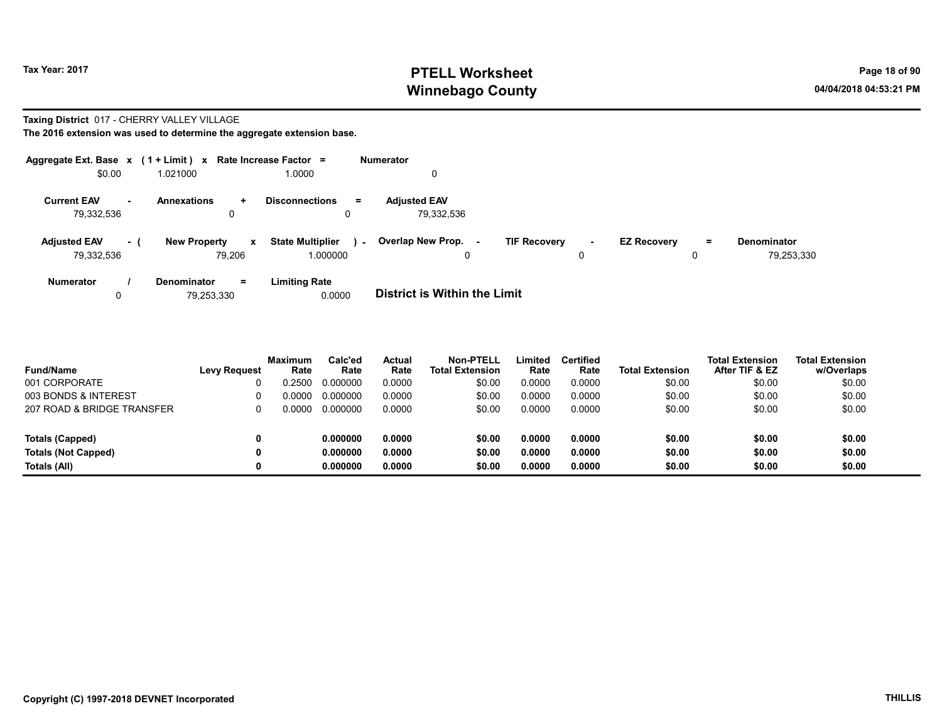# Tax Year: 2017 **PTELL Worksheet** Page 18 of 90 Winnebago County and the County of the County of the County of the County of the County of the County of the County of the County of the County of the County of the County of the County of the County of the County of the C

#### Taxing District 017 - CHERRY VALLEY VILLAGE

The 2016 extension was used to determine the aggregate extension base.

|                     |     | Aggregate Ext. Base $x$ (1 + Limit) $x$ Rate Increase Factor = |                                         |          | <b>Numerator</b>                    |                     |        |                    |   |                    |
|---------------------|-----|----------------------------------------------------------------|-----------------------------------------|----------|-------------------------------------|---------------------|--------|--------------------|---|--------------------|
| \$0.00              |     | 1.021000                                                       | 1.0000                                  |          |                                     |                     |        |                    |   |                    |
| <b>Current EAV</b>  | ж.  | <b>Annexations</b><br>÷.                                       | <b>Disconnections</b>                   | $\equiv$ | <b>Adjusted EAV</b>                 |                     |        |                    |   |                    |
| 79.332.536          |     | 0                                                              |                                         | 0        | 79.332.536                          |                     |        |                    |   |                    |
| <b>Adjusted EAV</b> | - 1 | <b>New Property</b>                                            | <b>State Multiplier</b><br>$\mathbf{x}$ | $\sim$   | Overlap New Prop.<br>۰.             | <b>TIF Recovery</b> | $\sim$ | <b>EZ Recovery</b> | = | <b>Denominator</b> |
| 79,332,536          |     | 79,206                                                         | 1.000000                                |          |                                     |                     |        |                    | 0 | 79,253,330         |
| <b>Numerator</b>    |     | $=$<br><b>Denominator</b>                                      | <b>Limiting Rate</b>                    |          |                                     |                     |        |                    |   |                    |
|                     |     | 79.253.330                                                     | 0.0000                                  |          | <b>District is Within the Limit</b> |                     |        |                    |   |                    |

| <b>Fund/Name</b>           | <b>Levy Request</b> | <b>Maximum</b><br>Rate | Calc'ed<br>Rate | Actual<br>Rate | <b>Non-PTELL</b><br><b>Total Extension</b> | Limited<br>Rate | <b>Certified</b><br>Rate | <b>Total Extension</b> | <b>Total Extension</b><br>After TIF & EZ | <b>Total Extension</b><br>w/Overlaps |
|----------------------------|---------------------|------------------------|-----------------|----------------|--------------------------------------------|-----------------|--------------------------|------------------------|------------------------------------------|--------------------------------------|
| 001 CORPORATE              |                     | 0.2500                 | 0.000000        | 0.0000         | \$0.00                                     | 0.0000          | 0.0000                   | \$0.00                 | \$0.00                                   | \$0.00                               |
| 003 BONDS & INTEREST       |                     | 0.0000                 | 0.000000        | 0.0000         | \$0.00                                     | 0.0000          | 0.0000                   | \$0.00                 | \$0.00                                   | \$0.00                               |
| 207 ROAD & BRIDGE TRANSFER |                     | 0.0000                 | 0.000000        | 0.0000         | \$0.00                                     | 0.0000          | 0.0000                   | \$0.00                 | \$0.00                                   | \$0.00                               |
| Totals (Capped)            |                     |                        | 0.000000        | 0.0000         | \$0.00                                     | 0.0000          | 0.0000                   | \$0.00                 | \$0.00                                   | \$0.00                               |
| <b>Totals (Not Capped)</b> | 0                   |                        | 0.000000        | 0.0000         | \$0.00                                     | 0.0000          | 0.0000                   | \$0.00                 | \$0.00                                   | \$0.00                               |
| Totals (All)               | 0                   |                        | 0.000000        | 0.0000         | \$0.00                                     | 0.0000          | 0.0000                   | \$0.00                 | \$0.00                                   | \$0.00                               |

and a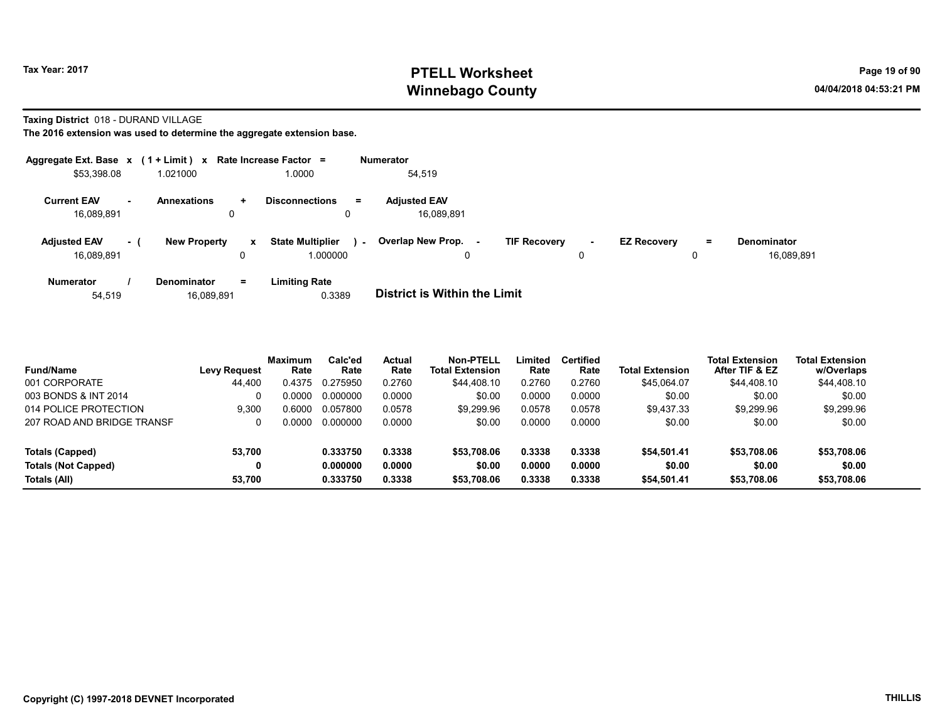# Tax Year: 2017 **PTELL Worksheet** Page 19 of 90 Winnebago County and the County of the County of the County of the County of the County of the County of the County of the County of the County of the County of the County of the County of the County of the County of the C

Taxing District 018 - DURAND VILLAGE

| Aggregate Ext. Base $x$ (1 + Limit) $x$ Rate Increase Factor = |     |                                  |           |                                     |        | <b>Numerator</b>                         |                     |             |                    |         |                           |
|----------------------------------------------------------------|-----|----------------------------------|-----------|-------------------------------------|--------|------------------------------------------|---------------------|-------------|--------------------|---------|---------------------------|
| \$53,398.08                                                    |     | 1.021000                         |           | 1.0000                              |        | 54.519                                   |                     |             |                    |         |                           |
| <b>Current EAV</b><br>16.089.891                               | н.  | <b>Annexations</b><br>0          | $\ddot{}$ | <b>Disconnections</b><br>Ξ.<br>0    |        | <b>Adjusted EAV</b><br>16.089.891        |                     |             |                    |         |                           |
| <b>Adjusted EAV</b><br>16.089.891                              | - ( | <b>New Property</b>              | x<br>0    | <b>State Multiplier</b><br>1.000000 | $\sim$ | Overlap New Prop.<br>$\blacksquare$<br>0 | <b>TIF Recovery</b> | $\sim$<br>0 | <b>EZ Recovery</b> | Ξ.<br>0 | Denominator<br>16.089.891 |
| <b>Numerator</b><br>54,519                                     |     | <b>Denominator</b><br>16,089,891 | $=$       | <b>Limiting Rate</b><br>0.3389      |        | <b>District is Within the Limit</b>      |                     |             |                    |         |                           |

| <b>Fund/Name</b>           | <b>Levy Request</b> | <b>Maximum</b><br>Rate | Calc'ed<br>Rate | Actual<br>Rate | <b>Non-PTELL</b><br><b>Total Extension</b> | Limited<br>Rate | <b>Certified</b><br>Rate | <b>Total Extension</b> | <b>Total Extension</b><br>After TIF & EZ | <b>Total Extension</b><br>w/Overlaps |
|----------------------------|---------------------|------------------------|-----------------|----------------|--------------------------------------------|-----------------|--------------------------|------------------------|------------------------------------------|--------------------------------------|
| 001 CORPORATE              | 44.400              | 0.4375                 | 0.275950        | 0.2760         | \$44,408.10                                | 0.2760          | 0.2760                   | \$45.064.07            | \$44,408.10                              | \$44,408.10                          |
| 003 BONDS & INT 2014       |                     | 0.0000                 | 0.000000        | 0.0000         | \$0.00                                     | 0.0000          | 0.0000                   | \$0.00                 | \$0.00                                   | \$0.00                               |
| 014 POLICE PROTECTION      | 9.300               | 0.6000                 | 0.057800        | 0.0578         | \$9.299.96                                 | 0.0578          | 0.0578                   | \$9.437.33             | \$9.299.96                               | \$9,299.96                           |
| 207 ROAD AND BRIDGE TRANSF | 0                   | ი იიიი                 | 0.000000        | 0.0000         | \$0.00                                     | 0.0000          | 0.0000                   | \$0.00                 | \$0.00                                   | \$0.00                               |
| Totals (Capped)            | 53,700              |                        | 0.333750        | 0.3338         | \$53,708.06                                | 0.3338          | 0.3338                   | \$54.501.41            | \$53,708.06                              | \$53,708.06                          |
| <b>Totals (Not Capped)</b> | 0                   |                        | 0.000000        | 0.0000         | \$0.00                                     | 0.0000          | 0.0000                   | \$0.00                 | \$0.00                                   | \$0.00                               |
| Totals (All)               | 53.700              |                        | 0.333750        | 0.3338         | \$53,708.06                                | 0.3338          | 0.3338                   | \$54.501.41            | \$53,708.06                              | \$53,708.06                          |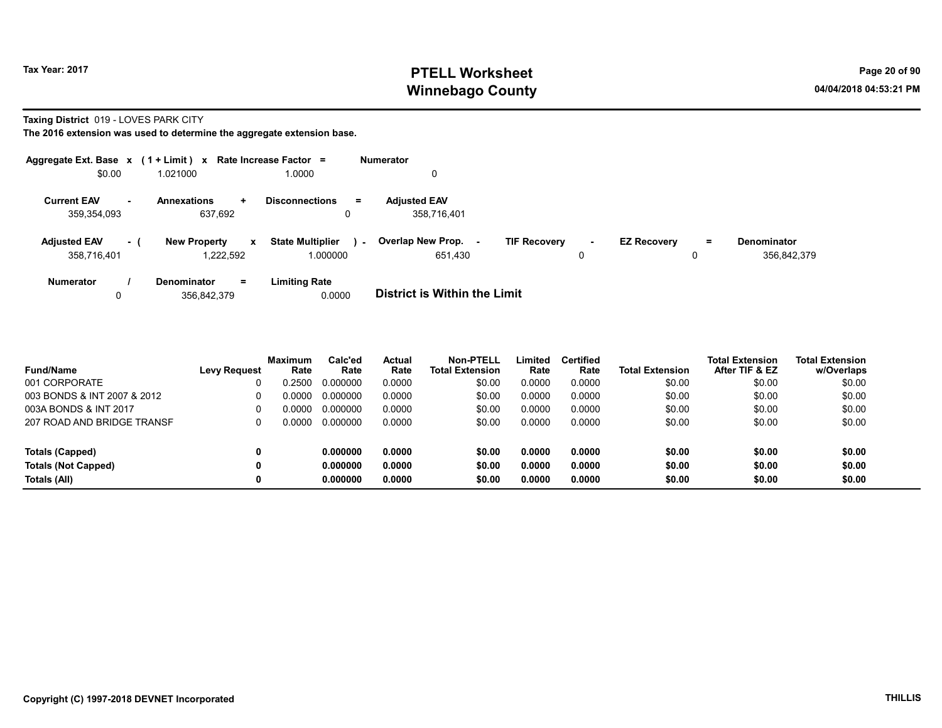# Tax Year: 2017 **PTELL Worksheet** Page 20 of 90 Winnebago County and the County of the County of the County of the County of the County of the County of the County of the County of the County of the County of the County of the County of the County of the County of the C

Taxing District 019 - LOVES PARK CITY

|                                    |     | Aggregate Ext. Base $x$ (1 + Limit) x Rate Increase Factor = |              |                                     |        | <b>Numerator</b>                    |                     |             |                    |          |                                   |
|------------------------------------|-----|--------------------------------------------------------------|--------------|-------------------------------------|--------|-------------------------------------|---------------------|-------------|--------------------|----------|-----------------------------------|
| \$0.00                             |     | 1.021000                                                     |              | 0000.1                              |        | 0                                   |                     |             |                    |          |                                   |
| <b>Current EAV</b><br>359,354,093  |     | <b>Annexations</b><br>÷<br>637,692                           |              | <b>Disconnections</b><br>$=$<br>0   |        | <b>Adjusted EAV</b><br>358,716,401  |                     |             |                    |          |                                   |
| <b>Adjusted EAV</b><br>358,716,401 | - ( | <b>New Property</b><br>1.222.592                             | $\mathbf{x}$ | <b>State Multiplier</b><br>1.000000 | $\sim$ | Overlap New Prop.<br>651,430        | <b>TIF Recovery</b> | $\sim$<br>0 | <b>EZ Recovery</b> | $=$<br>0 | <b>Denominator</b><br>356,842,379 |
| <b>Numerator</b><br>0              |     | $=$<br><b>Denominator</b><br>356.842.379                     |              | <b>Limiting Rate</b><br>0.0000      |        | <b>District is Within the Limit</b> |                     |             |                    |          |                                   |

| <b>Fund/Name</b>            | <b>Levy Request</b> | <b>Maximum</b><br>Rate | Calc'ed<br>Rate | Actual<br>Rate | Non-PTELL<br><b>Total Extension</b> | Limited<br>Rate | <b>Certified</b><br>Rate | <b>Total Extension</b> | <b>Total Extension</b><br>After TIF & EZ | Total Extension<br>w/Overlaps |
|-----------------------------|---------------------|------------------------|-----------------|----------------|-------------------------------------|-----------------|--------------------------|------------------------|------------------------------------------|-------------------------------|
| 001 CORPORATE               |                     | 0.2500                 | 0.000000        | 0.0000         | \$0.00                              | 0.0000          | 0.0000                   | \$0.00                 | \$0.00                                   | \$0.00                        |
| 003 BONDS & INT 2007 & 2012 | 0                   | 0.0000                 | 0.000000        | 0.0000         | \$0.00                              | 0.0000          | 0.0000                   | \$0.00                 | \$0.00                                   | \$0.00                        |
| 003A BONDS & INT 2017       | 0                   | 0.0000                 | 0.000000        | 0.0000         | \$0.00                              | 0.0000          | 0.0000                   | \$0.00                 | \$0.00                                   | \$0.00                        |
| 207 ROAD AND BRIDGE TRANSF  |                     | 0.0000                 | 0.000000        | 0.0000         | \$0.00                              | 0.0000          | 0.0000                   | \$0.00                 | \$0.00                                   | \$0.00                        |
| Totals (Capped)             | 0                   |                        | 0.000000        | 0.0000         | \$0.00                              | 0.0000          | 0.0000                   | \$0.00                 | \$0.00                                   | \$0.00                        |
| <b>Totals (Not Capped)</b>  | 0                   |                        | 0.000000        | 0.0000         | \$0.00                              | 0.0000          | 0.0000                   | \$0.00                 | \$0.00                                   | \$0.00                        |
| Totals (All)                | 0                   |                        | 0.000000        | 0.0000         | \$0.00                              | 0.0000          | 0.0000                   | \$0.00                 | \$0.00                                   | \$0.00                        |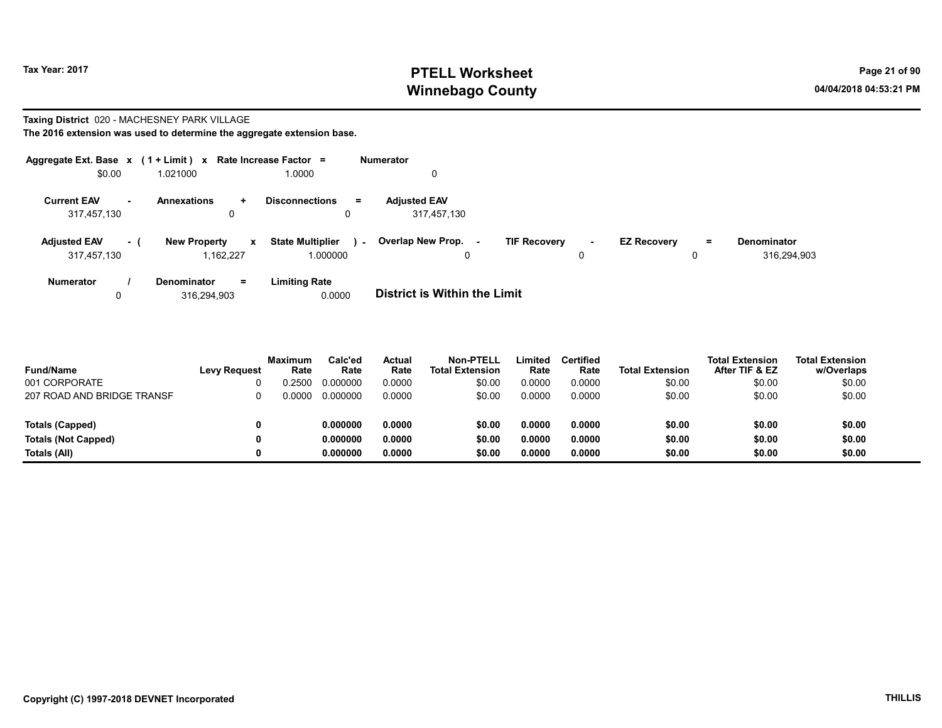# Tax Year: 2017 **PTELL Worksheet** Page 21 of 90 Winnebago County and the County of the County of the County of the County of the County of the County of the County of the County of the County of the County of the County of the County of the County of the County of the C

# Taxing District 020 - MACHESNEY PARK VILLAGE

|  | The 2016 extension was used to determine the aggregate extension base. |
|--|------------------------------------------------------------------------|
|--|------------------------------------------------------------------------|

| Aggregate Ext. Base $x$ (1 + Limit) $x$ |        |                                     | Rate Increase Factor =            | <b>Numerator</b>                                                                 |                    |
|-----------------------------------------|--------|-------------------------------------|-----------------------------------|----------------------------------------------------------------------------------|--------------------|
| \$0.00                                  |        | 1.021000                            | 1.0000                            | 0                                                                                |                    |
| <b>Current EAV</b>                      | $\sim$ | <b>Annexations</b><br>$\ddot{}$     | <b>Disconnections</b><br>$\equiv$ | <b>Adjusted EAV</b>                                                              |                    |
| 317,457,130                             |        | 0                                   | 0                                 | 317,457,130                                                                      |                    |
| <b>Adjusted EAV</b>                     | - (    | <b>New Property</b><br>$\mathbf{x}$ | <b>State Multiplier</b><br>$\sim$ | Overlap New Prop. -<br><b>TIF Recovery</b><br><b>EZ Recovery</b><br>Ξ.<br>$\sim$ | <b>Denominator</b> |
| 317,457,130                             |        | 1.162.227                           | 1.000000                          | 0<br>0<br>0                                                                      | 316,294,903        |
| <b>Numerator</b>                        |        | Denominator<br>$=$                  | <b>Limiting Rate</b>              |                                                                                  |                    |
| 0                                       |        | 316.294.903                         | 0.0000                            | <b>District is Within the Limit</b>                                              |                    |

| <b>Fund/Name</b>           | <b>Levy Request</b> | <b>Maximum</b><br>Rate | Calc'ed<br>Rate | Actual<br>Rate | <b>Non-PTELL</b><br><b>Total Extension</b> | Limited<br>Rate | <b>Certified</b><br>Rate | <b>Total Extension</b> | <b>Total Extension</b><br>After TIF & EZ | <b>Total Extension</b><br>w/Overlaps |
|----------------------------|---------------------|------------------------|-----------------|----------------|--------------------------------------------|-----------------|--------------------------|------------------------|------------------------------------------|--------------------------------------|
| 001 CORPORATE              |                     | 0.2500                 | 0.000000        | 0.0000         | \$0.00                                     | 0.0000          | 0.0000                   | \$0.00                 | \$0.00                                   | \$0.00                               |
| 207 ROAD AND BRIDGE TRANSF |                     | <u>ე 0000</u>          | 0.000000        | 0.0000         | \$0.00                                     | 0.0000          | 0.0000                   | \$0.00                 | \$0.00                                   | \$0.00                               |
| Totals (Capped)            |                     |                        | 0.000000        | 0.0000         | \$0.00                                     | 0.0000          | 0.0000                   | \$0.00                 | \$0.00                                   | \$0.00                               |
| <b>Totals (Not Capped)</b> |                     |                        | 0.000000        | 0.0000         | \$0.00                                     | 0.0000          | 0.0000                   | \$0.00                 | \$0.00                                   | \$0.00                               |
| Totals (All)               |                     |                        | 0.000000        | 0.0000         | \$0.00                                     | 0.0000          | 0.0000                   | \$0.00                 | \$0.00                                   | \$0.00                               |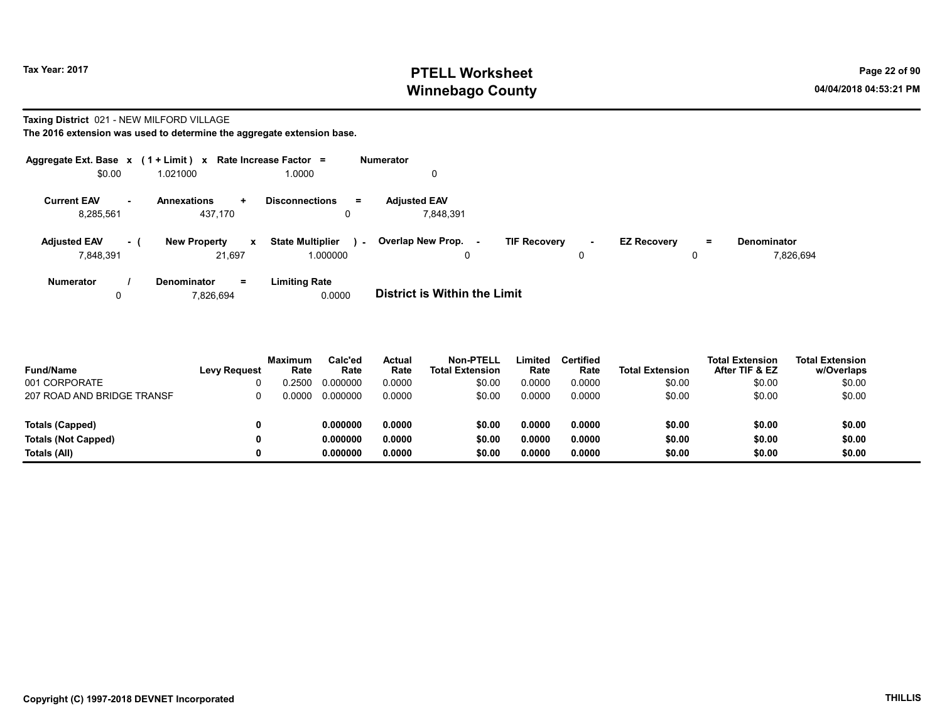# Tax Year: 2017 **PTELL Worksheet** Page 22 of 90 Winnebago County and the County of the County of the County of the County of the County of the County of the County of the County of the County of the County of the County of the County of the County of the County of the C

#### Taxing District 021 - NEW MILFORD VILLAGE

|                     |        | Aggregate Ext. Base $x$ (1 + Limit) $x$ Rate Increase Factor = |                                   | Numerator                                                                                                      |
|---------------------|--------|----------------------------------------------------------------|-----------------------------------|----------------------------------------------------------------------------------------------------------------|
| \$0.00              |        | 1.021000                                                       | 1.0000                            | 0                                                                                                              |
| <b>Current EAV</b>  | $\sim$ | <b>Annexations</b><br>÷.                                       | <b>Disconnections</b><br>$\equiv$ | <b>Adjusted EAV</b>                                                                                            |
| 8,285,561           |        | 437.170                                                        |                                   | 7.848.391                                                                                                      |
| <b>Adjusted EAV</b> | - 1    | <b>New Property</b><br>$\mathbf{x}$                            | <b>State Multiplier</b><br>$\sim$ | Overlap New Prop. -<br><b>TIF Recovery</b><br><b>EZ Recovery</b><br><b>Denominator</b><br>Ξ.<br>$\blacksquare$ |
| 7,848,391           |        | 21.697                                                         | 1.000000                          | 7.826.694<br>0<br>0<br>0                                                                                       |
| <b>Numerator</b>    |        | Denominator<br>$=$                                             | <b>Limiting Rate</b>              |                                                                                                                |
| 0                   |        | 7,826,694                                                      | 0.0000                            | <b>District is Within the Limit</b>                                                                            |

| <b>Fund/Name</b>           | <b>Levy Request</b> | Maximum<br>Rate | Calc'ed<br>Rate | Actual<br>Rate | Non-PTELL<br><b>Total Extension</b> | ∟imited<br>Rate | Certified<br>Rate | <b>Total Extension</b> | <b>Total Extension</b><br>After TIF & EZ | <b>Total Extension</b><br>w/Overlaps |
|----------------------------|---------------------|-----------------|-----------------|----------------|-------------------------------------|-----------------|-------------------|------------------------|------------------------------------------|--------------------------------------|
| 001 CORPORATE              |                     | .2500           | 0.000000        | 0.0000         | \$0.00                              | 0.0000          | 0.0000            | \$0.00                 | \$0.00                                   | \$0.00                               |
| 207 ROAD AND BRIDGE TRANSF |                     | ገ 0000          | 0.000000        | 0.0000         | \$0.00                              | 0.0000          | 0.0000            | \$0.00                 | \$0.00                                   | \$0.00                               |
|                            |                     |                 |                 |                |                                     |                 |                   |                        |                                          |                                      |
| <b>Totals (Capped)</b>     |                     |                 | 0.000000        | 0.0000         | \$0.00                              | 0.0000          | 0.0000            | \$0.00                 | \$0.00                                   | \$0.00                               |
| <b>Totals (Not Capped)</b> |                     |                 | 0.000000        | 0.0000         | \$0.00                              | 0.0000          | 0.0000            | \$0.00                 | \$0.00                                   | \$0.00                               |
| Totals (All)               |                     |                 | 0.000000        | 0.0000         | \$0.00                              | 0.0000          | 0.0000            | \$0.00                 | \$0.00                                   | \$0.00                               |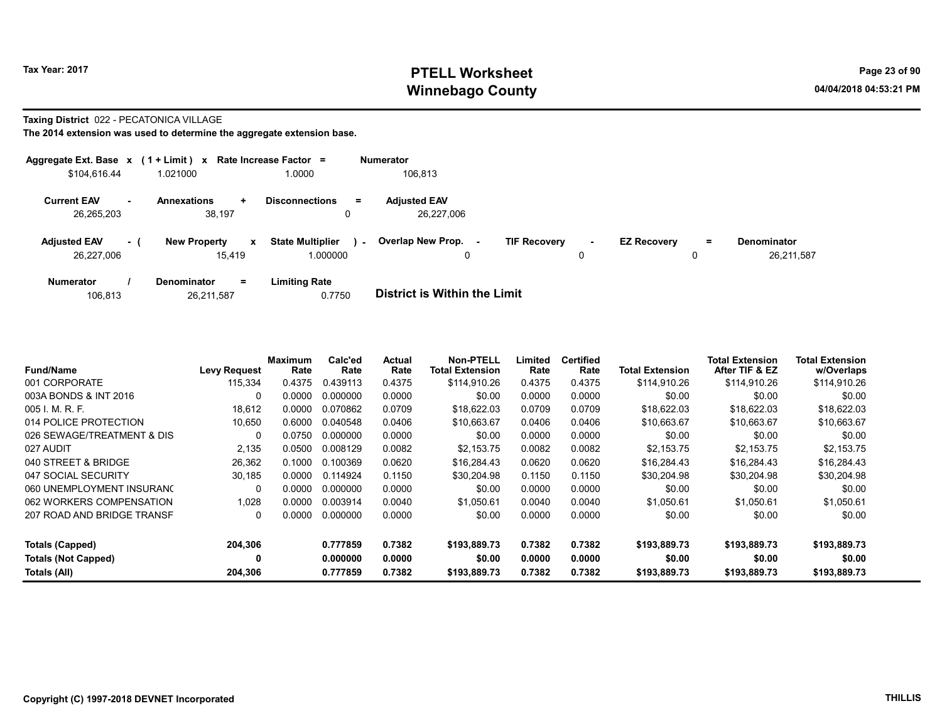# Tax Year: 2017 **PTELL Worksheet** Page 23 of 90 Winnebago County and the County of the County of the County of the County of the County of the County of the County of the County of the County of the County of the County of the County of the County of the County of the C

#### Taxing District 022 - PECATONICA VILLAGE

|                                   |     | Aggregate Ext. Base x (1 + Limit) x Rate Increase Factor = |                                          |        | Numerator                         |                     |             |                    |         |                                  |
|-----------------------------------|-----|------------------------------------------------------------|------------------------------------------|--------|-----------------------------------|---------------------|-------------|--------------------|---------|----------------------------------|
| \$104,616.44                      |     | 1.021000                                                   | 1.0000                                   |        | 106,813                           |                     |             |                    |         |                                  |
| <b>Current EAV</b><br>26,265,203  | . — | <b>Annexations</b><br>÷<br>38,197                          | <b>Disconnections</b><br>0               | Ξ.     | <b>Adjusted EAV</b><br>26.227.006 |                     |             |                    |         |                                  |
| <b>Adjusted EAV</b><br>26,227,006 | - 1 | <b>New Property</b><br>15.419                              | <b>State Multiplier</b><br>x<br>1.000000 | $\sim$ | Overlap New Prop.<br>$\sim$       | <b>TIF Recovery</b> | $\sim$<br>0 | <b>EZ Recovery</b> | Ξ.<br>0 | <b>Denominator</b><br>26,211,587 |
| <b>Numerator</b>                  |     | $=$<br><b>Denominator</b>                                  | <b>Limiting Rate</b>                     |        |                                   |                     |             |                    |         |                                  |

| 26,211,587<br>106,813 | 0.7750 | <b>District is Within the Limit</b> |
|-----------------------|--------|-------------------------------------|
|-----------------------|--------|-------------------------------------|

| <b>Fund/Name</b>           | <b>Levy Request</b> | Maximum<br>Rate | Calc'ed<br>Rate | Actual<br>Rate | Non-PTELL<br><b>Total Extension</b> | Limited<br>Rate | <b>Certified</b><br>Rate | <b>Total Extension</b> | <b>Total Extension</b><br>After TIF & EZ | <b>Total Extension</b><br>w/Overlaps |  |
|----------------------------|---------------------|-----------------|-----------------|----------------|-------------------------------------|-----------------|--------------------------|------------------------|------------------------------------------|--------------------------------------|--|
| 001 CORPORATE              | 115,334             | 0.4375          | 0.439113        | 0.4375         | \$114,910.26                        | 0.4375          | 0.4375                   | \$114,910.26           | \$114,910.26                             | \$114,910.26                         |  |
| 003A BONDS & INT 2016      | 0                   | 0.0000          | 0.000000        | 0.0000         | \$0.00                              | 0.0000          | 0.0000                   | \$0.00                 | \$0.00                                   | \$0.00                               |  |
| 005 I. M. R. F.            | 18.612              | 0.0000          | 0.070862        | 0.0709         | \$18.622.03                         | 0.0709          | 0.0709                   | \$18.622.03            | \$18,622.03                              | \$18,622.03                          |  |
| 014 POLICE PROTECTION      | 10,650              | 0.6000          | 0.040548        | 0.0406         | \$10.663.67                         | 0.0406          | 0.0406                   | \$10.663.67            | \$10.663.67                              | \$10,663.67                          |  |
| 026 SEWAGE/TREATMENT & DIS | 0                   | 0.0750          | 0.000000        | 0.0000         | \$0.00                              | 0.0000          | 0.0000                   | \$0.00                 | \$0.00                                   | \$0.00                               |  |
| 027 AUDIT                  | 2,135               | 0.0500          | 0.008129        | 0.0082         | \$2,153.75                          | 0.0082          | 0.0082                   | \$2,153.75             | \$2,153.75                               | \$2,153.75                           |  |
| 040 STREET & BRIDGE        | 26,362              | 0.1000          | 0.100369        | 0.0620         | \$16.284.43                         | 0.0620          | 0.0620                   | \$16,284.43            | \$16,284.43                              | \$16,284.43                          |  |
| 047 SOCIAL SECURITY        | 30,185              | 0.0000          | 0.114924        | 0.1150         | \$30,204.98                         | 0.1150          | 0.1150                   | \$30.204.98            | \$30.204.98                              | \$30,204.98                          |  |
| 060 UNEMPLOYMENT INSURANC  | $\Omega$            | 0.0000          | 0.000000        | 0.0000         | \$0.00                              | 0.0000          | 0.0000                   | \$0.00                 | \$0.00                                   | \$0.00                               |  |
| 062 WORKERS COMPENSATION   | 1,028               | 0.0000          | 0.003914        | 0.0040         | \$1,050.61                          | 0.0040          | 0.0040                   | \$1,050.61             | \$1,050.61                               | \$1,050.61                           |  |
| 207 ROAD AND BRIDGE TRANSF | 0                   | 0.0000          | 0.000000        | 0.0000         | \$0.00                              | 0.0000          | 0.0000                   | \$0.00                 | \$0.00                                   | \$0.00                               |  |
| Totals (Capped)            | 204,306             |                 | 0.777859        | 0.7382         | \$193,889.73                        | 0.7382          | 0.7382                   | \$193,889.73           | \$193,889.73                             | \$193,889.73                         |  |
| <b>Totals (Not Capped)</b> | 0                   |                 | 0.000000        | 0.0000         | \$0.00                              | 0.0000          | 0.0000                   | \$0.00                 | \$0.00                                   | \$0.00                               |  |
| Totals (All)               | 204,306             |                 | 0.777859        | 0.7382         | \$193,889.73                        | 0.7382          | 0.7382                   | \$193,889.73           | \$193,889.73                             | \$193,889.73                         |  |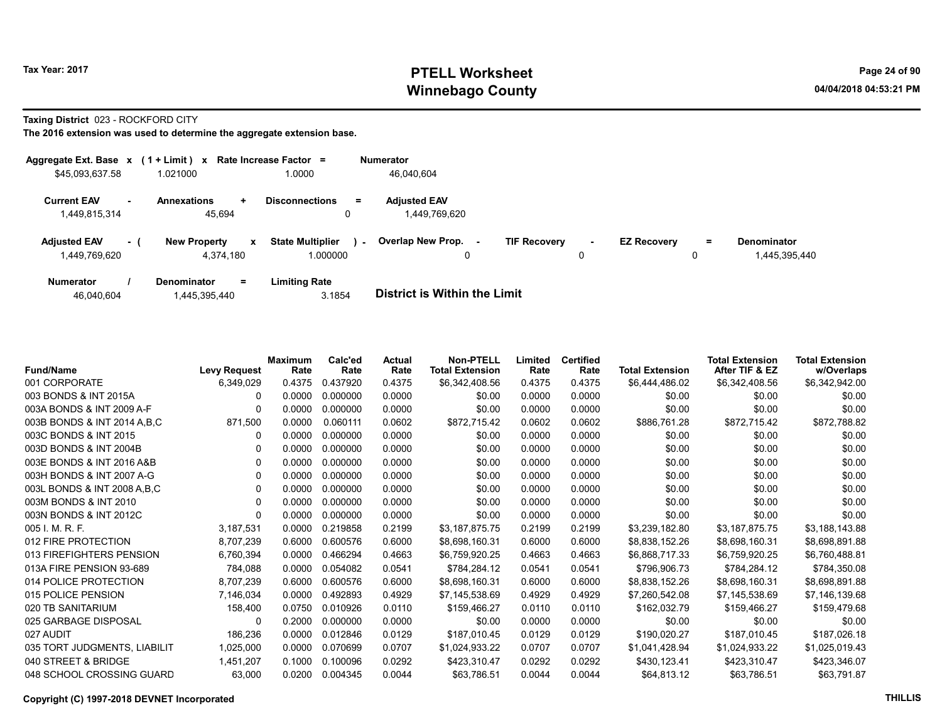# Tax Year: 2017 **PTELL Worksheet** Page 24 of 90 Winnebago County and the County of the County of the County of the County of the County of the County of the County of the County of the County of the County of the County of the County of the County of the County of the C

Taxing District 023 - ROCKFORD CITY

| Aggregate Ext. Base $x$ (1 + Limit) $x$ |     |                                     | Rate Increase Factor =            | <b>Numerator</b>                     |                               |                    |     |               |
|-----------------------------------------|-----|-------------------------------------|-----------------------------------|--------------------------------------|-------------------------------|--------------------|-----|---------------|
| \$45,093,637.58                         |     | 1.021000                            | 1.0000                            | 46.040.604                           |                               |                    |     |               |
| <b>Current EAV</b><br>1,449,815,314     |     | <b>Annexations</b><br>÷.<br>45.694  | <b>Disconnections</b><br>$=$      | <b>Adjusted EAV</b><br>1,449,769,620 |                               |                    |     |               |
|                                         |     |                                     |                                   |                                      |                               |                    |     |               |
| <b>Adjusted EAV</b>                     | - 1 | <b>New Property</b><br>$\mathbf{x}$ | <b>State Multiplier</b><br>$\sim$ | Overlap New Prop.                    | <b>TIF Recovery</b><br>$\sim$ | <b>EZ Recovery</b> | $=$ | Denominator   |
| 1,449,769,620                           |     | 4,374,180                           | 1.000000                          | 0                                    | υ                             |                    |     | 1,445,395,440 |
| <b>Numerator</b>                        |     | Denominator<br>$=$                  | <b>Limiting Rate</b>              |                                      |                               |                    |     |               |

| <b>District is Within the Limit</b><br>3.1854<br>46,040,604<br>.445,395,440 |  |
|-----------------------------------------------------------------------------|--|

| <b>Fund/Name</b>              | <b>Levy Request</b> | Maximum<br>Rate | Calc'ed<br>Rate | Actual<br>Rate | <b>Non-PTELL</b><br><b>Total Extension</b> | Limited<br>Rate | <b>Certified</b><br>Rate | <b>Total Extension</b> | <b>Total Extension</b><br>After TIF & EZ | <b>Total Extension</b><br>w/Overlaps |
|-------------------------------|---------------------|-----------------|-----------------|----------------|--------------------------------------------|-----------------|--------------------------|------------------------|------------------------------------------|--------------------------------------|
| 001 CORPORATE                 | 6,349,029           | 0.4375          | 0.437920        | 0.4375         | \$6,342,408.56                             | 0.4375          | 0.4375                   | \$6,444,486.02         | \$6,342,408.56                           | \$6,342,942.00                       |
| 003 BONDS & INT 2015A         | 0                   | 0.0000          | 0.000000        | 0.0000         | \$0.00                                     | 0.0000          | 0.0000                   | \$0.00                 | \$0.00                                   | \$0.00                               |
| 003A BONDS & INT 2009 A-F     |                     | 0.0000          | 0.000000        | 0.0000         | \$0.00                                     | 0.0000          | 0.0000                   | \$0.00                 | \$0.00                                   | \$0.00                               |
| 003B BONDS & INT 2014 A.B.C   | 871,500             | 0.0000          | 0.060111        | 0.0602         | \$872,715.42                               | 0.0602          | 0.0602                   | \$886,761.28           | \$872,715.42                             | \$872,788.82                         |
| 003C BONDS & INT 2015         | O                   | 0.0000          | 0.000000        | 0.0000         | \$0.00                                     | 0.0000          | 0.0000                   | \$0.00                 | \$0.00                                   | \$0.00                               |
| 003D BONDS & INT 2004B        | 0                   | 0.0000          | 0.000000        | 0.0000         | \$0.00                                     | 0.0000          | 0.0000                   | \$0.00                 | \$0.00                                   | \$0.00                               |
| 003E BONDS & INT 2016 A&B     | 0                   | 0.0000          | 0.000000        | 0.0000         | \$0.00                                     | 0.0000          | 0.0000                   | \$0.00                 | \$0.00                                   | \$0.00                               |
| 003H BONDS & INT 2007 A-G     | 0                   | 0.0000          | 0.000000        | 0.0000         | \$0.00                                     | 0.0000          | 0.0000                   | \$0.00                 | \$0.00                                   | \$0.00                               |
| 003L BONDS & INT 2008 A, B, C | 0                   | 0.0000          | 0.000000        | 0.0000         | \$0.00                                     | 0.0000          | 0.0000                   | \$0.00                 | \$0.00                                   | \$0.00                               |
| 003M BONDS & INT 2010         | 0                   | 0.0000          | 0.000000        | 0.0000         | \$0.00                                     | 0.0000          | 0.0000                   | \$0.00                 | \$0.00                                   | \$0.00                               |
| 003N BONDS & INT 2012C        | 0                   | 0.0000          | 0.000000        | 0.0000         | \$0.00                                     | 0.0000          | 0.0000                   | \$0.00                 | \$0.00                                   | \$0.00                               |
| 005 I. M. R. F.               | 3,187,531           | 0.0000          | 0.219858        | 0.2199         | \$3,187,875.75                             | 0.2199          | 0.2199                   | \$3,239,182.80         | \$3,187,875.75                           | \$3,188,143.88                       |
| 012 FIRE PROTECTION           | 8,707,239           | 0.6000          | 0.600576        | 0.6000         | \$8,698,160.31                             | 0.6000          | 0.6000                   | \$8,838,152.26         | \$8,698,160.31                           | \$8,698,891.88                       |
| 013 FIREFIGHTERS PENSION      | 6,760,394           | 0.0000          | 0.466294        | 0.4663         | \$6,759,920.25                             | 0.4663          | 0.4663                   | \$6,868,717.33         | \$6,759,920.25                           | \$6,760,488.81                       |
| 013A FIRE PENSION 93-689      | 784,088             | 0.0000          | 0.054082        | 0.0541         | \$784,284.12                               | 0.0541          | 0.0541                   | \$796,906.73           | \$784,284.12                             | \$784,350.08                         |
| 014 POLICE PROTECTION         | 8,707,239           | 0.6000          | 0.600576        | 0.6000         | \$8,698,160.31                             | 0.6000          | 0.6000                   | \$8,838,152.26         | \$8,698,160.31                           | \$8,698,891.88                       |
| 015 POLICE PENSION            | 7,146,034           | 0.0000          | 0.492893        | 0.4929         | \$7,145,538.69                             | 0.4929          | 0.4929                   | \$7,260,542.08         | \$7,145,538.69                           | \$7,146,139.68                       |
| 020 TB SANITARIUM             | 158,400             | 0.0750          | 0.010926        | 0.0110         | \$159,466.27                               | 0.0110          | 0.0110                   | \$162,032.79           | \$159,466.27                             | \$159,479.68                         |
| 025 GARBAGE DISPOSAL          | 0                   | 0.2000          | 0.000000        | 0.0000         | \$0.00                                     | 0.0000          | 0.0000                   | \$0.00                 | \$0.00                                   | \$0.00                               |
| 027 AUDIT                     | 186,236             | 0.0000          | 0.012846        | 0.0129         | \$187,010.45                               | 0.0129          | 0.0129                   | \$190,020.27           | \$187,010.45                             | \$187,026.18                         |
| 035 TORT JUDGMENTS, LIABILIT  | 1,025,000           | 0.0000          | 0.070699        | 0.0707         | \$1,024,933.22                             | 0.0707          | 0.0707                   | \$1,041,428.94         | \$1,024,933.22                           | \$1,025,019.43                       |
| 040 STREET & BRIDGE           | 1,451,207           | 0.1000          | 0.100096        | 0.0292         | \$423,310.47                               | 0.0292          | 0.0292                   | \$430,123.41           | \$423,310.47                             | \$423,346.07                         |
| 048 SCHOOL CROSSING GUARD     | 63,000              | 0.0200          | 0.004345        | 0.0044         | \$63,786.51                                | 0.0044          | 0.0044                   | \$64,813.12            | \$63,786.51                              | \$63,791.87                          |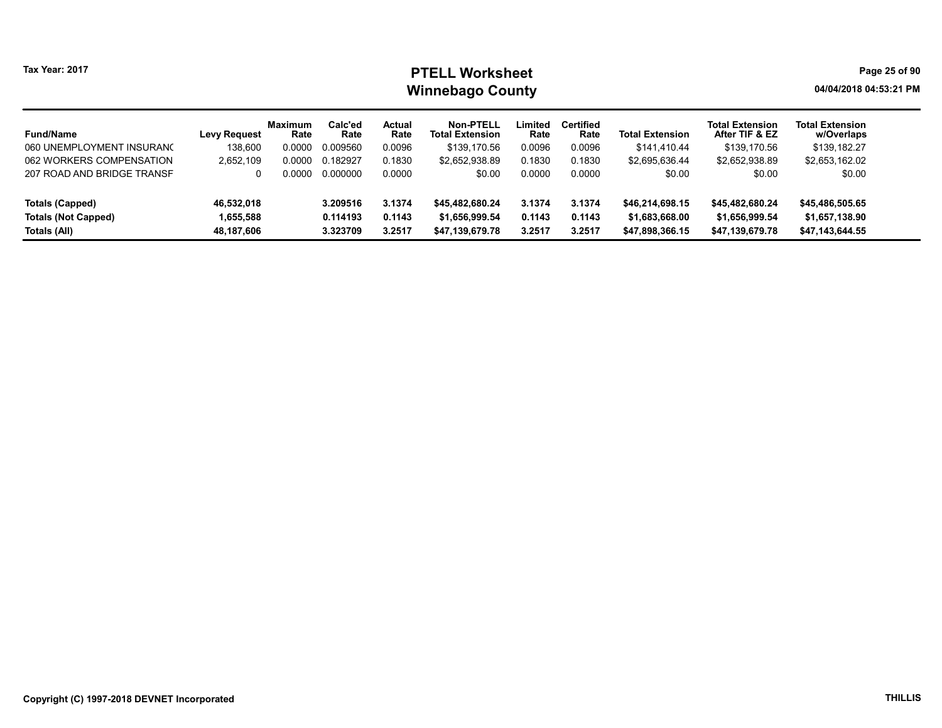# Tax Year: 2017 **PTELL Worksheet** Page 25 of 90 Winnebago County and the county of the county of the county of the county of the county of the county of the county of the county of the county of the county of the county of the county of the county of the county of the c

| <b>Fund/Name</b>           | Levy Request | Maximum<br>Rate | Calc'ed<br>Rate | <b>Actual</b><br>Rate | Non-PTELL<br><b>Total Extension</b> | Limited<br>Rate | <b>Certified</b><br>Rate | <b>Total Extension</b> | <b>Total Extension</b><br>After TIF & EZ | <b>Total Extension</b><br>w/Overlaps |
|----------------------------|--------------|-----------------|-----------------|-----------------------|-------------------------------------|-----------------|--------------------------|------------------------|------------------------------------------|--------------------------------------|
| 060 UNEMPLOYMENT INSURANO  | 138.600      | 0.0000          | 0.009560        | 0.0096                | \$139,170.56                        | 0.0096          | 0.0096                   | \$141.410.44           | \$139,170.56                             | \$139,182.27                         |
| 062 WORKERS COMPENSATION   | 2,652,109    | 0.0000          | 0.182927        | 0.1830                | \$2,652,938.89                      | 0.1830          | 0.1830                   | \$2,695,636.44         | \$2,652,938.89                           | \$2,653,162.02                       |
| 207 ROAD AND BRIDGE TRANSF | 0            | ი იიიი          | 0.000000        | 0.0000                | \$0.00                              | 0.0000          | 0.0000                   | \$0.00                 | \$0.00                                   | \$0.00                               |
| <b>Totals (Capped)</b>     | 46,532,018   |                 | 3.209516        | 3.1374                | \$45,482,680,24                     | 3.1374          | 3.1374                   | \$46,214,698.15        | \$45,482,680.24                          | \$45,486,505.65                      |
| <b>Totals (Not Capped)</b> | 1,655,588    |                 | 0.114193        | 0.1143                | \$1,656,999.54                      | 0.1143          | 0.1143                   | \$1,683,668.00         | \$1,656,999.54                           | \$1,657,138.90                       |
| Totals (All)               | 48.187.606   |                 | 3.323709        | 3.2517                | \$47,139,679.78                     | 3.2517          | 3.2517                   | \$47,898,366.15        | \$47,139,679.78                          | \$47,143,644.55                      |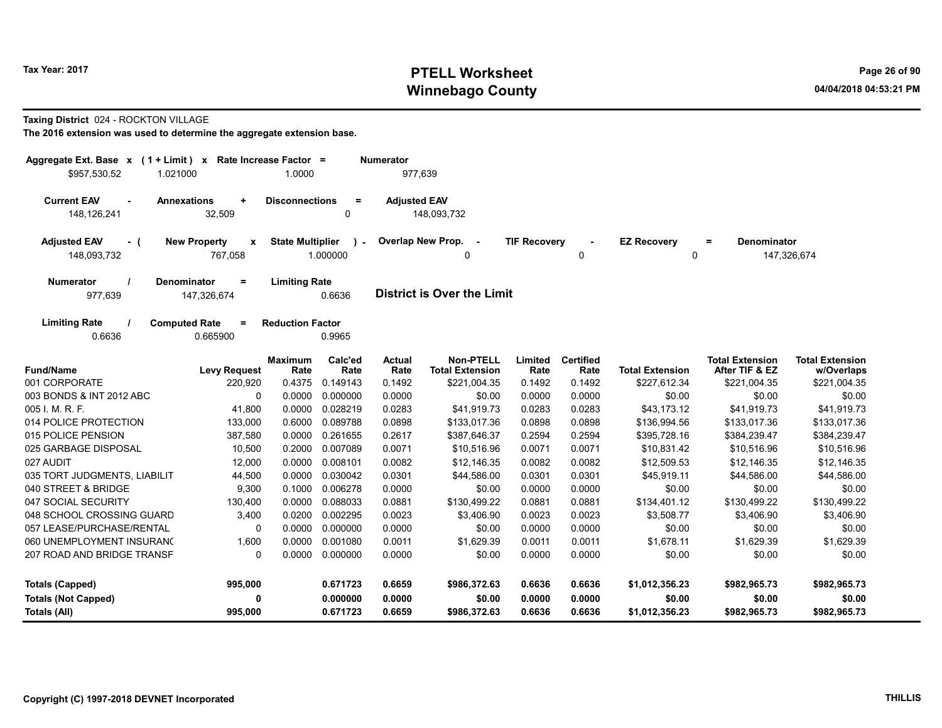# Tax Year: 2017 **PTELL Worksheet** Page 26 of 90 Winnebago County and the County of the County of the County of the County of the County of the County of the County of the County of the County of the County of the County of the County of the County of the County of the C

#### Taxing District 024 - ROCKTON VILLAGE

| Aggregate Ext. Base $x$ (1 + Limit) x Rate Increase Factor =<br>\$957,530.52                                                                 | 1.021000                                  | 1.0000                  |                           | <b>Numerator</b><br>977,639 |                                            |                     |                          |                         |                                          |                                      |
|----------------------------------------------------------------------------------------------------------------------------------------------|-------------------------------------------|-------------------------|---------------------------|-----------------------------|--------------------------------------------|---------------------|--------------------------|-------------------------|------------------------------------------|--------------------------------------|
|                                                                                                                                              |                                           |                         |                           |                             |                                            |                     |                          |                         |                                          |                                      |
| <b>Current EAV</b><br>$\sim$<br>148,126,241                                                                                                  | <b>Annexations</b><br>$\ddot{}$<br>32,509 | <b>Disconnections</b>   | $\equiv$<br>0             | <b>Adjusted EAV</b>         | 148,093,732                                |                     |                          |                         |                                          |                                      |
|                                                                                                                                              |                                           |                         |                           |                             |                                            |                     |                          |                         |                                          |                                      |
| <b>Adjusted EAV</b><br>$-$ (<br>148,093,732                                                                                                  | <b>New Property</b><br>X<br>767,058       | <b>State Multiplier</b> | $\mathcal{L}$<br>1.000000 |                             | Overlap New Prop. -<br>0                   | <b>TIF Recovery</b> | $\blacksquare$<br>0      | <b>EZ Recovery</b><br>0 | <b>Denominator</b><br>$=$                | 147,326,674                          |
|                                                                                                                                              |                                           |                         |                           |                             |                                            |                     |                          |                         |                                          |                                      |
| Denominator<br><b>Limiting Rate</b><br><b>Numerator</b><br>$\equiv$<br><b>District is Over the Limit</b><br>977,639<br>147,326,674<br>0.6636 |                                           |                         |                           |                             |                                            |                     |                          |                         |                                          |                                      |
|                                                                                                                                              |                                           |                         |                           |                             |                                            |                     |                          |                         |                                          |                                      |
| <b>Limiting Rate</b>                                                                                                                         | <b>Computed Rate</b><br>$\equiv$          | <b>Reduction Factor</b> |                           |                             |                                            |                     |                          |                         |                                          |                                      |
| 0.6636                                                                                                                                       | 0.665900                                  |                         | 0.9965                    |                             |                                            |                     |                          |                         |                                          |                                      |
| <b>Fund/Name</b>                                                                                                                             | <b>Levy Request</b>                       | <b>Maximum</b><br>Rate  | Calc'ed<br>Rate           | <b>Actual</b><br>Rate       | <b>Non-PTELL</b><br><b>Total Extension</b> | Limited<br>Rate     | <b>Certified</b><br>Rate | <b>Total Extension</b>  | <b>Total Extension</b><br>After TIF & EZ | <b>Total Extension</b><br>w/Overlaps |
| 001 CORPORATE                                                                                                                                | 220,920                                   | 0.4375                  | 0.149143                  | 0.1492                      | \$221,004.35                               | 0.1492              | 0.1492                   | \$227,612.34            | \$221,004.35                             | \$221,004.35                         |
| 003 BONDS & INT 2012 ABC                                                                                                                     | $\mathbf 0$                               | 0.0000                  | 0.000000                  | 0.0000                      | \$0.00                                     | 0.0000              | 0.0000                   | \$0.00                  | \$0.00                                   | \$0.00                               |
| 005 I. M. R. F.                                                                                                                              | 41,800                                    | 0.0000                  | 0.028219                  | 0.0283                      | \$41,919.73                                | 0.0283              | 0.0283                   | \$43,173.12             | \$41,919.73                              | \$41,919.73                          |
| 014 POLICE PROTECTION                                                                                                                        | 133,000                                   | 0.6000                  | 0.089788                  | 0.0898                      | \$133,017.36                               | 0.0898              | 0.0898                   | \$136,994.56            | \$133,017.36                             | \$133,017.36                         |
| 015 POLICE PENSION                                                                                                                           | 387,580                                   | 0.0000                  | 0.261655                  | 0.2617                      | \$387,646.37                               | 0.2594              | 0.2594                   | \$395,728.16            | \$384,239.47                             | \$384,239.47                         |
| 025 GARBAGE DISPOSAL                                                                                                                         | 10,500                                    | 0.2000                  | 0.007089                  | 0.0071                      | \$10,516.96                                | 0.0071              | 0.0071                   | \$10,831.42             | \$10,516.96                              | \$10,516.96                          |
| 027 AUDIT                                                                                                                                    | 12,000                                    | 0.0000                  | 0.008101                  | 0.0082                      | \$12,146.35                                | 0.0082              | 0.0082                   | \$12,509.53             | \$12,146.35                              | \$12,146.35                          |
| 035 TORT JUDGMENTS, LIABILIT                                                                                                                 | 44,500                                    | 0.0000                  | 0.030042                  | 0.0301                      | \$44,586.00                                | 0.0301              | 0.0301                   | \$45,919.11             | \$44,586.00                              | \$44,586.00                          |
| 040 STREET & BRIDGE                                                                                                                          | 9,300                                     | 0.1000                  | 0.006278                  | 0.0000                      | \$0.00                                     | 0.0000              | 0.0000                   | \$0.00                  | \$0.00                                   | \$0.00                               |
| 047 SOCIAL SECURITY                                                                                                                          | 130,400                                   | 0.0000                  | 0.088033                  | 0.0881                      | \$130,499.22                               | 0.0881              | 0.0881                   | \$134,401.12            | \$130,499.22                             | \$130,499.22                         |
| 048 SCHOOL CROSSING GUARD                                                                                                                    | 3,400                                     | 0.0200                  | 0.002295                  | 0.0023                      | \$3,406.90                                 | 0.0023              | 0.0023                   | \$3,508.77              | \$3,406.90                               | \$3,406.90                           |
| 057 LEASE/PURCHASE/RENTAL                                                                                                                    | 0                                         | 0.0000                  | 0.000000                  | 0.0000                      | \$0.00                                     | 0.0000              | 0.0000                   | \$0.00                  | \$0.00                                   | \$0.00                               |
| 060 UNEMPLOYMENT INSURAN(                                                                                                                    | 1,600                                     | 0.0000                  | 0.001080                  | 0.0011                      | \$1,629.39                                 | 0.0011              | 0.0011                   | \$1,678.11              | \$1,629.39                               | \$1,629.39                           |
| 207 ROAD AND BRIDGE TRANSF                                                                                                                   | $\mathbf 0$                               | 0.0000                  | 0.000000                  | 0.0000                      | \$0.00                                     | 0.0000              | 0.0000                   | \$0.00                  | \$0.00                                   | \$0.00                               |
| <b>Totals (Capped)</b>                                                                                                                       | 995,000                                   |                         | 0.671723                  | 0.6659                      | \$986,372.63                               | 0.6636              | 0.6636                   | \$1,012,356.23          | \$982,965.73                             | \$982,965.73                         |
| <b>Totals (Not Capped)</b>                                                                                                                   | 0                                         |                         | 0.000000                  | 0.0000                      | \$0.00                                     | 0.0000              | 0.0000                   | \$0.00                  | \$0.00                                   | \$0.00                               |
| Totals (All)                                                                                                                                 | 995,000                                   |                         | 0.671723                  | 0.6659                      | \$986,372.63                               | 0.6636              | 0.6636                   | \$1,012,356.23          | \$982,965.73                             | \$982,965.73                         |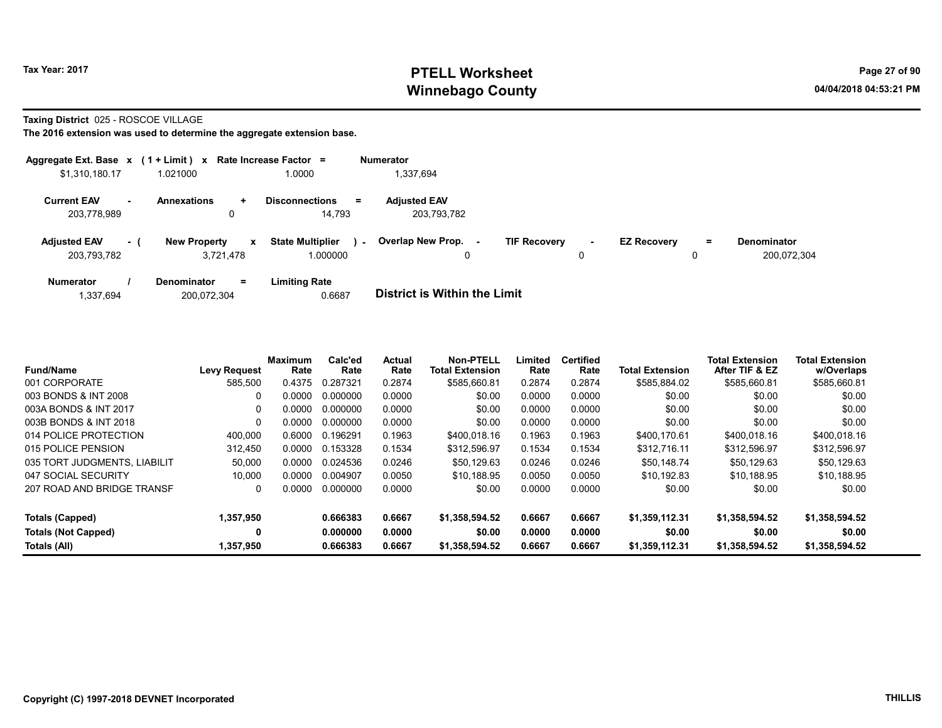# Tax Year: 2017 **PTELL Worksheet** Page 27 of 90 Winnebago County and the County of the County of the County of the County of the County of the County of the County of the County of the County of the County of the County of the County of the County of the County of the C

Taxing District 025 - ROSCOE VILLAGE

| Aggregate Ext. Base $x$ (1 + Limit) x Rate Increase Factor = |         |                     |                           |                                     |        | <b>Numerator</b>                   |                     |        |                    |         |                                   |
|--------------------------------------------------------------|---------|---------------------|---------------------------|-------------------------------------|--------|------------------------------------|---------------------|--------|--------------------|---------|-----------------------------------|
| \$1,310,180.17                                               |         | 1.021000            |                           | 1.0000                              |        | 1,337,694                          |                     |        |                    |         |                                   |
| <b>Current EAV</b><br>203.778.989                            | . н. н. | <b>Annexations</b>  | ÷<br>0                    | <b>Disconnections</b><br>14,793     | $=$    | <b>Adjusted EAV</b><br>203,793,782 |                     |        |                    |         |                                   |
| <b>Adjusted EAV</b><br>203,793,782                           | $-1$    | <b>New Property</b> | $\mathbf{x}$<br>3.721.478 | <b>State Multiplier</b><br>1.000000 | $\sim$ | <b>Overlap New Prop.</b><br>0      | <b>TIF Recovery</b> | $\sim$ | <b>EZ Recovery</b> | Ξ.<br>0 | <b>Denominator</b><br>200.072.304 |
| <b>Numerator</b>                                             |         | Denominator         | $=$                       | <b>Limiting Rate</b>                |        |                                    |                     |        |                    |         |                                   |

| 200,072,304<br>1,337,694 | 0.6687 | <b>District is Within the Limit</b> |
|--------------------------|--------|-------------------------------------|

| <b>Fund/Name</b>             | <b>Levy Request</b> | <b>Maximum</b><br>Rate | Calc'ed<br>Rate | <b>Actual</b><br>Rate | <b>Non-PTELL</b><br><b>Total Extension</b> | Limited<br>Rate | Certified<br>Rate | <b>Total Extension</b> | <b>Total Extension</b><br>After TIF & EZ | <b>Total Extension</b><br>w/Overlaps |
|------------------------------|---------------------|------------------------|-----------------|-----------------------|--------------------------------------------|-----------------|-------------------|------------------------|------------------------------------------|--------------------------------------|
| 001 CORPORATE                | 585,500             | 0.4375                 | 0.287321        | 0.2874                | \$585,660.81                               | 0.2874          | 0.2874            | \$585,884.02           | \$585,660.81                             | \$585,660.81                         |
| 003 BONDS & INT 2008         | 0                   | 0.0000                 | 0.000000        | 0.0000                | \$0.00                                     | 0.0000          | 0.0000            | \$0.00                 | \$0.00                                   | \$0.00                               |
| 003A BONDS & INT 2017        | 0                   | 0.0000                 | 0.000000        | 0.0000                | \$0.00                                     | 0.0000          | 0.0000            | \$0.00                 | \$0.00                                   | \$0.00                               |
| 003B BONDS & INT 2018        | $\Omega$            | 0.0000                 | 0.000000        | 0.0000                | \$0.00                                     | 0.0000          | 0.0000            | \$0.00                 | \$0.00                                   | \$0.00                               |
| 014 POLICE PROTECTION        | 400.000             | 0.6000                 | 0.196291        | 0.1963                | \$400,018.16                               | 0.1963          | 0.1963            | \$400.170.61           | \$400,018.16                             | \$400,018.16                         |
| 015 POLICE PENSION           | 312.450             | 0.0000                 | 0.153328        | 0.1534                | \$312,596.97                               | 0.1534          | 0.1534            | \$312,716.11           | \$312,596.97                             | \$312,596.97                         |
| 035 TORT JUDGMENTS, LIABILIT | 50,000              | 0.0000                 | 0.024536        | 0.0246                | \$50.129.63                                | 0.0246          | 0.0246            | \$50.148.74            | \$50,129.63                              | \$50,129.63                          |
| 047 SOCIAL SECURITY          | 10.000              | 0.0000                 | 0.004907        | 0.0050                | \$10.188.95                                | 0.0050          | 0.0050            | \$10.192.83            | \$10.188.95                              | \$10,188.95                          |
| 207 ROAD AND BRIDGE TRANSF   | 0                   | 0.0000                 | 0.000000        | 0.0000                | \$0.00                                     | 0.0000          | 0.0000            | \$0.00                 | \$0.00                                   | \$0.00                               |
| Totals (Capped)              | 1,357,950           |                        | 0.666383        | 0.6667                | \$1,358,594.52                             | 0.6667          | 0.6667            | \$1.359.112.31         | \$1,358,594.52                           | \$1,358,594.52                       |
| <b>Totals (Not Capped)</b>   | 0                   |                        | 0.000000        | 0.0000                | \$0.00                                     | 0.0000          | 0.0000            | \$0.00                 | \$0.00                                   | \$0.00                               |
| Totals (All)                 | 1.357.950           |                        | 0.666383        | 0.6667                | \$1.358.594.52                             | 0.6667          | 0.6667            | \$1.359.112.31         | \$1,358,594.52                           | \$1.358.594.52                       |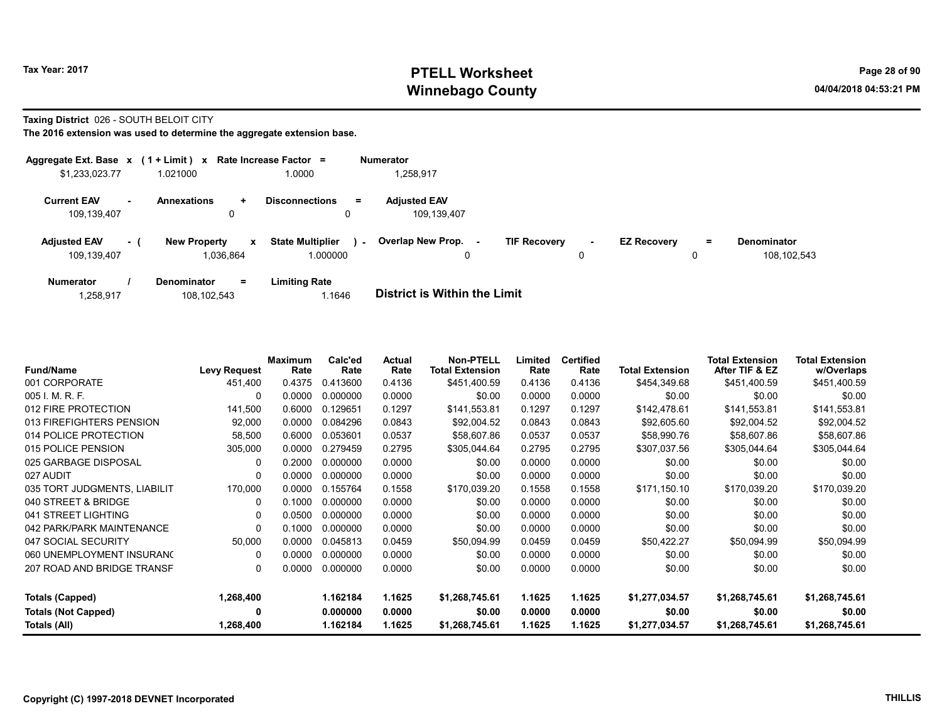# Tax Year: 2017 **PTELL Worksheet** Page 28 of 90 Winnebago County and the County of the County of the County of the County of the County of the County of the County of the County of the County of the County of the County of the County of the County of the County of the C

#### Taxing District 026 - SOUTH BELOIT CITY

|                                    |     | Aggregate Ext. Base $x$ (1 + Limit) $x$ Rate Increase Factor = |                                          |        | <b>Numerator</b>                    |                     |             |                    |         |                              |
|------------------------------------|-----|----------------------------------------------------------------|------------------------------------------|--------|-------------------------------------|---------------------|-------------|--------------------|---------|------------------------------|
| \$1,233,023.77                     |     | 1.021000                                                       | 1.0000                                   |        | 1,258,917                           |                     |             |                    |         |                              |
| <b>Current EAV</b><br>109,139,407  |     | Annexations<br>$\ddot{}$<br>0                                  | <b>Disconnections</b><br>0               | Ξ.     | <b>Adjusted EAV</b><br>109.139.407  |                     |             |                    |         |                              |
| <b>Adjusted EAV</b><br>109,139,407 | - 1 | <b>New Property</b><br>1,036,864                               | <b>State Multiplier</b><br>x<br>1.000000 | $\sim$ | <b>Overlap New Prop.</b><br>۰.<br>0 | <b>TIF Recovery</b> | $\sim$<br>0 | <b>EZ Recovery</b> | Ξ.<br>0 | Denominator<br>108, 102, 543 |
| <b>Numerator</b>                   |     | $=$<br><b>Denominator</b>                                      | <b>Limiting Rate</b>                     |        |                                     |                     |             |                    |         |                              |

| <b>District is Within the Limit</b><br>1.1646<br>108,102,543<br>1,258,917 |  |
|---------------------------------------------------------------------------|--|

| <b>Fund/Name</b>             | <b>Levy Request</b> | <b>Maximum</b><br>Rate | Calc'ed<br>Rate | Actual<br>Rate | <b>Non-PTELL</b><br><b>Total Extension</b> | Limited<br>Rate | <b>Certified</b><br>Rate | <b>Total Extension</b> | <b>Total Extension</b><br>After TIF & EZ | <b>Total Extension</b><br>w/Overlaps |
|------------------------------|---------------------|------------------------|-----------------|----------------|--------------------------------------------|-----------------|--------------------------|------------------------|------------------------------------------|--------------------------------------|
| 001 CORPORATE                | 451,400             | 0.4375                 | 0.413600        | 0.4136         | \$451,400.59                               | 0.4136          | 0.4136                   | \$454,349.68           | \$451,400.59                             | \$451,400.59                         |
| 005 I. M. R. F.              | 0                   | 0.0000                 | 0.000000        | 0.0000         | \$0.00                                     | 0.0000          | 0.0000                   | \$0.00                 | \$0.00                                   | \$0.00                               |
| 012 FIRE PROTECTION          | 141,500             | 0.6000                 | 0.129651        | 0.1297         | \$141,553.81                               | 0.1297          | 0.1297                   | \$142,478.61           | \$141,553.81                             | \$141,553.81                         |
| 013 FIREFIGHTERS PENSION     | 92,000              | 0.0000                 | 0.084296        | 0.0843         | \$92,004.52                                | 0.0843          | 0.0843                   | \$92,605.60            | \$92,004.52                              | \$92,004.52                          |
| 014 POLICE PROTECTION        | 58,500              | 0.6000                 | 0.053601        | 0.0537         | \$58,607.86                                | 0.0537          | 0.0537                   | \$58,990.76            | \$58,607.86                              | \$58,607.86                          |
| 015 POLICE PENSION           | 305,000             | 0.0000                 | 0.279459        | 0.2795         | \$305,044.64                               | 0.2795          | 0.2795                   | \$307,037.56           | \$305,044.64                             | \$305,044.64                         |
| 025 GARBAGE DISPOSAL         | $\mathbf{0}$        | 0.2000                 | 0.000000        | 0.0000         | \$0.00                                     | 0.0000          | 0.0000                   | \$0.00                 | \$0.00                                   | \$0.00                               |
| 027 AUDIT                    | 0                   | 0.0000                 | 0.000000        | 0.0000         | \$0.00                                     | 0.0000          | 0.0000                   | \$0.00                 | \$0.00                                   | \$0.00                               |
| 035 TORT JUDGMENTS, LIABILIT | 170,000             | 0.0000                 | 0.155764        | 0.1558         | \$170,039.20                               | 0.1558          | 0.1558                   | \$171,150.10           | \$170,039.20                             | \$170,039.20                         |
| 040 STREET & BRIDGE          | 0                   | 0.1000                 | 0.000000        | 0.0000         | \$0.00                                     | 0.0000          | 0.0000                   | \$0.00                 | \$0.00                                   | \$0.00                               |
| 041 STREET LIGHTING          | 0                   | 0.0500                 | 0.000000        | 0.0000         | \$0.00                                     | 0.0000          | 0.0000                   | \$0.00                 | \$0.00                                   | \$0.00                               |
| 042 PARK/PARK MAINTENANCE    | 0                   | 0.1000                 | 0.000000        | 0.0000         | \$0.00                                     | 0.0000          | 0.0000                   | \$0.00                 | \$0.00                                   | \$0.00                               |
| 047 SOCIAL SECURITY          | 50,000              | 0.0000                 | 0.045813        | 0.0459         | \$50,094.99                                | 0.0459          | 0.0459                   | \$50,422.27            | \$50,094.99                              | \$50,094.99                          |
| 060 UNEMPLOYMENT INSURANO    | 0                   | 0.0000                 | 0.000000        | 0.0000         | \$0.00                                     | 0.0000          | 0.0000                   | \$0.00                 | \$0.00                                   | \$0.00                               |
| 207 ROAD AND BRIDGE TRANSF   | 0                   | 0.0000                 | 0.000000        | 0.0000         | \$0.00                                     | 0.0000          | 0.0000                   | \$0.00                 | \$0.00                                   | \$0.00                               |
| <b>Totals (Capped)</b>       | 1,268,400           |                        | 1.162184        | 1.1625         | \$1,268,745.61                             | 1.1625          | 1.1625                   | \$1,277,034.57         | \$1,268,745.61                           | \$1,268,745.61                       |
| <b>Totals (Not Capped)</b>   | 0                   |                        | 0.000000        | 0.0000         | \$0.00                                     | 0.0000          | 0.0000                   | \$0.00                 | \$0.00                                   | \$0.00                               |
| Totals (All)                 | 1,268,400           |                        | 1.162184        | 1.1625         | \$1,268,745.61                             | 1.1625          | 1.1625                   | \$1,277,034.57         | \$1,268,745.61                           | \$1,268,745.61                       |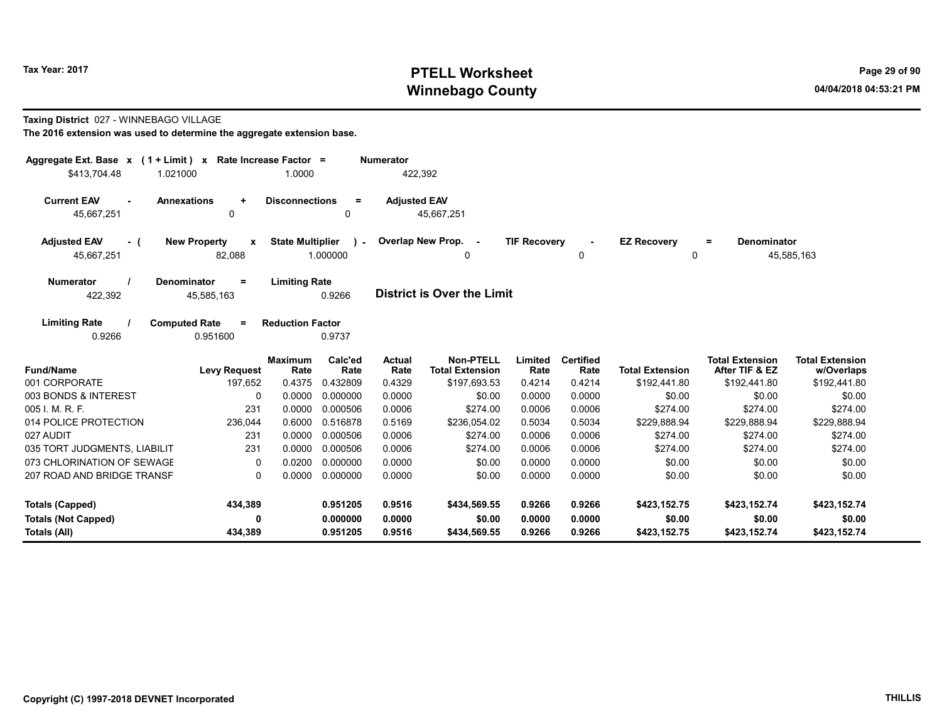# Tax Year: 2017 **PTELL Worksheet** Page 29 of 90 Winnebago County and the County of the County of the County of the County of the County of the County of the County of the County of the County of the County of the County of the County of the County of the County of the C

#### Taxing District 027 - WINNEBAGO VILLAGE

| Aggregate Ext. Base $x$ (1 + Limit) $x$  |                                               | Rate Increase Factor =  |                         | <b>Numerator</b>    |                                            |                     |                          |                         |                                          |                                      |
|------------------------------------------|-----------------------------------------------|-------------------------|-------------------------|---------------------|--------------------------------------------|---------------------|--------------------------|-------------------------|------------------------------------------|--------------------------------------|
| \$413,704.48                             | 1.021000                                      | 1.0000                  |                         |                     | 422,392                                    |                     |                          |                         |                                          |                                      |
| <b>Current EAV</b><br>45,667,251         | <b>Annexations</b><br>$\ddot{}$<br>0          | <b>Disconnections</b>   | $=$<br>0                | <b>Adjusted EAV</b> | 45,667,251                                 |                     |                          |                         |                                          |                                      |
| <b>Adjusted EAV</b><br>- (<br>45,667,251 | <b>New Property</b><br>$\mathbf{x}$<br>82,088 | <b>State Multiplier</b> | $\lambda$ -<br>1.000000 |                     | Overlap New Prop. -<br>0                   | <b>TIF Recovery</b> | 0                        | <b>EZ Recovery</b><br>0 | <b>Denominator</b><br>$=$                | 45,585,163                           |
| <b>Numerator</b><br>422,392              | <b>Denominator</b><br>$\equiv$<br>45,585,163  | <b>Limiting Rate</b>    | 0.9266                  |                     | <b>District is Over the Limit</b>          |                     |                          |                         |                                          |                                      |
| <b>Limiting Rate</b><br>0.9266           | <b>Computed Rate</b><br>$\equiv$<br>0.951600  | <b>Reduction Factor</b> | 0.9737                  |                     |                                            |                     |                          |                         |                                          |                                      |
| <b>Fund/Name</b>                         | <b>Levy Request</b>                           | <b>Maximum</b><br>Rate  | Calc'ed<br>Rate         | Actual<br>Rate      | <b>Non-PTELL</b><br><b>Total Extension</b> | Limited<br>Rate     | <b>Certified</b><br>Rate | <b>Total Extension</b>  | <b>Total Extension</b><br>After TIF & EZ | <b>Total Extension</b><br>w/Overlaps |
| 001 CORPORATE                            | 197,652                                       | 0.4375                  | 0.432809                | 0.4329              | \$197,693.53                               | 0.4214              | 0.4214                   | \$192,441.80            | \$192,441.80                             | \$192,441.80                         |
| 003 BONDS & INTEREST                     | 0                                             | 0.0000                  | 0.000000                | 0.0000              | \$0.00                                     | 0.0000              | 0.0000                   | \$0.00                  | \$0.00                                   | \$0.00                               |
| 005 I. M. R. F.                          | 231                                           | 0.0000                  | 0.000506                | 0.0006              | \$274.00                                   | 0.0006              | 0.0006                   | \$274.00                | \$274.00                                 | \$274.00                             |
| 014 POLICE PROTECTION                    | 236,044                                       | 0.6000                  | 0.516878                | 0.5169              | \$236,054.02                               | 0.5034              | 0.5034                   | \$229,888.94            | \$229,888.94                             | \$229,888.94                         |
| 027 AUDIT                                | 231                                           | 0.0000                  | 0.000506                | 0.0006              | \$274.00                                   | 0.0006              | 0.0006                   | \$274.00                | \$274.00                                 | \$274.00                             |
| 035 TORT JUDGMENTS, LIABILIT             | 231                                           | 0.0000                  | 0.000506                | 0.0006              | \$274.00                                   | 0.0006              | 0.0006                   | \$274.00                | \$274.00                                 | \$274.00                             |
| 073 CHLORINATION OF SEWAGE               | 0                                             | 0.0200                  | 0.000000                | 0.0000              | \$0.00                                     | 0.0000              | 0.0000                   | \$0.00                  | \$0.00                                   | \$0.00                               |
| 207 ROAD AND BRIDGE TRANSF               | $\Omega$                                      | 0.0000                  | 0.000000                | 0.0000              | \$0.00                                     | 0.0000              | 0.0000                   | \$0.00                  | \$0.00                                   | \$0.00                               |
| <b>Totals (Capped)</b>                   | 434,389                                       |                         | 0.951205                | 0.9516              | \$434,569.55                               | 0.9266              | 0.9266                   | \$423,152.75            | \$423,152.74                             | \$423,152.74                         |
| <b>Totals (Not Capped)</b>               | 0                                             |                         | 0.000000                | 0.0000              | \$0.00                                     | 0.0000              | 0.0000                   | \$0.00                  | \$0.00                                   | \$0.00                               |
| Totals (All)                             | 434,389                                       |                         | 0.951205                | 0.9516              | \$434,569.55                               | 0.9266              | 0.9266                   | \$423,152.75            | \$423,152.74                             | \$423,152.74                         |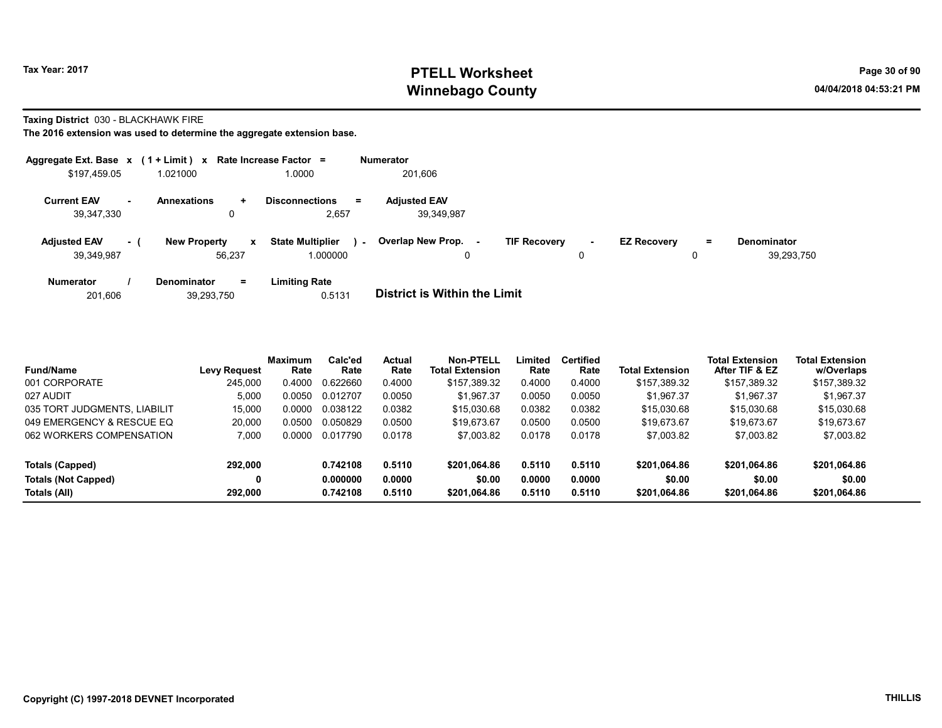# Tax Year: 2017 **PTELL Worksheet** Page 30 of 90 Winnebago County and the County of the County of the County of the County of the County of the County of the County of the County of the County of the County of the County of the County of the County of the County of the C

Taxing District 030 - BLACKHAWK FIRE

| Aggregate Ext. Base $x$ (1 + Limit) $x$ |     |                                     | Rate Increase Factor =      |        | <b>Numerator</b>                    |                     |        |                    |   |                    |
|-----------------------------------------|-----|-------------------------------------|-----------------------------|--------|-------------------------------------|---------------------|--------|--------------------|---|--------------------|
| \$197,459.05                            |     | 1.021000                            | 1.0000                      |        | 201,606                             |                     |        |                    |   |                    |
| <b>Current EAV</b>                      | н.  | <b>Annexations</b><br>$\ddot{}$     | <b>Disconnections</b><br>Ξ. |        | <b>Adjusted EAV</b>                 |                     |        |                    |   |                    |
| 39,347,330                              |     | 0                                   | 2,657                       |        | 39.349.987                          |                     |        |                    |   |                    |
| <b>Adjusted EAV</b>                     | - ( | <b>New Property</b><br>$\mathbf{x}$ | <b>State Multiplier</b>     | $\sim$ | Overlap New Prop.<br>٠.             | <b>TIF Recovery</b> | $\sim$ | <b>EZ Recovery</b> | = | <b>Denominator</b> |
| 39,349,987                              |     | 56.237                              | 1.000000                    |        | 0                                   |                     | 0      |                    | 0 | 39.293.750         |
| <b>Numerator</b>                        |     | $=$<br><b>Denominator</b>           | <b>Limiting Rate</b>        |        |                                     |                     |        |                    |   |                    |
| 201,606                                 |     | 39,293,750                          | 0.5131                      |        | <b>District is Within the Limit</b> |                     |        |                    |   |                    |

| <b>Fund/Name</b>             | Levy Request | <b>Maximum</b><br>Rate | Calc'ed<br>Rate | Actual<br>Rate | Non-PTELL<br><b>Total Extension</b> | Limited<br>Rate | <b>Certified</b><br>Rate | Total Extension | <b>Total Extension</b><br>After TIF & EZ | <b>Total Extension</b><br>w/Overlaps |
|------------------------------|--------------|------------------------|-----------------|----------------|-------------------------------------|-----------------|--------------------------|-----------------|------------------------------------------|--------------------------------------|
| 001 CORPORATE                | 245.000      | 0.4000                 | 0.622660        | 0.4000         | \$157.389.32                        | 0.4000          | 0.4000                   | \$157,389.32    | \$157,389.32                             | \$157,389.32                         |
| 027 AUDIT                    | 5,000        | 0.0050                 | 0.012707        | 0.0050         | \$1.967.37                          | 0.0050          | 0.0050                   | \$1.967.37      | \$1.967.37                               | \$1,967.37                           |
| 035 TORT JUDGMENTS, LIABILIT | 15,000       | 0.0000                 | 0.038122        | 0.0382         | \$15,030.68                         | 0.0382          | 0.0382                   | \$15,030.68     | \$15,030.68                              | \$15,030.68                          |
| 049 EMERGENCY & RESCUE EQ    | 20.000       | 0.0500                 | 0.050829        | 0.0500         | \$19.673.67                         | 0.0500          | 0.0500                   | \$19,673.67     | \$19,673.67                              | \$19,673.67                          |
| 062 WORKERS COMPENSATION     | 7.000        | 0.0000                 | 0.017790        | 0.0178         | \$7,003.82                          | 0.0178          | 0.0178                   | \$7,003.82      | \$7,003.82                               | \$7,003.82                           |
| Totals (Capped)              | 292.000      |                        | 0.742108        | 0.5110         | \$201.064.86                        | 0.5110          | 0.5110                   | \$201,064.86    | \$201.064.86                             | \$201,064.86                         |
| <b>Totals (Not Capped)</b>   |              |                        | 0.000000        | 0.0000         | \$0.00                              | 0.0000          | 0.0000                   | \$0.00          | \$0.00                                   | \$0.00                               |
| Totals (All)                 | 292.000      |                        | 0.742108        | 0.5110         | \$201.064.86                        | 0.5110          | 0.5110                   | \$201.064.86    | \$201,064.86                             | \$201,064.86                         |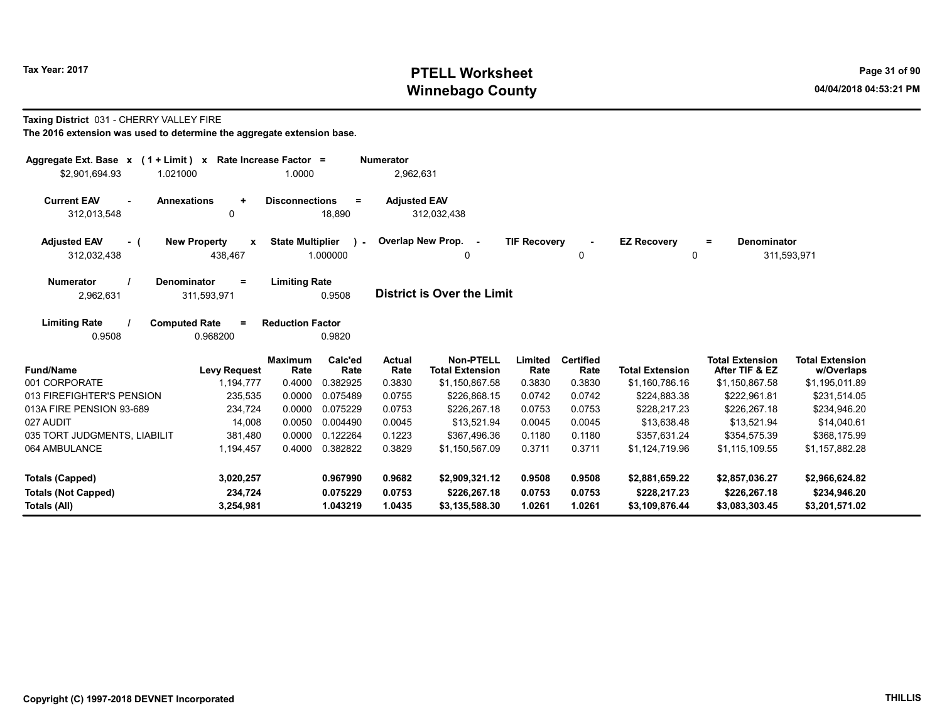# Tax Year: 2017 **PTELL Worksheet** Page 31 of 90 Winnebago County and the County of the County of the County of the County of the County of the County of the County of the County of the County of the County of the County of the County of the County of the County of the C

#### Taxing District 031 - CHERRY VALLEY FIRE

| Aggregate Ext. Base $x$ (1 + Limit) $x$<br>\$2,901,694.93<br>1.021000     | Rate Increase Factor =                         | 1.0000                  |                          | <b>Numerator</b><br>2,962,631 |                                            |                     |                          |                         |                                          |                                      |
|---------------------------------------------------------------------------|------------------------------------------------|-------------------------|--------------------------|-------------------------------|--------------------------------------------|---------------------|--------------------------|-------------------------|------------------------------------------|--------------------------------------|
| <b>Current EAV</b><br><b>Annexations</b><br>$\blacksquare$<br>312,013,548 | $\ddot{}$<br>$\mathbf{0}$                      | <b>Disconnections</b>   | $\equiv$<br>18,890       | <b>Adjusted EAV</b>           | 312,032,438                                |                     |                          |                         |                                          |                                      |
| <b>Adjusted EAV</b><br>- (<br>312,032,438                                 | <b>New Property</b><br>$\mathbf{x}$<br>438,467 | <b>State Multiplier</b> | $\mathbf{r}$<br>1.000000 |                               | Overlap New Prop. -<br>0                   | <b>TIF Recovery</b> | 0                        | <b>EZ Recovery</b><br>0 | Denominator<br>$=$                       | 311,593,971                          |
| <b>Numerator</b><br><b>Denominator</b><br>2,962,631                       | Ξ<br>311,593,971                               | <b>Limiting Rate</b>    | 0.9508                   |                               | <b>District is Over the Limit</b>          |                     |                          |                         |                                          |                                      |
| <b>Limiting Rate</b><br><b>Computed Rate</b><br>0.9508                    | $\equiv$<br>0.968200                           | <b>Reduction Factor</b> | 0.9820                   |                               |                                            |                     |                          |                         |                                          |                                      |
| <b>Fund/Name</b>                                                          | <b>Levy Request</b>                            | <b>Maximum</b><br>Rate  | Calc'ed<br>Rate          | <b>Actual</b><br>Rate         | <b>Non-PTELL</b><br><b>Total Extension</b> | Limited<br>Rate     | <b>Certified</b><br>Rate | <b>Total Extension</b>  | <b>Total Extension</b><br>After TIF & EZ | <b>Total Extension</b><br>w/Overlaps |
| 001 CORPORATE                                                             | 1,194,777                                      | 0.4000                  | 0.382925                 | 0.3830                        | \$1,150,867.58                             | 0.3830              | 0.3830                   | \$1,160,786.16          | \$1,150,867.58                           | \$1,195,011.89                       |
| 013 FIREFIGHTER'S PENSION                                                 | 235,535                                        | 0.0000                  | 0.075489                 | 0.0755                        | \$226,868.15                               | 0.0742              | 0.0742                   | \$224,883.38            | \$222,961.81                             | \$231,514.05                         |
| 013A FIRE PENSION 93-689                                                  | 234,724                                        | 0.0000                  | 0.075229                 | 0.0753                        | \$226,267.18                               | 0.0753              | 0.0753                   | \$228,217.23            | \$226,267.18                             | \$234,946.20                         |
| 027 AUDIT                                                                 | 14.008                                         | 0.0050                  | 0.004490                 | 0.0045                        | \$13.521.94                                | 0.0045              | 0.0045                   | \$13.638.48             | \$13.521.94                              | \$14.040.61                          |
| 035 TORT JUDGMENTS, LIABILIT                                              | 381,480                                        | 0.0000                  | 0.122264                 | 0.1223                        | \$367,496.36                               | 0.1180              | 0.1180                   | \$357,631.24            | \$354,575.39                             | \$368,175.99                         |
| 064 AMBULANCE                                                             | 1,194,457                                      | 0.4000                  | 0.382822                 | 0.3829                        | \$1,150,567.09                             | 0.3711              | 0.3711                   | \$1,124,719.96          | \$1,115,109.55                           | \$1,157,882.28                       |
| <b>Totals (Capped)</b>                                                    | 3,020,257                                      |                         | 0.967990                 | 0.9682                        | \$2,909,321.12                             | 0.9508              | 0.9508                   | \$2,881,659.22          | \$2,857,036.27                           | \$2,966,624.82                       |
| <b>Totals (Not Capped)</b>                                                | 234,724                                        |                         | 0.075229                 | 0.0753                        | \$226,267.18                               | 0.0753              | 0.0753                   | \$228,217.23            | \$226,267.18                             | \$234,946.20                         |
| Totals (All)                                                              | 3,254,981                                      |                         | 1.043219                 | 1.0435                        | \$3,135,588.30                             | 1.0261              | 1.0261                   | \$3,109,876.44          | \$3,083,303.45                           | \$3,201,571.02                       |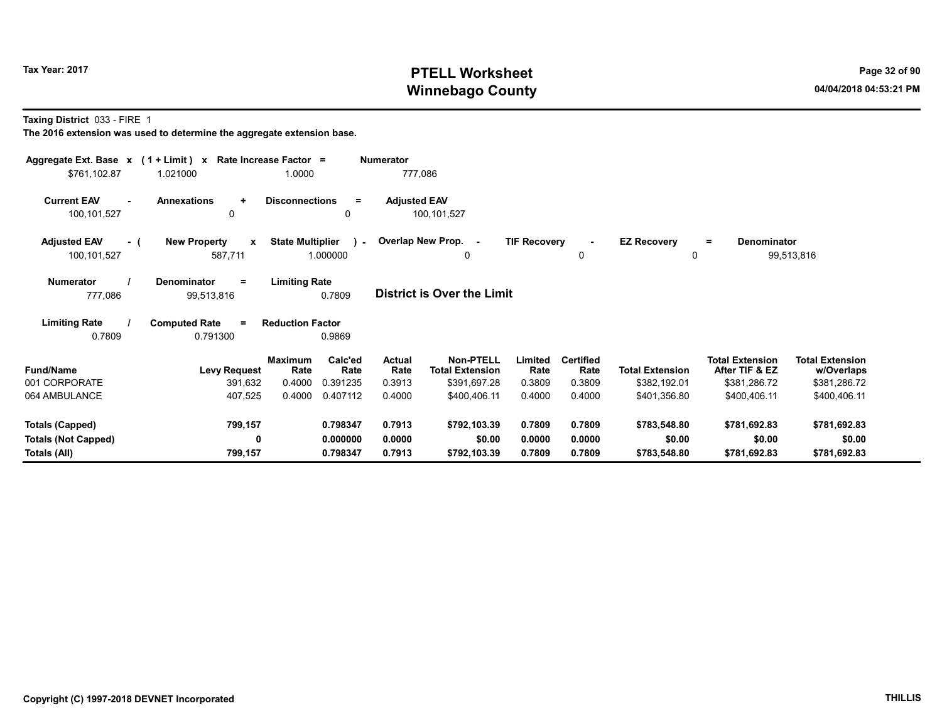# Tax Year: 2017 **PTELL Worksheet** Page 32 of 90 Winnebago County and the County of the County of the County of the County of the County of the County of the County of the County of the County of the County of the County of the County of the County of the County of the C

Taxing District 033 - FIRE 1

| Aggregate Ext. Base $x$ (1 + Limit) x Rate Increase Factor =<br>\$761,102.87 | 1.021000                                       | 1.0000                  |                 | <b>Numerator</b><br>777,086 |                                            |                     |                          |                                |                                          |                                      |  |
|------------------------------------------------------------------------------|------------------------------------------------|-------------------------|-----------------|-----------------------------|--------------------------------------------|---------------------|--------------------------|--------------------------------|------------------------------------------|--------------------------------------|--|
| <b>Current EAV</b><br>$\sim$<br>100,101,527                                  | <b>Annexations</b><br>$\ddot{}$<br>0           | <b>Disconnections</b>   | $\equiv$<br>0   | <b>Adjusted EAV</b>         | 100,101,527                                |                     |                          |                                |                                          |                                      |  |
| <b>Adjusted EAV</b><br>- (<br>100,101,527                                    | <b>New Property</b><br>$\mathbf{x}$<br>587,711 | <b>State Multiplier</b> | 1.000000        |                             | ) - Overlap New Prop. -<br>$\Omega$        | <b>TIF Recovery</b> | $\blacksquare$<br>0      | <b>EZ Recovery</b><br>$\Omega$ | <b>Denominator</b><br>Ξ.                 | 99,513,816                           |  |
| <b>Numerator</b><br>777,086                                                  | <b>Denominator</b><br>$=$<br>99,513,816        | <b>Limiting Rate</b>    | 0.7809          |                             | District is Over the Limit                 |                     |                          |                                |                                          |                                      |  |
| <b>Limiting Rate</b><br>0.7809                                               | <b>Computed Rate</b><br>$=$<br>0.791300        | <b>Reduction Factor</b> | 0.9869          |                             |                                            |                     |                          |                                |                                          |                                      |  |
| <b>Fund/Name</b>                                                             | <b>Levy Request</b>                            | <b>Maximum</b><br>Rate  | Calc'ed<br>Rate | <b>Actual</b><br>Rate       | <b>Non-PTELL</b><br><b>Total Extension</b> | Limited<br>Rate     | <b>Certified</b><br>Rate | <b>Total Extension</b>         | <b>Total Extension</b><br>After TIF & EZ | <b>Total Extension</b><br>w/Overlaps |  |
| 001 CORPORATE                                                                | 391,632                                        | 0.4000                  | 0.391235        | 0.3913                      | \$391,697.28                               | 0.3809              | 0.3809                   | \$382,192.01                   | \$381,286.72                             | \$381,286.72                         |  |
| 064 AMBULANCE                                                                | 407,525                                        | 0.4000                  | 0.407112        | 0.4000                      | \$400,406.11                               | 0.4000              | 0.4000                   | \$401,356.80                   | \$400,406.11                             | \$400,406.11                         |  |
| <b>Totals (Capped)</b>                                                       | 799,157                                        |                         | 0.798347        | 0.7913                      | \$792,103.39                               | 0.7809              | 0.7809                   | \$783,548.80                   | \$781,692.83                             | \$781,692.83                         |  |
| <b>Totals (Not Capped)</b>                                                   | 0                                              |                         | 0.000000        | 0.0000                      | \$0.00                                     | 0.0000              | 0.0000                   | \$0.00                         | \$0.00                                   | \$0.00                               |  |
| Totals (All)                                                                 | 799,157                                        |                         | 0.798347        | 0.7913                      | \$792,103.39                               | 0.7809              | 0.7809                   | \$783,548.80                   | \$781,692.83                             | \$781,692.83                         |  |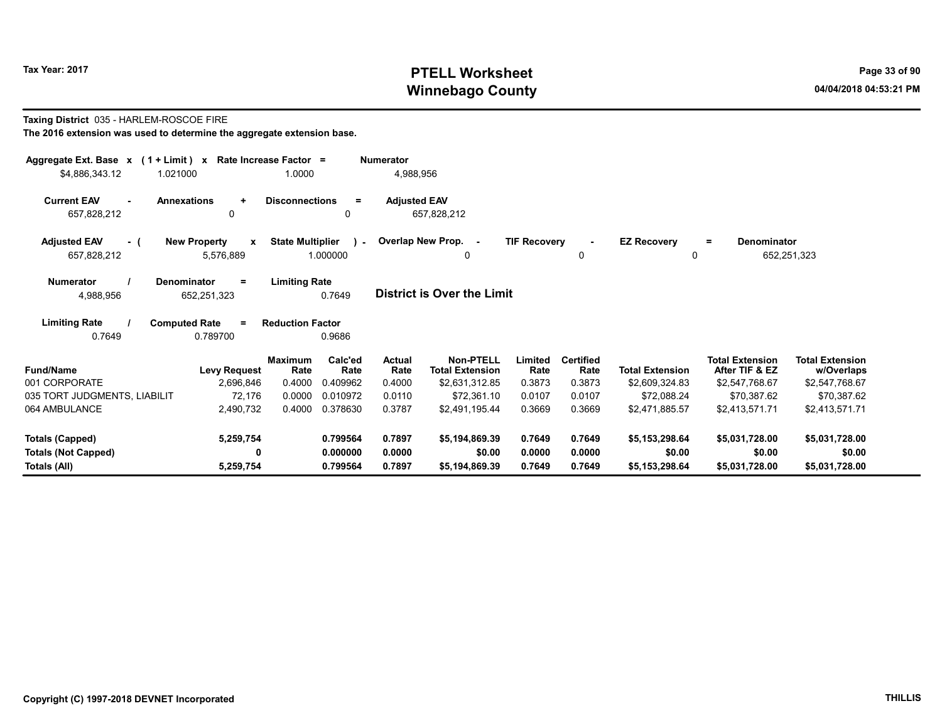# Tax Year: 2017 **PTELL Worksheet** Page 33 of 90 Winnebago County and the County of the County of the County of the County of the County of the County of the County of the County of the County of the County of the County of the County of the County of the County of the C

#### Taxing District 035 - HARLEM-ROSCOE FIRE The 2016 extension was used to determine the aggregate extension base.

| Aggregate Ext. Base $x$ (1 + Limit) $x$<br>\$4,886,343.12 | Rate Increase Factor =<br>1.021000            | 1.0000                                               | <b>Numerator</b><br>4,988,956      |                                            |                     |                          |                               |                                          |                                      |
|-----------------------------------------------------------|-----------------------------------------------|------------------------------------------------------|------------------------------------|--------------------------------------------|---------------------|--------------------------|-------------------------------|------------------------------------------|--------------------------------------|
| <b>Current EAV</b><br>657,828,212                         | <b>Annexations</b><br>$\ddot{}$<br>0          | <b>Disconnections</b><br>$\equiv$<br>$\Omega$        | <b>Adjusted EAV</b><br>657,828,212 |                                            |                     |                          |                               |                                          |                                      |
| <b>Adjusted EAV</b><br>- (<br>657,828,212                 | <b>New Property</b><br>X<br>5,576,889         | <b>State Multiplier</b><br>$\mathcal{L}$<br>1.000000 | Overlap New Prop. -                | 0                                          | <b>TIF Recovery</b> | 0                        | <b>EZ Recovery</b><br>0       | Denominator<br>$\equiv$<br>652,251,323   |                                      |
| <b>Numerator</b><br>4,988,956                             | <b>Denominator</b><br>$\equiv$<br>652,251,323 | <b>Limiting Rate</b><br>0.7649                       | <b>District is Over the Limit</b>  |                                            |                     |                          |                               |                                          |                                      |
| <b>Limiting Rate</b><br>0.7649                            | <b>Computed Rate</b><br>$\equiv$<br>0.789700  | <b>Reduction Factor</b><br>0.9686                    |                                    |                                            |                     |                          |                               |                                          |                                      |
| <b>Fund/Name</b>                                          | <b>Levy Request</b>                           | Calc'ed<br><b>Maximum</b><br>Rate<br>Rate            | Actual<br>Rate                     | <b>Non-PTELL</b><br><b>Total Extension</b> | Limited<br>Rate     | <b>Certified</b><br>Rate | <b>Total Extension</b>        | <b>Total Extension</b><br>After TIF & EZ | <b>Total Extension</b><br>w/Overlaps |
| 001 CORPORATE<br>035 TORT JUDGMENTS, LIABILIT             | 2,696,846<br>72.176                           | 0.4000<br>0.409962<br>0.0000<br>0.010972             | 0.4000<br>0.0110                   | \$2,631,312.85<br>\$72,361.10              | 0.3873<br>0.0107    | 0.3873<br>0.0107         | \$2,609,324.83<br>\$72.088.24 | \$2,547,768.67<br>\$70,387.62            | \$2,547,768.67<br>\$70,387.62        |
| 064 AMBULANCE                                             | 2,490,732                                     | 0.4000<br>0.378630                                   | 0.3787                             | \$2,491,195.44                             | 0.3669              | 0.3669                   | \$2,471,885.57                | \$2,413,571.71                           | \$2,413,571.71                       |
| <b>Totals (Capped)</b>                                    | 5,259,754                                     | 0.799564                                             | 0.7897                             | \$5,194,869.39                             | 0.7649              | 0.7649                   | \$5,153,298.64                | \$5,031,728.00                           | \$5,031,728.00                       |
| <b>Totals (Not Capped)</b><br>Totals (All)                | 0<br>5,259,754                                | 0.000000<br>0.799564                                 | 0.0000<br>0.7897                   | \$0.00<br>\$5,194,869.39                   | 0.0000<br>0.7649    | 0.0000<br>0.7649         | \$0.00<br>\$5,153,298.64      | \$0.00<br>\$5,031,728.00                 | \$0.00<br>\$5,031,728.00             |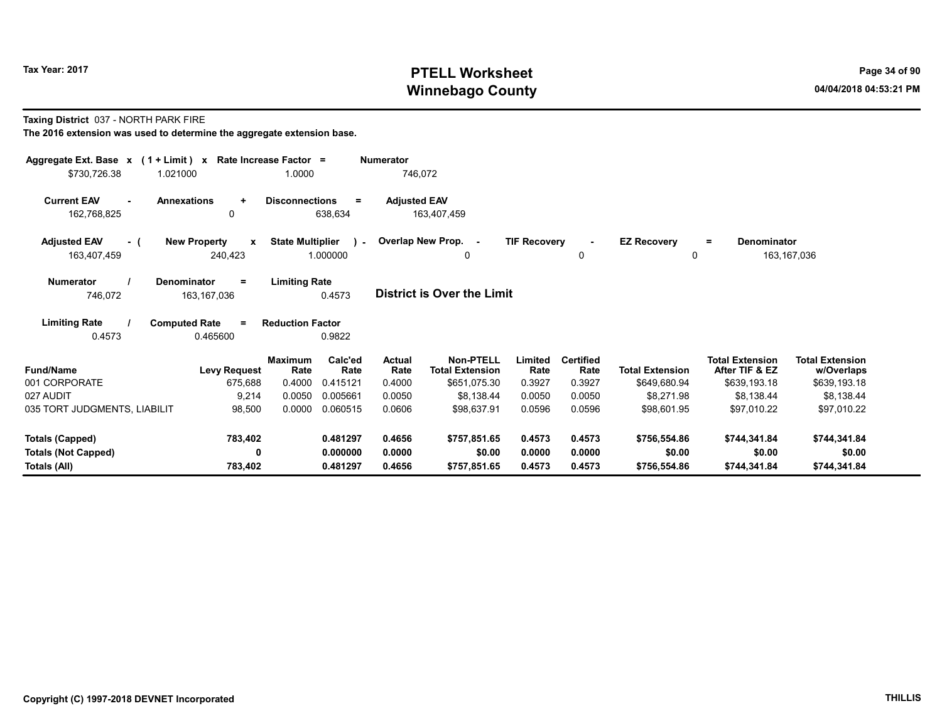# Tax Year: 2017 **PTELL Worksheet** Page 34 of 90 Winnebago County and the County of the County of the County of the County of the County of the County of the County of the County of the County of the County of the County of the County of the County of the County of the C

Taxing District 037 - NORTH PARK FIRE

| Aggregate Ext. Base $x$ (1 + Limit) $x$ Rate Increase Factor =<br>\$730,726.38<br>1.021000 |                                      | 1.0000                           |                 | <b>Numerator</b><br>746,072 |                                        |                     |                  |                        |                                          |                            |
|--------------------------------------------------------------------------------------------|--------------------------------------|----------------------------------|-----------------|-----------------------------|----------------------------------------|---------------------|------------------|------------------------|------------------------------------------|----------------------------|
|                                                                                            |                                      |                                  |                 |                             |                                        |                     |                  |                        |                                          |                            |
| <b>Current EAV</b><br>$\sim$<br>162,768,825                                                | <b>Annexations</b><br>$\ddot{}$<br>0 | <b>Disconnections</b><br>638,634 | Ξ.              | <b>Adjusted EAV</b>         | 163,407,459                            |                     |                  |                        |                                          |                            |
|                                                                                            |                                      |                                  |                 |                             |                                        |                     |                  |                        |                                          |                            |
| <b>Adjusted EAV</b><br>- (                                                                 | <b>New Property</b><br>$\mathbf{x}$  | <b>State Multiplier</b>          | $\mathbf{r}$    | Overlap New Prop. -         |                                        | <b>TIF Recovery</b> |                  | <b>EZ Recovery</b>     | <b>Denominator</b><br>Ξ.                 |                            |
| 163,407,459                                                                                | 240,423                              | 1.000000                         |                 |                             | 0                                      |                     | 0                | 0                      |                                          | 163, 167, 036              |
| <b>Numerator</b>                                                                           | <b>Denominator</b><br>$\equiv$       | <b>Limiting Rate</b>             |                 |                             |                                        |                     |                  |                        |                                          |                            |
| 746,072                                                                                    | 163, 167, 036                        |                                  | 0.4573          |                             | <b>District is Over the Limit</b>      |                     |                  |                        |                                          |                            |
| <b>Limiting Rate</b>                                                                       | <b>Computed Rate</b><br>$\equiv$     | <b>Reduction Factor</b>          |                 |                             |                                        |                     |                  |                        |                                          |                            |
| 0.4573                                                                                     | 0.465600                             |                                  | 0.9822          |                             |                                        |                     |                  |                        |                                          |                            |
| <b>Fund/Name</b>                                                                           |                                      | <b>Maximum</b>                   | Calc'ed<br>Rate | <b>Actual</b><br>Rate       | <b>Non-PTELL</b>                       | Limited<br>Rate     | <b>Certified</b> | <b>Total Extension</b> | <b>Total Extension</b><br>After TIF & EZ | <b>Total Extension</b>     |
| 001 CORPORATE                                                                              | <b>Levy Request</b><br>675,688       | Rate<br>0.4000                   | 0.415121        | 0.4000                      | <b>Total Extension</b><br>\$651,075.30 | 0.3927              | Rate<br>0.3927   | \$649,680.94           | \$639,193.18                             | w/Overlaps<br>\$639,193.18 |
| 027 AUDIT                                                                                  | 9,214                                | 0.0050                           | 0.005661        | 0.0050                      | \$8,138.44                             | 0.0050              | 0.0050           | \$8,271.98             | \$8,138.44                               | \$8,138.44                 |
| 035 TORT JUDGMENTS, LIABILIT                                                               | 98,500                               | 0.0000                           | 0.060515        | 0.0606                      | \$98,637.91                            | 0.0596              | 0.0596           | \$98,601.95            | \$97.010.22                              | \$97,010.22                |
|                                                                                            |                                      |                                  |                 |                             |                                        |                     |                  |                        |                                          |                            |
| <b>Totals (Capped)</b>                                                                     | 783,402                              |                                  | 0.481297        | 0.4656                      | \$757.851.65                           | 0.4573              | 0.4573           | \$756,554.86           | \$744,341.84                             | \$744,341.84               |
| <b>Totals (Not Capped)</b>                                                                 | 0                                    |                                  | 0.000000        | 0.0000                      | \$0.00                                 | 0.0000              | 0.0000           | \$0.00                 | \$0.00                                   | \$0.00                     |
| Totals (All)                                                                               | 783,402                              |                                  | 0.481297        | 0.4656                      | \$757,851.65                           | 0.4573              | 0.4573           | \$756,554.86           | \$744,341.84                             | \$744,341.84               |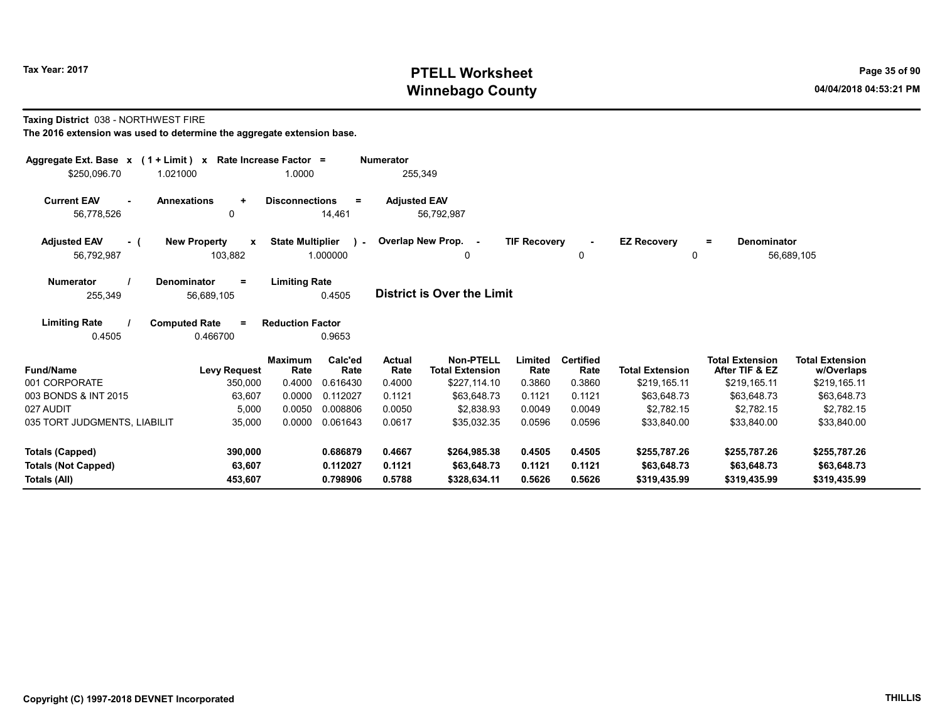# Tax Year: 2017 **PTELL Worksheet** Page 35 of 90 Winnebago County and the County of the County of the County of the County of the County of the County of the County of the County of the County of the County of the County of the County of the County of the County of the C

#### Taxing District 038 - NORTHWEST FIRE

| Aggregate Ext. Base $x$ (1 + Limit) $x$                | Rate Increase Factor =                         |                                                      | <b>Numerator</b>      |                                            |                     |                          |                                |                                          |                                      |
|--------------------------------------------------------|------------------------------------------------|------------------------------------------------------|-----------------------|--------------------------------------------|---------------------|--------------------------|--------------------------------|------------------------------------------|--------------------------------------|
| \$250.096.70<br>1.021000                               |                                                | 1.0000                                               | 255,349               |                                            |                     |                          |                                |                                          |                                      |
| <b>Current EAV</b><br><b>Annexations</b><br>56,778,526 | $\ddot{}$<br>0                                 | <b>Disconnections</b><br>$=$<br>14,461               | <b>Adjusted EAV</b>   | 56,792,987                                 |                     |                          |                                |                                          |                                      |
| <b>Adjusted EAV</b><br>- (<br>56,792,987               | <b>New Property</b><br>$\mathbf{x}$<br>103,882 | <b>State Multiplier</b><br>$\mathcal{L}$<br>1.000000 |                       | Overlap New Prop. -<br>0                   | <b>TIF Recovery</b> | $\sim$<br>0              | <b>EZ Recovery</b><br>$\Omega$ | Denominator<br>$=$                       | 56,689,105                           |
| <b>Numerator</b><br>255,349                            | Denominator<br>$=$<br>56,689,105               | <b>Limiting Rate</b><br>0.4505                       |                       | District is Over the Limit                 |                     |                          |                                |                                          |                                      |
| <b>Limiting Rate</b><br>0.4505                         | <b>Computed Rate</b><br>$\equiv$<br>0.466700   | <b>Reduction Factor</b><br>0.9653                    |                       |                                            |                     |                          |                                |                                          |                                      |
| <b>Fund/Name</b>                                       | <b>Maximum</b><br><b>Levy Request</b>          | Calc'ed<br>Rate<br>Rate                              | <b>Actual</b><br>Rate | <b>Non-PTELL</b><br><b>Total Extension</b> | Limited<br>Rate     | <b>Certified</b><br>Rate | <b>Total Extension</b>         | <b>Total Extension</b><br>After TIF & EZ | <b>Total Extension</b><br>w/Overlaps |
| 001 CORPORATE                                          | 350,000                                        | 0.4000<br>0.616430                                   | 0.4000                | \$227,114.10                               | 0.3860              | 0.3860                   | \$219,165.11                   | \$219,165.11                             | \$219,165.11                         |
| 003 BONDS & INT 2015                                   | 63,607                                         | 0.0000<br>0.112027                                   | 0.1121                | \$63.648.73                                | 0.1121              | 0.1121                   | \$63.648.73                    | \$63,648.73                              | \$63,648.73                          |
| 027 AUDIT                                              | 5,000                                          | 0.0050<br>0.008806                                   | 0.0050                | \$2.838.93                                 | 0.0049              | 0.0049                   | \$2.782.15                     | \$2.782.15                               | \$2,782.15                           |
| 035 TORT JUDGMENTS, LIABILIT                           | 35,000                                         | 0.0000<br>0.061643                                   | 0.0617                | \$35,032.35                                | 0.0596              | 0.0596                   | \$33,840.00                    | \$33,840.00                              | \$33,840.00                          |
| <b>Totals (Capped)</b>                                 | 390,000                                        | 0.686879                                             | 0.4667                | \$264,985.38                               | 0.4505              | 0.4505                   | \$255,787.26                   | \$255,787.26                             | \$255,787.26                         |
| <b>Totals (Not Capped)</b><br>Totals (All)             | 63,607<br>453,607                              | 0.112027<br>0.798906                                 | 0.1121<br>0.5788      | \$63,648.73<br>\$328,634.11                | 0.1121<br>0.5626    | 0.1121<br>0.5626         | \$63,648.73<br>\$319,435.99    | \$63,648.73<br>\$319,435.99              | \$63,648.73<br>\$319,435.99          |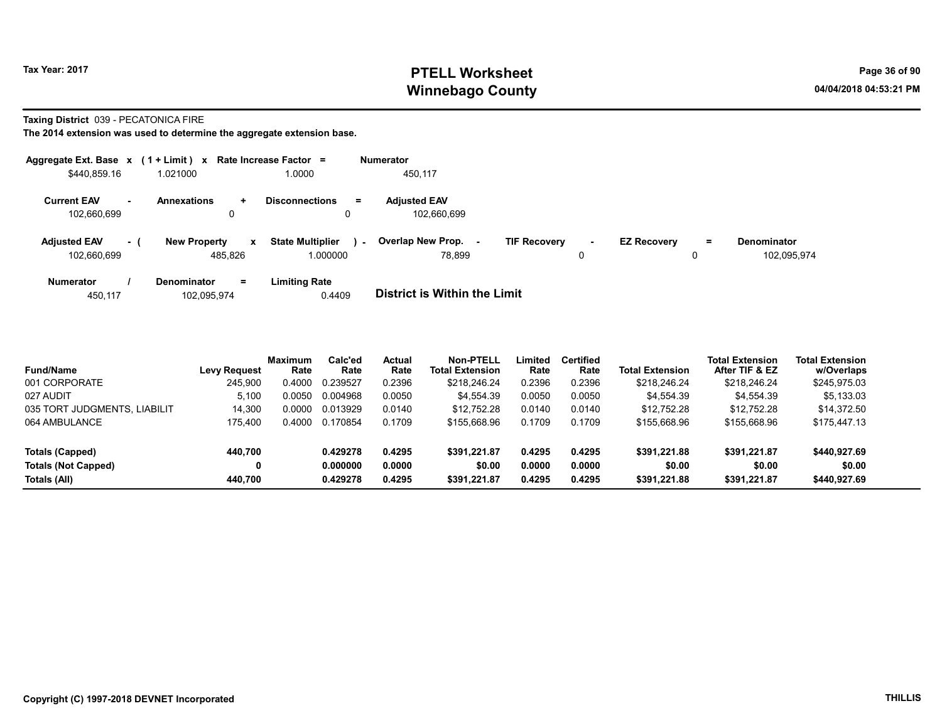# Tax Year: 2017 **PTELL Worksheet** Page 36 of 90 Winnebago County and the County of the County of the County of the County of the County of the County of the County of the County of the County of the County of the County of the County of the County of the County of the C

#### Taxing District 039 - PECATONICA FIRE

|                                    |           | Aggregate Ext. Base $x$ (1 + Limit) $x$ Rate Increase Factor = |                                     |        | <b>Numerator</b>                   |                     |             |                    |    |                                   |
|------------------------------------|-----------|----------------------------------------------------------------|-------------------------------------|--------|------------------------------------|---------------------|-------------|--------------------|----|-----------------------------------|
| \$440,859.16                       |           | 1.021000                                                       | 1.0000                              |        | 450,117                            |                     |             |                    |    |                                   |
| <b>Current EAV</b><br>102,660,699  | <b>м.</b> | <b>Annexations</b><br>$\pm$<br>0                               | <b>Disconnections</b><br>0          | Ξ.     | <b>Adjusted EAV</b><br>102.660.699 |                     |             |                    |    |                                   |
| <b>Adjusted EAV</b><br>102,660,699 | $-1$      | <b>New Property</b><br>$\mathbf{x}$<br>485.826                 | <b>State Multiplier</b><br>1.000000 | $\sim$ | <b>Overlap New Prop.</b><br>78.899 | <b>TIF Recovery</b> | $\sim$<br>0 | <b>EZ Recovery</b> | Ξ. | <b>Denominator</b><br>102.095.974 |
| <b>Numerator</b>                   |           | <b>Denominator</b><br>$=$                                      | <b>Limiting Rate</b>                |        | _ _ _ _ _ _ _ _ _ _ _ _ _ _ _ _    |                     |             |                    |    |                                   |

| 102,095,974<br>450.117 | 0.4409 | District is Within the Limit |
|------------------------|--------|------------------------------|
|------------------------|--------|------------------------------|

| <b>Fund/Name</b>             | <b>Levy Request</b> | <b>Maximum</b><br>Rate | Calc'ed<br>Rate | <b>Actual</b><br>Rate | Non-PTELL<br><b>Total Extension</b> | Limited<br>Rate | <b>Certified</b><br>Rate | <b>Total Extension</b> | <b>Total Extension</b><br>After TIF & EZ | <b>Total Extension</b><br>w/Overlaps |  |
|------------------------------|---------------------|------------------------|-----------------|-----------------------|-------------------------------------|-----------------|--------------------------|------------------------|------------------------------------------|--------------------------------------|--|
| 001 CORPORATE                | 245,900             | 0.4000                 | 0.239527        | 0.2396                | \$218,246.24                        | 0.2396          | 0.2396                   | \$218,246.24           | \$218,246.24                             | \$245,975.03                         |  |
| 027 AUDIT                    | 5.100               | 0.0050                 | 0.004968        | 0.0050                | \$4,554.39                          | 0.0050          | 0.0050                   | \$4,554.39             | \$4,554.39                               | \$5,133.03                           |  |
| 035 TORT JUDGMENTS, LIABILIT | 14.300              | 0.0000                 | 0.013929        | 0.0140                | \$12.752.28                         | 0.0140          | 0.0140                   | \$12.752.28            | \$12.752.28                              | \$14.372.50                          |  |
| 064 AMBULANCE                | 175.400             | 0.4000                 | 0.170854        | 0.1709                | \$155,668.96                        | 0.1709          | 0.1709                   | \$155,668.96           | \$155,668.96                             | \$175,447.13                         |  |
| Totals (Capped)              | 440.700             |                        | 0.429278        | 0.4295                | \$391.221.87                        | 0.4295          | 0.4295                   | \$391.221.88           | \$391.221.87                             | \$440,927.69                         |  |
| <b>Totals (Not Capped)</b>   | 0                   |                        | 0.000000        | 0.0000                | \$0.00                              | 0.0000          | 0.0000                   | \$0.00                 | \$0.00                                   | \$0.00                               |  |
| Totals (All)                 | 440.700             |                        | 0.429278        | 0.4295                | \$391,221.87                        | 0.4295          | 0.4295                   | \$391.221.88           | \$391.221.87                             | \$440,927.69                         |  |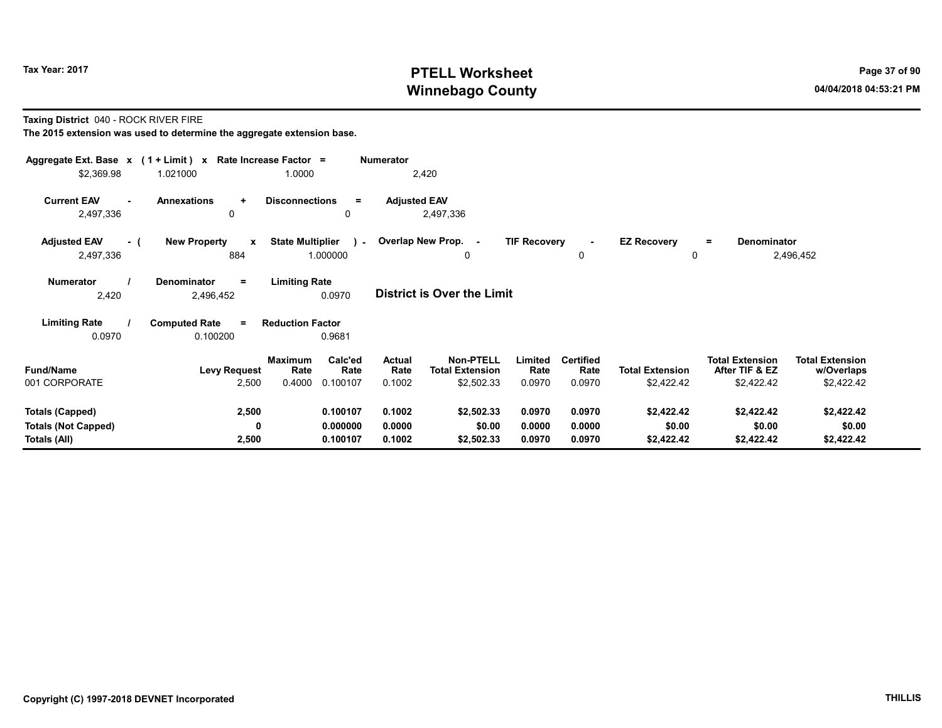# Tax Year: 2017 **PTELL Worksheet** Page 37 of 90 Winnebago County and the County of the County of the County of the County of the County of the County of the County of the County of the County of the County of the County of the County of the County of the County of the C

Taxing District 040 - ROCK RIVER FIRE

| Aggregate Ext. Base x (1 + Limit) x Rate Increase Factor =<br>\$2,369.98 | 1.021000                                   | 1.0000                                                          | <b>Numerator</b><br>2,420         |                                                                                       |                                    |                                      |                                                        |                                                    |
|--------------------------------------------------------------------------|--------------------------------------------|-----------------------------------------------------------------|-----------------------------------|---------------------------------------------------------------------------------------|------------------------------------|--------------------------------------|--------------------------------------------------------|----------------------------------------------------|
| <b>Current EAV</b><br>2,497,336                                          | <b>Annexations</b><br>٠<br>0               | <b>Disconnections</b><br>$=$<br>0                               | <b>Adjusted EAV</b><br>2,497,336  |                                                                                       |                                    |                                      |                                                        |                                                    |
| <b>Adjusted EAV</b><br>- (<br>2,497,336                                  | <b>New Property</b><br>$\mathbf{x}$<br>884 | <b>State Multiplier</b><br>$\mathcal{L}$<br>1.000000            | Overlap New Prop. -               | <b>TIF Recovery</b><br>0                                                              | 0                                  | <b>EZ Recovery</b><br>0              | <b>Denominator</b><br>$=$                              | 2,496,452                                          |
| <b>Numerator</b><br>2,420                                                | Denominator<br>$\equiv$<br>2,496,452       | <b>Limiting Rate</b><br>0.0970                                  | <b>District is Over the Limit</b> |                                                                                       |                                    |                                      |                                                        |                                                    |
| <b>Limiting Rate</b><br>0.0970                                           | <b>Computed Rate</b><br>$=$<br>0.100200    | <b>Reduction Factor</b><br>0.9681                               |                                   |                                                                                       |                                    |                                      |                                                        |                                                    |
| <b>Fund/Name</b><br>001 CORPORATE                                        | <b>Levy Request</b><br>2,500               | <b>Maximum</b><br>Calc'ed<br>Rate<br>Rate<br>0.4000<br>0.100107 | Actual<br>Rate<br>0.1002          | <b>Non-PTELL</b><br>Limited<br><b>Total Extension</b><br>Rate<br>\$2,502.33<br>0.0970 | <b>Certified</b><br>Rate<br>0.0970 | <b>Total Extension</b><br>\$2,422.42 | <b>Total Extension</b><br>After TIF & EZ<br>\$2,422.42 | <b>Total Extension</b><br>w/Overlaps<br>\$2,422.42 |
| <b>Totals (Capped)</b><br><b>Totals (Not Capped)</b><br>Totals (All)     | 2,500<br>0<br>2,500                        | 0.100107<br>0.000000<br>0.100107                                | 0.1002<br>0.0000<br>0.1002        | \$2,502.33<br>0.0970<br>\$0.00<br>0.0000<br>\$2,502.33<br>0.0970                      | 0.0970<br>0.0000<br>0.0970         | \$2,422.42<br>\$0.00<br>\$2,422.42   | \$2,422.42<br>\$0.00<br>\$2,422.42                     | \$2,422.42<br>\$0.00<br>\$2,422.42                 |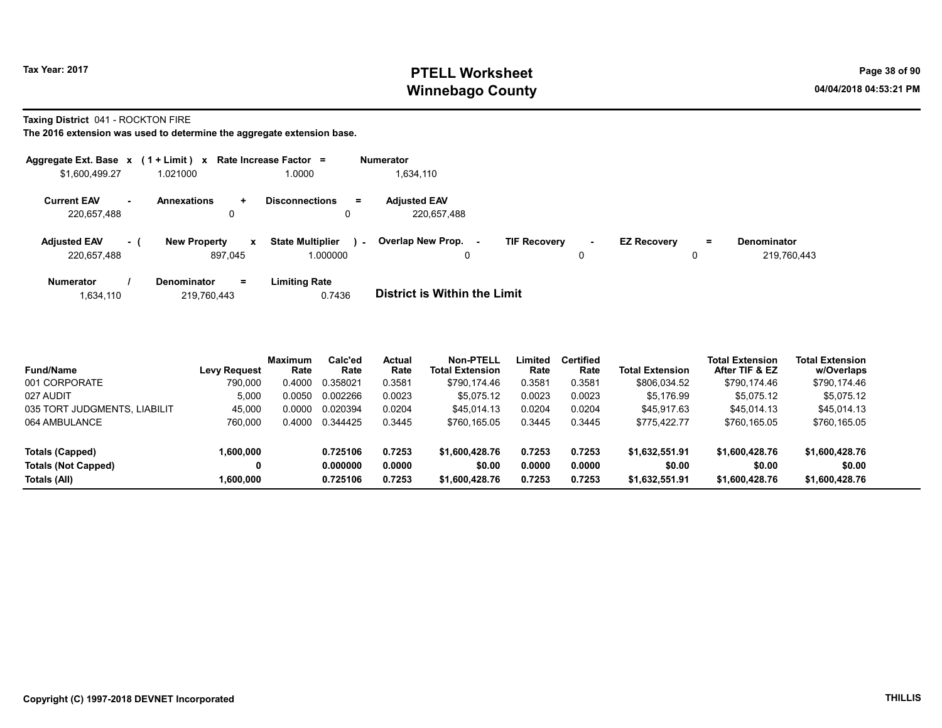# Tax Year: 2017 **PTELL Worksheet** Page 38 of 90 Winnebago County and the County of the County of the County of the County of the County of the County of the County of the County of the County of the County of the County of the County of the County of the County of the C

Taxing District 041 - ROCKTON FIRE

|                                    |      | Aggregate Ext. Base $x$ (1 + Limit) $x$ Rate Increase Factor = |                                               | <b>Numerator</b>                   |                                    |                           |                                   |
|------------------------------------|------|----------------------------------------------------------------|-----------------------------------------------|------------------------------------|------------------------------------|---------------------------|-----------------------------------|
| \$1,600,499.27                     |      | 1.021000                                                       | .0000                                         | 1,634,110                          |                                    |                           |                                   |
| <b>Current EAV</b><br>220,657,488  | ж.   | <b>Annexations</b><br>÷<br>0                                   | <b>Disconnections</b><br>$\equiv$             | <b>Adiusted EAV</b><br>220,657,488 |                                    |                           |                                   |
| <b>Adjusted EAV</b><br>220,657,488 | $-1$ | <b>New Property</b><br>$\mathbf{x}$<br>897.045                 | <b>State Multiplier</b><br>$\sim$<br>1.000000 | Overlap New Prop.<br>0             | <b>TIF Recovery</b><br>$\sim$<br>0 | <b>EZ Recovery</b><br>$=$ | <b>Denominator</b><br>219.760.443 |
| <b>Numerator</b>                   |      | <b>Denominator</b><br>$=$                                      | <b>Limiting Rate</b>                          |                                    |                                    |                           |                                   |

| 1,634,110 | 219,760,443 | 0.7436 | <b>District is Within the Limit</b> |
|-----------|-------------|--------|-------------------------------------|

| <b>Fund/Name</b>             | <b>Levy Request</b> | Maximum<br>Rate | Calc'ed<br>Rate | Actual<br>Rate | <b>Non-PTELL</b><br><b>Total Extension</b> | Limited<br>Rate | <b>Certified</b><br>Rate | <b>Total Extension</b> | <b>Total Extension</b><br>After TIF & EZ | <b>Total Extension</b><br>w/Overlaps |  |
|------------------------------|---------------------|-----------------|-----------------|----------------|--------------------------------------------|-----------------|--------------------------|------------------------|------------------------------------------|--------------------------------------|--|
| 001 CORPORATE                | 790.000             | 0.4000          | 0.358021        | 0.3581         | \$790.174.46                               | 0.3581          | 0.3581                   | \$806,034.52           | \$790,174.46                             | \$790,174.46                         |  |
| 027 AUDIT                    | 5.000               | 0.0050          | 0.002266        | 0.0023         | \$5.075.12                                 | 0.0023          | 0.0023                   | \$5.176.99             | \$5,075.12                               | \$5.075.12                           |  |
| 035 TORT JUDGMENTS, LIABILIT | 45.000              | 0.0000          | 0.020394        | 0.0204         | \$45.014.13                                | 0.0204          | 0.0204                   | \$45.917.63            | \$45,014.13                              | \$45.014.13                          |  |
| 064 AMBULANCE                | 760.000             | 0.4000          | 0.344425        | 0.3445         | \$760.165.05                               | 0.3445          | 0.3445                   | \$775.422.77           | \$760,165.05                             | \$760,165.05                         |  |
| Totals (Capped)              | 1,600,000           |                 | 0.725106        | 0.7253         | \$1,600,428.76                             | 0.7253          | 0.7253                   | \$1,632,551.91         | \$1,600,428.76                           | \$1,600,428.76                       |  |
| <b>Totals (Not Capped)</b>   |                     |                 | 0.000000        | 0.0000         | \$0.00                                     | 0.0000          | 0.0000                   | \$0.00                 | \$0.00                                   | \$0.00                               |  |
| Totals (All)                 | 1.600.000           |                 | 0.725106        | 0.7253         | \$1,600,428.76                             | 0.7253          | 0.7253                   | \$1,632,551.91         | \$1,600,428.76                           | \$1,600,428.76                       |  |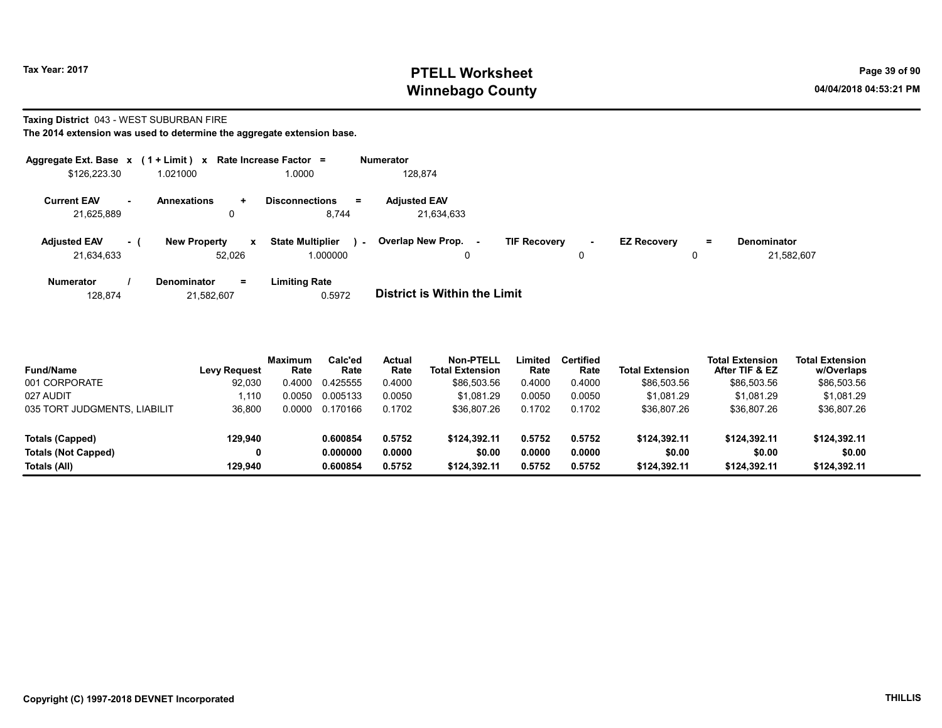### Tax Year: 2017 **PTELL Worksheet** Page 39 of 90 Winnebago County and the County of the County of the County of the County of the County of the County of the County of the County of the County of the County of the County of the County of the County of the County of the C

#### Taxing District 043 - WEST SUBURBAN FIRE

| Aggregate Ext. Base x (1 + Limit) x |            |                               |              | Rate Increase Factor =                | <b>Numerator</b>                  |                     |             |                    |    |                                  |
|-------------------------------------|------------|-------------------------------|--------------|---------------------------------------|-----------------------------------|---------------------|-------------|--------------------|----|----------------------------------|
| \$126,223.30                        |            | 1.021000                      |              | .0000                                 | 128,874                           |                     |             |                    |    |                                  |
| <b>Current EAV</b><br>21,625,889    | <b>A</b> 1 | Annexations<br>0              | $\ddotmark$  | <b>Disconnections</b><br>$=$<br>8,744 | <b>Adjusted EAV</b><br>21,634,633 |                     |             |                    |    |                                  |
| <b>Adjusted EAV</b><br>21.634.633   | $-1$       | <b>New Property</b><br>52.026 | $\mathbf{x}$ | <b>State Multiplier</b><br>1.000000   | Overlap New Prop.<br>$\sim$       | <b>TIF Recovery</b> | $\sim$<br>0 | <b>EZ Recovery</b> | Ξ. | <b>Denominator</b><br>21,582,607 |
| <b>Numerator</b>                    |            | <b>Denominator</b>            | $=$          | <b>Limiting Rate</b>                  |                                   |                     |             |                    |    |                                  |

| 128.874 | 21,582,607 | 0.5972 | <b>District is Within the Limit</b> |
|---------|------------|--------|-------------------------------------|

| <b>Fund/Name</b>             | <b>Levy Request</b> | <b>Maximum</b><br>Rate | Calc'ed<br>Rate | <b>Actual</b><br>Rate | Non-PTELL<br><b>Total Extension</b> | Limited<br>Rate | <b>Certified</b><br>Rate | <b>Total Extension</b> | <b>Total Extension</b><br>After TIF & EZ | <b>Total Extension</b><br>w/Overlaps |
|------------------------------|---------------------|------------------------|-----------------|-----------------------|-------------------------------------|-----------------|--------------------------|------------------------|------------------------------------------|--------------------------------------|
| 001 CORPORATE                | 92,030              | 0.4000                 | 0.425555        | 0.4000                | \$86,503.56                         | 0.4000          | 0.4000                   | \$86,503.56            | \$86,503.56                              | \$86,503.56                          |
| 027 AUDIT                    | .110                | 0.0050                 | 0.005133        | 0.0050                | \$1.081.29                          | 0.0050          | 0.0050                   | \$1.081.29             | \$1.081.29                               | \$1.081.29                           |
| 035 TORT JUDGMENTS, LIABILIT | 36.800              | 0.0000                 | 0.170166        | 0.1702                | \$36,807.26                         | 0.1702          | 0.1702                   | \$36.807.26            | \$36,807.26                              | \$36,807.26                          |
| Totals (Capped)              | 129.940             |                        | 0.600854        | 0.5752                | \$124.392.11                        | 0.5752          | 0.5752                   | \$124.392.11           | \$124.392.11                             | \$124,392.11                         |
| <b>Totals (Not Capped)</b>   | 0                   |                        | 0.000000        | 0.0000                | \$0.00                              | 0.0000          | 0.0000                   | \$0.00                 | \$0.00                                   | \$0.00                               |
| Totals (All)                 | 129.940             |                        | 0.600854        | 0.5752                | \$124.392.11                        | 0.5752          | 0.5752                   | \$124.392.11           | \$124.392.11                             | \$124.392.11                         |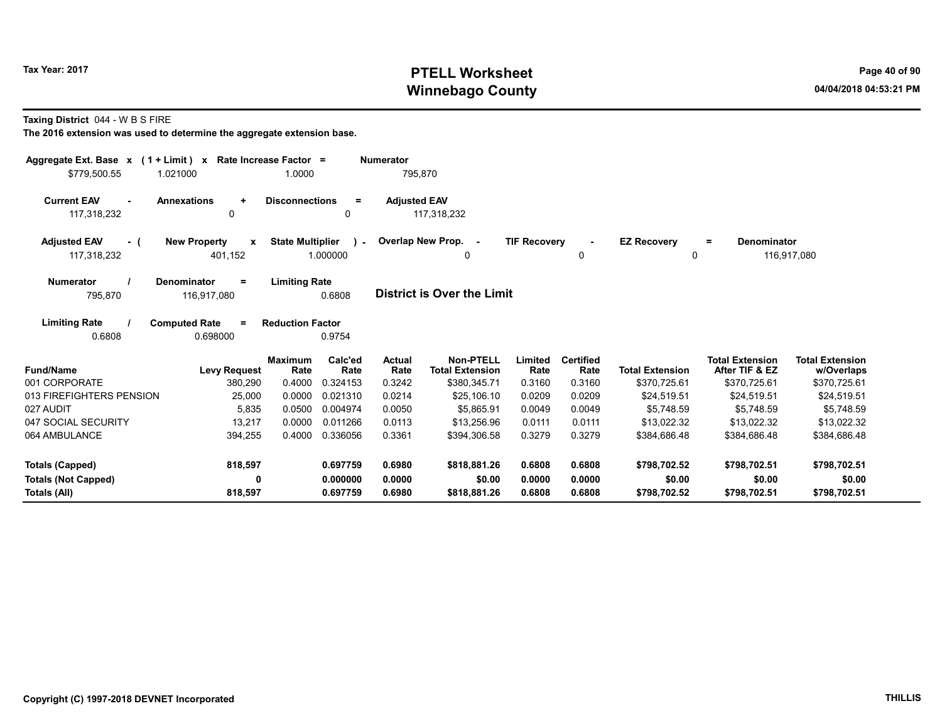# Tax Year: 2017 **PTELL Worksheet** Page 40 of 90 Winnebago County and the County of the County of the County of the County of the County of the County of the County of the County of the County of the County of the County of the County of the County of the County of the C

Taxing District 044 - W B S FIRE

| Aggregate Ext. Base $x$ (1 + Limit) $x$<br>\$779.500.55 | 1.021000                                       | Rate Increase Factor =<br>1.0000 |                             | <b>Numerator</b><br>795,870 |                                                            |                           |                                    |                                        |                                                          |                                                      |
|---------------------------------------------------------|------------------------------------------------|----------------------------------|-----------------------------|-----------------------------|------------------------------------------------------------|---------------------------|------------------------------------|----------------------------------------|----------------------------------------------------------|------------------------------------------------------|
| <b>Current EAV</b><br>$\sim$<br>117,318,232             | <b>Annexations</b><br>$\ddot{}$<br>0           | <b>Disconnections</b>            | $\equiv$<br>0               | <b>Adjusted EAV</b>         | 117,318,232                                                |                           |                                    |                                        |                                                          |                                                      |
| <b>Adjusted EAV</b><br>- (<br>117,318,232               | <b>New Property</b><br>$\mathbf{x}$<br>401,152 | <b>State Multiplier</b>          | $\sim$ 10 $\pm$<br>1.000000 |                             | Overlap New Prop. -<br>0                                   | <b>TIF Recovery</b>       | $\overline{\phantom{a}}$<br>0      | <b>EZ Recovery</b><br>$\Omega$         | <b>Denominator</b><br>$\equiv$                           | 116,917,080                                          |
| <b>Numerator</b><br>795,870                             | Denominator<br>$=$<br>116,917,080              | <b>Limiting Rate</b>             | 0.6808                      |                             | District is Over the Limit                                 |                           |                                    |                                        |                                                          |                                                      |
| <b>Limiting Rate</b><br>0.6808                          | <b>Computed Rate</b><br>$=$<br>0.698000        | <b>Reduction Factor</b>          | 0.9754                      |                             |                                                            |                           |                                    |                                        |                                                          |                                                      |
| <b>Fund/Name</b><br>001 CORPORATE                       | <b>Levy Request</b><br>380,290                 | <b>Maximum</b><br>Rate<br>0.4000 | Calc'ed<br>Rate<br>0.324153 | Actual<br>Rate<br>0.3242    | <b>Non-PTELL</b><br><b>Total Extension</b><br>\$380,345.71 | Limited<br>Rate<br>0.3160 | <b>Certified</b><br>Rate<br>0.3160 | <b>Total Extension</b><br>\$370,725.61 | <b>Total Extension</b><br>After TIF & EZ<br>\$370,725.61 | <b>Total Extension</b><br>w/Overlaps<br>\$370,725.61 |
| 013 FIREFIGHTERS PENSION                                | 25,000                                         | 0.0000                           | 0.021310                    | 0.0214                      | \$25,106.10                                                | 0.0209                    | 0.0209                             | \$24,519.51                            | \$24,519.51                                              | \$24,519.51                                          |
| 027 AUDIT                                               | 5,835                                          | 0.0500                           | 0.004974                    | 0.0050                      | \$5.865.91                                                 | 0.0049                    | 0.0049                             | \$5.748.59                             | \$5.748.59                                               | \$5.748.59                                           |
| 047 SOCIAL SECURITY                                     | 13,217                                         | 0.0000                           | 0.011266                    | 0.0113                      | \$13,256.96                                                | 0.0111                    | 0.0111                             | \$13,022.32                            | \$13,022.32                                              | \$13,022.32                                          |
| 064 AMBULANCE                                           | 394,255                                        | 0.4000                           | 0.336056                    | 0.3361                      | \$394,306.58                                               | 0.3279                    | 0.3279                             | \$384,686.48                           | \$384,686.48                                             | \$384,686.48                                         |
| <b>Totals (Capped)</b>                                  | 818,597                                        |                                  | 0.697759                    | 0.6980                      | \$818,881,26                                               | 0.6808                    | 0.6808                             | \$798.702.52                           | \$798,702.51                                             | \$798.702.51                                         |
| <b>Totals (Not Capped)</b><br>Totals (All)              | 0<br>818,597                                   |                                  | 0.000000<br>0.697759        | 0.0000<br>0.6980            | \$0.00<br>\$818,881.26                                     | 0.0000<br>0.6808          | 0.0000<br>0.6808                   | \$0.00<br>\$798,702.52                 | \$0.00<br>\$798,702.51                                   | \$0.00<br>\$798,702.51                               |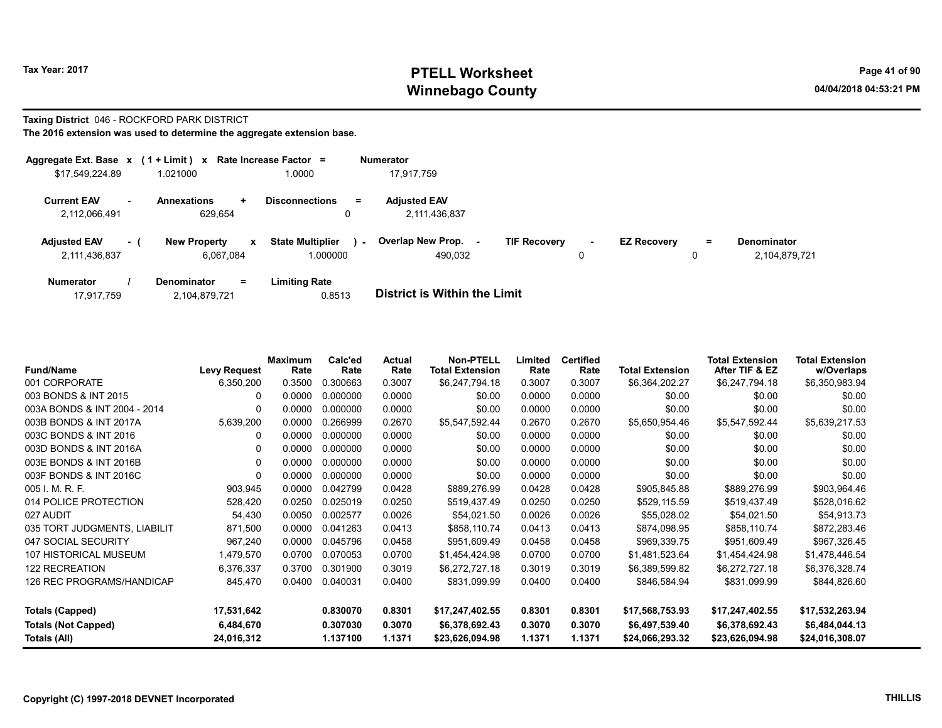# Tax Year: 2017 **PTELL Worksheet** Page 41 of 90 Winnebago County and the County of the County of the County of the County of the County of the County of the County of the County of the County of the County of the County of the County of the County of the County of the C

# Taxing District 046 - ROCKFORD PARK DISTRICT

|                                      |        | Aggregate Ext. Base $x$ (1 + Limit) $x$ Rate Increase Factor = |                                     |        | <b>Numerator</b>                     |                     |             |                    |          |                                     |
|--------------------------------------|--------|----------------------------------------------------------------|-------------------------------------|--------|--------------------------------------|---------------------|-------------|--------------------|----------|-------------------------------------|
| \$17.549.224.89                      |        | 1.021000                                                       | 1.0000                              |        | 17.917.759                           |                     |             |                    |          |                                     |
| <b>Current EAV</b><br>2,112,066,491  | $\sim$ | <b>Annexations</b><br>÷<br>629,654                             | <b>Disconnections</b><br>0          | Ξ.     | <b>Adjusted EAV</b><br>2,111,436,837 |                     |             |                    |          |                                     |
| <b>Adjusted EAV</b><br>2,111,436,837 | - 1    | <b>New Property</b><br>$\mathbf{x}$<br>6.067.084               | <b>State Multiplier</b><br>1.000000 | $\sim$ | <b>Overlap New Prop.</b><br>490.032  | <b>TIF Recovery</b> | $\sim$<br>0 | <b>EZ Recovery</b> | $=$<br>0 | <b>Denominator</b><br>2.104.879.721 |
| <b>Numerator</b>                     |        | <b>Denominator</b><br>$=$                                      | <b>Limiting Rate</b>                |        | _ _ _ _ _ _ _ _ _ _ _ _ _ _ _ _      |                     |             |                    |          |                                     |

| 2,104,879,721<br>17,917,759 | 0.8513 | <b>District is Within the Limit</b> |
|-----------------------------|--------|-------------------------------------|

| <b>Fund/Name</b>             | <b>Levy Request</b> | Maximum<br>Rate | Calc'ed<br>Rate | Actual<br>Rate | <b>Non-PTELL</b><br><b>Total Extension</b> | Limited<br>Rate | <b>Certified</b><br>Rate | <b>Total Extension</b> | <b>Total Extension</b><br>After TIF & EZ | <b>Total Extension</b><br>w/Overlaps |
|------------------------------|---------------------|-----------------|-----------------|----------------|--------------------------------------------|-----------------|--------------------------|------------------------|------------------------------------------|--------------------------------------|
| 001 CORPORATE                | 6,350,200           | 0.3500          | 0.300663        | 0.3007         | \$6,247,794.18                             | 0.3007          | 0.3007                   | \$6,364,202.27         | \$6,247,794.18                           | \$6,350,983.94                       |
| 003 BONDS & INT 2015         | $\Omega$            | 0.0000          | 0.000000        | 0.0000         | \$0.00                                     | 0.0000          | 0.0000                   | \$0.00                 | \$0.00                                   | \$0.00                               |
| 003A BONDS & INT 2004 - 2014 | 0                   | 0.0000          | 0.000000        | 0.0000         | \$0.00                                     | 0.0000          | 0.0000                   | \$0.00                 | \$0.00                                   | \$0.00                               |
| 003B BONDS & INT 2017A       | 5,639,200           | 0.0000          | 0.266999        | 0.2670         | \$5,547,592.44                             | 0.2670          | 0.2670                   | \$5,650,954.46         | \$5,547,592.44                           | \$5,639,217.53                       |
| 003C BONDS & INT 2016        | 0                   | 0.0000          | 0.000000        | 0.0000         | \$0.00                                     | 0.0000          | 0.0000                   | \$0.00                 | \$0.00                                   | \$0.00                               |
| 003D BONDS & INT 2016A       | 0                   | 0.0000          | 0.000000        | 0.0000         | \$0.00                                     | 0.0000          | 0.0000                   | \$0.00                 | \$0.00                                   | \$0.00                               |
| 003E BONDS & INT 2016B       | $\Omega$            | 0.0000          | 0.000000        | 0.0000         | \$0.00                                     | 0.0000          | 0.0000                   | \$0.00                 | \$0.00                                   | \$0.00                               |
| 003F BONDS & INT 2016C       | 0                   | 0.0000          | 0.000000        | 0.0000         | \$0.00                                     | 0.0000          | 0.0000                   | \$0.00                 | \$0.00                                   | \$0.00                               |
| 005 I. M. R. F.              | 903,945             | 0.0000          | 0.042799        | 0.0428         | \$889,276.99                               | 0.0428          | 0.0428                   | \$905,845.88           | \$889,276.99                             | \$903,964.46                         |
| 014 POLICE PROTECTION        | 528,420             | 0.0250          | 0.025019        | 0.0250         | \$519,437.49                               | 0.0250          | 0.0250                   | \$529,115.59           | \$519,437.49                             | \$528,016.62                         |
| 027 AUDIT                    | 54,430              | 0.0050          | 0.002577        | 0.0026         | \$54,021.50                                | 0.0026          | 0.0026                   | \$55,028.02            | \$54,021.50                              | \$54,913.73                          |
| 035 TORT JUDGMENTS, LIABILIT | 871,500             | 0.0000          | 0.041263        | 0.0413         | \$858.110.74                               | 0.0413          | 0.0413                   | \$874,098.95           | \$858,110.74                             | \$872,283.46                         |
| 047 SOCIAL SECURITY          | 967,240             | 0.0000          | 0.045796        | 0.0458         | \$951,609.49                               | 0.0458          | 0.0458                   | \$969,339.75           | \$951,609.49                             | \$967,326.45                         |
| 107 HISTORICAL MUSEUM        | 1,479,570           | 0.0700          | 0.070053        | 0.0700         | \$1,454,424.98                             | 0.0700          | 0.0700                   | \$1,481,523.64         | \$1,454,424.98                           | \$1,478,446.54                       |
| <b>122 RECREATION</b>        | 6,376,337           | 0.3700          | 0.301900        | 0.3019         | \$6,272,727.18                             | 0.3019          | 0.3019                   | \$6,389,599.82         | \$6,272,727.18                           | \$6,376,328.74                       |
| 126 REC PROGRAMS/HANDICAP    | 845,470             | 0.0400          | 0.040031        | 0.0400         | \$831.099.99                               | 0.0400          | 0.0400                   | \$846,584.94           | \$831,099.99                             | \$844,826.60                         |
| Totals (Capped)              | 17,531,642          |                 | 0.830070        | 0.8301         | \$17,247,402.55                            | 0.8301          | 0.8301                   | \$17,568,753.93        | \$17,247,402.55                          | \$17,532,263.94                      |
| <b>Totals (Not Capped)</b>   | 6,484,670           |                 | 0.307030        | 0.3070         | \$6,378,692.43                             | 0.3070          | 0.3070                   | \$6,497,539.40         | \$6,378,692.43                           | \$6,484,044.13                       |
| Totals (All)                 | 24,016,312          |                 | 1.137100        | 1.1371         | \$23,626,094.98                            | 1.1371          | 1.1371                   | \$24,066,293.32        | \$23,626,094.98                          | \$24,016,308.07                      |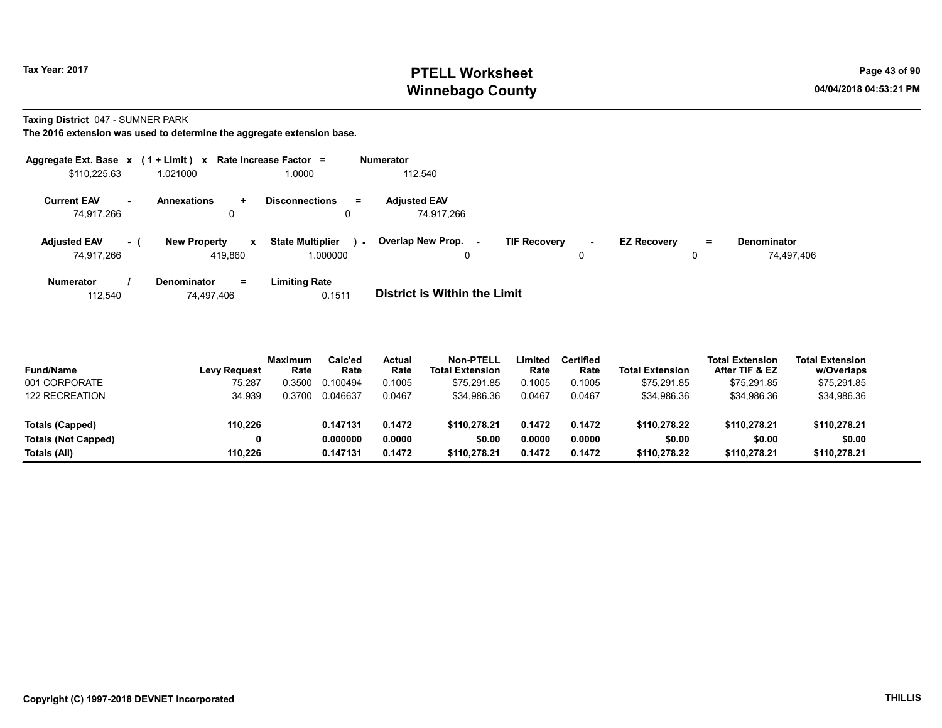## Tax Year: 2017 **PTELL Worksheet** Page 43 of 90 Winnebago County and the County of the County of the County of the County of the County of the County of the County of the County of the County of the County of the County of the County of the County of the County of the C

Taxing District 047 - SUMNER PARK

The 2016 extension was used to determine the aggregate extension base.

|                                   |        | Aggregate Ext. Base $x$ (1 + Limit) x Rate Increase Factor = |                                               | Numerator                         |                                    |                    |    |                                  |
|-----------------------------------|--------|--------------------------------------------------------------|-----------------------------------------------|-----------------------------------|------------------------------------|--------------------|----|----------------------------------|
| \$110,225.63                      |        | 1.021000                                                     | 1.0000                                        | 112.540                           |                                    |                    |    |                                  |
| <b>Current EAV</b><br>74.917.266  | $\sim$ | <b>Annexations</b><br>$\ddot{}$<br>0                         | <b>Disconnections</b><br>$\equiv$<br>0        | <b>Adjusted EAV</b><br>74.917.266 |                                    |                    |    |                                  |
| <b>Adjusted EAV</b><br>74.917.266 | - 1    | <b>New Property</b><br>x<br>419.860                          | <b>State Multiplier</b><br>$\sim$<br>1.000000 | Overlap New Prop. -<br>0          | <b>TIF Recovery</b><br>$\sim$<br>0 | <b>EZ Recovery</b> | Ξ. | <b>Denominator</b><br>74,497,406 |
| <b>Numerator</b>                  |        | <b>Denominator</b><br>$=$                                    | <b>Limiting Rate</b>                          |                                   |                                    |                    |    |                                  |

112,540 74,497,406 0.1511 District is Within the Limit

| <b>Fund/Name</b>      | <b>Levy Request</b> | <b>Maximum</b><br>Rate | Calc'ed<br>Rate | Actual<br>Rate | <b>Non-PTELL</b><br><b>Total Extension</b> | Limited<br>Rate | Certified<br>Rate | <b>Total Extension</b> | <b>Total Extension</b><br>After TIF & EZ | <b>Total Extension</b><br>w/Overlaps |
|-----------------------|---------------------|------------------------|-----------------|----------------|--------------------------------------------|-----------------|-------------------|------------------------|------------------------------------------|--------------------------------------|
| 001 CORPORATE         | 75,287              | .3500                  | 0.100494        | 0.1005         | \$75.291.85                                | 0.1005          | 0.1005            | \$75.291.85            | \$75,291.85                              | \$75,291.85                          |
| <b>122 RECREATION</b> | 34,939              | 0.3700                 | 0.046637        | 0.0467         | \$34,986.36                                | 0.0467          | 0.0467            | \$34,986.36            | \$34,986.36                              | \$34,986.36                          |
| Totals (Capped)       | 110,226             |                        | 0.147131        | 0.1472         | \$110,278.21                               | 0.1472          | 0.1472            | \$110,278.22           | \$110,278.21                             | \$110,278.21                         |
| Totals (Not Capped)   |                     |                        | 0.000000        | 0.0000         | \$0.00                                     | 0.0000          | 0.0000            | \$0.00                 | \$0.00                                   | \$0.00                               |
| Totals (All)          | 110.226             |                        | 0.147131        | 0.1472         | \$110,278.21                               | 0.1472          | 0.1472            | \$110.278.22           | \$110,278.21                             | \$110,278.21                         |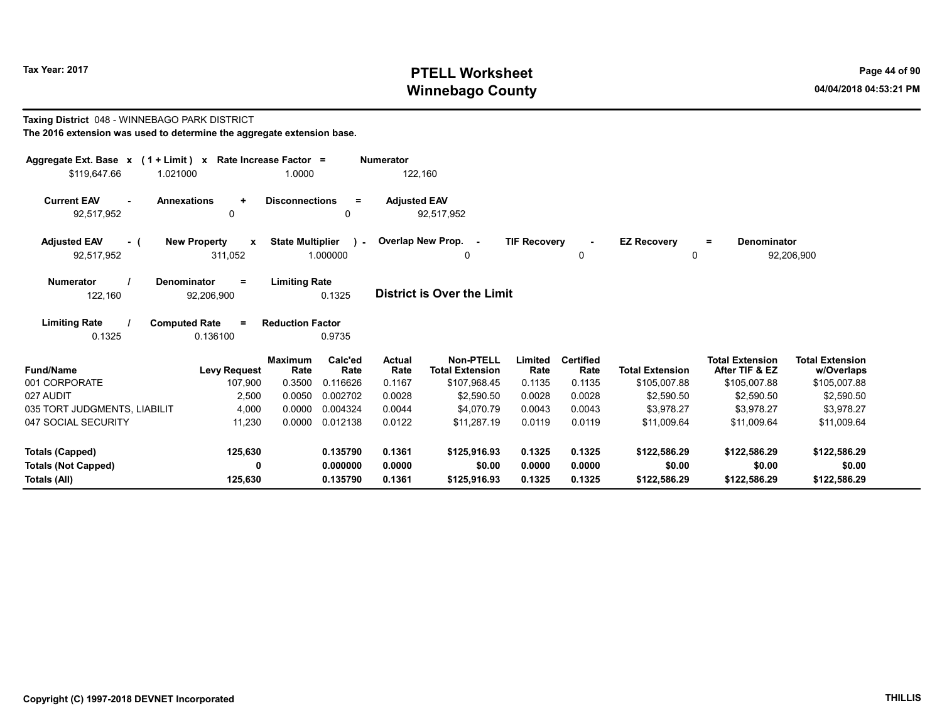Taxing District 048 - WINNEBAGO PARK DISTRICT

# Tax Year: 2017 **PTELL Worksheet** Page 44 of 90 Winnebago County and the county of the county of the county of the county of the county of the county of the county of the county of the county of the county of the county of the county of the county of the county of the c

# The 2016 extension was used to determine the aggregate extension base. Aggregate Ext. Base  $x$  (1 + Limit)  $x$  Rate Increase Factor = Numerator \$119,647.66 1.021000 1.0000 122,160 Current EAV - Annexations + Disconnections = Adjusted EAV 92,517,952 0 0 92,517,952

| <b>Adjusted EAV</b> | <b>New Property</b> | <b>State Multiplier</b> | <b>Overlap New Prop.</b> | <b>TIF Recovery</b> | <b>EZ Recovery</b> | Denominator |
|---------------------|---------------------|-------------------------|--------------------------|---------------------|--------------------|-------------|
| 92,517,952          | 311,052             | .000000                 |                          |                     |                    | 92,206,900  |

| Numerator | <b>Denominator</b> | <b>Limiting Rate</b> |                                   |
|-----------|--------------------|----------------------|-----------------------------------|
| 122.160   | 92.206.900         | 0.1325               | <b>District is Over the Limit</b> |

| <b>Limiting Rate</b> | <b>Computed Rate</b> | <b>Reduction Factor</b> |
|----------------------|----------------------|-------------------------|
| 0.1325               | 0.136100             | 0.9735                  |

| <b>Fund/Name</b>             | <b>Levy Request</b> | <b>Maximum</b><br>Rate | Calc'ed<br>Rate | Actual<br>Rate | Non-PTELL<br><b>Total Extension</b> | Limited<br>Rate | <b>Certified</b><br>Rate | <b>Total Extension</b> | <b>Total Extension</b><br>After TIF & EZ | <b>Total Extension</b><br>w/Overlaps |
|------------------------------|---------------------|------------------------|-----------------|----------------|-------------------------------------|-----------------|--------------------------|------------------------|------------------------------------------|--------------------------------------|
| 001 CORPORATE                | 107,900             | 0.3500                 | 0.116626        | 0.1167         | \$107,968.45                        | 0.1135          | 0.1135                   | \$105,007.88           | \$105,007.88                             | \$105,007.88                         |
| 027 AUDIT                    | 2,500               | 0.0050                 | 0.002702        | 0.0028         | \$2,590.50                          | 0.0028          | 0.0028                   | \$2,590.50             | \$2,590.50                               | \$2,590.50                           |
| 035 TORT JUDGMENTS, LIABILIT | 4,000               | 0.0000                 | 0.004324        | 0.0044         | \$4.070.79                          | 0.0043          | 0.0043                   | \$3.978.27             | \$3,978.27                               | \$3.978.27                           |
| 047 SOCIAL SECURITY          | 11.230              | 0.0000                 | 0.012138        | 0.0122         | \$11,287.19                         | 0.0119          | 0.0119                   | \$11.009.64            | \$11.009.64                              | \$11,009.64                          |
| Totals (Capped)              | 125,630             |                        | 0.135790        | 0.1361         | \$125,916.93                        | 0.1325          | 0.1325                   | \$122,586.29           | \$122,586.29                             | \$122,586.29                         |
| <b>Totals (Not Capped)</b>   |                     |                        | 0.000000        | 0.0000         | \$0.00                              | 0.0000          | 0.0000                   | \$0.00                 | \$0.00                                   | \$0.00                               |
| Totals (All)                 | 125.630             |                        | 0.135790        | 0.1361         | \$125,916.93                        | 0.1325          | 0.1325                   | \$122,586.29           | \$122,586.29                             | \$122,586.29                         |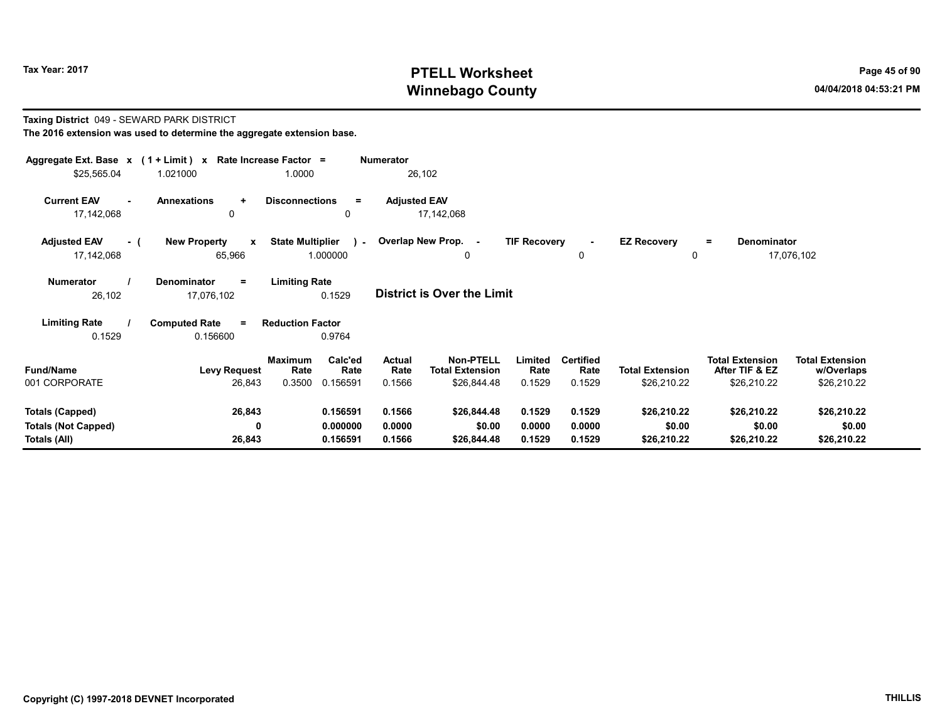# Tax Year: 2017 **PTELL Worksheet** Page 45 of 90 Winnebago County and the County of the County of the County of the County of the County of the County of the County of the County of the County of the County of the County of the County of the County of the County of the C

#### Taxing District 049 - SEWARD PARK DISTRICT The 2016 extension was used to determine the aggregate extension base.

| Aggregate Ext. Base $x$ (1 + Limit) x Rate Increase Factor =<br>\$25,565.04 | 1.021000                                          | 1.0000                                                          | <b>Numerator</b><br>26,102        |                                                                                        |                                    |                                       |                                                         |                                                     |
|-----------------------------------------------------------------------------|---------------------------------------------------|-----------------------------------------------------------------|-----------------------------------|----------------------------------------------------------------------------------------|------------------------------------|---------------------------------------|---------------------------------------------------------|-----------------------------------------------------|
| <b>Current EAV</b><br>17,142,068                                            | <b>Annexations</b><br>$\ddot{}$<br>0              | <b>Disconnections</b><br>$=$<br>0                               | <b>Adjusted EAV</b><br>17,142,068 |                                                                                        |                                    |                                       |                                                         |                                                     |
| <b>Adjusted EAV</b><br>- (<br>17,142,068                                    | <b>New Property</b><br>$\boldsymbol{x}$<br>65,966 | <b>State Multiplier</b><br>$\sim 10$<br>1.000000                | Overlap New Prop. -               | <b>TIF Recovery</b><br>0                                                               | $\sim$<br>0                        | <b>EZ Recovery</b><br>0               | Denominator<br>$=$                                      | 17,076,102                                          |
| <b>Numerator</b><br>26,102                                                  | Denominator<br>Ξ<br>17,076,102                    | <b>Limiting Rate</b><br>0.1529                                  | <b>District is Over the Limit</b> |                                                                                        |                                    |                                       |                                                         |                                                     |
| <b>Limiting Rate</b><br>0.1529                                              | <b>Computed Rate</b><br>$\equiv$<br>0.156600      | <b>Reduction Factor</b><br>0.9764                               |                                   |                                                                                        |                                    |                                       |                                                         |                                                     |
| <b>Fund/Name</b><br>001 CORPORATE                                           | <b>Levy Request</b><br>26,843                     | Calc'ed<br><b>Maximum</b><br>Rate<br>Rate<br>0.3500<br>0.156591 | Actual<br>Rate<br>0.1566          | <b>Non-PTELL</b><br>Limited<br><b>Total Extension</b><br>Rate<br>\$26,844.48<br>0.1529 | <b>Certified</b><br>Rate<br>0.1529 | <b>Total Extension</b><br>\$26,210.22 | <b>Total Extension</b><br>After TIF & EZ<br>\$26,210.22 | <b>Total Extension</b><br>w/Overlaps<br>\$26,210.22 |
| <b>Totals (Capped)</b><br><b>Totals (Not Capped)</b><br>Totals (All)        | 26,843<br>0<br>26,843                             | 0.156591<br>0.000000<br>0.156591                                | 0.1566<br>0.0000<br>0.1566        | 0.1529<br>\$26,844.48<br>\$0.00<br>0.0000<br>0.1529<br>\$26,844.48                     | 0.1529<br>0.0000<br>0.1529         | \$26,210.22<br>\$0.00<br>\$26,210.22  | \$26,210.22<br>\$0.00<br>\$26,210.22                    | \$26,210.22<br>\$0.00<br>\$26,210.22                |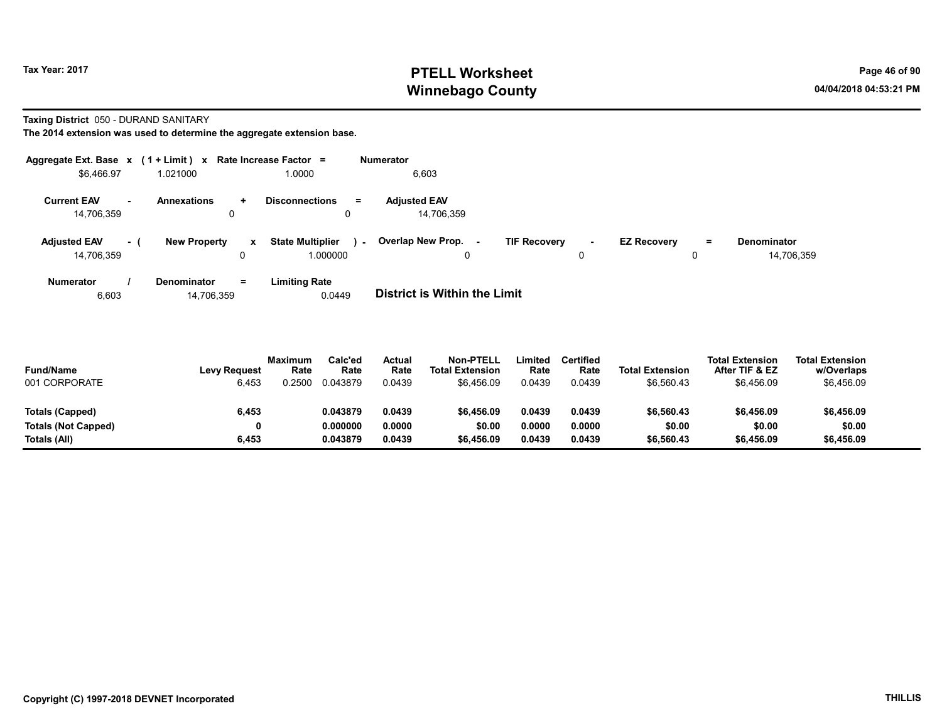# Tax Year: 2017 **PTELL Worksheet** Page 46 of 90 Winnebago County and the County of the County of the County of the County of the County of the County of the County of the County of the County of the County of the County of the County of the County of the County of the C

#### Taxing District 050 - DURAND SANITARY

| Aggregate Ext. Base $x$ (1 + Limit) $x$ |      |                     |                   | Rate Increase Factor =                        | <b>Numerator</b>                  |                                       |        |                    |          |                                  |
|-----------------------------------------|------|---------------------|-------------------|-----------------------------------------------|-----------------------------------|---------------------------------------|--------|--------------------|----------|----------------------------------|
| \$6.466.97                              |      | 1.021000            |                   | 1.0000                                        | 6,603                             |                                       |        |                    |          |                                  |
| <b>Current EAV</b><br>14.706.359        | н.   | <b>Annexations</b>  | ÷.<br>0           | <b>Disconnections</b><br>$\equiv$             | <b>Adjusted EAV</b><br>14.706.359 |                                       |        |                    |          |                                  |
| <b>Adjusted EAV</b><br>14,706,359       | $-1$ | <b>New Property</b> | $\mathbf{x}$<br>0 | <b>State Multiplier</b><br>$\sim$<br>1.000000 | Overlap New Prop.<br>υ            | <b>TIF Recovery</b><br>$\overline{a}$ | $\sim$ | <b>EZ Recovery</b> | $=$<br>0 | <b>Denominator</b><br>14,706,359 |
| <b>Numerator</b>                        |      | Denominator         | Ξ.                | Limiting Rate                                 |                                   |                                       |        |                    |          |                                  |

| <b>District is Within the Limit</b><br>0.0449<br>14,706,359<br>6.603 |  |
|----------------------------------------------------------------------|--|

| <b>Fund/Name</b><br>001 CORPORATE | <b>Levy Request</b><br>6,453 | <b>Maximum</b><br>Rate<br>.2500 | Calc'ed<br>Rate<br>0.043879 | Actual<br>Rate<br>0.0439 | <b>Non-PTELL</b><br><b>Total Extension</b><br>\$6,456.09 | Limited<br>Rate<br>0.0439 | <b>Certified</b><br>Rate<br>0.0439 | <b>Total Extension</b><br>\$6,560.43 | <b>Total Extension</b><br>After TIF & EZ<br>\$6,456.09 | <b>Total Extension</b><br>w/Overlaps<br>\$6,456.09 |  |
|-----------------------------------|------------------------------|---------------------------------|-----------------------------|--------------------------|----------------------------------------------------------|---------------------------|------------------------------------|--------------------------------------|--------------------------------------------------------|----------------------------------------------------|--|
| Totals (Capped)                   | 6,453                        |                                 | 0.043879                    | 0.0439                   | \$6,456.09                                               | 0.0439                    | 0.0439                             | \$6.560.43                           | \$6,456.09                                             | \$6,456.09                                         |  |
| <b>Totals (Not Capped)</b>        | 0                            |                                 | 0.000000                    | 0.0000                   | \$0.00                                                   | 0.0000                    | 0.0000                             | \$0.00                               | \$0.00                                                 | \$0.00                                             |  |
| Totals (All)                      | 6,453                        |                                 | 0.043879                    | 0.0439                   | \$6,456.09                                               | 0.0439                    | 0.0439                             | \$6.560.43                           | \$6,456.09                                             | \$6,456.09                                         |  |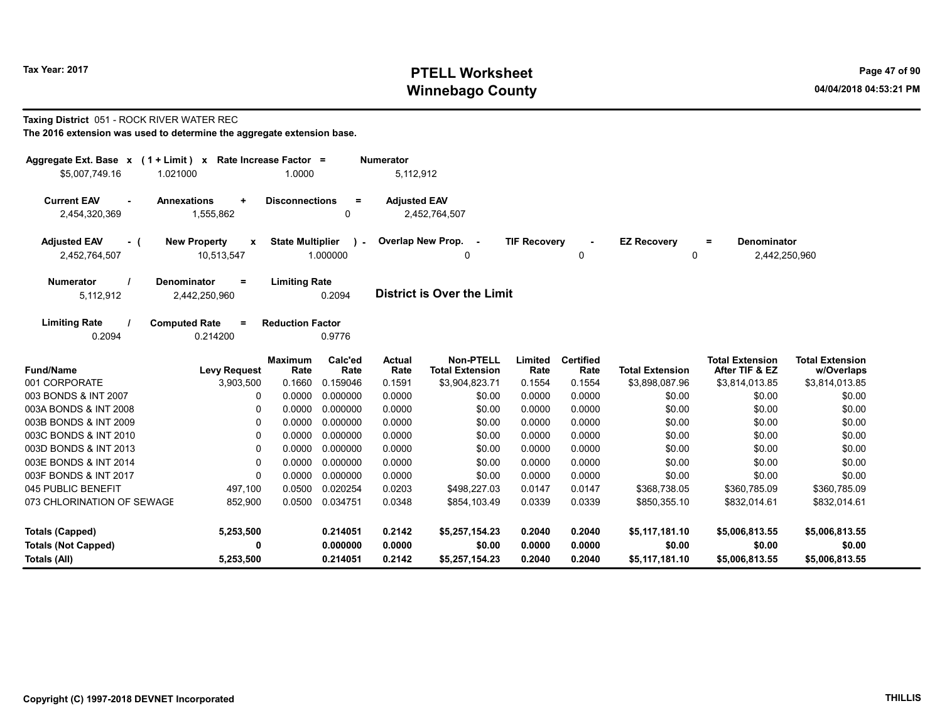# Tax Year: 2017 **PTELL Worksheet** Page 47 of 90 Winnebago County and the County of the County of the County of the County of the County of the County of the County of the County of the County of the County of the County of the County of the County of the County of the C

#### Taxing District 051 - ROCK RIVER WATER REC

| Aggregate Ext. Base $x$ (1 + Limit) x Rate Increase Factor =<br>\$5,007,749.16 | 1.021000                                     | 1.0000                  |                         | <b>Numerator</b><br>5,112,912 |                                            |                     |                          |                         |                                          |                                      |
|--------------------------------------------------------------------------------|----------------------------------------------|-------------------------|-------------------------|-------------------------------|--------------------------------------------|---------------------|--------------------------|-------------------------|------------------------------------------|--------------------------------------|
|                                                                                |                                              |                         |                         |                               |                                            |                     |                          |                         |                                          |                                      |
| <b>Current EAV</b><br>$\sim$<br>2,454,320,369                                  | <b>Annexations</b><br>$\ddot{}$<br>1,555,862 | <b>Disconnections</b>   | $\equiv$<br>0           | <b>Adjusted EAV</b>           | 2,452,764,507                              |                     |                          |                         |                                          |                                      |
| <b>Adjusted EAV</b><br>- (<br>2,452,764,507                                    | <b>New Property</b><br>x<br>10,513,547       | <b>State Multiplier</b> | $\lambda$ -<br>1.000000 |                               | Overlap New Prop. -<br>0                   | <b>TIF Recovery</b> | 0                        | <b>EZ Recovery</b><br>0 | Denominator<br>$\equiv$<br>2,442,250,960 |                                      |
| <b>Numerator</b>                                                               | <b>Denominator</b><br>$\equiv$               | <b>Limiting Rate</b>    |                         |                               |                                            |                     |                          |                         |                                          |                                      |
| 5,112,912                                                                      | 2,442,250,960                                |                         | 0.2094                  |                               | <b>District is Over the Limit</b>          |                     |                          |                         |                                          |                                      |
| <b>Limiting Rate</b>                                                           | <b>Computed Rate</b><br>$\equiv$             | <b>Reduction Factor</b> |                         |                               |                                            |                     |                          |                         |                                          |                                      |
| 0.2094                                                                         | 0.214200                                     |                         | 0.9776                  |                               |                                            |                     |                          |                         |                                          |                                      |
| <b>Fund/Name</b>                                                               | <b>Levy Request</b>                          | <b>Maximum</b><br>Rate  | Calc'ed<br>Rate         | <b>Actual</b><br>Rate         | <b>Non-PTELL</b><br><b>Total Extension</b> | Limited<br>Rate     | <b>Certified</b><br>Rate | <b>Total Extension</b>  | <b>Total Extension</b><br>After TIF & EZ | <b>Total Extension</b><br>w/Overlaps |
| 001 CORPORATE                                                                  | 3,903,500                                    | 0.1660                  | 0.159046                | 0.1591                        | \$3,904,823.71                             | 0.1554              | 0.1554                   | \$3,898,087.96          | \$3,814,013.85                           | \$3,814,013.85                       |
| 003 BONDS & INT 2007                                                           | 0                                            | 0.0000                  | 0.000000                | 0.0000                        | \$0.00                                     | 0.0000              | 0.0000                   | \$0.00                  | \$0.00                                   | \$0.00                               |
| 003A BONDS & INT 2008                                                          | 0                                            | 0.0000                  | 0.000000                | 0.0000                        | \$0.00                                     | 0.0000              | 0.0000                   | \$0.00                  | \$0.00                                   | \$0.00                               |
| 003B BONDS & INT 2009                                                          | $\mathbf{0}$                                 | 0.0000                  | 0.000000                | 0.0000                        | \$0.00                                     | 0.0000              | 0.0000                   | \$0.00                  | \$0.00                                   | \$0.00                               |
| 003C BONDS & INT 2010                                                          | $\mathbf{0}$                                 | 0.0000                  | 0.000000                | 0.0000                        | \$0.00                                     | 0.0000              | 0.0000                   | \$0.00                  | \$0.00                                   | \$0.00                               |
| 003D BONDS & INT 2013                                                          | 0                                            | 0.0000                  | 0.000000                | 0.0000                        | \$0.00                                     | 0.0000              | 0.0000                   | \$0.00                  | \$0.00                                   | \$0.00                               |
| 003E BONDS & INT 2014                                                          | $\Omega$                                     | 0.0000                  | 0.000000                | 0.0000                        | \$0.00                                     | 0.0000              | 0.0000                   | \$0.00                  | \$0.00                                   | \$0.00                               |
| 003F BONDS & INT 2017                                                          | $\mathbf 0$                                  | 0.0000                  | 0.000000                | 0.0000                        | \$0.00                                     | 0.0000              | 0.0000                   | \$0.00                  | \$0.00                                   | \$0.00                               |
| 045 PUBLIC BENEFIT                                                             | 497,100                                      | 0.0500                  | 0.020254                | 0.0203                        | \$498,227.03                               | 0.0147              | 0.0147                   | \$368,738.05            | \$360,785.09                             | \$360,785.09                         |
| 073 CHLORINATION OF SEWAGE                                                     | 852,900                                      |                         | 0.0500 0.034751         | 0.0348                        | \$854,103.49                               | 0.0339              | 0.0339                   | \$850,355.10            | \$832,014.61                             | \$832,014.61                         |
| <b>Totals (Capped)</b>                                                         | 5,253,500                                    |                         | 0.214051                | 0.2142                        | \$5,257,154.23                             | 0.2040              | 0.2040                   | \$5,117,181.10          | \$5,006,813.55                           | \$5,006,813.55                       |
| <b>Totals (Not Capped)</b>                                                     | 0                                            |                         | 0.000000                | 0.0000                        | \$0.00                                     | 0.0000              | 0.0000                   | \$0.00                  | \$0.00                                   | \$0.00                               |
| Totals (All)                                                                   | 5,253,500                                    |                         | 0.214051                | 0.2142                        | \$5,257,154.23                             | 0.2040              | 0.2040                   | \$5,117,181.10          | \$5,006,813.55                           | \$5,006,813.55                       |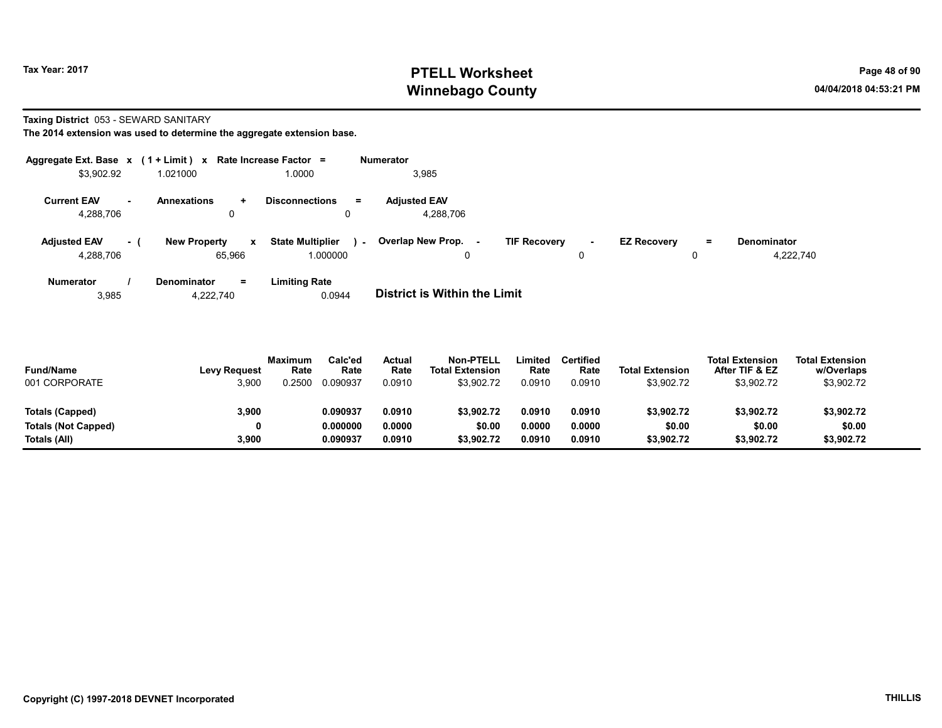# Tax Year: 2017 **PTELL Worksheet** Page 48 of 90 Winnebago County and the County of the County of the County of the County of the County of the County of the County of the County of the County of the County of the County of the County of the County of the County of the C

Taxing District 053 - SEWARD SANITARY

The 2014 extension was used to determine the aggregate extension base.

|                                  |          | Aggregate Ext. Base $x$ (1 + Limit) $x$ Rate Increase Factor = |                                               | <b>Numerator</b>                 |                               |                         |                                             |  |
|----------------------------------|----------|----------------------------------------------------------------|-----------------------------------------------|----------------------------------|-------------------------------|-------------------------|---------------------------------------------|--|
| \$3,902.92                       |          | 1.021000                                                       | 1.0000                                        | 3,985                            |                               |                         |                                             |  |
| <b>Current EAV</b><br>4,288,706  | . —      | Annexations<br>$\ddotmark$<br>0                                | <b>Disconnections</b><br>$=$                  | <b>Adjusted EAV</b><br>4,288,706 |                               |                         |                                             |  |
| <b>Adjusted EAV</b><br>4,288,706 | $\sim$ 1 | <b>New Property</b><br>x<br>65.966                             | <b>State Multiplier</b><br>$\sim$<br>1.000000 | Overlap New Prop. -<br>0         | <b>TIF Recovery</b><br>$\sim$ | <b>EZ Recovery</b><br>0 | <b>Denominator</b><br>$\equiv$<br>4,222,740 |  |
| Numerator                        |          | <b>Denominator</b><br>$=$                                      | <b>Limiting Rate</b>                          |                                  |                               |                         |                                             |  |

3,985 4,222,740 0.0944 District is Within the Limit

| <b>Fund/Name</b><br>001 CORPORATE | <b>Levy Request</b><br>3,900 | <b>Maximum</b><br>Rate<br>0.2500 | Calc'ed<br>Rate<br>0.090937 | Actual<br>Rate<br>0.0910 | Non-PTELL<br><b>Total Extension</b><br>\$3,902.72 | ∟imited<br>Rate<br>0.0910 | <b>Certified</b><br>Rate<br>0.0910 | <b>Total Extension</b><br>\$3,902.72 | <b>Total Extension</b><br>After TIF & EZ<br>\$3,902.72 | <b>Total Extension</b><br>w/Overlaps<br>\$3,902.72 |  |
|-----------------------------------|------------------------------|----------------------------------|-----------------------------|--------------------------|---------------------------------------------------|---------------------------|------------------------------------|--------------------------------------|--------------------------------------------------------|----------------------------------------------------|--|
| Totals (Capped)                   | 3,900                        |                                  | 0.090937                    | 0.0910                   | \$3,902.72                                        | 0.0910                    | 0.0910                             | \$3,902.72                           | \$3,902.72                                             | \$3,902.72                                         |  |
| <b>Totals (Not Capped)</b>        | 0                            |                                  | 0.000000                    | 0.0000                   | \$0.00                                            | 0.0000                    | 0.0000                             | \$0.00                               | \$0.00                                                 | \$0.00                                             |  |
| Totals (All)                      | 3,900                        |                                  | 0.090937                    | 0.0910                   | \$3.902.72                                        | 0.0910                    | 0.0910                             | \$3,902.72                           | \$3,902.72                                             | \$3,902.72                                         |  |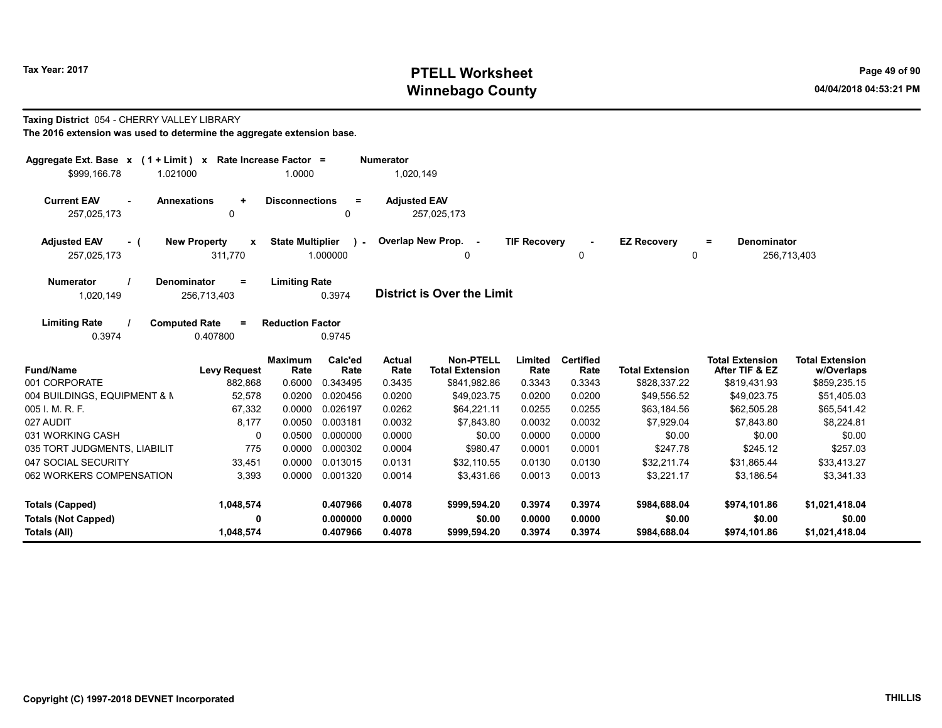# Tax Year: 2017 **PTELL Worksheet** Page 49 of 90 Winnebago County and the County of the County of the County of the County of the County of the County of the County of the County of the County of the County of the County of the County of the County of the County of the C

#### Taxing District 054 - CHERRY VALLEY LIBRARY

| The 2016 extension was used to determine the aggregate extension base. |  |
|------------------------------------------------------------------------|--|
|------------------------------------------------------------------------|--|

| Aggregate Ext. Base x<br>$(1 + Limit) x$                | Rate Increase Factor =                         |                         |                          | <b>Numerator</b>    |                                     |                     |                          |                        |                                          |                                      |
|---------------------------------------------------------|------------------------------------------------|-------------------------|--------------------------|---------------------|-------------------------------------|---------------------|--------------------------|------------------------|------------------------------------------|--------------------------------------|
| \$999,166.78<br>1.021000                                |                                                | 1.0000                  |                          | 1,020,149           |                                     |                     |                          |                        |                                          |                                      |
| <b>Current EAV</b><br><b>Annexations</b><br>257,025,173 | $\ddot{}$<br>0                                 | <b>Disconnections</b>   | $=$<br>0                 | <b>Adjusted EAV</b> | 257,025,173                         |                     |                          |                        |                                          |                                      |
| <b>Adjusted EAV</b><br>- (<br>257,025,173               | <b>New Property</b><br>$\mathbf{x}$<br>311,770 | <b>State Multiplier</b> | $\mathbf{r}$<br>1.000000 |                     | Overlap New Prop. -<br>0            | <b>TIF Recovery</b> | 0                        | <b>EZ Recovery</b>     | <b>Denominator</b><br>$=$<br>0           | 256,713,403                          |
| <b>Denominator</b><br><b>Numerator</b><br>1,020,149     | Ξ<br>256,713,403                               | <b>Limiting Rate</b>    | 0.3974                   |                     | <b>District is Over the Limit</b>   |                     |                          |                        |                                          |                                      |
| <b>Limiting Rate</b><br><b>Computed Rate</b><br>0.3974  | $=$<br>0.407800                                | <b>Reduction Factor</b> | 0.9745                   |                     |                                     |                     |                          |                        |                                          |                                      |
| <b>Fund/Name</b>                                        | <b>Levy Request</b>                            | <b>Maximum</b><br>Rate  | Calc'ed<br>Rate          | Actual<br>Rate      | Non-PTELL<br><b>Total Extension</b> | Limited<br>Rate     | <b>Certified</b><br>Rate | <b>Total Extension</b> | <b>Total Extension</b><br>After TIF & EZ | <b>Total Extension</b><br>w/Overlaps |
| 001 CORPORATE                                           | 882,868                                        | 0.6000                  | 0.343495                 | 0.3435              | \$841,982.86                        | 0.3343              | 0.3343                   | \$828,337.22           | \$819,431.93                             | \$859,235.15                         |
| 004 BUILDINGS, EQUIPMENT & N                            | 52,578                                         | 0.0200                  | 0.020456                 | 0.0200              | \$49,023.75                         | 0.0200              | 0.0200                   | \$49,556.52            | \$49,023.75                              | \$51,405.03                          |
| 005 I. M. R. F.                                         | 67,332                                         | 0.0000                  | 0.026197                 | 0.0262              | \$64,221.11                         | 0.0255              | 0.0255                   | \$63,184.56            | \$62,505.28                              | \$65,541.42                          |
| 027 AUDIT                                               | 8,177                                          | 0.0050                  | 0.003181                 | 0.0032              | \$7,843.80                          | 0.0032              | 0.0032                   | \$7,929.04             | \$7,843.80                               | \$8,224.81                           |
| 031 WORKING CASH                                        | $\Omega$                                       | 0.0500                  | 0.000000                 | 0.0000              | \$0.00                              | 0.0000              | 0.0000                   | \$0.00                 | \$0.00                                   | \$0.00                               |
| 035 TORT JUDGMENTS, LIABILIT                            | 775                                            | 0.0000                  | 0.000302                 | 0.0004              | \$980.47                            | 0.0001              | 0.0001                   | \$247.78               | \$245.12                                 | \$257.03                             |
| 047 SOCIAL SECURITY                                     | 33,451                                         | 0.0000                  | 0.013015                 | 0.0131              | \$32,110.55                         | 0.0130              | 0.0130                   | \$32,211.74            | \$31,865.44                              | \$33,413.27                          |
| 062 WORKERS COMPENSATION                                | 3.393                                          | 0.0000                  | 0.001320                 | 0.0014              | \$3.431.66                          | 0.0013              | 0.0013                   | \$3.221.17             | \$3,186.54                               | \$3,341.33                           |
| Totals (Capped)                                         | 1,048,574                                      |                         | 0.407966                 | 0.4078              | \$999,594.20                        | 0.3974              | 0.3974                   | \$984,688.04           | \$974,101.86                             | \$1,021,418.04                       |
| <b>Totals (Not Capped)</b>                              | 0                                              |                         | 0.000000                 | 0.0000              | \$0.00                              | 0.0000              | 0.0000                   | \$0.00                 | \$0.00                                   | \$0.00                               |
| Totals (All)                                            | 1,048,574                                      |                         | 0.407966                 | 0.4078              | \$999,594.20                        | 0.3974              | 0.3974                   | \$984,688.04           | \$974,101.86                             | \$1,021,418.04                       |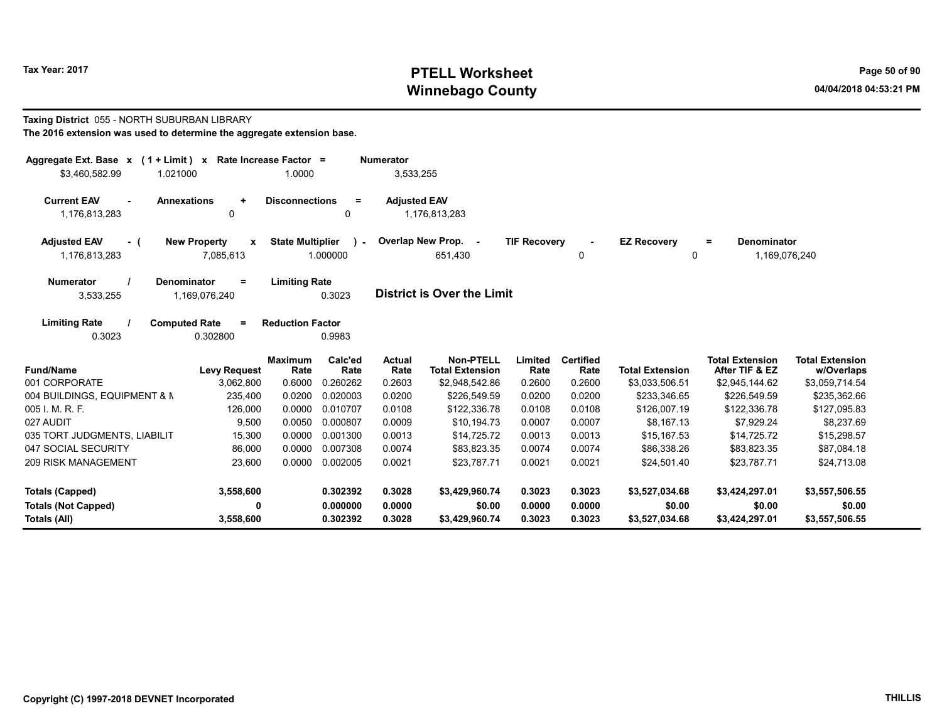# Tax Year: 2017 **PTELL Worksheet** Page 50 of 90 Winnebago County and the County of the County of the County of the County of the County of the County of the County of the County of the County of the County of the County of the County of the County of the County of the C

#### Taxing District 055 - NORTH SUBURBAN LIBRARY The 2016 extension was used to determine the aggregate extension base.

| \$3,460,582.99                                                                                                                                   | Aggregate Ext. Base $x$ (1 + Limit) $x$<br>Rate Increase Factor =<br><b>Numerator</b><br>1.0000<br>3,533,255<br>1.021000 |                         |                    |                     |                                            |                     |                          |                         |                                          |                                      |  |
|--------------------------------------------------------------------------------------------------------------------------------------------------|--------------------------------------------------------------------------------------------------------------------------|-------------------------|--------------------|---------------------|--------------------------------------------|---------------------|--------------------------|-------------------------|------------------------------------------|--------------------------------------|--|
| <b>Current EAV</b><br><b>Annexations</b><br>$\sim$<br>1,176,813,283                                                                              | $\ddot{}$<br>$\mathbf{0}$                                                                                                | <b>Disconnections</b>   | $\equiv$<br>0      | <b>Adjusted EAV</b> | 1,176,813,283                              |                     |                          |                         |                                          |                                      |  |
| <b>Adjusted EAV</b><br>- (<br>1,176,813,283                                                                                                      | <b>New Property</b><br>X<br>7,085,613                                                                                    | <b>State Multiplier</b> | $\sim$<br>1.000000 |                     | Overlap New Prop. -<br>651,430             | <b>TIF Recovery</b> | 0                        | <b>EZ Recovery</b><br>0 | Denominator<br>$=$<br>1,169,076,240      |                                      |  |
| <b>Limiting Rate</b><br><b>Numerator</b><br>Denominator<br>$\equiv$<br><b>District is Over the Limit</b><br>0.3023<br>3,533,255<br>1,169,076,240 |                                                                                                                          |                         |                    |                     |                                            |                     |                          |                         |                                          |                                      |  |
| <b>Limiting Rate</b><br><b>Computed Rate</b><br>0.3023                                                                                           | $=$<br>0.302800                                                                                                          | <b>Reduction Factor</b> | 0.9983             |                     |                                            |                     |                          |                         |                                          |                                      |  |
| <b>Fund/Name</b>                                                                                                                                 | <b>Levy Request</b>                                                                                                      | <b>Maximum</b><br>Rate  | Calc'ed<br>Rate    | Actual<br>Rate      | <b>Non-PTELL</b><br><b>Total Extension</b> | Limited<br>Rate     | <b>Certified</b><br>Rate | <b>Total Extension</b>  | <b>Total Extension</b><br>After TIF & EZ | <b>Total Extension</b><br>w/Overlaps |  |
| 001 CORPORATE                                                                                                                                    | 3,062,800                                                                                                                | 0.6000                  | 0.260262           | 0.2603              | \$2,948,542.86                             | 0.2600              | 0.2600                   | \$3,033,506.51          | \$2,945,144.62                           | \$3,059,714.54                       |  |
| 004 BUILDINGS, EQUIPMENT & N                                                                                                                     | 235,400                                                                                                                  | 0.0200                  | 0.020003           | 0.0200              | \$226,549.59                               | 0.0200              | 0.0200                   | \$233,346.65            | \$226,549.59                             | \$235,362.66                         |  |
| 005 I. M. R. F.                                                                                                                                  | 126,000                                                                                                                  | 0.0000                  | 0.010707           | 0.0108              | \$122,336.78                               | 0.0108              | 0.0108                   | \$126,007.19            | \$122,336.78                             | \$127,095.83                         |  |
| 027 AUDIT                                                                                                                                        | 9,500                                                                                                                    | 0.0050                  | 0.000807           | 0.0009              | \$10,194.73                                | 0.0007              | 0.0007                   | \$8.167.13              | \$7,929.24                               | \$8,237.69                           |  |
| 035 TORT JUDGMENTS, LIABILIT                                                                                                                     | 15,300                                                                                                                   | 0.0000                  | 0.001300           | 0.0013              | \$14,725.72                                | 0.0013              | 0.0013                   | \$15,167.53             | \$14,725.72                              | \$15,298.57                          |  |
| 047 SOCIAL SECURITY                                                                                                                              | 86,000                                                                                                                   | 0.0000                  | 0.007308           | 0.0074              | \$83,823.35                                | 0.0074              | 0.0074                   | \$86,338.26             | \$83,823.35                              | \$87,084.18                          |  |
| <b>209 RISK MANAGEMENT</b>                                                                                                                       | 23,600                                                                                                                   | 0.0000                  | 0.002005           | 0.0021              | \$23,787.71                                | 0.0021              | 0.0021                   | \$24,501.40             | \$23,787.71                              | \$24,713.08                          |  |
| Totals (Capped)                                                                                                                                  | 3,558,600                                                                                                                |                         | 0.302392           | 0.3028              | \$3,429,960.74                             | 0.3023              | 0.3023                   | \$3,527,034.68          | \$3,424,297.01                           | \$3,557,506.55                       |  |
| <b>Totals (Not Capped)</b>                                                                                                                       | 0                                                                                                                        |                         | 0.000000           | 0.0000              | \$0.00                                     | 0.0000              | 0.0000                   | \$0.00                  | \$0.00                                   | \$0.00                               |  |
| Totals (All)                                                                                                                                     | 3,558,600                                                                                                                |                         | 0.302392           | 0.3028              | \$3,429,960.74                             | 0.3023              | 0.3023                   | \$3,527,034.68          | \$3,424,297.01                           | \$3,557,506.55                       |  |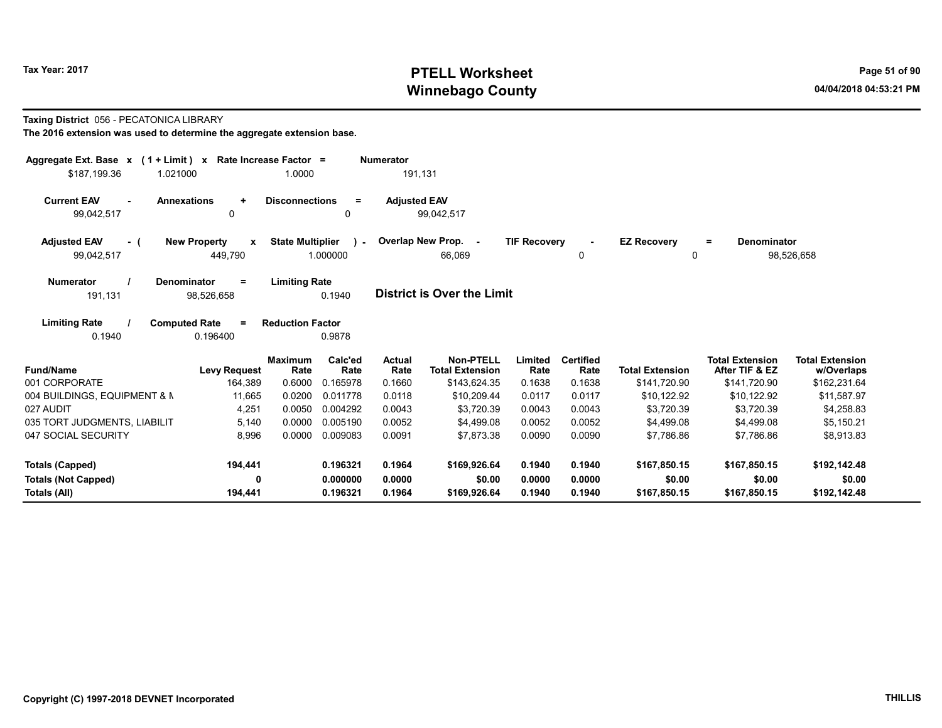# Tax Year: 2017 **PTELL Worksheet** Page 51 of 90 Winnebago County and the County of the County of the County of the County of the County of the County of the County of the County of the County of the County of the County of the County of the County of the County of the C

#### Taxing District 056 - PECATONICA LIBRARY

| Aggregate Ext. Base $x$ (1 + Limit) x Rate Increase Factor =<br>\$187.199.36<br>1.021000 |                                                | 1.0000                  |                       | <b>Numerator</b><br>191,131 |                                            |                     |                            |                          |                                          |                                      |
|------------------------------------------------------------------------------------------|------------------------------------------------|-------------------------|-----------------------|-----------------------------|--------------------------------------------|---------------------|----------------------------|--------------------------|------------------------------------------|--------------------------------------|
| <b>Annexations</b><br><b>Current EAV</b><br>$\sim$<br>99,042,517                         | $\ddot{}$<br>0                                 | <b>Disconnections</b>   | $\equiv$<br>0         | <b>Adjusted EAV</b>         | 99,042,517                                 |                     |                            |                          |                                          |                                      |
| <b>Adjusted EAV</b><br>- (<br>99,042,517                                                 | <b>New Property</b><br>$\mathbf{x}$<br>449,790 | <b>State Multiplier</b> | $\lambda$<br>1.000000 |                             | Overlap New Prop. -<br>66.069              | <b>TIF Recovery</b> | $\tilde{\phantom{a}}$<br>0 | <b>EZ Recovery</b><br>0  | <b>Denominator</b><br>$=$                | 98,526,658                           |
| Denominator<br><b>Numerator</b><br>191,131                                               | $\equiv$<br>98,526,658                         | <b>Limiting Rate</b>    | 0.1940                |                             | <b>District is Over the Limit</b>          |                     |                            |                          |                                          |                                      |
| <b>Limiting Rate</b><br><b>Computed Rate</b><br>0.1940                                   | $=$<br>0.196400                                | <b>Reduction Factor</b> | 0.9878                |                             |                                            |                     |                            |                          |                                          |                                      |
| <b>Fund/Name</b>                                                                         | <b>Levy Request</b>                            | <b>Maximum</b><br>Rate  | Calc'ed<br>Rate       | <b>Actual</b><br>Rate       | <b>Non-PTELL</b><br><b>Total Extension</b> | Limited<br>Rate     | <b>Certified</b><br>Rate   | <b>Total Extension</b>   | <b>Total Extension</b><br>After TIF & EZ | <b>Total Extension</b><br>w/Overlaps |
| 001 CORPORATE                                                                            | 164.389                                        | 0.6000                  | 0.165978              | 0.1660                      | \$143,624.35                               | 0.1638              | 0.1638                     | \$141,720.90             | \$141,720.90                             | \$162,231.64                         |
| 004 BUILDINGS, EQUIPMENT & N                                                             | 11,665                                         | 0.0200                  | 0.011778              | 0.0118                      | \$10,209.44                                | 0.0117              | 0.0117                     | \$10,122.92              | \$10,122.92                              | \$11,587.97                          |
| 027 AUDIT                                                                                | 4,251                                          | 0.0050                  | 0.004292              | 0.0043                      | \$3,720.39                                 | 0.0043              | 0.0043                     | \$3,720.39               | \$3,720.39                               | \$4,258.83                           |
| 035 TORT JUDGMENTS, LIABILIT<br>047 SOCIAL SECURITY                                      | 5,140<br>8,996                                 | 0.0000<br>0.0000        | 0.005190<br>0.009083  | 0.0052<br>0.0091            | \$4.499.08<br>\$7,873.38                   | 0.0052<br>0.0090    | 0.0052<br>0.0090           | \$4.499.08<br>\$7.786.86 | \$4,499.08<br>\$7,786.86                 | \$5,150.21<br>\$8,913.83             |
| <b>Totals (Capped)</b>                                                                   | 194,441                                        |                         | 0.196321              | 0.1964                      | \$169,926.64                               | 0.1940              | 0.1940                     | \$167,850.15             | \$167,850.15                             | \$192,142.48                         |
| <b>Totals (Not Capped)</b>                                                               | 0                                              |                         | 0.000000              | 0.0000                      | \$0.00                                     | 0.0000              | 0.0000                     | \$0.00                   | \$0.00                                   | \$0.00                               |
| Totals (All)                                                                             | 194,441                                        |                         | 0.196321              | 0.1964                      | \$169,926.64                               | 0.1940              | 0.1940                     | \$167,850.15             | \$167,850.15                             | \$192,142.48                         |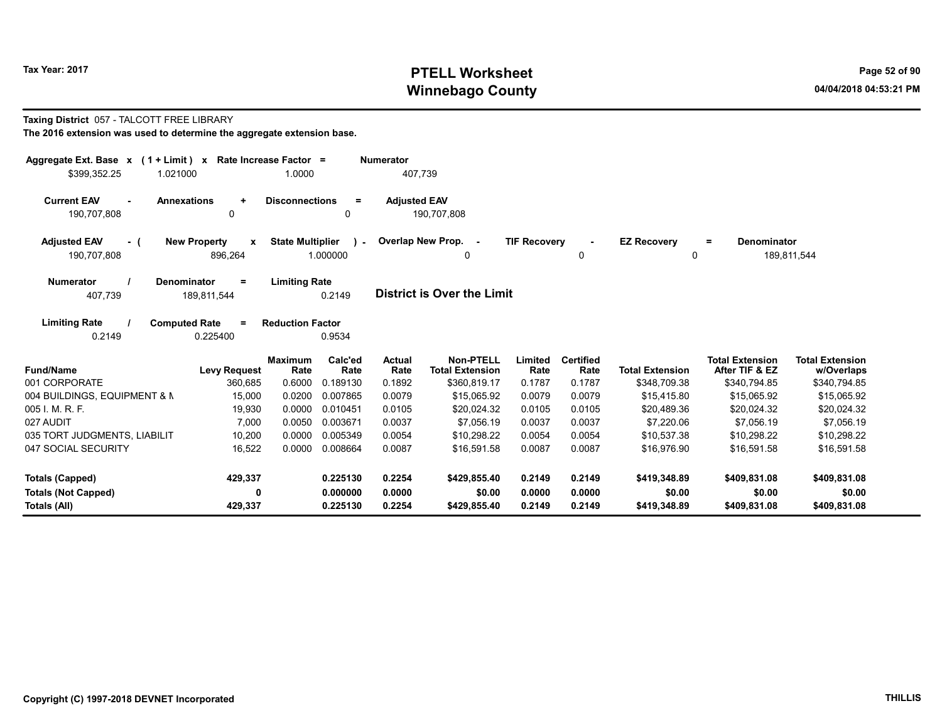# Tax Year: 2017 **PTELL Worksheet** Page 52 of 90 Winnebago County and the County of the County of the County of the County of the County of the County of the County of the County of the County of the County of the County of the County of the County of the County of the C

#### Taxing District 057 - TALCOTT FREE LIBRARY

| Aggregate Ext. Base $x$ (1 + Limit) $x$                 | Rate Increase Factor =                |                                               | <b>Numerator</b>      |                                     |                     |                          |                         |                                          |                                      |
|---------------------------------------------------------|---------------------------------------|-----------------------------------------------|-----------------------|-------------------------------------|---------------------|--------------------------|-------------------------|------------------------------------------|--------------------------------------|
| 1.021000<br>\$399,352.25                                |                                       | 1.0000                                        | 407.739               |                                     |                     |                          |                         |                                          |                                      |
| <b>Current EAV</b><br><b>Annexations</b><br>190,707,808 | $\ddot{}$<br>$\mathbf 0$              | <b>Disconnections</b><br>$\equiv$<br>0        | <b>Adiusted EAV</b>   | 190.707.808                         |                     |                          |                         |                                          |                                      |
| <b>Adjusted EAV</b><br>- (<br>190,707,808               | <b>New Property</b><br>x<br>896,264   | <b>State Multiplier</b><br>$\sim$<br>1.000000 |                       | Overlap New Prop. -<br>0            | <b>TIF Recovery</b> | 0                        | <b>EZ Recovery</b><br>0 | Denominator<br>$\equiv$                  | 189,811,544                          |
| Denominator<br><b>Numerator</b><br>407,739              | $\equiv$<br>189,811,544               | <b>Limiting Rate</b><br>0.2149                |                       | <b>District is Over the Limit</b>   |                     |                          |                         |                                          |                                      |
| <b>Limiting Rate</b><br><b>Computed Rate</b><br>0.2149  | $=$<br>0.225400                       | <b>Reduction Factor</b><br>0.9534             |                       |                                     |                     |                          |                         |                                          |                                      |
| <b>Fund/Name</b>                                        | <b>Maximum</b><br><b>Levy Request</b> | Calc'ed<br>Rate<br>Rate                       | <b>Actual</b><br>Rate | Non-PTELL<br><b>Total Extension</b> | Limited<br>Rate     | <b>Certified</b><br>Rate | <b>Total Extension</b>  | <b>Total Extension</b><br>After TIF & EZ | <b>Total Extension</b><br>w/Overlaps |
| 001 CORPORATE                                           | 360,685                               | 0.6000<br>0.189130                            | 0.1892                | \$360,819.17                        | 0.1787              | 0.1787                   | \$348,709.38            | \$340,794.85                             | \$340,794.85                         |
| 004 BUILDINGS, EQUIPMENT & N                            | 15,000                                | 0.0200<br>0.007865                            | 0.0079                | \$15,065.92                         | 0.0079              | 0.0079                   | \$15,415.80             | \$15,065.92                              | \$15,065.92                          |
| 005 I. M. R. F.                                         | 19.930                                | 0.0000<br>0.010451                            | 0.0105                | \$20.024.32                         | 0.0105              | 0.0105                   | \$20,489.36             | \$20,024.32                              | \$20,024.32                          |
| 027 AUDIT                                               | 7,000                                 | 0.0050<br>0.003671                            | 0.0037                | \$7,056.19                          | 0.0037              | 0.0037                   | \$7,220.06              | \$7,056.19                               | \$7,056.19                           |
| 035 TORT JUDGMENTS, LIABILIT                            | 10,200                                | 0.0000<br>0.005349                            | 0.0054                | \$10,298.22                         | 0.0054              | 0.0054                   | \$10,537.38             | \$10,298.22                              | \$10,298.22                          |
| 047 SOCIAL SECURITY                                     | 16,522                                | 0.0000<br>0.008664                            | 0.0087                | \$16,591.58                         | 0.0087              | 0.0087                   | \$16,976.90             | \$16,591.58                              | \$16,591.58                          |
| <b>Totals (Capped)</b>                                  | 429,337                               | 0.225130                                      | 0.2254                | \$429,855.40                        | 0.2149              | 0.2149                   | \$419,348.89            | \$409,831.08                             | \$409,831.08                         |
| <b>Totals (Not Capped)</b>                              | 0                                     | 0.000000                                      | 0.0000                | \$0.00                              | 0.0000              | 0.0000                   | \$0.00                  | \$0.00                                   | \$0.00                               |
| Totals (All)                                            | 429,337                               | 0.225130                                      | 0.2254                | \$429,855.40                        | 0.2149              | 0.2149                   | \$419,348.89            | \$409,831.08                             | \$409,831.08                         |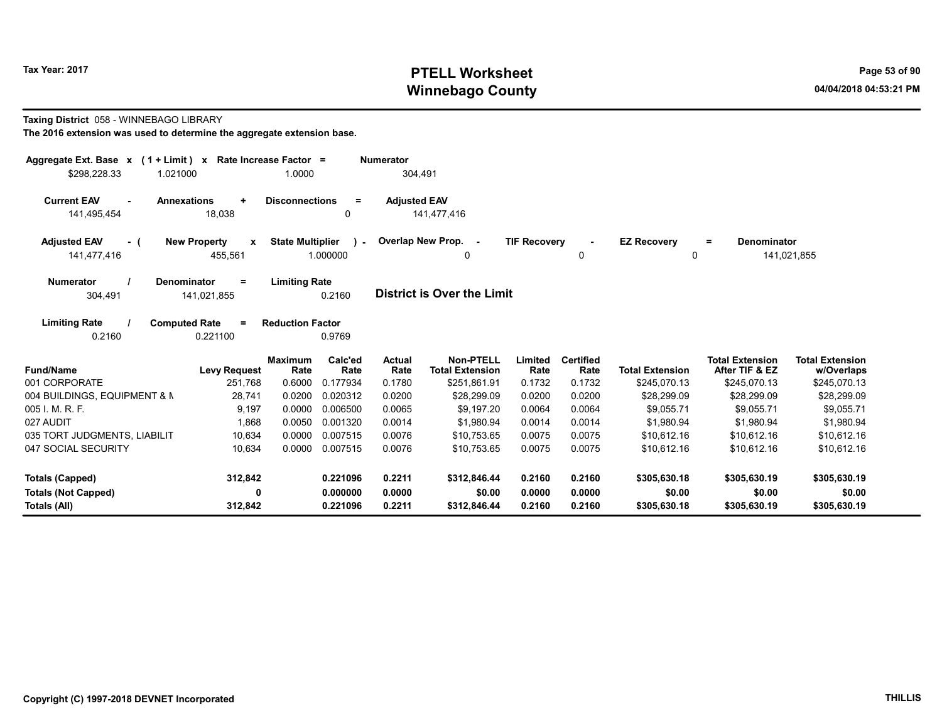# Tax Year: 2017 **PTELL Worksheet** Page 53 of 90 Winnebago County and the County of the County of the County of the County of the County of the County of the County of the County of the County of the County of the County of the County of the County of the County of the C

#### Taxing District 058 - WINNEBAGO LIBRARY

| Aggregate Ext. Base $x$ (1 + Limit) $x$                 | Rate Increase Factor =                         |                                                      | <b>Numerator</b>      |                                            |                     |                          |                         |                                          |                                      |
|---------------------------------------------------------|------------------------------------------------|------------------------------------------------------|-----------------------|--------------------------------------------|---------------------|--------------------------|-------------------------|------------------------------------------|--------------------------------------|
| \$298,228.33<br>1.021000                                |                                                | 1.0000                                               |                       | 304,491                                    |                     |                          |                         |                                          |                                      |
| <b>Current EAV</b><br><b>Annexations</b><br>141,495,454 | $\ddot{}$<br>18,038                            | <b>Disconnections</b><br>$\equiv$<br>0               | <b>Adjusted EAV</b>   | 141,477,416                                |                     |                          |                         |                                          |                                      |
| <b>Adjusted EAV</b><br>- (<br>141,477,416               | <b>New Property</b><br>$\mathbf{x}$<br>455,561 | <b>State Multiplier</b><br>$\mathcal{L}$<br>1.000000 |                       | Overlap New Prop. -<br>0                   | <b>TIF Recovery</b> | 0                        | <b>EZ Recovery</b><br>0 | Denominator<br>Ξ.                        | 141,021,855                          |
| <b>Numerator</b><br><b>Denominator</b><br>304,491       | $\equiv$<br>141,021,855                        | <b>Limiting Rate</b><br>0.2160                       |                       | <b>District is Over the Limit</b>          |                     |                          |                         |                                          |                                      |
| <b>Limiting Rate</b><br><b>Computed Rate</b><br>0.2160  | $=$<br>0.221100                                | <b>Reduction Factor</b><br>0.9769                    |                       |                                            |                     |                          |                         |                                          |                                      |
| <b>Fund/Name</b>                                        | <b>Levy Request</b>                            | Calc'ed<br><b>Maximum</b><br>Rate<br>Rate            | <b>Actual</b><br>Rate | <b>Non-PTELL</b><br><b>Total Extension</b> | Limited<br>Rate     | <b>Certified</b><br>Rate | <b>Total Extension</b>  | <b>Total Extension</b><br>After TIF & EZ | <b>Total Extension</b><br>w/Overlaps |
| 001 CORPORATE                                           | 251,768                                        | 0.6000<br>0.177934                                   | 0.1780                | \$251,861.91                               | 0.1732              | 0.1732                   | \$245,070.13            | \$245,070.13                             | \$245,070.13                         |
| 004 BUILDINGS, EQUIPMENT & N                            | 28.741                                         | 0.0200<br>0.020312                                   | 0.0200                | \$28,299.09                                | 0.0200              | 0.0200                   | \$28,299.09             | \$28,299.09                              | \$28,299.09                          |
| 005 I. M. R. F.                                         | 9.197                                          | 0.0000<br>0.006500                                   | 0.0065                | \$9.197.20                                 | 0.0064              | 0.0064                   | \$9.055.71              | \$9.055.71                               | \$9,055.71                           |
| 027 AUDIT                                               | 1.868                                          | 0.0050<br>0.001320                                   | 0.0014                | \$1.980.94                                 | 0.0014              | 0.0014                   | \$1,980.94              | \$1.980.94                               | \$1,980.94                           |
| 035 TORT JUDGMENTS, LIABILIT                            | 10,634                                         | 0.0000<br>0.007515                                   | 0.0076                | \$10,753.65                                | 0.0075              | 0.0075                   | \$10,612.16             | \$10,612.16                              | \$10,612.16                          |
| 047 SOCIAL SECURITY                                     | 10,634                                         | 0.0000<br>0.007515                                   | 0.0076                | \$10,753.65                                | 0.0075              | 0.0075                   | \$10,612.16             | \$10,612.16                              | \$10,612.16                          |
| <b>Totals (Capped)</b>                                  | 312,842                                        | 0.221096                                             | 0.2211                | \$312,846.44                               | 0.2160              | 0.2160                   | \$305,630.18            | \$305,630.19                             | \$305,630.19                         |
| <b>Totals (Not Capped)</b>                              | $\mathbf 0$                                    | 0.000000                                             | 0.0000                | \$0.00                                     | 0.0000              | 0.0000                   | \$0.00                  | \$0.00                                   | \$0.00                               |
| Totals (All)                                            | 312,842                                        | 0.221096                                             | 0.2211                | \$312,846.44                               | 0.2160              | 0.2160                   | \$305,630.18            | \$305,630.19                             | \$305,630.19                         |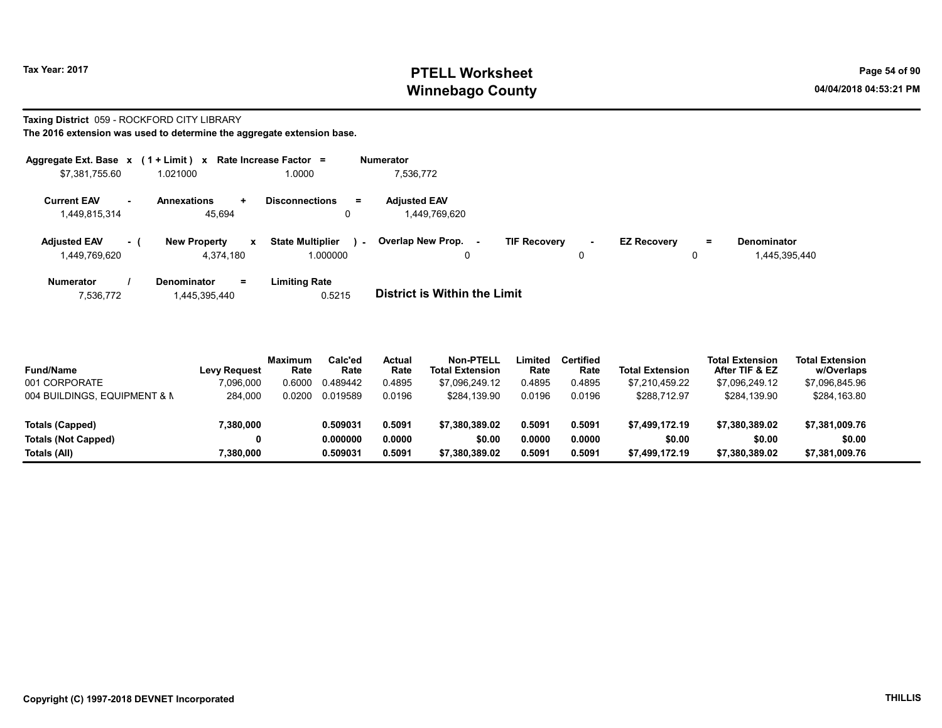# Tax Year: 2017 **PTELL Worksheet** Page 54 of 90 Winnebago County and the County of the County of the County of the County of the County of the County of the County of the County of the County of the County of the County of the County of the County of the County of the C

#### Taxing District 059 - ROCKFORD CITY LIBRARY

| Aggregate Ext. Base x      | $(1 + Limit) x$                     | Rate Increase Factor =                     | <b>Numerator</b>                                                                                               |
|----------------------------|-------------------------------------|--------------------------------------------|----------------------------------------------------------------------------------------------------------------|
| \$7,381,755.60             | 1.021000                            | 1.0000                                     | 7,536,772                                                                                                      |
| <b>Current EAV</b>         | <b>Annexations</b><br>$\pm$         | <b>Disconnections</b><br>$=$               | <b>Adjusted EAV</b>                                                                                            |
| 1,449,815,314              | 45.694                              | 0                                          | 1,449,769,620                                                                                                  |
| <b>Adjusted EAV</b><br>- 1 | <b>New Property</b><br>$\mathbf{x}$ | <b>State Multiplier</b><br>$\sim$ 10 $\pm$ | Overlap New Prop.<br><b>TIF Recovery</b><br><b>EZ Recovery</b><br><b>Denominator</b><br>Ξ.<br>$\sim$<br>$\sim$ |
| 1,449,769,620              | 4.374.180                           | 1.000000                                   | 0<br>1,445,395,440<br>0                                                                                        |
| <b>Numerator</b>           | <b>Denominator</b><br>Ξ.            | <b>Limiting Rate</b>                       |                                                                                                                |
| 7,536,772                  | 1,445,395,440                       | 0.5215                                     | <b>District is Within the Limit</b>                                                                            |

| <b>Fund/Name</b>             | <b>Levy Request</b> | <b>Maximum</b><br>Rate | Calc'ed<br>Rate | Actual<br>Rate | Non-PTELL<br><b>Total Extension</b> | .imited<br>Rate | <b>Certified</b><br>Rate | <b>Total Extension</b> | <b>Total Extension</b><br>After TIF & EZ | <b>Total Extension</b><br>w/Overlaps |  |
|------------------------------|---------------------|------------------------|-----------------|----------------|-------------------------------------|-----------------|--------------------------|------------------------|------------------------------------------|--------------------------------------|--|
| 001 CORPORATE                | 7,096,000           | 0.6000                 | 0.489442        | 0.4895         | \$7.096.249.12                      | 0.4895          | 0.4895                   | \$7.210.459.22         | \$7.096.249.12                           | \$7,096,845.96                       |  |
| 004 BUILDINGS, EQUIPMENT & N | 284.000             | 0.0200                 | 0.019589        | 0.0196         | \$284.139.90                        | 0.0196          | 0.0196                   | \$288,712.97           | \$284.139.90                             | \$284,163.80                         |  |
| Totals (Capped)              | 7,380,000           |                        | 0.509031        | 0.5091         | \$7.380.389.02                      | 0.5091          | 0.5091                   | \$7.499.172.19         | \$7.380.389.02                           | \$7,381,009.76                       |  |
| <b>Totals (Not Capped)</b>   | 0                   |                        | 0.000000        | 0.0000         | \$0.00                              | 0.0000          | 0.0000                   | \$0.00                 | \$0.00                                   | \$0.00                               |  |
| Totals (All)                 | 7,380,000           |                        | 0.509031        | 0.5091         | \$7.380.389.02                      | 0.5091          | 0.5091                   | \$7,499,172.19         | \$7,380,389.02                           | \$7,381,009.76                       |  |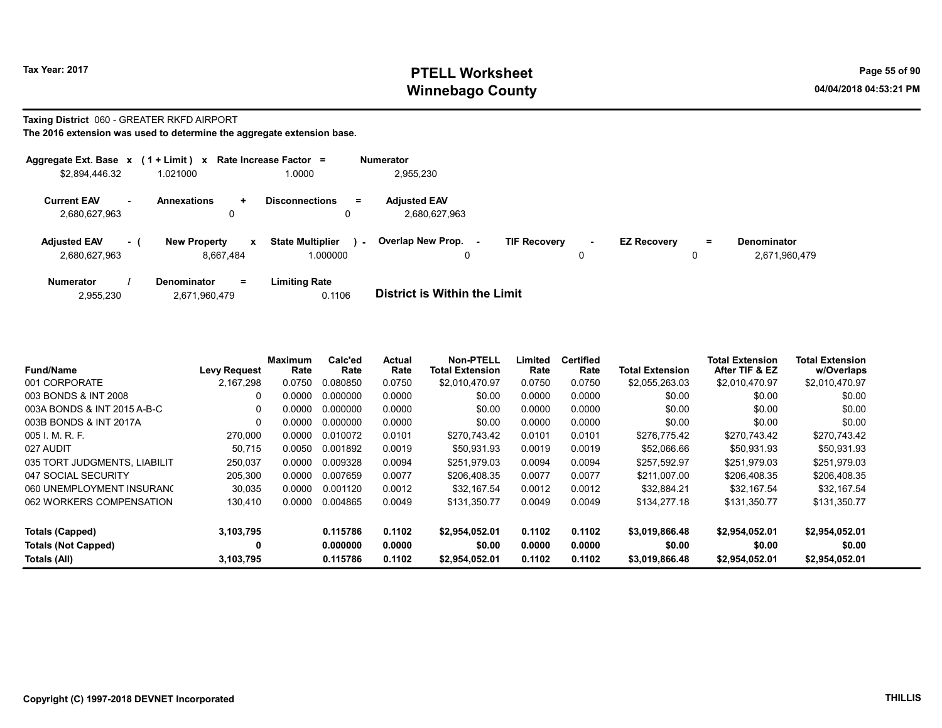## Tax Year: 2017 **PTELL Worksheet** Page 55 of 90 Winnebago County and the County of the County of the County of the County of the County of the County of the County of the County of the County of the County of the County of the County of the County of the County of the C

#### Taxing District 060 - GREATER RKFD AIRPORT

|                                      |     | Aggregate Ext. Base $x$ (1 + Limit) x Rate Increase Factor = |                              |                    | <b>Numerator</b>                     |                     |         |                    |     |                              |
|--------------------------------------|-----|--------------------------------------------------------------|------------------------------|--------------------|--------------------------------------|---------------------|---------|--------------------|-----|------------------------------|
| \$2,894,446.32                       |     | 1.021000                                                     | .0000                        |                    | 2,955,230                            |                     |         |                    |     |                              |
| <b>Current EAV</b><br>2,680,627,963  |     | <b>Annexations</b><br>$\ddot{}$<br>0                         | <b>Disconnections</b>        | $=$                | <b>Adjusted EAV</b><br>2.680.627.963 |                     |         |                    |     |                              |
| <b>Adjusted EAV</b><br>2,680,627,963 | - ( | <b>New Property</b><br>8,667,484                             | <b>State Multiplier</b><br>x | $\sim$<br>1.000000 | <b>Overlap New Prop.</b><br>0        | <b>TIF Recovery</b> | ۰.<br>0 | <b>EZ Recovery</b> | $=$ | Denominator<br>2,671,960,479 |
| <b>Numerator</b>                     |     | <b>Denominator</b><br>$=$                                    | <b>Limiting Rate</b>         |                    |                                      |                     |         |                    |     |                              |

| 2,955,230 | 2,671,960,479 | 0.1106 | <b>District is Within the Limit</b> |
|-----------|---------------|--------|-------------------------------------|

| <b>Fund/Name</b>             | <b>Levy Request</b> | Maximum<br>Rate | Calc'ed<br>Rate | Actual<br>Rate | <b>Non-PTELL</b><br><b>Total Extension</b> | Limited<br>Rate | <b>Certified</b><br>Rate | <b>Total Extension</b> | <b>Total Extension</b><br>After TIF & EZ | <b>Total Extension</b><br>w/Overlaps |
|------------------------------|---------------------|-----------------|-----------------|----------------|--------------------------------------------|-----------------|--------------------------|------------------------|------------------------------------------|--------------------------------------|
| 001 CORPORATE                | 2.167.298           | 0.0750          | 0.080850        | 0.0750         | \$2.010.470.97                             | 0.0750          | 0.0750                   | \$2,055,263.03         | \$2,010,470.97                           | \$2,010,470.97                       |
| 003 BONDS & INT 2008         | 0                   | 0.0000          | 0.000000        | 0.0000         | \$0.00                                     | 0.0000          | 0.0000                   | \$0.00                 | \$0.00                                   | \$0.00                               |
| 003A BONDS & INT 2015 A-B-C  | $\Omega$            | 0.0000          | 0.000000        | 0.0000         | \$0.00                                     | 0.0000          | 0.0000                   | \$0.00                 | \$0.00                                   | \$0.00                               |
| 003B BONDS & INT 2017A       | $\Omega$            | 0.0000          | 0.000000        | 0.0000         | \$0.00                                     | 0.0000          | 0.0000                   | \$0.00                 | \$0.00                                   | \$0.00                               |
| 005 I. M. R. F.              | 270,000             | 0.0000          | 0.010072        | 0.0101         | \$270.743.42                               | 0.0101          | 0.0101                   | \$276.775.42           | \$270.743.42                             | \$270,743.42                         |
| 027 AUDIT                    | 50.715              | 0.0050          | 0.001892        | 0.0019         | \$50.931.93                                | 0.0019          | 0.0019                   | \$52.066.66            | \$50,931.93                              | \$50,931.93                          |
| 035 TORT JUDGMENTS, LIABILIT | 250.037             | 0.0000          | 0.009328        | 0.0094         | \$251.979.03                               | 0.0094          | 0.0094                   | \$257.592.97           | \$251.979.03                             | \$251,979.03                         |
| 047 SOCIAL SECURITY          | 205,300             | 0.0000          | 0.007659        | 0.0077         | \$206.408.35                               | 0.0077          | 0.0077                   | \$211.007.00           | \$206,408.35                             | \$206,408.35                         |
| 060 UNEMPLOYMENT INSURANC    | 30,035              | 0.0000          | 0.001120        | 0.0012         | \$32.167.54                                | 0.0012          | 0.0012                   | \$32.884.21            | \$32.167.54                              | \$32.167.54                          |
| 062 WORKERS COMPENSATION     | 130,410             | 0.0000          | 0.004865        | 0.0049         | \$131.350.77                               | 0.0049          | 0.0049                   | \$134,277.18           | \$131.350.77                             | \$131,350.77                         |
| <b>Totals (Capped)</b>       | 3,103,795           |                 | 0.115786        | 0.1102         | \$2.954.052.01                             | 0.1102          | 0.1102                   | \$3.019.866.48         | \$2.954.052.01                           | \$2,954,052.01                       |
| <b>Totals (Not Capped)</b>   | 0                   |                 | 0.000000        | 0.0000         | \$0.00                                     | 0.0000          | 0.0000                   | \$0.00                 | \$0.00                                   | \$0.00                               |
| Totals (All)                 | 3,103,795           |                 | 0.115786        | 0.1102         | \$2.954.052.01                             | 0.1102          | 0.1102                   | \$3.019.866.48         | \$2.954.052.01                           | \$2,954,052.01                       |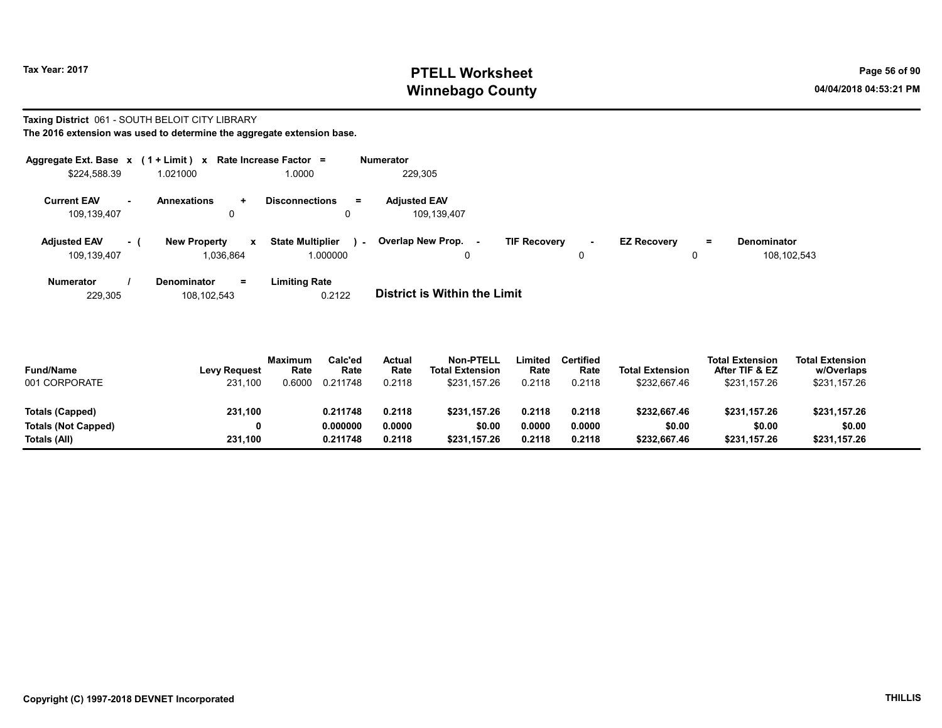# Tax Year: 2017 **PTELL Worksheet** Page 56 of 90 Winnebago County and the County of the County of the County of the County of the County of the County of the County of the County of the County of the County of the County of the County of the County of the County of the C

#### Taxing District 061 - SOUTH BELOIT CITY LIBRARY The 2016 extension was used to determine the aggregate extension base.

| Aggregate Ext. Base $x$ (1 + Limit) $x$ |          |                                  |             | Rate Increase Factor =              |        | <b>Numerator</b>                   |                     |        |                    |               |                            |
|-----------------------------------------|----------|----------------------------------|-------------|-------------------------------------|--------|------------------------------------|---------------------|--------|--------------------|---------------|----------------------------|
| \$224,588.39                            |          | 1.021000                         |             | 1.0000                              |        | 229.305                            |                     |        |                    |               |                            |
| <b>Current EAV</b><br>109,139,407       |          | <b>Annexations</b><br>0          | $\ddotmark$ | <b>Disconnections</b><br>0          | $=$    | <b>Adjusted EAV</b><br>109.139.407 |                     |        |                    |               |                            |
| <b>Adjusted EAV</b><br>109,139,407      | $\sim$ 1 | <b>New Property</b><br>1.036.864 | x           | <b>State Multiplier</b><br>1.000000 | $\sim$ | <b>Overlap New Prop. -</b><br>0    | <b>TIF Recovery</b> | $\sim$ | <b>EZ Recovery</b> | $\equiv$<br>0 | Denominator<br>108,102,543 |
| <b>Numerator</b>                        |          | <b>Denominator</b>               | $=$         | Limiting Rate                       |        |                                    |                     |        |                    |               |                            |

| 229.305 | 108.102.543 | 0.2122 | <b>District is Within the Limit</b> |
|---------|-------------|--------|-------------------------------------|

| <b>Fund/Name</b><br>001 CORPORATE | <b>Levy Request</b><br>231,100 | <b>Maximum</b><br>Rate<br>.6000 | Calc'ed<br>Rate<br>0.211748 | <b>Actual</b><br>Rate<br>0.2118 | <b>Non-PTELL</b><br><b>Total Extension</b><br>\$231.157.26 | Limited<br>Rate<br>0.2118 | <b>Certified</b><br>Rate<br>0.2118 | <b>Total Extension</b><br>\$232,667.46 | <b>Total Extension</b><br>After TIF & EZ<br>\$231,157.26 | <b>Total Extension</b><br>w/Overlaps<br>\$231,157.26 |  |
|-----------------------------------|--------------------------------|---------------------------------|-----------------------------|---------------------------------|------------------------------------------------------------|---------------------------|------------------------------------|----------------------------------------|----------------------------------------------------------|------------------------------------------------------|--|
| Totals (Capped)                   | 231,100                        |                                 | 0.211748                    | 0.2118                          | \$231.157.26                                               | 0.2118                    | 0.2118                             | \$232,667.46                           | \$231.157.26                                             | \$231,157.26                                         |  |
| <b>Totals (Not Capped)</b>        | 0                              |                                 | 0.000000                    | 0.0000                          | \$0.00                                                     | 0.0000                    | 0.0000                             | \$0.00                                 | \$0.00                                                   | \$0.00                                               |  |
| Totals (All)                      | 231,100                        |                                 | 0.211748                    | 0.2118                          | \$231.157.26                                               | 0.2118                    | 0.2118                             | \$232.667.46                           | \$231,157.26                                             | \$231,157.26                                         |  |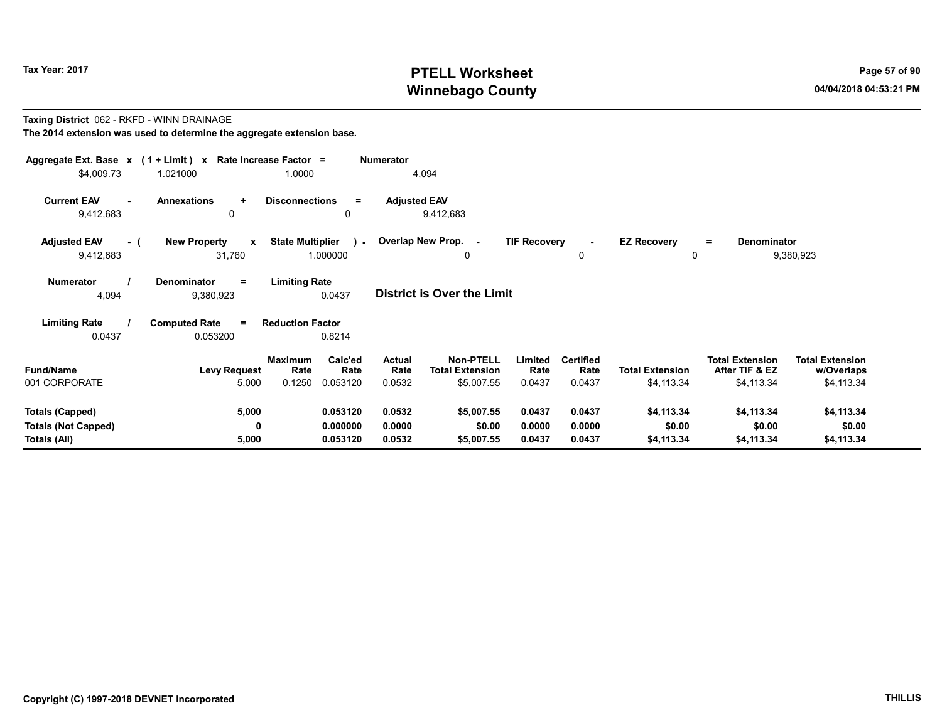# Tax Year: 2017 **PTELL Worksheet** Page 57 of 90 Winnebago County and the County of the County of the County of the County of the County of the County of the County of the County of the County of the County of the County of the County of the County of the County of the C

#### Taxing District 062 - RKFD - WINN DRAINAGE

|                                           | Aggregate Ext. Base x (1 + Limit) x Rate Increase Factor =<br><b>Numerator</b> |                                     |                                 |                                            |                     |                          |                         |                                          |                                      |  |  |  |  |
|-------------------------------------------|--------------------------------------------------------------------------------|-------------------------------------|---------------------------------|--------------------------------------------|---------------------|--------------------------|-------------------------|------------------------------------------|--------------------------------------|--|--|--|--|
| \$4,009.73                                | 1.021000                                                                       | 1.0000                              |                                 | 4,094                                      |                     |                          |                         |                                          |                                      |  |  |  |  |
| <b>Current EAV</b><br>$\sim$<br>9,412,683 | <b>Annexations</b><br>$\ddotmark$<br>0                                         | <b>Disconnections</b><br>0          | <b>Adjusted EAV</b><br>$\equiv$ | 9,412,683                                  |                     |                          |                         |                                          |                                      |  |  |  |  |
| <b>Adjusted EAV</b><br>- (<br>9,412,683   | <b>New Property</b><br>$\mathbf{x}$<br>31,760                                  | <b>State Multiplier</b><br>1.000000 | $\mathbf{L}$                    | Overlap New Prop. -<br>0                   | <b>TIF Recovery</b> | $\mathbf 0$              | <b>EZ Recovery</b><br>0 | <b>Denominator</b><br>$=$                | 9,380,923                            |  |  |  |  |
| Numerator<br>4,094                        | Denominator<br>$=$<br>9,380,923                                                | <b>Limiting Rate</b><br>0.0437      |                                 | District is Over the Limit                 |                     |                          |                         |                                          |                                      |  |  |  |  |
| <b>Limiting Rate</b>                      | <b>Computed Rate</b><br>$\equiv$                                               | <b>Reduction Factor</b>             |                                 |                                            |                     |                          |                         |                                          |                                      |  |  |  |  |
| 0.0437                                    | 0.053200                                                                       | 0.8214                              |                                 |                                            |                     |                          |                         |                                          |                                      |  |  |  |  |
| <b>Fund/Name</b>                          | <b>Levy Request</b>                                                            | Calc'ed<br>Maximum<br>Rate<br>Rate  | Actual<br>Rate                  | <b>Non-PTELL</b><br><b>Total Extension</b> | Limited<br>Rate     | <b>Certified</b><br>Rate | <b>Total Extension</b>  | <b>Total Extension</b><br>After TIF & EZ | <b>Total Extension</b><br>w/Overlaps |  |  |  |  |
| 001 CORPORATE                             | 5,000                                                                          | 0.1250<br>0.053120                  | 0.0532                          | \$5,007.55                                 | 0.0437              | 0.0437                   | \$4,113.34              | \$4,113.34                               | \$4,113.34                           |  |  |  |  |
| Totals (Capped)                           | 5,000                                                                          | 0.053120                            | 0.0532                          | \$5,007.55                                 | 0.0437              | 0.0437                   | \$4,113.34              | \$4,113.34                               | \$4,113.34                           |  |  |  |  |
| <b>Totals (Not Capped)</b>                | 0                                                                              | 0.000000                            | 0.0000                          | \$0.00                                     | 0.0000              | 0.0000                   | \$0.00                  | \$0.00                                   | \$0.00                               |  |  |  |  |
| <b>Totals (All)</b>                       | 5,000                                                                          | 0.053120                            | 0.0532                          | \$5,007.55                                 | 0.0437              | 0.0437                   | \$4,113.34              | \$4,113.34                               | \$4,113.34                           |  |  |  |  |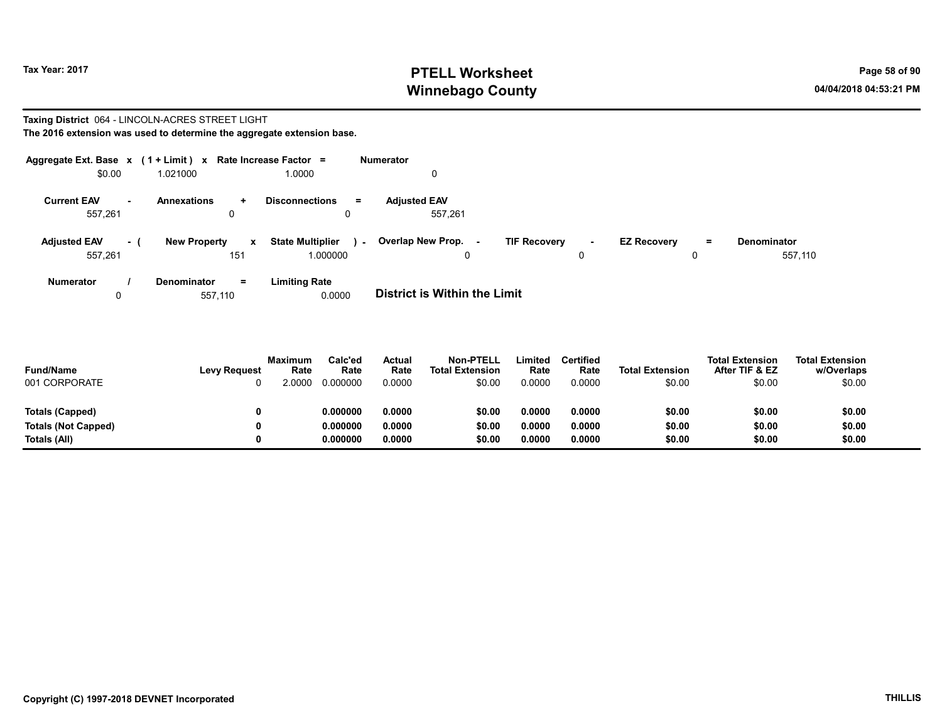# Tax Year: 2017 **PTELL Worksheet** Page 58 of 90 Winnebago County and the County of the County of the County of the County of the County of the County of the County of the County of the County of the County of the County of the County of the County of the County of the C

#### Taxing District 064 - LINCOLN-ACRES STREET LIGHT The 2016 extension was used to determine the aggregate extension base.

| Aggregate Ext. Base $x$ (1 + Limit) $x$ Rate Increase Factor = |        |                     |                     |                                              | Numerator                          |                     |        |                    |         |                               |
|----------------------------------------------------------------|--------|---------------------|---------------------|----------------------------------------------|------------------------------------|---------------------|--------|--------------------|---------|-------------------------------|
| \$0.00                                                         |        | 1.021000            |                     | 1.0000                                       | $\mathbf 0$                        |                     |        |                    |         |                               |
| <b>Current EAV</b><br>557,261                                  | $\sim$ | <b>Annexations</b>  | $\ddot{}$<br>0      | <b>Disconnections</b><br>$=$<br>$\Omega$     | <b>Adjusted EAV</b><br>557.261     |                     |        |                    |         |                               |
| <b>Adjusted EAV</b><br>557,261                                 | - 1    | <b>New Property</b> | $\mathbf{x}$<br>151 | <b>State Multiplier</b><br>i a s<br>1.000000 | Overlap New Prop. -<br>$\mathbf 0$ | <b>TIF Recovery</b> | $\sim$ | <b>EZ Recovery</b> | Ξ.<br>0 | <b>Denominator</b><br>557,110 |
| <b>Numerator</b>                                               |        | <b>Denominator</b>  | $\equiv$            | <b>Limiting Rate</b>                         |                                    |                     |        |                    |         |                               |

0 657,110 0.0000 **District is Within the Limit** 

| <b>Fund/Name</b><br>001 CORPORATE | <b>Levy Request</b> | <b>Maximum</b><br>Rate<br>0000 | Calc'ed<br>Rate<br>0.000000 | Actual<br>Rate<br>0.0000 | <b>Non-PTELL</b><br><b>Total Extension</b><br>\$0.00 | Limited<br>Rate<br>0.0000 | <b>Certified</b><br>Rate<br>0.0000 | <b>Total Extension</b><br>\$0.00 | <b>Total Extension</b><br>After TIF & EZ<br>\$0.00 | <b>Total Extension</b><br>w/Overlaps<br>\$0.00 |
|-----------------------------------|---------------------|--------------------------------|-----------------------------|--------------------------|------------------------------------------------------|---------------------------|------------------------------------|----------------------------------|----------------------------------------------------|------------------------------------------------|
| Totals (Capped)                   |                     |                                | 0.000000                    | 0.0000                   | \$0.00                                               | 0.0000                    | 0.0000                             | \$0.00                           | \$0.00                                             | \$0.00                                         |
| Totals (Not Capped)               | 0                   |                                | 0.000000                    | 0.0000                   | \$0.00                                               | 0.0000                    | 0.0000                             | \$0.00                           | \$0.00                                             | \$0.00                                         |
| Totals (All)                      |                     |                                | 0.000000                    | 0.0000                   | \$0.00                                               | 0.0000                    | 0.0000                             | \$0.00                           | \$0.00                                             | \$0.00                                         |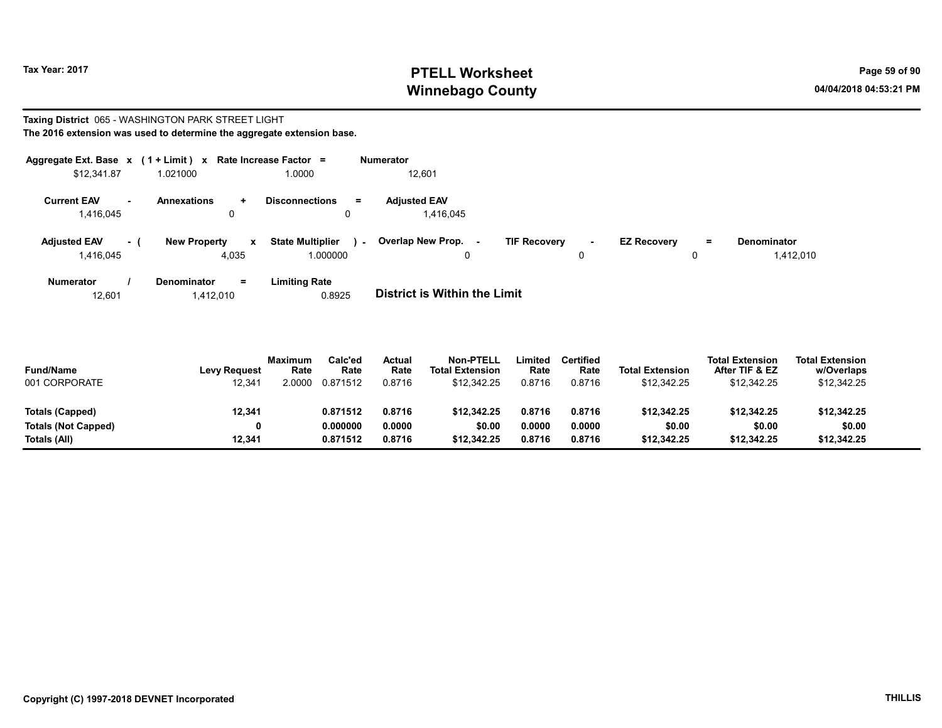# Tax Year: 2017 **PTELL Worksheet** Page 59 of 90 Winnebago County and the County of the County of the County of the County of the County of the County of the County of the County of the County of the County of the County of the County of the County of the County of the C

#### Taxing District 065 - WASHINGTON PARK STREET LIGHT The 2016 extension was used to determine the aggregate extension base.

| Aggregate Ext. Base $x$ (1 + Limit) $x$ |           |                                   | Rate Increase Factor =                       | <b>Numerator</b>                 |                                       |                                |                                 |
|-----------------------------------------|-----------|-----------------------------------|----------------------------------------------|----------------------------------|---------------------------------------|--------------------------------|---------------------------------|
| \$12,341.87                             |           | 1.021000                          | 1.0000                                       | 12,601                           |                                       |                                |                                 |
| <b>Current EAV</b><br>1,416,045         | <b>м.</b> | Annexations<br>$\ddot{}$<br>0     | <b>Disconnections</b><br>$=$<br>$\mathbf{0}$ | <b>Adiusted EAV</b><br>1.416.045 |                                       |                                |                                 |
| <b>Adjusted EAV</b><br>1,416,045        | - (       | <b>New Property</b><br>x<br>4,035 | <b>State Multiplier</b><br>$\sim$<br>.000000 | Overlap New Prop. -<br>0         | <b>TIF Recovery</b><br><b>м.</b><br>0 | <b>EZ Recovery</b><br>$=$<br>0 | <b>Denominator</b><br>1,412,010 |
| <b>Numerator</b>                        |           | <b>Denominator</b><br>$=$         | <b>Limiting Rate</b>                         |                                  |                                       |                                |                                 |

12,601 1,412,010 0.8925 District is Within the Limit

| <b>Fund/Name</b><br>001 CORPORATE | <b>Levy Request</b><br>12,341 | Maximum<br>Rate<br>2.0000 | Calc'ed<br>Rate<br>0.871512 | Actual<br>Rate<br>0.8716 | <b>Non-PTELL</b><br><b>Total Extension</b><br>\$12.342.25 | ∟imited<br>Rate<br>0.8716 | <b>Certified</b><br>Rate<br>0.8716 | <b>Total Extension</b><br>\$12,342.25 | <b>Total Extension</b><br>After TIF & EZ<br>\$12,342.25 | <b>Total Extension</b><br>w/Overlaps<br>\$12,342.25 |
|-----------------------------------|-------------------------------|---------------------------|-----------------------------|--------------------------|-----------------------------------------------------------|---------------------------|------------------------------------|---------------------------------------|---------------------------------------------------------|-----------------------------------------------------|
| Totals (Capped)                   | 12,341                        |                           | 0.871512                    | 0.8716                   | \$12,342.25                                               | 0.8716                    | 0.8716                             | \$12.342.25                           | \$12.342.25                                             | \$12.342.25                                         |
| <b>Totals (Not Capped)</b>        |                               |                           | 0.000000                    | 0.0000                   | \$0.00                                                    | 0.0000                    | 0.0000                             | \$0.00                                | \$0.00                                                  | \$0.00                                              |
| Totals (All)                      | 12.341                        |                           | 0.871512                    | 0.8716                   | \$12,342.25                                               | 0.8716                    | 0.8716                             | \$12.342.25                           | \$12,342.25                                             | \$12,342.25                                         |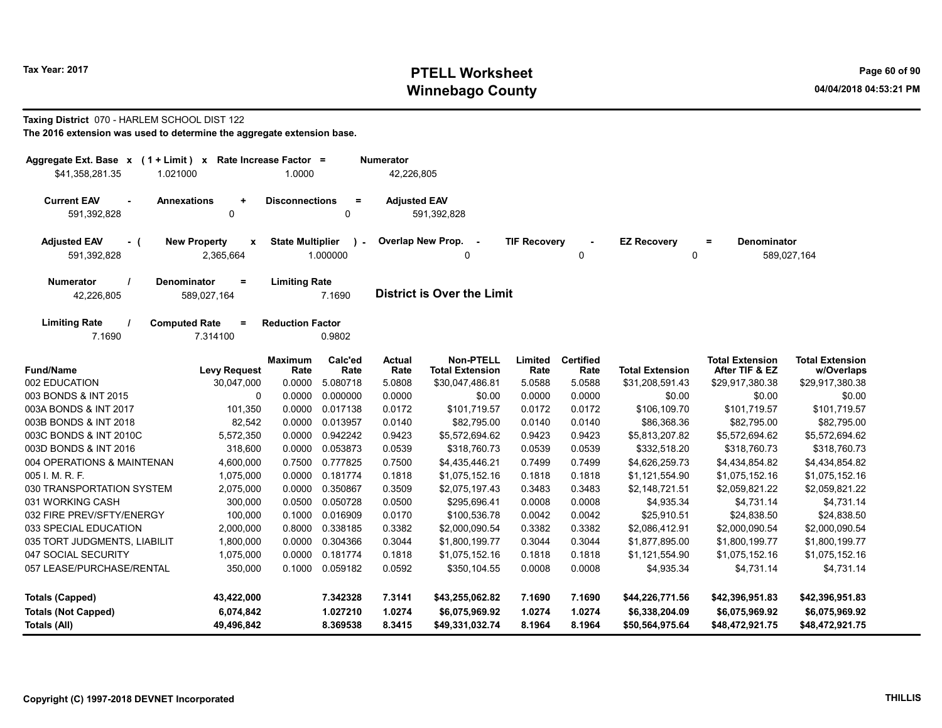# Tax Year: 2017 **PTELL Worksheet** Page 60 of 90 Winnebago County and the County of the County of the County of the County of the County of the County of the County of the County of the County of the County of the County of the County of the County of the County of the C

#### Taxing District 070 - HARLEM SCHOOL DIST 122

|  | The 2016 extension was used to determine the aggregate extension base. |
|--|------------------------------------------------------------------------|
|--|------------------------------------------------------------------------|

| Aggregate Ext. Base x (1 + Limit) x Rate Increase Factor =       |                                          |                         |                     | Numerator             |                                            |                                |                          |                        |                                          |                                      |
|------------------------------------------------------------------|------------------------------------------|-------------------------|---------------------|-----------------------|--------------------------------------------|--------------------------------|--------------------------|------------------------|------------------------------------------|--------------------------------------|
| \$41,358,281.35<br>1.021000                                      |                                          | 1.0000                  |                     | 42,226,805            |                                            |                                |                          |                        |                                          |                                      |
| <b>Current EAV</b><br><b>Annexations</b><br>591,392,828          |                                          |                         |                     |                       |                                            |                                |                          |                        |                                          |                                      |
| <b>Adjusted EAV</b><br><b>New Property</b><br>- (<br>591,392,828 | Overlap New Prop.                        | 0                       | <b>TIF Recovery</b> | 0                     | <b>EZ Recovery</b><br>0                    | $\equiv$<br><b>Denominator</b> | 589,027,164              |                        |                                          |                                      |
| <b>Numerator</b><br>42,226,805                                   | <b>Denominator</b><br>$=$<br>589,027,164 | <b>Limiting Rate</b>    | 7.1690              |                       | <b>District is Over the Limit</b>          |                                |                          |                        |                                          |                                      |
| <b>Limiting Rate</b><br>7.1690                                   | <b>Computed Rate</b><br>Ξ<br>7.314100    | <b>Reduction Factor</b> | 0.9802              |                       |                                            |                                |                          |                        |                                          |                                      |
| <b>Fund/Name</b>                                                 | <b>Levy Request</b>                      | <b>Maximum</b><br>Rate  | Calc'ed<br>Rate     | <b>Actual</b><br>Rate | <b>Non-PTELL</b><br><b>Total Extension</b> | Limited<br>Rate                | <b>Certified</b><br>Rate | <b>Total Extension</b> | <b>Total Extension</b><br>After TIF & EZ | <b>Total Extension</b><br>w/Overlaps |
| 002 EDUCATION                                                    | 30,047,000                               | 0.0000                  | 5.080718            | 5.0808                | \$30,047,486.81                            | 5.0588                         | 5.0588                   | \$31,208,591.43        | \$29,917,380.38                          | \$29,917,380.38                      |
| 003 BONDS & INT 2015                                             | 0                                        | 0.0000                  | 0.000000            | 0.0000                | \$0.00                                     | 0.0000                         | 0.0000                   | \$0.00                 | \$0.00                                   | \$0.00                               |
| 003A BONDS & INT 2017                                            | 101,350                                  | 0.0000                  | 0.017138            | 0.0172                | \$101,719.57                               | 0.0172                         | 0.0172                   | \$106,109.70           | \$101,719.57                             | \$101,719.57                         |
| 003B BONDS & INT 2018                                            | 82,542                                   | 0.0000                  | 0.013957            | 0.0140                | \$82,795.00                                | 0.0140                         | 0.0140                   | \$86,368.36            | \$82,795.00                              | \$82,795.00                          |
| 003C BONDS & INT 2010C                                           | 5,572,350                                | 0.0000                  | 0.942242            | 0.9423                | \$5,572,694.62                             | 0.9423                         | 0.9423                   | \$5,813,207.82         | \$5,572,694.62                           | \$5,572,694.62                       |
| 003D BONDS & INT 2016                                            | 318,600                                  | 0.0000                  | 0.053873            | 0.0539                | \$318,760.73                               | 0.0539                         | 0.0539                   | \$332,518.20           | \$318,760.73                             | \$318,760.73                         |
| 004 OPERATIONS & MAINTENAN                                       | 4,600,000                                | 0.7500                  | 0.777825            | 0.7500                | \$4,435,446.21                             | 0.7499                         | 0.7499                   | \$4,626,259.73         | \$4,434,854.82                           | \$4,434,854.82                       |
| 005 I. M. R. F.                                                  | 1,075,000                                | 0.0000                  | 0.181774            | 0.1818                | \$1,075,152.16                             | 0.1818                         | 0.1818                   | \$1,121,554.90         | \$1,075,152.16                           | \$1,075,152.16                       |
| 030 TRANSPORTATION SYSTEM                                        | 2,075,000                                | 0.0000                  | 0.350867            | 0.3509                | \$2,075,197.43                             | 0.3483                         | 0.3483                   | \$2,148,721.51         | \$2,059,821.22                           | \$2,059,821.22                       |
| 031 WORKING CASH                                                 | 300,000                                  | 0.0500                  | 0.050728            | 0.0500                | \$295,696.41                               | 0.0008                         | 0.0008                   | \$4,935.34             | \$4,731.14                               | \$4,731.14                           |
| 032 FIRE PREV/SFTY/ENERGY                                        | 100,000                                  | 0.1000                  | 0.016909            | 0.0170                | \$100,536.78                               | 0.0042                         | 0.0042                   | \$25,910.51            | \$24,838.50                              | \$24,838.50                          |
| 033 SPECIAL EDUCATION                                            | 2,000,000                                | 0.8000                  | 0.338185            | 0.3382                | \$2,000,090.54                             | 0.3382                         | 0.3382                   | \$2,086,412.91         | \$2,000,090.54                           | \$2,000,090.54                       |
| 035 TORT JUDGMENTS, LIABILIT                                     | 1,800,000                                | 0.0000                  | 0.304366            | 0.3044                | \$1,800,199.77                             | 0.3044                         | 0.3044                   | \$1,877,895.00         | \$1,800,199.77                           | \$1,800,199.77                       |
| 047 SOCIAL SECURITY                                              | 1,075,000                                | 0.0000                  | 0.181774            | 0.1818                | \$1,075,152.16                             | 0.1818                         | 0.1818                   | \$1,121,554.90         | \$1,075,152.16                           | \$1,075,152.16                       |
| 057 LEASE/PURCHASE/RENTAL                                        | 350,000                                  | 0.1000                  | 0.059182            | 0.0592                | \$350,104.55                               | 0.0008                         | 0.0008                   | \$4,935.34             | \$4,731.14                               | \$4,731.14                           |
| <b>Totals (Capped)</b>                                           | 43,422,000                               |                         | 7.342328            | 7.3141                | \$43,255,062.82                            | 7.1690                         | 7.1690                   | \$44,226,771.56        | \$42,396,951.83                          | \$42,396,951.83                      |
| <b>Totals (Not Capped)</b>                                       | 6,074,842                                |                         | 1.027210            | 1.0274                | \$6,075,969.92                             | 1.0274                         | 1.0274                   | \$6,338,204.09         | \$6,075,969.92                           | \$6,075,969.92                       |
| Totals (All)                                                     | 49,496,842                               |                         | 8.369538            | 8.3415                | \$49,331,032.74                            | 8.1964                         | 8.1964                   | \$50,564,975.64        | \$48,472,921.75                          | \$48,472,921.75                      |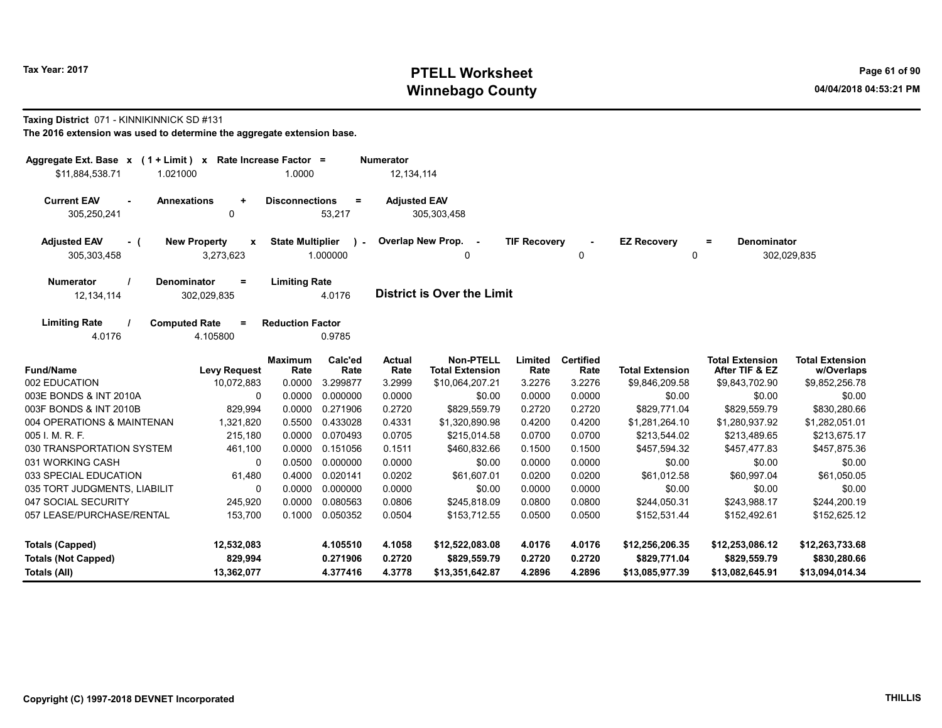# Tax Year: 2017 **PTELL Worksheet** Page 61 of 90 Winnebago County and the County of the County of the County of the County of the County of the County of the County of the County of the County of the County of the County of the County of the County of the County of the C

#### Taxing District 071 - KINNIKINNICK SD #131

| Aggregate Ext. Base x (1 + Limit) x Rate Increase Factor =<br>\$11,884,538.71<br>1.021000 |                                                      | 1.0000                  |                         | <b>Numerator</b><br>12, 134, 114 |                                            |                     |                          |                         |                                          |                                      |
|-------------------------------------------------------------------------------------------|------------------------------------------------------|-------------------------|-------------------------|----------------------------------|--------------------------------------------|---------------------|--------------------------|-------------------------|------------------------------------------|--------------------------------------|
| <b>Current EAV</b><br><b>Annexations</b><br>305,250,241                                   | <b>Adjusted EAV</b>                                  | 305,303,458             |                         |                                  |                                            |                     |                          |                         |                                          |                                      |
| <b>Adjusted EAV</b><br>- (<br>305,303,458                                                 | <b>New Property</b><br>$\boldsymbol{x}$<br>3,273,623 | <b>State Multiplier</b> | $\lambda$ -<br>1.000000 |                                  | Overlap New Prop. -<br>0                   | <b>TIF Recovery</b> | $\Omega$                 | <b>EZ Recovery</b><br>0 | <b>Denominator</b><br>$=$                | 302,029,835                          |
| <b>Numerator</b><br>12,134,114                                                            | <b>Denominator</b><br>$=$<br>302,029,835             | <b>Limiting Rate</b>    | 4.0176                  |                                  | <b>District is Over the Limit</b>          |                     |                          |                         |                                          |                                      |
| <b>Limiting Rate</b><br>4.0176                                                            | <b>Computed Rate</b><br>$=$<br>4.105800              | <b>Reduction Factor</b> | 0.9785                  |                                  |                                            |                     |                          |                         |                                          |                                      |
| <b>Fund/Name</b>                                                                          | <b>Levy Request</b>                                  | <b>Maximum</b><br>Rate  | Calc'ed<br>Rate         | Actual<br>Rate                   | <b>Non-PTELL</b><br><b>Total Extension</b> | Limited<br>Rate     | <b>Certified</b><br>Rate | <b>Total Extension</b>  | <b>Total Extension</b><br>After TIF & EZ | <b>Total Extension</b><br>w/Overlaps |
| 002 EDUCATION                                                                             | 10,072,883                                           | 0.0000                  | 3.299877                | 3.2999                           | \$10,064,207.21                            | 3.2276              | 3.2276                   | \$9,846,209.58          | \$9,843,702.90                           | \$9,852,256.78                       |
| 003E BONDS & INT 2010A                                                                    | 0                                                    | 0.0000                  | 0.000000                | 0.0000                           | \$0.00                                     | 0.0000              | 0.0000                   | \$0.00                  | \$0.00                                   | \$0.00                               |
| 003F BONDS & INT 2010B                                                                    | 829,994                                              | 0.0000                  | 0.271906                | 0.2720                           | \$829,559.79                               | 0.2720              | 0.2720                   | \$829,771.04            | \$829,559.79                             | \$830,280.66                         |
| 004 OPERATIONS & MAINTENAN                                                                | 1,321,820                                            | 0.5500                  | 0.433028                | 0.4331                           | \$1,320,890.98                             | 0.4200              | 0.4200                   | \$1,281,264.10          | \$1,280,937.92                           | \$1,282,051.01                       |
| 005 I. M. R. F.                                                                           | 215,180                                              | 0.0000                  | 0.070493                | 0.0705                           | \$215,014.58                               | 0.0700              | 0.0700                   | \$213,544.02            | \$213,489.65                             | \$213,675.17                         |
| 030 TRANSPORTATION SYSTEM                                                                 | 461,100                                              | 0.0000                  | 0.151056                | 0.1511                           | \$460,832.66                               | 0.1500              | 0.1500                   | \$457,594.32            | \$457,477.83                             | \$457,875.36                         |
| 031 WORKING CASH                                                                          | $\mathbf{0}$                                         | 0.0500                  | 0.000000                | 0.0000                           | \$0.00                                     | 0.0000              | 0.0000                   | \$0.00                  | \$0.00                                   | \$0.00                               |
| 033 SPECIAL EDUCATION                                                                     | 61,480                                               | 0.4000                  | 0.020141                | 0.0202                           | \$61,607.01                                | 0.0200              | 0.0200                   | \$61,012.58             | \$60,997.04                              | \$61,050.05                          |
| 035 TORT JUDGMENTS, LIABILIT                                                              | $\mathbf{0}$                                         | 0.0000                  | 0.000000                | 0.0000                           | \$0.00                                     | 0.0000              | 0.0000                   | \$0.00                  | \$0.00                                   | \$0.00                               |
| 047 SOCIAL SECURITY                                                                       | 245,920                                              | 0.0000                  | 0.080563                | 0.0806                           | \$245,818.09                               | 0.0800              | 0.0800                   | \$244,050.31            | \$243,988.17                             | \$244,200.19                         |
| 057 LEASE/PURCHASE/RENTAL                                                                 | 153,700                                              | 0.1000                  | 0.050352                | 0.0504                           | \$153,712.55                               | 0.0500              | 0.0500                   | \$152,531.44            | \$152,492.61                             | \$152,625.12                         |
| <b>Totals (Capped)</b>                                                                    | 12,532,083                                           |                         | 4.105510                | 4.1058                           | \$12,522,083.08                            | 4.0176              | 4.0176                   | \$12,256,206.35         | \$12,253,086.12                          | \$12,263,733.68                      |
| <b>Totals (Not Capped)</b>                                                                | 829,994                                              |                         | 0.271906                | 0.2720                           | \$829,559.79                               | 0.2720              | 0.2720                   | \$829,771.04            | \$829,559.79                             | \$830,280.66                         |
| Totals (All)                                                                              | 13,362,077                                           |                         | 4.377416                | 4.3778                           | \$13,351,642.87                            | 4.2896              | 4.2896                   | \$13,085,977.39         | \$13,082,645.91                          | \$13,094,014.34                      |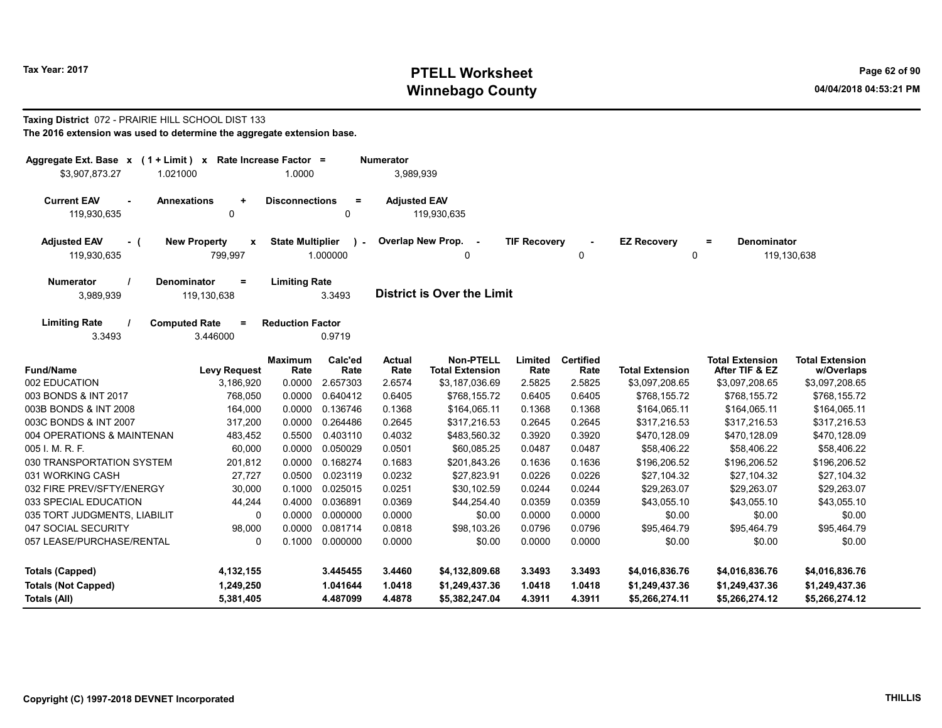# Tax Year: 2017 **PTELL Worksheet** Page 62 of 90 Winnebago County and the County of the County of the County of the County of the County of the County of the County of the County of the County of the County of the County of the County of the County of the County of the C

#### Taxing District 072 - PRAIRIE HILL SCHOOL DIST 133 The 2016 extension was used to determine the aggregate extension base.

| Aggregate Ext. Base $x$ (1 + Limit) x Rate Increase Factor =<br>\$3,907,873.27<br>1.021000 |                                                                           | 1.0000                  |                    | <b>Numerator</b><br>3,989,939 |                                            |                     |                          |                                   |                                          |                                      |
|--------------------------------------------------------------------------------------------|---------------------------------------------------------------------------|-------------------------|--------------------|-------------------------------|--------------------------------------------|---------------------|--------------------------|-----------------------------------|------------------------------------------|--------------------------------------|
| <b>Current EAV</b><br>$\sim$<br>119,930,635                                                | <b>Annexations</b><br><b>Disconnections</b><br>$=$<br>$\ddot{}$<br>0<br>0 |                         |                    |                               |                                            |                     |                          |                                   |                                          |                                      |
| <b>Adjusted EAV</b><br>- (<br>119,930,635                                                  | <b>New Property</b><br>$\mathbf{x}$<br>799,997                            | <b>State Multiplier</b> | $\sim$<br>1.000000 |                               | Overlap New Prop. -<br>0                   | <b>TIF Recovery</b> | $\mathbf 0$              | <b>EZ Recovery</b><br>$\mathbf 0$ | Denominator<br>Ξ                         | 119,130,638                          |
| <b>Numerator</b><br>3,989,939                                                              | <b>Denominator</b><br>Ξ<br>119,130,638                                    | <b>Limiting Rate</b>    | 3.3493             |                               | <b>District is Over the Limit</b>          |                     |                          |                                   |                                          |                                      |
| <b>Limiting Rate</b><br>3.3493                                                             | <b>Computed Rate</b><br>Ξ.<br>3.446000                                    | <b>Reduction Factor</b> | 0.9719             |                               |                                            |                     |                          |                                   |                                          |                                      |
| <b>Fund/Name</b>                                                                           | <b>Levy Request</b>                                                       | <b>Maximum</b><br>Rate  | Calc'ed<br>Rate    | <b>Actual</b><br>Rate         | <b>Non-PTELL</b><br><b>Total Extension</b> | Limited<br>Rate     | <b>Certified</b><br>Rate | <b>Total Extension</b>            | <b>Total Extension</b><br>After TIF & EZ | <b>Total Extension</b><br>w/Overlaps |
| 002 EDUCATION                                                                              | 3,186,920                                                                 | 0.0000                  | 2.657303           | 2.6574                        | \$3,187,036.69                             | 2.5825              | 2.5825                   | \$3,097,208.65                    | \$3,097,208.65                           | \$3,097,208.65                       |
| 003 BONDS & INT 2017                                                                       | 768,050                                                                   | 0.0000                  | 0.640412           | 0.6405                        | \$768,155.72                               | 0.6405              | 0.6405                   | \$768,155.72                      | \$768,155.72                             | \$768,155.72                         |
| 003B BONDS & INT 2008                                                                      | 164,000                                                                   | 0.0000                  | 0.136746           | 0.1368                        | \$164.065.11                               | 0.1368              | 0.1368                   | \$164.065.11                      | \$164.065.11                             | \$164,065.11                         |
| 003C BONDS & INT 2007                                                                      | 317,200                                                                   | 0.0000                  | 0.264486           | 0.2645                        | \$317,216.53                               | 0.2645              | 0.2645                   | \$317,216.53                      | \$317,216.53                             | \$317,216.53                         |
| 004 OPERATIONS & MAINTENAN                                                                 | 483,452                                                                   | 0.5500                  | 0.403110           | 0.4032                        | \$483,560.32                               | 0.3920              | 0.3920                   | \$470,128.09                      | \$470,128.09                             | \$470,128.09                         |
| 005 I. M. R. F.                                                                            | 60,000                                                                    | 0.0000                  | 0.050029           | 0.0501                        | \$60,085.25                                | 0.0487              | 0.0487                   | \$58,406.22                       | \$58,406.22                              | \$58,406.22                          |
| 030 TRANSPORTATION SYSTEM                                                                  | 201,812                                                                   | 0.0000                  | 0.168274           | 0.1683                        | \$201,843.26                               | 0.1636              | 0.1636                   | \$196,206.52                      | \$196,206.52                             | \$196,206.52                         |
| 031 WORKING CASH                                                                           | 27,727                                                                    | 0.0500                  | 0.023119           | 0.0232                        | \$27,823.91                                | 0.0226              | 0.0226                   | \$27,104.32                       | \$27,104.32                              | \$27,104.32                          |
| 032 FIRE PREV/SFTY/ENERGY                                                                  | 30,000                                                                    | 0.1000                  | 0.025015           | 0.0251                        | \$30,102.59                                | 0.0244              | 0.0244                   | \$29,263.07                       | \$29,263.07                              | \$29,263.07                          |
| 033 SPECIAL EDUCATION                                                                      | 44,244                                                                    | 0.4000                  | 0.036891           | 0.0369                        | \$44,254.40                                | 0.0359              | 0.0359                   | \$43,055.10                       | \$43,055.10                              | \$43,055.10                          |
| 035 TORT JUDGMENTS, LIABILIT                                                               | 0                                                                         | 0.0000                  | 0.000000           | 0.0000                        | \$0.00                                     | 0.0000              | 0.0000                   | \$0.00                            | \$0.00                                   | \$0.00                               |
| 047 SOCIAL SECURITY                                                                        | 98,000                                                                    | 0.0000                  | 0.081714           | 0.0818                        | \$98,103.26                                | 0.0796              | 0.0796                   | \$95,464.79                       | \$95,464.79                              | \$95,464.79                          |
| 057 LEASE/PURCHASE/RENTAL                                                                  | $\mathbf 0$                                                               | 0.1000                  | 0.000000           | 0.0000                        | \$0.00                                     | 0.0000              | 0.0000                   | \$0.00                            | \$0.00                                   | \$0.00                               |
| <b>Totals (Capped)</b>                                                                     | 4,132,155                                                                 |                         | 3.445455           | 3.4460                        | \$4,132,809.68                             | 3.3493              | 3.3493                   | \$4,016,836.76                    | \$4,016,836.76                           | \$4,016,836.76                       |
| <b>Totals (Not Capped)</b>                                                                 | 1,249,250                                                                 |                         | 1.041644           | 1.0418                        | \$1,249,437.36                             | 1.0418              | 1.0418                   | \$1,249,437.36                    | \$1,249,437.36                           | \$1,249,437.36                       |
| Totals (All)                                                                               | 5,381,405                                                                 |                         | 4.487099           | 4.4878                        | \$5,382,247.04                             | 4.3911              | 4.3911                   | \$5,266,274.11                    | \$5,266,274.12                           | \$5,266,274.12                       |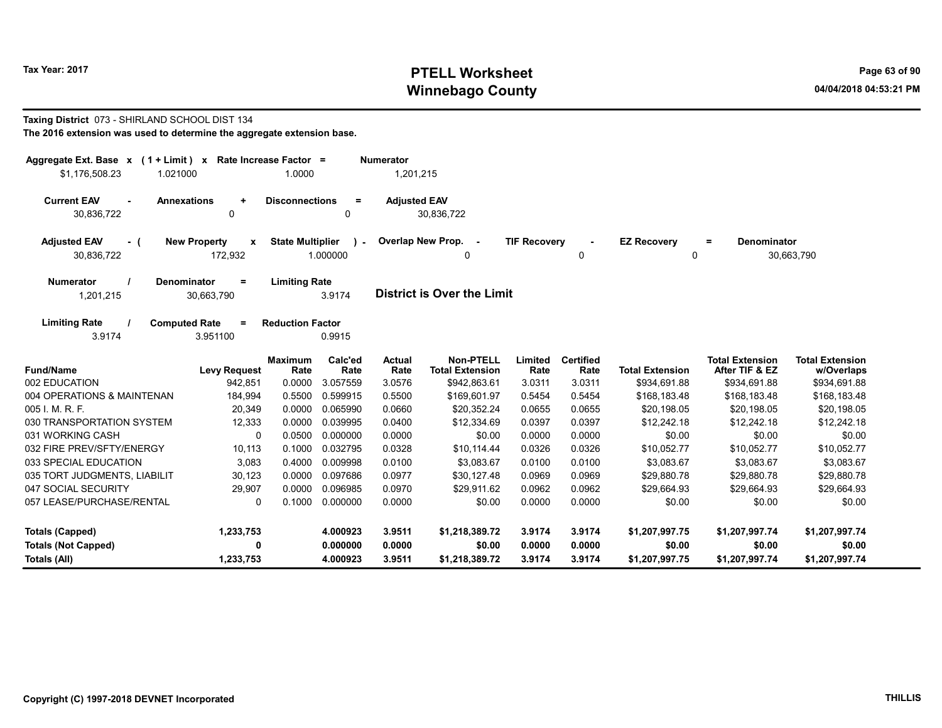# Tax Year: 2017 **PTELL Worksheet** Page 63 of 90 Winnebago County and the County of the County of the County of the County of the County of the County of the County of the County of the County of the County of the County of the County of the County of the County of the C

#### Taxing District 073 - SHIRLAND SCHOOL DIST 134 The 2016 extension was used to determine the aggregate extension base.

| Aggregate Ext. Base $x$ (1 + Limit) $x$<br>Rate Increase Factor =<br><b>Numerator</b><br>1,201,215<br>\$1,176,508.23<br>1.021000<br>1.0000 |                                     |                         |                         |                       |                                            |                     |                          |                         |                                          |                                      |  |
|--------------------------------------------------------------------------------------------------------------------------------------------|-------------------------------------|-------------------------|-------------------------|-----------------------|--------------------------------------------|---------------------|--------------------------|-------------------------|------------------------------------------|--------------------------------------|--|
| <b>Current EAV</b><br><b>Annexations</b><br>30,836,722                                                                                     | $\ddot{}$<br>0                      | <b>Disconnections</b>   | $\equiv$<br>0           | <b>Adjusted EAV</b>   | 30,836,722                                 |                     |                          |                         |                                          |                                      |  |
| <b>Adjusted EAV</b><br>- (<br>30,836,722                                                                                                   | <b>New Property</b><br>X<br>172,932 | <b>State Multiplier</b> | $\lambda$ -<br>1.000000 |                       | Overlap New Prop.<br>0                     | <b>TIF Recovery</b> | 0                        | <b>EZ Recovery</b><br>0 | <b>Denominator</b><br>$=$                | 30,663,790                           |  |
| <b>Numerator</b><br><b>Denominator</b><br>1,201,215                                                                                        | $=$<br>30,663,790                   | <b>Limiting Rate</b>    | 3.9174                  |                       | <b>District is Over the Limit</b>          |                     |                          |                         |                                          |                                      |  |
| <b>Limiting Rate</b><br><b>Computed Rate</b><br>3.9174                                                                                     | $=$<br>3.951100                     | <b>Reduction Factor</b> | 0.9915                  |                       |                                            |                     |                          |                         |                                          |                                      |  |
| <b>Fund/Name</b>                                                                                                                           | <b>Levy Request</b>                 | <b>Maximum</b><br>Rate  | Calc'ed<br>Rate         | <b>Actual</b><br>Rate | <b>Non-PTELL</b><br><b>Total Extension</b> | Limited<br>Rate     | <b>Certified</b><br>Rate | <b>Total Extension</b>  | <b>Total Extension</b><br>After TIF & EZ | <b>Total Extension</b><br>w/Overlaps |  |
| 002 EDUCATION                                                                                                                              | 942,851                             | 0.0000                  | 3.057559                | 3.0576                | \$942,863.61                               | 3.0311              | 3.0311                   | \$934,691.88            | \$934,691.88                             | \$934,691.88                         |  |
| 004 OPERATIONS & MAINTENAN                                                                                                                 | 184,994                             | 0.5500                  | 0.599915                | 0.5500                | \$169,601.97                               | 0.5454              | 0.5454                   | \$168,183.48            | \$168,183.48                             | \$168,183.48                         |  |
| 005 I. M. R. F.                                                                                                                            | 20,349                              | 0.0000                  | 0.065990                | 0.0660                | \$20,352.24                                | 0.0655              | 0.0655                   | \$20,198.05             | \$20,198.05                              | \$20,198.05                          |  |
| 030 TRANSPORTATION SYSTEM                                                                                                                  | 12,333                              | 0.0000                  | 0.039995                | 0.0400                | \$12,334.69                                | 0.0397              | 0.0397                   | \$12,242.18             | \$12,242.18                              | \$12,242.18                          |  |
| 031 WORKING CASH                                                                                                                           | $\mathbf{0}$                        | 0.0500                  | 0.000000                | 0.0000                | \$0.00                                     | 0.0000              | 0.0000                   | \$0.00                  | \$0.00                                   | \$0.00                               |  |
| 032 FIRE PREV/SFTY/ENERGY                                                                                                                  | 10,113                              | 0.1000                  | 0.032795                | 0.0328                | \$10.114.44                                | 0.0326              | 0.0326                   | \$10.052.77             | \$10.052.77                              | \$10,052.77                          |  |
| 033 SPECIAL EDUCATION                                                                                                                      | 3,083                               | 0.4000                  | 0.009998                | 0.0100                | \$3.083.67                                 | 0.0100              | 0.0100                   | \$3.083.67              | \$3.083.67                               | \$3.083.67                           |  |
| 035 TORT JUDGMENTS, LIABILIT                                                                                                               | 30,123                              | 0.0000                  | 0.097686                | 0.0977                | \$30.127.48                                | 0.0969              | 0.0969                   | \$29.880.78             | \$29.880.78                              | \$29.880.78                          |  |
| 047 SOCIAL SECURITY                                                                                                                        | 29,907                              | 0.0000                  | 0.096985                | 0.0970                | \$29,911.62                                | 0.0962              | 0.0962                   | \$29,664.93             | \$29,664.93                              | \$29,664.93                          |  |
| 057 LEASE/PURCHASE/RENTAL                                                                                                                  | $\Omega$                            | 0.1000                  | 0.000000                | 0.0000                | \$0.00                                     | 0.0000              | 0.0000                   | \$0.00                  | \$0.00                                   | \$0.00                               |  |
| <b>Totals (Capped)</b>                                                                                                                     | 1,233,753                           |                         | 4.000923                | 3.9511                | \$1,218,389.72                             | 3.9174              | 3.9174                   | \$1,207,997.75          | \$1,207,997.74                           | \$1,207,997.74                       |  |
| <b>Totals (Not Capped)</b>                                                                                                                 | 0                                   |                         | 0.000000                | 0.0000                | \$0.00                                     | 0.0000              | 0.0000                   | \$0.00                  | \$0.00                                   | \$0.00                               |  |
| Totals (All)                                                                                                                               | 1,233,753                           |                         | 4.000923                | 3.9511                | \$1,218,389.72                             | 3.9174              | 3.9174                   | \$1,207,997.75          | \$1,207,997.74                           | \$1,207,997.74                       |  |

--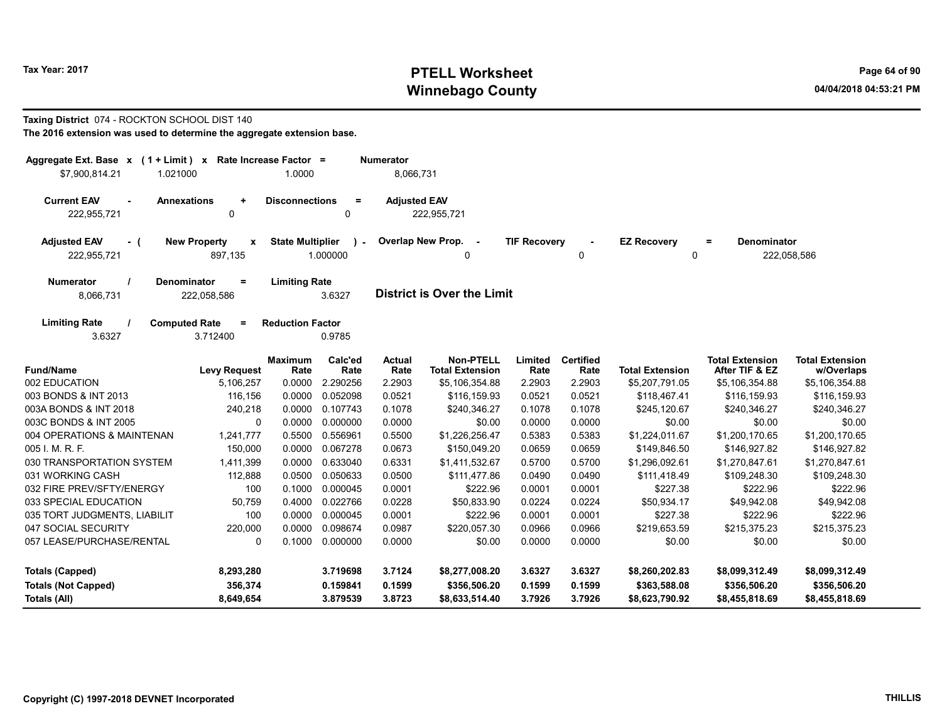# Tax Year: 2017 **PTELL Worksheet** Page 64 of 90 Winnebago County and the County of the County of the County of the County of the County of the County of the County of the County of the County of the County of the County of the County of the County of the County of the C

#### Taxing District 074 - ROCKTON SCHOOL DIST 140 The 2016 extension was used to determine the aggregate extension base.

| Aggregate Ext. Base $x$ (1 + Limit) x Rate Increase Factor =<br>\$7,900,814.21<br>1.021000                                                |                                                    | 1.0000                  |                    | <b>Numerator</b><br>8,066,731 |                                            |                     |                          |                         |                                          |                                      |
|-------------------------------------------------------------------------------------------------------------------------------------------|----------------------------------------------------|-------------------------|--------------------|-------------------------------|--------------------------------------------|---------------------|--------------------------|-------------------------|------------------------------------------|--------------------------------------|
| <b>Current EAV</b><br>$\sim$<br>222,955,721                                                                                               | <b>Annexations</b><br>$\ddot{}$<br>0               | <b>Disconnections</b>   | $\equiv$<br>0      | <b>Adjusted EAV</b>           | 222,955,721                                |                     |                          |                         |                                          |                                      |
| <b>Adjusted EAV</b><br>- (<br>222,955,721                                                                                                 | <b>New Property</b><br>$\mathbf{x}$<br>897,135     | <b>State Multiplier</b> | $\sim$<br>1.000000 |                               | Overlap New Prop. -<br>0                   | <b>TIF Recovery</b> | 0                        | <b>EZ Recovery</b><br>0 | <b>Denominator</b><br>$\equiv$           | 222,058,586                          |
| <b>Denominator</b><br><b>Limiting Rate</b><br><b>Numerator</b><br>$=$<br>District is Over the Limit<br>3.6327<br>8,066,731<br>222,058,586 |                                                    |                         |                    |                               |                                            |                     |                          |                         |                                          |                                      |
| <b>Limiting Rate</b><br>3.6327                                                                                                            | <b>Computed Rate</b><br>$\blacksquare$<br>3.712400 | <b>Reduction Factor</b> | 0.9785             |                               |                                            |                     |                          |                         |                                          |                                      |
| <b>Fund/Name</b>                                                                                                                          | <b>Levy Request</b>                                | <b>Maximum</b><br>Rate  | Calc'ed<br>Rate    | <b>Actual</b><br>Rate         | <b>Non-PTELL</b><br><b>Total Extension</b> | Limited<br>Rate     | <b>Certified</b><br>Rate | <b>Total Extension</b>  | <b>Total Extension</b><br>After TIF & EZ | <b>Total Extension</b><br>w/Overlaps |
| 002 EDUCATION                                                                                                                             | 5,106,257                                          | 0.0000                  | 2.290256           | 2.2903                        | \$5,106,354.88                             | 2.2903              | 2.2903                   | \$5,207,791.05          | \$5,106,354.88                           | \$5,106,354.88                       |
| 003 BONDS & INT 2013                                                                                                                      | 116,156                                            | 0.0000                  | 0.052098           | 0.0521                        | \$116,159.93                               | 0.0521              | 0.0521                   | \$118,467.41            | \$116,159.93                             | \$116,159.93                         |
| 003A BONDS & INT 2018                                                                                                                     | 240,218                                            | 0.0000                  | 0.107743           | 0.1078                        | \$240,346.27                               | 0.1078              | 0.1078                   | \$245,120.67            | \$240,346.27                             | \$240,346.27                         |
| 003C BONDS & INT 2005                                                                                                                     | $\mathbf{0}$                                       | 0.0000                  | 0.000000           | 0.0000                        | \$0.00                                     | 0.0000              | 0.0000                   | \$0.00                  | \$0.00                                   | \$0.00                               |
| 004 OPERATIONS & MAINTENAN                                                                                                                | 1,241,777                                          | 0.5500                  | 0.556961           | 0.5500                        | \$1,226,256.47                             | 0.5383              | 0.5383                   | \$1,224,011.67          | \$1,200,170.65                           | \$1,200,170.65                       |
| 005 I. M. R. F.                                                                                                                           | 150,000                                            | 0.0000                  | 0.067278           | 0.0673                        | \$150,049.20                               | 0.0659              | 0.0659                   | \$149,846.50            | \$146,927.82                             | \$146,927.82                         |
| 030 TRANSPORTATION SYSTEM                                                                                                                 | 1,411,399                                          | 0.0000                  | 0.633040           | 0.6331                        | \$1,411,532.67                             | 0.5700              | 0.5700                   | \$1,296,092.61          | \$1,270,847.61                           | \$1,270,847.61                       |
| 031 WORKING CASH                                                                                                                          | 112,888                                            | 0.0500                  | 0.050633           | 0.0500                        | \$111,477.86                               | 0.0490              | 0.0490                   | \$111,418.49            | \$109,248.30                             | \$109,248.30                         |
| 032 FIRE PREV/SFTY/ENERGY                                                                                                                 | 100                                                | 0.1000                  | 0.000045           | 0.0001                        | \$222.96                                   | 0.0001              | 0.0001                   | \$227.38                | \$222.96                                 | \$222.96                             |
| 033 SPECIAL EDUCATION                                                                                                                     | 50,759                                             | 0.4000                  | 0.022766           | 0.0228                        | \$50,833.90                                | 0.0224              | 0.0224                   | \$50,934.17             | \$49,942.08                              | \$49,942.08                          |
| 035 TORT JUDGMENTS, LIABILIT                                                                                                              | 100                                                | 0.0000                  | 0.000045           | 0.0001                        | \$222.96                                   | 0.0001              | 0.0001                   | \$227.38                | \$222.96                                 | \$222.96                             |
| 047 SOCIAL SECURITY                                                                                                                       | 220,000                                            | 0.0000                  | 0.098674           | 0.0987                        | \$220,057.30                               | 0.0966              | 0.0966                   | \$219,653.59            | \$215,375.23                             | \$215,375.23                         |
| 057 LEASE/PURCHASE/RENTAL                                                                                                                 | 0                                                  | 0.1000                  | 0.000000           | 0.0000                        | \$0.00                                     | 0.0000              | 0.0000                   | \$0.00                  | \$0.00                                   | \$0.00                               |
| <b>Totals (Capped)</b>                                                                                                                    | 8,293,280                                          |                         | 3.719698           | 3.7124                        | \$8,277,008.20                             | 3.6327              | 3.6327                   | \$8,260,202.83          | \$8,099,312.49                           | \$8,099,312.49                       |
| <b>Totals (Not Capped)</b>                                                                                                                | 356,374                                            |                         | 0.159841           | 0.1599                        | \$356,506.20                               | 0.1599              | 0.1599                   | \$363,588.08            | \$356,506.20                             | \$356,506.20                         |
| Totals (All)                                                                                                                              | 8,649,654                                          |                         | 3.879539           | 3.8723                        | \$8,633,514.40                             | 3.7926              | 3.7926                   | \$8,623,790.92          | \$8,455,818.69                           | \$8,455,818.69                       |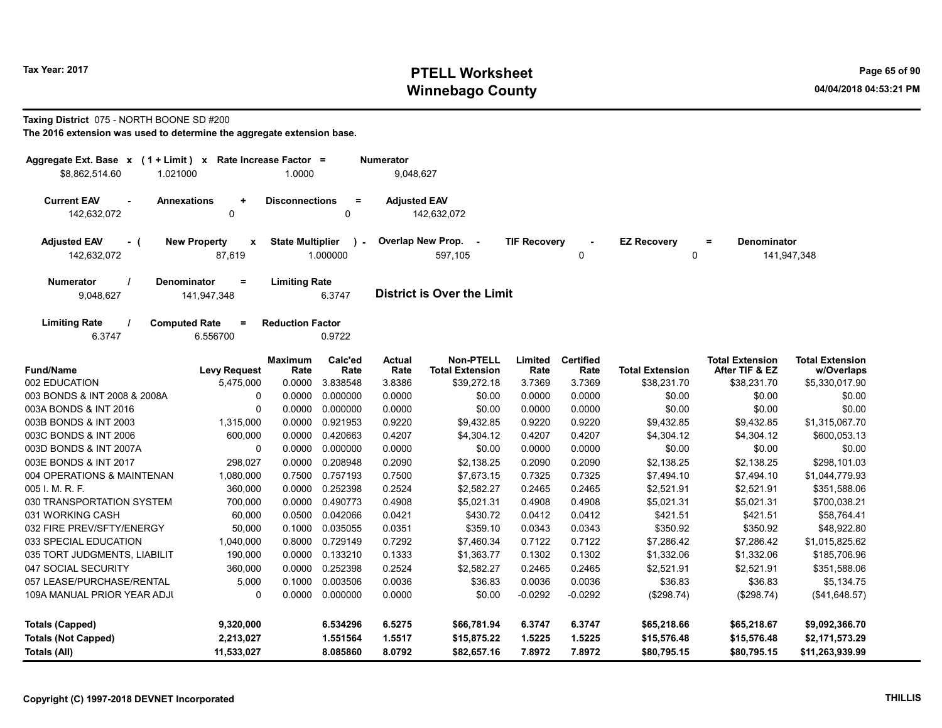# Tax Year: 2017 **PTELL Worksheet** Page 65 of 90 Winnebago County and the County of the County of the County of the County of the County of the County of the County of the County of the County of the County of the County of the County of the County of the County of the C

#### Taxing District 075 - NORTH BOONE SD #200

| Aggregate Ext. Base x (1 + Limit) x Rate Increase Factor = |                                                |                         |                         | <b>Numerator</b>      |                                            |                     |                          |                         |                                          |                                      |
|------------------------------------------------------------|------------------------------------------------|-------------------------|-------------------------|-----------------------|--------------------------------------------|---------------------|--------------------------|-------------------------|------------------------------------------|--------------------------------------|
| \$8,862,514.60                                             | 1.021000                                       | 1.0000                  |                         | 9,048,627             |                                            |                     |                          |                         |                                          |                                      |
| <b>Current EAV</b><br>142,632,072                          | <b>Annexations</b><br>$\ddot{}$<br>$\mathbf 0$ | <b>Disconnections</b>   | $\equiv$<br>0           | <b>Adjusted EAV</b>   | 142,632,072                                |                     |                          |                         |                                          |                                      |
| <b>Adjusted EAV</b><br>- (<br>142,632,072                  | <b>New Property</b><br>X<br>87,619             | <b>State Multiplier</b> | $\lambda$ -<br>1.000000 |                       | Overlap New Prop. -<br>597.105             | <b>TIF Recovery</b> | $\mathbf 0$              | <b>EZ Recovery</b><br>0 | <b>Denominator</b><br>$=$                | 141,947,348                          |
| <b>Numerator</b>                                           | <b>Denominator</b><br>$=$                      | <b>Limiting Rate</b>    |                         |                       |                                            |                     |                          |                         |                                          |                                      |
| 9,048,627                                                  | 141,947,348                                    |                         | 6.3747                  |                       | <b>District is Over the Limit</b>          |                     |                          |                         |                                          |                                      |
| <b>Limiting Rate</b><br>6.3747                             | <b>Computed Rate</b><br>$=$<br>6.556700        | <b>Reduction Factor</b> | 0.9722                  |                       |                                            |                     |                          |                         |                                          |                                      |
| <b>Fund/Name</b>                                           | <b>Levy Request</b>                            | Maximum<br>Rate         | Calc'ed<br>Rate         | <b>Actual</b><br>Rate | <b>Non-PTELL</b><br><b>Total Extension</b> | Limited<br>Rate     | <b>Certified</b><br>Rate | <b>Total Extension</b>  | <b>Total Extension</b><br>After TIF & EZ | <b>Total Extension</b><br>w/Overlaps |
| 002 EDUCATION                                              | 5,475,000                                      | 0.0000                  | 3.838548                | 3.8386                | \$39,272.18                                | 3.7369              | 3.7369                   | \$38,231.70             | \$38,231.70                              | \$5,330,017.90                       |
| 003 BONDS & INT 2008 & 2008A                               | 0                                              | 0.0000                  | 0.000000                | 0.0000                | \$0.00                                     | 0.0000              | 0.0000                   | \$0.00                  | \$0.00                                   | \$0.00                               |
| 003A BONDS & INT 2016                                      | $\Omega$                                       | 0.0000                  | 0.000000                | 0.0000                | \$0.00                                     | 0.0000              | 0.0000                   | \$0.00                  | \$0.00                                   | \$0.00                               |
| 003B BONDS & INT 2003                                      | 1,315,000                                      | 0.0000                  | 0.921953                | 0.9220                | \$9,432.85                                 | 0.9220              | 0.9220                   | \$9,432.85              | \$9,432.85                               | \$1,315,067.70                       |
| 003C BONDS & INT 2006                                      | 600,000                                        | 0.0000                  | 0.420663                | 0.4207                | \$4,304.12                                 | 0.4207              | 0.4207                   | \$4,304.12              | \$4,304.12                               | \$600,053.13                         |
| 003D BONDS & INT 2007A                                     | 0                                              | 0.0000                  | 0.000000                | 0.0000                | \$0.00                                     | 0.0000              | 0.0000                   | \$0.00                  | \$0.00                                   | \$0.00                               |
| 003E BONDS & INT 2017                                      | 298,027                                        | 0.0000                  | 0.208948                | 0.2090                | \$2,138.25                                 | 0.2090              | 0.2090                   | \$2,138.25              | \$2,138.25                               | \$298,101.03                         |
| 004 OPERATIONS & MAINTENAN                                 | 1,080,000                                      | 0.7500                  | 0.757193                | 0.7500                | \$7,673.15                                 | 0.7325              | 0.7325                   | \$7,494.10              | \$7,494.10                               | \$1,044,779.93                       |
| 005 I. M. R. F.                                            | 360,000                                        | 0.0000                  | 0.252398                | 0.2524                | \$2,582.27                                 | 0.2465              | 0.2465                   | \$2,521.91              | \$2,521.91                               | \$351,588.06                         |
| 030 TRANSPORTATION SYSTEM                                  | 700,000                                        | 0.0000                  | 0.490773                | 0.4908                | \$5,021.31                                 | 0.4908              | 0.4908                   | \$5,021.31              | \$5,021.31                               | \$700,038.21                         |
| 031 WORKING CASH                                           | 60,000                                         | 0.0500                  | 0.042066                | 0.0421                | \$430.72                                   | 0.0412              | 0.0412                   | \$421.51                | \$421.51                                 | \$58,764.41                          |
| 032 FIRE PREV/SFTY/ENERGY                                  | 50,000                                         | 0.1000                  | 0.035055                | 0.0351                | \$359.10                                   | 0.0343              | 0.0343                   | \$350.92                | \$350.92                                 | \$48,922.80                          |
| 033 SPECIAL EDUCATION                                      | 1,040,000                                      | 0.8000                  | 0.729149                | 0.7292                | \$7,460.34                                 | 0.7122              | 0.7122                   | \$7,286.42              | \$7,286.42                               | \$1,015,825.62                       |
| 035 TORT JUDGMENTS, LIABILIT                               | 190,000                                        | 0.0000                  | 0.133210                | 0.1333                | \$1,363.77                                 | 0.1302              | 0.1302                   | \$1,332.06              | \$1,332.06                               | \$185,706.96                         |
| 047 SOCIAL SECURITY                                        | 360,000                                        | 0.0000                  | 0.252398                | 0.2524                | \$2,582.27                                 | 0.2465              | 0.2465                   | \$2,521.91              | \$2,521.91                               | \$351,588.06                         |
| 057 LEASE/PURCHASE/RENTAL                                  | 5,000                                          | 0.1000                  | 0.003506                | 0.0036                | \$36.83                                    | 0.0036              | 0.0036                   | \$36.83                 | \$36.83                                  | \$5,134.75                           |
| 109A MANUAL PRIOR YEAR ADJI                                | $\mathbf 0$                                    |                         | 0.0000 0.000000         | 0.0000                | \$0.00                                     | $-0.0292$           | $-0.0292$                | (\$298.74)              | (\$298.74)                               | (\$41,648.57)                        |
| <b>Totals (Capped)</b>                                     | 9,320,000                                      |                         | 6.534296                | 6.5275                | \$66,781.94                                | 6.3747              | 6.3747                   | \$65,218.66             | \$65,218.67                              | \$9,092,366.70                       |
| <b>Totals (Not Capped)</b>                                 | 2,213,027                                      |                         | 1.551564                | 1.5517                | \$15,875.22                                | 1.5225              | 1.5225                   | \$15,576.48             | \$15,576.48                              | \$2,171,573.29                       |
| Totals (All)                                               | 11,533,027                                     |                         | 8.085860                | 8.0792                | \$82,657.16                                | 7.8972              | 7.8972                   | \$80,795.15             | \$80,795.15                              | \$11,263,939.99                      |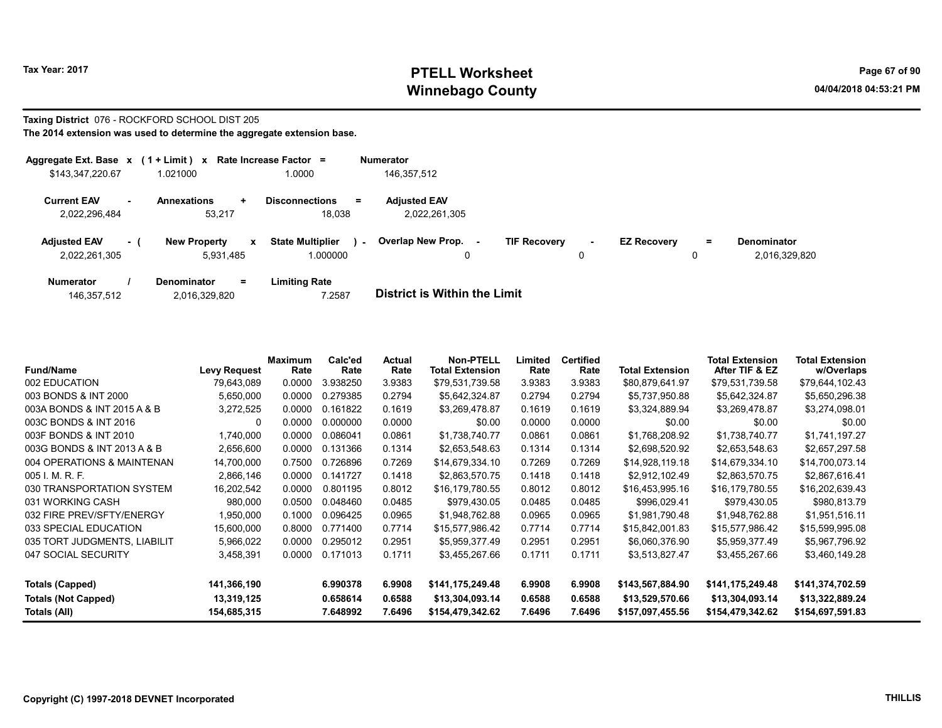# Tax Year: 2017 **PTELL Worksheet** Page 67 of 90 Winnebago County and the County of the County of the County of the County of the County of the County of the County of the County of the County of the County of the County of the County of the County of the County of the C

#### Taxing District 076 - ROCKFORD SCHOOL DIST 205 The 2014 extension was used to determine the aggregate extension base.

| Aggregate Ext. Base $x$ (1 + Limit) $x$ |     |                                                  | Rate Increase Factor =                        | <b>Numerator</b>                     |                          |        |                    |    |                                     |
|-----------------------------------------|-----|--------------------------------------------------|-----------------------------------------------|--------------------------------------|--------------------------|--------|--------------------|----|-------------------------------------|
| \$143,347,220.67                        |     | .021000                                          | 1.0000                                        | 146,357,512                          |                          |        |                    |    |                                     |
| <b>Current EAV</b><br>2,022,296,484     |     | <b>Annexations</b><br>$\pm$<br>53.217            | <b>Disconnections</b><br>$\equiv$<br>18.038   | <b>Adjusted EAV</b><br>2,022,261,305 |                          |        |                    |    |                                     |
| <b>Adjusted EAV</b><br>2,022,261,305    | - 1 | <b>New Property</b><br>$\mathbf{x}$<br>5.931.485 | <b>State Multiplier</b><br>$\sim$<br>1.000000 | Overlap New Prop.<br>۰.              | <b>TIF Recovery</b><br>0 | $\sim$ | <b>EZ Recovery</b> | Ξ. | <b>Denominator</b><br>2,016,329,820 |
| <b>Numerator</b>                        |     | <b>Denominator</b><br>Ξ.                         | <b>Limiting Rate</b>                          |                                      |                          |        |                    |    |                                     |

| 146,357,512 | 2,016,329,820 | 7.2587 | <b>District is Within the Limit</b> |
|-------------|---------------|--------|-------------------------------------|

| <b>Fund/Name</b>             | <b>Levy Request</b> | Maximum<br>Rate | Calc'ed<br>Rate | Actual<br>Rate | <b>Non-PTELL</b><br><b>Total Extension</b> | Limited<br>Rate | <b>Certified</b><br>Rate | <b>Total Extension</b> | <b>Total Extension</b><br>After TIF & EZ | <b>Total Extension</b><br>w/Overlaps |
|------------------------------|---------------------|-----------------|-----------------|----------------|--------------------------------------------|-----------------|--------------------------|------------------------|------------------------------------------|--------------------------------------|
| 002 EDUCATION                | 79,643,089          | 0.0000          | 3.938250        | 3.9383         | \$79,531,739.58                            | 3.9383          | 3.9383                   | \$80,879,641.97        | \$79,531,739.58                          | \$79,644,102.43                      |
| 003 BONDS & INT 2000         | 5,650,000           | 0.0000          | 0.279385        | 0.2794         | \$5,642,324.87                             | 0.2794          | 0.2794                   | \$5,737,950.88         | \$5,642,324.87                           | \$5,650,296.38                       |
| 003A BONDS & INT 2015 A & B  | 3,272,525           | 0.0000          | 0.161822        | 0.1619         | \$3.269.478.87                             | 0.1619          | 0.1619                   | \$3.324.889.94         | \$3,269,478.87                           | \$3.274.098.01                       |
| 003C BONDS & INT 2016        | 0                   | 0.0000          | 0.000000        | 0.0000         | \$0.00                                     | 0.0000          | 0.0000                   | \$0.00                 | \$0.00                                   | \$0.00                               |
| 003F BONDS & INT 2010        | 1,740,000           | 0.0000          | 0.086041        | 0.0861         | \$1,738,740.77                             | 0.0861          | 0.0861                   | \$1,768,208.92         | \$1,738,740.77                           | \$1,741,197.27                       |
| 003G BONDS & INT 2013 A & B  | 2,656,600           | 0.0000          | 0.131366        | 0.1314         | \$2,653,548.63                             | 0.1314          | 0.1314                   | \$2,698,520.92         | \$2,653,548.63                           | \$2,657,297.58                       |
| 004 OPERATIONS & MAINTENAN   | 14,700,000          | 0.7500          | 0.726896        | 0.7269         | \$14,679,334.10                            | 0.7269          | 0.7269                   | \$14,928,119.18        | \$14,679,334.10                          | \$14,700,073.14                      |
| 005 I. M. R. F.              | 2,866,146           | 0.0000          | 0.141727        | 0.1418         | \$2,863,570.75                             | 0.1418          | 0.1418                   | \$2,912,102.49         | \$2,863,570.75                           | \$2,867,616.41                       |
| 030 TRANSPORTATION SYSTEM    | 16,202,542          | 0.0000          | 0.801195        | 0.8012         | \$16,179,780.55                            | 0.8012          | 0.8012                   | \$16,453,995.16        | \$16,179,780.55                          | \$16,202,639.43                      |
| 031 WORKING CASH             | 980,000             | 0.0500          | 0.048460        | 0.0485         | \$979,430.05                               | 0.0485          | 0.0485                   | \$996,029.41           | \$979,430.05                             | \$980,813.79                         |
| 032 FIRE PREV/SFTY/ENERGY    | 1,950,000           | 0.1000          | 0.096425        | 0.0965         | \$1,948,762.88                             | 0.0965          | 0.0965                   | \$1,981,790.48         | \$1,948,762.88                           | \$1,951,516.11                       |
| 033 SPECIAL EDUCATION        | 15,600,000          | 0.8000          | 0.771400        | 0.7714         | \$15,577,986.42                            | 0.7714          | 0.7714                   | \$15,842,001.83        | \$15,577,986.42                          | \$15,599,995.08                      |
| 035 TORT JUDGMENTS, LIABILIT | 5,966,022           | 0.0000          | 0.295012        | 0.2951         | \$5,959,377.49                             | 0.2951          | 0.2951                   | \$6,060,376.90         | \$5,959,377.49                           | \$5,967,796.92                       |
| 047 SOCIAL SECURITY          | 3,458,391           | 0.0000          | 0.171013        | 0.1711         | \$3,455,267.66                             | 0.1711          | 0.1711                   | \$3,513,827.47         | \$3,455,267.66                           | \$3,460,149.28                       |
| Totals (Capped)              | 141,366,190         |                 | 6.990378        | 6.9908         | \$141,175,249.48                           | 6.9908          | 6.9908                   | \$143,567,884.90       | \$141,175,249.48                         | \$141,374,702.59                     |
| <b>Totals (Not Capped)</b>   | 13,319,125          |                 | 0.658614        | 0.6588         | \$13,304,093.14                            | 0.6588          | 0.6588                   | \$13,529,570.66        | \$13,304,093.14                          | \$13,322,889.24                      |
| Totals (All)                 | 154,685,315         |                 | 7.648992        | 7.6496         | \$154,479,342.62                           | 7.6496          | 7.6496                   | \$157,097,455.56       | \$154,479,342.62                         | \$154,697,591.83                     |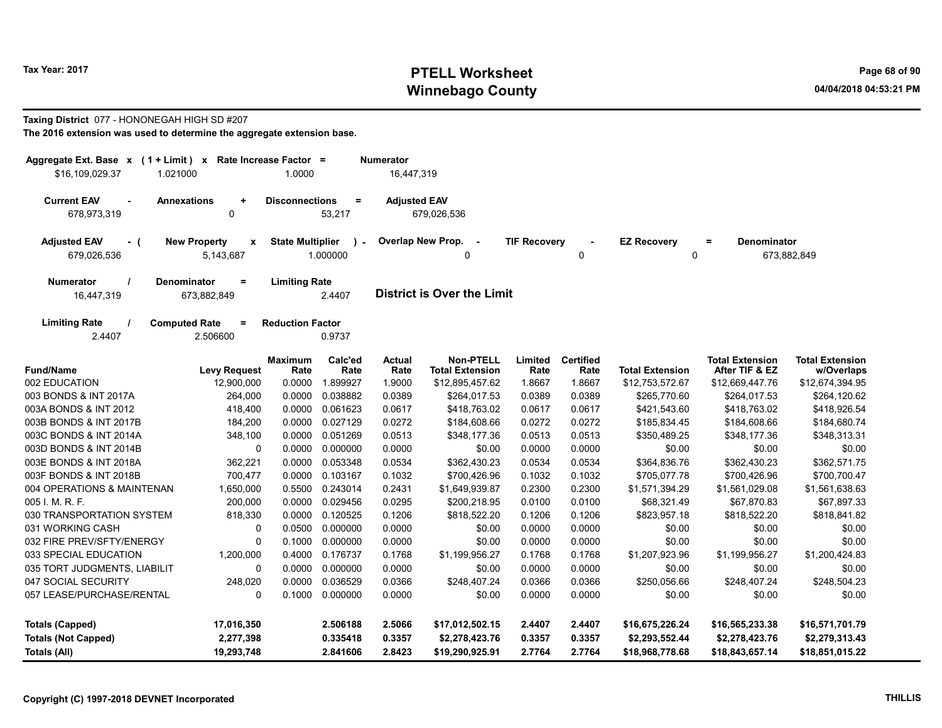# Tax Year: 2017 **PTELL Worksheet** Page 68 of 90 Winnebago County and the County of the County of the County of the County of the County of the County of the County of the County of the County of the County of the County of the County of the County of the County of the C

#### Taxing District 077 - HONONEGAH HIGH SD #207

| Aggregate Ext. Base $x$ (1 + Limit) $x$   |                                                 | Rate Increase Factor =  |                           | <b>Numerator</b>      |                                            |                     |                          |                         |                                          |                                      |
|-------------------------------------------|-------------------------------------------------|-------------------------|---------------------------|-----------------------|--------------------------------------------|---------------------|--------------------------|-------------------------|------------------------------------------|--------------------------------------|
| \$16,109,029.37<br>1.021000               |                                                 | 1.0000                  |                           | 16,447,319            |                                            |                     |                          |                         |                                          |                                      |
| <b>Current EAV</b><br>678,973,319         | <b>Annexations</b><br>$\ddot{}$<br>$\mathbf{0}$ | <b>Disconnections</b>   | $\equiv$<br>53,217        | <b>Adjusted EAV</b>   | 679,026,536                                |                     |                          |                         |                                          |                                      |
| <b>Adjusted EAV</b><br>- (<br>679,026,536 | <b>New Property</b><br>$\mathbf x$<br>5,143,687 | <b>State Multiplier</b> | $\mathcal{L}$<br>1.000000 | Overlap New Prop.     | $\sim$<br>0                                | <b>TIF Recovery</b> | 0                        | <b>EZ Recovery</b><br>0 | Denominator<br>$=$                       | 673,882,849                          |
| <b>Numerator</b><br>16,447,319            | <b>Denominator</b><br>$\equiv$<br>673,882,849   | <b>Limiting Rate</b>    | 2.4407                    |                       | <b>District is Over the Limit</b>          |                     |                          |                         |                                          |                                      |
| <b>Limiting Rate</b><br>2.4407            | <b>Computed Rate</b><br>$\equiv$<br>2.506600    | <b>Reduction Factor</b> | 0.9737                    |                       |                                            |                     |                          |                         |                                          |                                      |
| <b>Fund/Name</b>                          | <b>Levy Request</b>                             | <b>Maximum</b><br>Rate  | Calc'ed<br>Rate           | <b>Actual</b><br>Rate | <b>Non-PTELL</b><br><b>Total Extension</b> | Limited<br>Rate     | <b>Certified</b><br>Rate | <b>Total Extension</b>  | <b>Total Extension</b><br>After TIF & EZ | <b>Total Extension</b><br>w/Overlaps |
| 002 EDUCATION                             | 12,900,000                                      | 0.0000                  | 1.899927                  | 1.9000                | \$12,895,457.62                            | 1.8667              | 1.8667                   | \$12,753,572.67         | \$12,669,447.76                          | \$12,674,394.95                      |
| 003 BONDS & INT 2017A                     | 264,000                                         | 0.0000                  | 0.038882                  | 0.0389                | \$264,017.53                               | 0.0389              | 0.0389                   | \$265,770.60            | \$264,017.53                             | \$264,120.62                         |
| 003A BONDS & INT 2012                     | 418,400                                         | 0.0000                  | 0.061623                  | 0.0617                | \$418,763.02                               | 0.0617              | 0.0617                   | \$421,543.60            | \$418,763.02                             | \$418,926.54                         |
| 003B BONDS & INT 2017B                    | 184,200                                         | 0.0000                  | 0.027129                  | 0.0272                | \$184,608.66                               | 0.0272              | 0.0272                   | \$185,834.45            | \$184,608.66                             | \$184,680.74                         |
| 003C BONDS & INT 2014A                    | 348,100                                         | 0.0000                  | 0.051269                  | 0.0513                | \$348,177.36                               | 0.0513              | 0.0513                   | \$350,489.25            | \$348,177.36                             | \$348,313.31                         |
| 003D BONDS & INT 2014B                    | 0                                               | 0.0000                  | 0.000000                  | 0.0000                | \$0.00                                     | 0.0000              | 0.0000                   | \$0.00                  | \$0.00                                   | \$0.00                               |
| 003E BONDS & INT 2018A                    | 362,221                                         | 0.0000                  | 0.053348                  | 0.0534                | \$362,430.23                               | 0.0534              | 0.0534                   | \$364,836.76            | \$362,430.23                             | \$362,571.75                         |
| 003F BONDS & INT 2018B                    | 700,477                                         | 0.0000                  | 0.103167                  | 0.1032                | \$700,426.96                               | 0.1032              | 0.1032                   | \$705,077.78            | \$700,426.96                             | \$700,700.47                         |
| 004 OPERATIONS & MAINTENAN                | 1,650,000                                       | 0.5500                  | 0.243014                  | 0.2431                | \$1,649,939.87                             | 0.2300              | 0.2300                   | \$1,571,394.29          | \$1,561,029.08                           | \$1,561,638.63                       |
| 005 I. M. R. F.                           | 200,000                                         | 0.0000                  | 0.029456                  | 0.0295                | \$200,218.95                               | 0.0100              | 0.0100                   | \$68,321.49             | \$67,870.83                              | \$67,897.33                          |
| 030 TRANSPORTATION SYSTEM                 | 818,330                                         | 0.0000                  | 0.120525                  | 0.1206                | \$818,522.20                               | 0.1206              | 0.1206                   | \$823,957.18            | \$818,522.20                             | \$818,841.82                         |
| 031 WORKING CASH                          | $\mathbf 0$                                     | 0.0500                  | 0.000000                  | 0.0000                | \$0.00                                     | 0.0000              | 0.0000                   | \$0.00                  | \$0.00                                   | \$0.00                               |
| 032 FIRE PREV/SFTY/ENERGY                 | $\mathbf 0$                                     | 0.1000                  | 0.000000                  | 0.0000                | \$0.00                                     | 0.0000              | 0.0000                   | \$0.00                  | \$0.00                                   | \$0.00                               |
| 033 SPECIAL EDUCATION                     | 1,200,000                                       | 0.4000                  | 0.176737                  | 0.1768                | \$1,199,956.27                             | 0.1768              | 0.1768                   | \$1,207,923.96          | \$1,199,956.27                           | \$1,200,424.83                       |
| 035 TORT JUDGMENTS, LIABILIT              | $\mathbf 0$                                     | 0.0000                  | 0.000000                  | 0.0000                | \$0.00                                     | 0.0000              | 0.0000                   | \$0.00                  | \$0.00                                   | \$0.00                               |
| 047 SOCIAL SECURITY                       | 248,020                                         | 0.0000                  | 0.036529                  | 0.0366                | \$248,407.24                               | 0.0366              | 0.0366                   | \$250,056.66            | \$248,407.24                             | \$248,504.23                         |
| 057 LEASE/PURCHASE/RENTAL                 | $\mathbf 0$                                     | 0.1000                  | 0.000000                  | 0.0000                | \$0.00                                     | 0.0000              | 0.0000                   | \$0.00                  | \$0.00                                   | \$0.00                               |
|                                           |                                                 |                         |                           |                       |                                            |                     |                          |                         |                                          |                                      |
| <b>Totals (Capped)</b>                    | 17,016,350                                      |                         | 2.506188                  | 2.5066                | \$17,012,502.15                            | 2.4407              | 2.4407                   | \$16,675,226.24         | \$16,565,233.38                          | \$16,571,701.79                      |
| <b>Totals (Not Capped)</b>                | 2,277,398                                       |                         | 0.335418                  | 0.3357                | \$2,278,423.76                             | 0.3357              | 0.3357                   | \$2,293,552.44          | \$2,278,423.76                           | \$2,279,313.43                       |
| Totals (All)                              | 19,293,748                                      |                         | 2.841606                  | 2.8423                | \$19,290,925.91                            | 2.7764              | 2.7764                   | \$18,968,778.68         | \$18,843,657.14                          | \$18,851,015.22                      |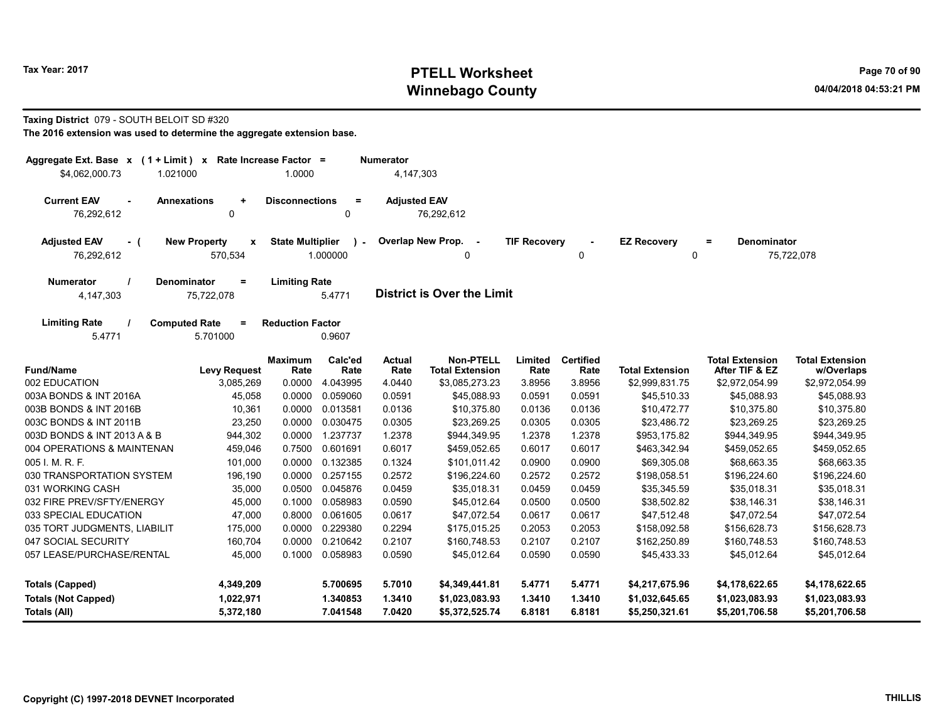# Tax Year: 2017 **PTELL Worksheet** Page 70 of 90 Winnebago County and the County of the County of the County of the County of the County of the County of the County of the County of the County of the County of the County of the County of the County of the County of the C

#### Taxing District 079 - SOUTH BELOIT SD #320

| Aggregate Ext. Base $x$ (1 + Limit) $x$<br>\$4,062,000.73<br>1.021000 |                                                 | Rate Increase Factor =<br>1.0000 |                 | <b>Numerator</b><br>4,147,303 |                                            |                     |                          |                        |                                          |                                      |
|-----------------------------------------------------------------------|-------------------------------------------------|----------------------------------|-----------------|-------------------------------|--------------------------------------------|---------------------|--------------------------|------------------------|------------------------------------------|--------------------------------------|
|                                                                       |                                                 |                                  |                 |                               |                                            |                     |                          |                        |                                          |                                      |
| <b>Current EAV</b><br>$\sim$<br>76,292,612                            | <b>Annexations</b><br>$\ddot{\phantom{1}}$<br>0 | <b>Disconnections</b>            | $\equiv$<br>0   | <b>Adjusted EAV</b>           | 76,292,612                                 |                     |                          |                        |                                          |                                      |
| <b>Adjusted EAV</b><br>- (<br>76,292,612                              | <b>New Property</b><br>$\mathbf{x}$<br>570,534  | <b>State Multiplier</b>          | ٠.<br>1.000000  |                               | Overlap New Prop.<br>$\sim$<br>0           | <b>TIF Recovery</b> | 0                        | <b>EZ Recovery</b>     | <b>Denominator</b><br>$=$<br>$\mathbf 0$ | 75,722,078                           |
| <b>Numerator</b><br>4,147,303                                         | <b>Denominator</b><br>$=$<br>75,722,078         | <b>Limiting Rate</b>             | 5.4771          |                               | <b>District is Over the Limit</b>          |                     |                          |                        |                                          |                                      |
| <b>Limiting Rate</b><br>5.4771                                        | <b>Computed Rate</b><br>$=$<br>5.701000         | <b>Reduction Factor</b>          | 0.9607          |                               |                                            |                     |                          |                        |                                          |                                      |
| <b>Fund/Name</b>                                                      | <b>Levy Request</b>                             | <b>Maximum</b><br>Rate           | Calc'ed<br>Rate | <b>Actual</b><br>Rate         | <b>Non-PTELL</b><br><b>Total Extension</b> | Limited<br>Rate     | <b>Certified</b><br>Rate | <b>Total Extension</b> | <b>Total Extension</b><br>After TIF & EZ | <b>Total Extension</b><br>w/Overlaps |
| 002 EDUCATION                                                         | 3,085,269                                       | 0.0000                           | 4.043995        | 4.0440                        | \$3,085,273.23                             | 3.8956              | 3.8956                   | \$2,999,831.75         | \$2,972,054.99                           | \$2,972,054.99                       |
| 003A BONDS & INT 2016A                                                | 45,058                                          | 0.0000                           | 0.059060        | 0.0591                        | \$45,088.93                                | 0.0591              | 0.0591                   | \$45,510.33            | \$45,088.93                              | \$45,088.93                          |
| 003B BONDS & INT 2016B                                                | 10,361                                          | 0.0000                           | 0.013581        | 0.0136                        | \$10,375.80                                | 0.0136              | 0.0136                   | \$10,472.77            | \$10,375.80                              | \$10,375.80                          |
| 003C BONDS & INT 2011B                                                | 23,250                                          | 0.0000                           | 0.030475        | 0.0305                        | \$23,269.25                                | 0.0305              | 0.0305                   | \$23,486.72            | \$23,269.25                              | \$23,269.25                          |
| 003D BONDS & INT 2013 A & B                                           | 944,302                                         | 0.0000                           | 1.237737        | 1.2378                        | \$944,349.95                               | 1.2378              | 1.2378                   | \$953,175.82           | \$944,349.95                             | \$944,349.95                         |
| 004 OPERATIONS & MAINTENAN                                            | 459,046                                         | 0.7500                           | 0.601691        | 0.6017                        | \$459,052.65                               | 0.6017              | 0.6017                   | \$463,342.94           | \$459,052.65                             | \$459,052.65                         |
| 005 I. M. R. F.                                                       | 101,000                                         | 0.0000                           | 0.132385        | 0.1324                        | \$101.011.42                               | 0.0900              | 0.0900                   | \$69,305.08            | \$68.663.35                              | \$68,663.35                          |
| 030 TRANSPORTATION SYSTEM                                             | 196,190                                         | 0.0000                           | 0.257155        | 0.2572                        | \$196,224.60                               | 0.2572              | 0.2572                   | \$198,058.51           | \$196,224.60                             | \$196,224.60                         |
| 031 WORKING CASH                                                      | 35,000                                          | 0.0500                           | 0.045876        | 0.0459                        | \$35,018.31                                | 0.0459              | 0.0459                   | \$35,345.59            | \$35,018.31                              | \$35,018.31                          |
| 032 FIRE PREV/SFTY/ENERGY                                             | 45,000                                          | 0.1000                           | 0.058983        | 0.0590                        | \$45,012.64                                | 0.0500              | 0.0500                   | \$38,502.82            | \$38,146.31                              | \$38,146.31                          |
| 033 SPECIAL EDUCATION                                                 | 47,000                                          | 0.8000                           | 0.061605        | 0.0617                        | \$47,072.54                                | 0.0617              | 0.0617                   | \$47,512.48            | \$47,072.54                              | \$47,072.54                          |
| 035 TORT JUDGMENTS, LIABILIT                                          | 175,000                                         | 0.0000                           | 0.229380        | 0.2294                        | \$175,015.25                               | 0.2053              | 0.2053                   | \$158,092.58           | \$156,628.73                             | \$156,628.73                         |
| 047 SOCIAL SECURITY                                                   | 160,704                                         | 0.0000                           | 0.210642        | 0.2107                        | \$160,748.53                               | 0.2107              | 0.2107                   | \$162,250.89           | \$160,748.53                             | \$160,748.53                         |
| 057 LEASE/PURCHASE/RENTAL                                             | 45,000                                          | 0.1000                           | 0.058983        | 0.0590                        | \$45,012.64                                | 0.0590              | 0.0590                   | \$45,433.33            | \$45,012.64                              | \$45,012.64                          |
| <b>Totals (Capped)</b>                                                | 4,349,209                                       |                                  | 5.700695        | 5.7010                        | \$4,349,441.81                             | 5.4771              | 5.4771                   | \$4,217,675.96         | \$4,178,622.65                           | \$4,178,622.65                       |
| <b>Totals (Not Capped)</b>                                            | 1,022,971                                       |                                  | 1.340853        | 1.3410                        | \$1,023,083.93                             | 1.3410              | 1.3410                   | \$1,032,645.65         | \$1,023,083.93                           | \$1,023,083.93                       |
| <b>Totals (All)</b>                                                   | 5,372,180                                       |                                  | 7.041548        | 7.0420                        | \$5,372,525.74                             | 6.8181              | 6.8181                   | \$5,250,321.61         | \$5,201,706.58                           | \$5,201,706.58                       |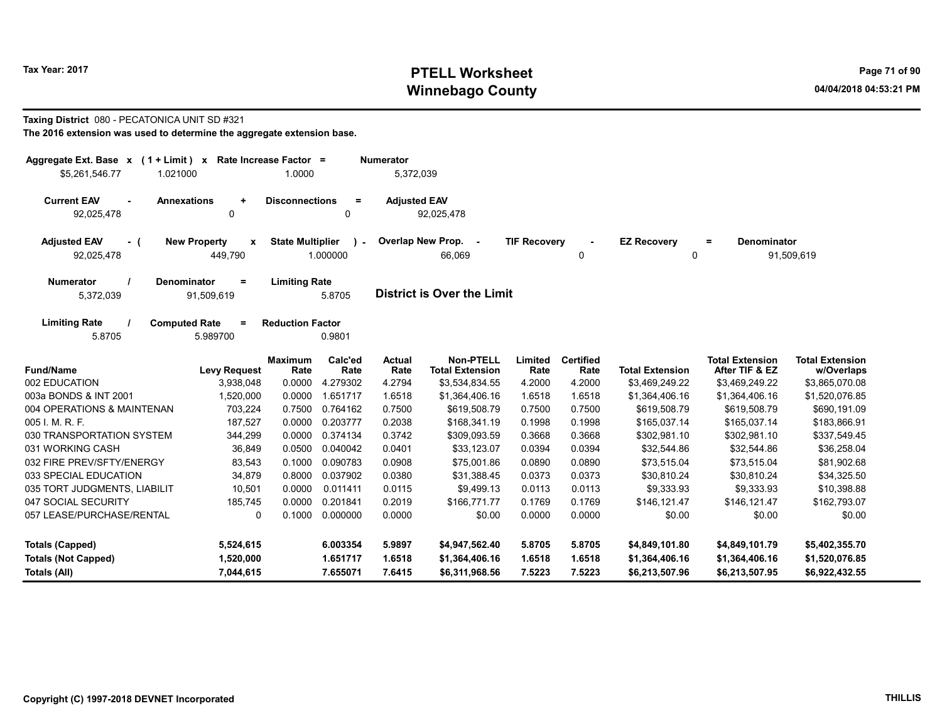# Tax Year: 2017 **PTELL Worksheet** Page 71 of 90 Winnebago County and the County of the County of the County of the County of the County of the County of the County of the County of the County of the County of the County of the County of the County of the County of the C

## Taxing District 080 - PECATONICA UNIT SD #321

| Aggregate Ext. Base $x$ (1 + Limit) $x$<br>\$5,261,546.77<br>1.021000 |                                                    | Rate Increase Factor =<br>1.0000 |                         | <b>Numerator</b><br>5,372,039 |                                            |                     |                          |                         |                                          |                                      |
|-----------------------------------------------------------------------|----------------------------------------------------|----------------------------------|-------------------------|-------------------------------|--------------------------------------------|---------------------|--------------------------|-------------------------|------------------------------------------|--------------------------------------|
| <b>Current EAV</b><br>$\sim$<br>92,025,478                            | <b>Annexations</b><br>$\ddot{}$<br>0               | <b>Disconnections</b>            | Ξ<br>0                  | <b>Adjusted EAV</b>           | 92,025,478                                 |                     |                          |                         |                                          |                                      |
| <b>Adjusted EAV</b><br>$-$ (<br>92,025,478                            | <b>New Property</b><br>$\boldsymbol{x}$<br>449,790 | <b>State Multiplier</b>          | $\lambda$ -<br>1.000000 |                               | Overlap New Prop. -<br>66,069              | <b>TIF Recovery</b> | 0                        | <b>EZ Recovery</b><br>0 | <b>Denominator</b><br>$=$                | 91,509,619                           |
| <b>Numerator</b><br>5,372,039                                         | <b>Denominator</b><br>$=$<br>91,509,619            | <b>Limiting Rate</b>             | 5.8705                  |                               | <b>District is Over the Limit</b>          |                     |                          |                         |                                          |                                      |
| <b>Limiting Rate</b><br>5.8705                                        | <b>Computed Rate</b><br>$=$<br>5.989700            | <b>Reduction Factor</b>          | 0.9801                  |                               |                                            |                     |                          |                         |                                          |                                      |
| <b>Fund/Name</b>                                                      | <b>Levy Request</b>                                | <b>Maximum</b><br>Rate           | Calc'ed<br>Rate         | <b>Actual</b><br>Rate         | <b>Non-PTELL</b><br><b>Total Extension</b> | Limited<br>Rate     | <b>Certified</b><br>Rate | <b>Total Extension</b>  | <b>Total Extension</b><br>After TIF & EZ | <b>Total Extension</b><br>w/Overlaps |
| 002 EDUCATION                                                         | 3,938,048                                          | 0.0000                           | 4.279302                | 4.2794                        | \$3,534,834.55                             | 4.2000              | 4.2000                   | \$3,469,249.22          | \$3,469,249.22                           | \$3,865,070.08                       |
| 003a BONDS & INT 2001                                                 | 1,520,000                                          | 0.0000                           | 1.651717                | 1.6518                        | \$1,364,406.16                             | 1.6518              | 1.6518                   | \$1,364,406.16          | \$1,364,406.16                           | \$1,520,076.85                       |
| 004 OPERATIONS & MAINTENAN                                            | 703,224                                            | 0.7500                           | 0.764162                | 0.7500                        | \$619,508.79                               | 0.7500              | 0.7500                   | \$619,508.79            | \$619,508.79                             | \$690,191.09                         |
| 005 I. M. R. F.                                                       | 187,527                                            | 0.0000                           | 0.203777                | 0.2038                        | \$168,341.19                               | 0.1998              | 0.1998                   | \$165,037.14            | \$165,037.14                             | \$183,866.91                         |
| 030 TRANSPORTATION SYSTEM                                             | 344,299                                            | 0.0000                           | 0.374134                | 0.3742                        | \$309,093.59                               | 0.3668              | 0.3668                   | \$302,981.10            | \$302,981.10                             | \$337,549.45                         |
| 031 WORKING CASH                                                      | 36,849                                             | 0.0500                           | 0.040042                | 0.0401                        | \$33,123.07                                | 0.0394              | 0.0394                   | \$32,544.86             | \$32,544.86                              | \$36,258.04                          |
| 032 FIRE PREV/SFTY/ENERGY                                             | 83,543                                             | 0.1000                           | 0.090783                | 0.0908                        | \$75,001.86                                | 0.0890              | 0.0890                   | \$73,515.04             | \$73,515.04                              | \$81,902.68                          |
| 033 SPECIAL EDUCATION                                                 | 34,879                                             | 0.8000                           | 0.037902                | 0.0380                        | \$31,388.45                                | 0.0373              | 0.0373                   | \$30,810.24             | \$30,810.24                              | \$34,325.50                          |
| 035 TORT JUDGMENTS, LIABILIT                                          | 10,501                                             | 0.0000                           | 0.011411                | 0.0115                        | \$9,499.13                                 | 0.0113              | 0.0113                   | \$9,333.93              | \$9,333.93                               | \$10,398.88                          |
| 047 SOCIAL SECURITY                                                   | 185,745                                            | 0.0000                           | 0.201841                | 0.2019                        | \$166,771.77                               | 0.1769              | 0.1769                   | \$146,121.47            | \$146,121.47                             | \$162,793.07                         |
| 057 LEASE/PURCHASE/RENTAL                                             | 0                                                  | 0.1000                           | 0.000000                | 0.0000                        | \$0.00                                     | 0.0000              | 0.0000                   | \$0.00                  | \$0.00                                   | \$0.00                               |
| <b>Totals (Capped)</b>                                                | 5,524,615                                          |                                  | 6.003354                | 5.9897                        | \$4,947,562.40                             | 5.8705              | 5.8705                   | \$4,849,101.80          | \$4,849,101.79                           | \$5,402,355.70                       |
| <b>Totals (Not Capped)</b>                                            | 1,520,000                                          |                                  | 1.651717                | 1.6518                        | \$1,364,406.16                             | 1.6518              | 1.6518                   | \$1,364,406.16          | \$1,364,406.16                           | \$1,520,076.85                       |
| Totals (All)                                                          | 7,044,615                                          |                                  | 7.655071                | 7.6415                        | \$6,311,968.56                             | 7.5223              | 7.5223                   | \$6,213,507.96          | \$6,213,507.95                           | \$6,922,432.55                       |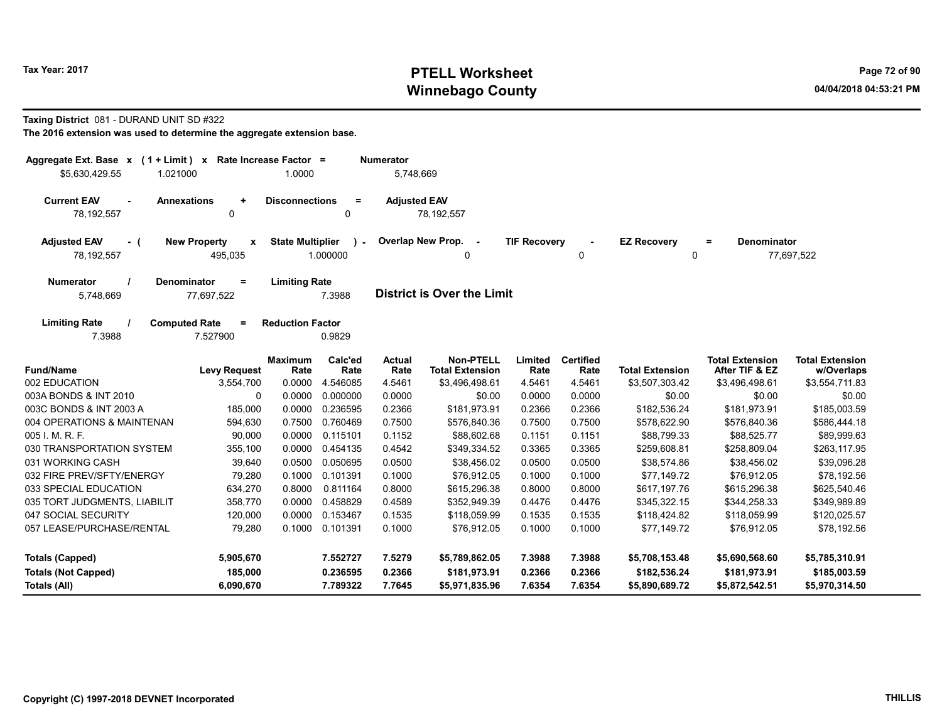# Tax Year: 2017 **PTELL Worksheet** Page 72 of 90 Winnebago County and the County of the County of the County of the County of the County of the County of the County of the County of the County of the County of the County of the County of the County of the County of the C

#### Taxing District 081 - DURAND UNIT SD #322

| Aggregate Ext. Base $x$ (1 + Limit) $x$<br>\$5,630,429.55<br>1.021000 |                                                | Rate Increase Factor =<br>1.0000 |                         | <b>Numerator</b><br>5,748,669 |                                            |                     |                          |                                   |                                          |                                      |
|-----------------------------------------------------------------------|------------------------------------------------|----------------------------------|-------------------------|-------------------------------|--------------------------------------------|---------------------|--------------------------|-----------------------------------|------------------------------------------|--------------------------------------|
| <b>Current EAV</b><br>$\sim$<br>78,192,557                            | <b>Annexations</b><br>$\ddot{}$<br>0           | <b>Disconnections</b>            | $\equiv$<br>$\Omega$    | <b>Adjusted EAV</b>           | 78,192,557                                 |                     |                          |                                   |                                          |                                      |
| <b>Adjusted EAV</b><br>- (<br>78,192,557                              | <b>New Property</b><br>$\mathbf{x}$<br>495,035 | <b>State Multiplier</b>          | $\lambda$ -<br>1.000000 |                               | Overlap New Prop. -<br>0                   | <b>TIF Recoverv</b> | 0                        | <b>EZ Recovery</b><br>$\mathbf 0$ | <b>Denominator</b><br>$=$                | 77,697,522                           |
| <b>Numerator</b><br>5,748,669                                         | <b>Denominator</b><br>$=$<br>77,697,522        | <b>Limiting Rate</b>             | 7.3988                  |                               | <b>District is Over the Limit</b>          |                     |                          |                                   |                                          |                                      |
| <b>Limiting Rate</b><br>7.3988                                        | <b>Computed Rate</b><br>$=$<br>7.527900        | <b>Reduction Factor</b>          | 0.9829                  |                               |                                            |                     |                          |                                   |                                          |                                      |
| <b>Fund/Name</b>                                                      | <b>Levy Request</b>                            | <b>Maximum</b><br>Rate           | Calc'ed<br>Rate         | <b>Actual</b><br>Rate         | <b>Non-PTELL</b><br><b>Total Extension</b> | Limited<br>Rate     | <b>Certified</b><br>Rate | <b>Total Extension</b>            | <b>Total Extension</b><br>After TIF & EZ | <b>Total Extension</b><br>w/Overlaps |
| 002 EDUCATION                                                         | 3,554,700                                      | 0.0000                           | 4.546085                | 4.5461                        | \$3,496,498.61                             | 4.5461              | 4.5461                   | \$3,507,303.42                    | \$3,496,498.61                           | \$3,554,711.83                       |
| 003A BONDS & INT 2010                                                 | 0                                              | 0.0000                           | 0.000000                | 0.0000                        | \$0.00                                     | 0.0000              | 0.0000                   | \$0.00                            | \$0.00                                   | \$0.00                               |
| 003C BONDS & INT 2003 A                                               | 185,000                                        | 0.0000                           | 0.236595                | 0.2366                        | \$181.973.91                               | 0.2366              | 0.2366                   | \$182,536.24                      | \$181,973.91                             | \$185,003.59                         |
| 004 OPERATIONS & MAINTENAN                                            | 594,630                                        | 0.7500                           | 0.760469                | 0.7500                        | \$576,840.36                               | 0.7500              | 0.7500                   | \$578,622.90                      | \$576,840.36                             | \$586,444.18                         |
| 005 I. M. R. F.                                                       | 90,000                                         | 0.0000                           | 0.115101                | 0.1152                        | \$88,602.68                                | 0.1151              | 0.1151                   | \$88,799.33                       | \$88,525.77                              | \$89,999.63                          |
| 030 TRANSPORTATION SYSTEM                                             | 355,100                                        | 0.0000                           | 0.454135                | 0.4542                        | \$349,334.52                               | 0.3365              | 0.3365                   | \$259,608.81                      | \$258,809.04                             | \$263,117.95                         |
| 031 WORKING CASH                                                      | 39,640                                         | 0.0500                           | 0.050695                | 0.0500                        | \$38,456.02                                | 0.0500              | 0.0500                   | \$38,574.86                       | \$38,456.02                              | \$39,096.28                          |
| 032 FIRE PREV/SFTY/ENERGY                                             | 79,280                                         | 0.1000                           | 0.101391                | 0.1000                        | \$76,912.05                                | 0.1000              | 0.1000                   | \$77.149.72                       | \$76,912.05                              | \$78,192.56                          |
| 033 SPECIAL EDUCATION                                                 | 634,270                                        | 0.8000                           | 0.811164                | 0.8000                        | \$615,296.38                               | 0.8000              | 0.8000                   | \$617,197.76                      | \$615,296.38                             | \$625,540.46                         |
| 035 TORT JUDGMENTS, LIABILIT                                          | 358,770                                        | 0.0000                           | 0.458829                | 0.4589                        | \$352,949.39                               | 0.4476              | 0.4476                   | \$345,322.15                      | \$344,258.33                             | \$349,989.89                         |
| 047 SOCIAL SECURITY                                                   | 120,000                                        | 0.0000                           | 0.153467                | 0.1535                        | \$118.059.99                               | 0.1535              | 0.1535                   | \$118.424.82                      | \$118.059.99                             | \$120,025.57                         |
| 057 LEASE/PURCHASE/RENTAL                                             | 79,280                                         | 0.1000                           | 0.101391                | 0.1000                        | \$76,912.05                                | 0.1000              | 0.1000                   | \$77,149.72                       | \$76,912.05                              | \$78,192.56                          |
| <b>Totals (Capped)</b>                                                | 5,905,670                                      |                                  | 7.552727                | 7.5279                        | \$5,789,862.05                             | 7.3988              | 7.3988                   | \$5,708,153.48                    | \$5,690,568.60                           | \$5,785,310.91                       |
| <b>Totals (Not Capped)</b>                                            | 185,000                                        |                                  | 0.236595                | 0.2366                        | \$181.973.91                               | 0.2366              | 0.2366                   | \$182,536.24                      | \$181,973.91                             | \$185,003.59                         |
| Totals (All)                                                          | 6,090,670                                      |                                  | 7.789322                | 7.7645                        | \$5,971,835.96                             | 7.6354              | 7.6354                   | \$5,890,689.72                    | \$5,872,542.51                           | \$5,970,314.50                       |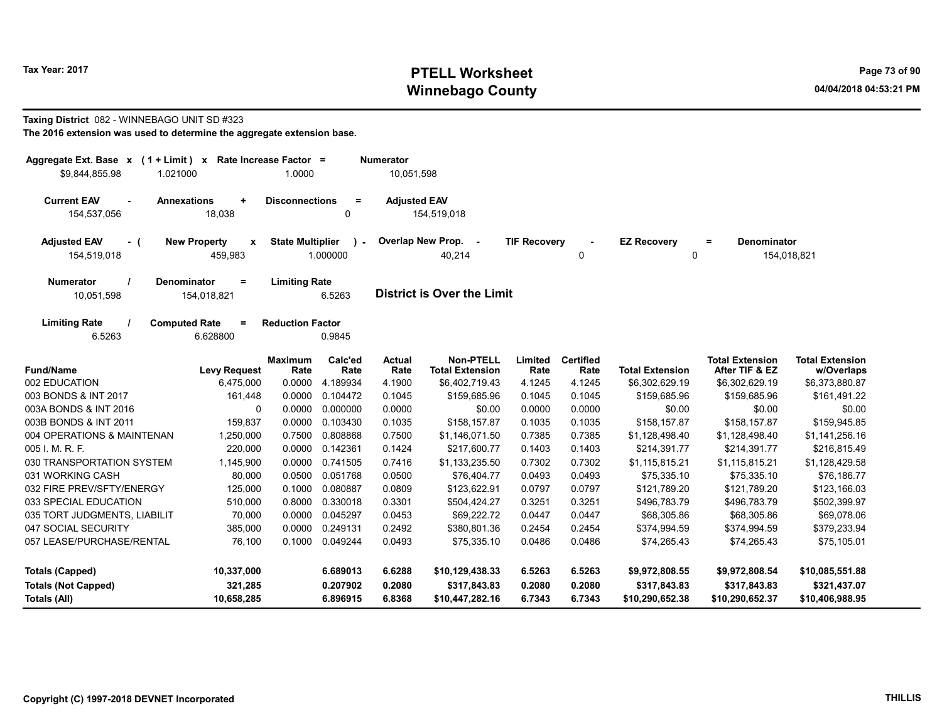# Tax Year: 2017 **PTELL Worksheet** Page 73 of 90 Winnebago County and the County of the County of the County of the County of the County of the County of the County of the County of the County of the County of the County of the County of the County of the County of the C

### Taxing District 082 - WINNEBAGO UNIT SD #323

| Aggregate Ext. Base $x$ (1 + Limit) $x$<br>\$9,844,855.98<br>1.021000 |                                               | Rate Increase Factor =<br>1.0000 |                      | <b>Numerator</b><br>10,051,598 |                                            |                     |                          |                                |                                          |                                      |
|-----------------------------------------------------------------------|-----------------------------------------------|----------------------------------|----------------------|--------------------------------|--------------------------------------------|---------------------|--------------------------|--------------------------------|------------------------------------------|--------------------------------------|
| <b>Current EAV</b><br>154,537,056                                     | <b>Annexations</b><br>$\ddot{}$<br>18,038     | <b>Disconnections</b>            | $=$<br>0             | <b>Adjusted EAV</b>            | 154,519,018                                |                     |                          |                                |                                          |                                      |
| <b>Adjusted EAV</b><br>- (<br>154,519,018                             | <b>New Property</b><br>x<br>459,983           | <b>State Multiplier</b>          | 1.000000             |                                | Overlap New Prop. -<br>40,214              | <b>TIF Recovery</b> | 0                        | <b>EZ Recovery</b>             | Denominator<br>$\equiv$<br>0             | 154,018,821                          |
| <b>Numerator</b><br>10,051,598                                        | <b>Denominator</b><br>$\equiv$<br>154,018,821 | <b>Limiting Rate</b>             | 6.5263               |                                | <b>District is Over the Limit</b>          |                     |                          |                                |                                          |                                      |
| <b>Limiting Rate</b><br>6.5263                                        | <b>Computed Rate</b><br>Ξ<br>6.628800         | <b>Reduction Factor</b>          | 0.9845               |                                |                                            |                     |                          |                                |                                          |                                      |
| <b>Fund/Name</b>                                                      | <b>Levy Request</b>                           | <b>Maximum</b><br>Rate           | Calc'ed<br>Rate      | <b>Actual</b><br>Rate          | <b>Non-PTELL</b><br><b>Total Extension</b> | Limited<br>Rate     | <b>Certified</b><br>Rate | <b>Total Extension</b>         | <b>Total Extension</b><br>After TIF & EZ | <b>Total Extension</b><br>w/Overlaps |
| 002 EDUCATION                                                         | 6,475,000                                     | 0.0000                           | 4.189934             | 4.1900                         | \$6,402,719.43                             | 4.1245              | 4.1245                   | \$6,302,629.19                 | \$6,302,629.19                           | \$6,373,880.87                       |
| 003 BONDS & INT 2017                                                  | 161,448                                       | 0.0000                           | 0.104472             | 0.1045                         | \$159,685.96                               | 0.1045              | 0.1045                   | \$159,685.96                   | \$159,685.96                             | \$161,491.22                         |
| 003A BONDS & INT 2016                                                 | $\Omega$                                      | 0.0000                           | 0.000000             | 0.0000                         | \$0.00                                     | 0.0000              | 0.0000                   | \$0.00                         | \$0.00                                   | \$0.00                               |
| 003B BONDS & INT 2011                                                 | 159,837                                       | 0.0000                           | 0.103430             | 0.1035                         | \$158.157.87                               | 0.1035              | 0.1035                   | \$158,157.87                   | \$158.157.87                             | \$159,945.85                         |
| 004 OPERATIONS & MAINTENAN                                            | 1,250,000                                     | 0.7500                           | 0.808868             | 0.7500                         | \$1,146,071.50                             | 0.7385              | 0.7385                   | \$1,128,498.40                 | \$1,128,498.40                           | \$1,141,256.16                       |
| 005 I. M. R. F.                                                       | 220,000                                       | 0.0000                           | 0.142361             | 0.1424                         | \$217,600.77                               | 0.1403              | 0.1403                   | \$214,391.77                   | \$214,391.77                             | \$216,815.49                         |
| 030 TRANSPORTATION SYSTEM                                             | 1,145,900                                     | 0.0000                           | 0.741505             | 0.7416                         | \$1,133,235.50                             | 0.7302              | 0.7302                   | \$1,115,815.21                 | \$1,115,815.21                           | \$1,128,429.58                       |
| 031 WORKING CASH                                                      | 80,000                                        | 0.0500                           | 0.051768             | 0.0500                         | \$76,404.77                                | 0.0493              | 0.0493                   | \$75,335.10                    | \$75,335.10                              | \$76,186.77                          |
| 032 FIRE PREV/SFTY/ENERGY                                             | 125,000                                       | 0.1000                           | 0.080887             | 0.0809                         | \$123,622.91                               | 0.0797              | 0.0797                   | \$121,789.20                   | \$121,789.20                             | \$123,166.03                         |
| 033 SPECIAL EDUCATION                                                 | 510,000                                       | 0.8000                           | 0.330018             | 0.3301                         | \$504,424.27                               | 0.3251              | 0.3251                   | \$496,783.79                   | \$496,783.79                             | \$502,399.97                         |
| 035 TORT JUDGMENTS, LIABILIT                                          | 70,000                                        | 0.0000                           | 0.045297             | 0.0453                         | \$69,222.72                                | 0.0447              | 0.0447                   | \$68,305.86                    | \$68,305.86                              | \$69,078.06                          |
| 047 SOCIAL SECURITY                                                   | 385,000                                       | 0.0000                           | 0.249131             | 0.2492                         | \$380,801.36                               | 0.2454              | 0.2454                   | \$374,994.59                   | \$374,994.59                             | \$379,233.94                         |
| 057 LEASE/PURCHASE/RENTAL                                             | 76,100                                        | 0.1000                           | 0.049244             | 0.0493                         | \$75,335.10                                | 0.0486              | 0.0486                   | \$74,265.43                    | \$74,265.43                              | \$75,105.01                          |
| <b>Totals (Capped)</b><br><b>Totals (Not Capped)</b>                  | 10,337,000<br>321,285                         |                                  | 6.689013<br>0.207902 | 6.6288<br>0.2080               | \$10,129,438.33<br>\$317,843.83            | 6.5263<br>0.2080    | 6.5263<br>0.2080         | \$9,972,808.55<br>\$317,843.83 | \$9,972,808.54<br>\$317,843.83           | \$10,085,551.88<br>\$321,437.07      |
| Totals (All)                                                          | 10,658,285                                    |                                  | 6.896915             | 6.8368                         | \$10,447,282.16                            | 6.7343              | 6.7343                   | \$10,290,652.38                | \$10,290,652.37                          | \$10,406,988.95                      |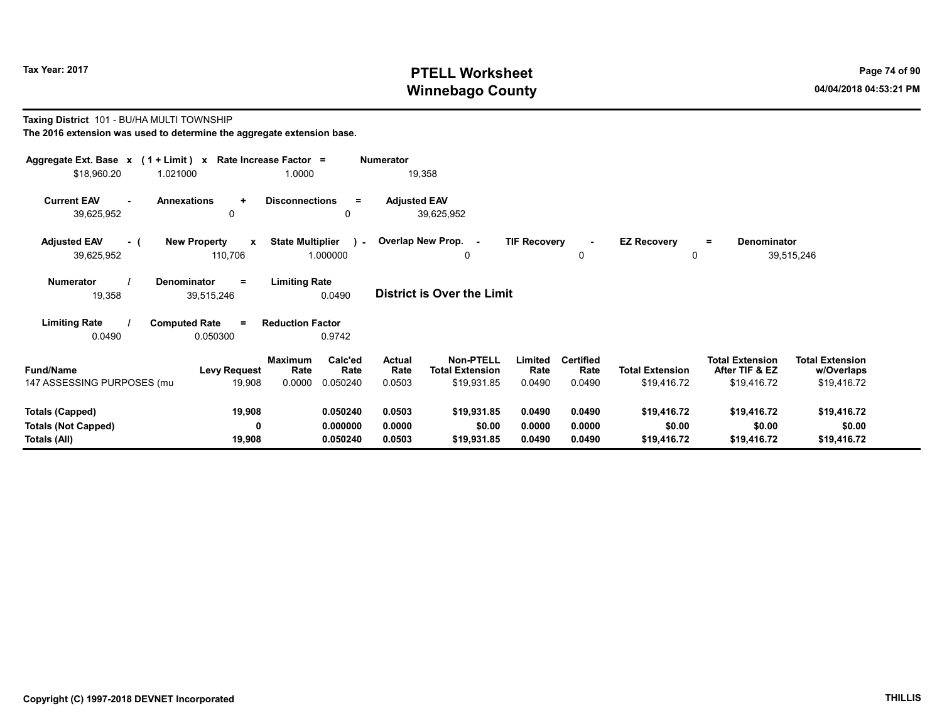# Tax Year: 2017 **PTELL Worksheet** Page 74 of 90 Winnebago County and the County of the County of the County of the County of the County of the County of the County of the County of the County of the County of the County of the County of the County of the County of the C

#### Taxing District 101 - BU/HA MULTI TOWNSHIP The 2016 extension was used to determine the aggregate extension base.

| Aggregate Ext. Base $x$ (1 + Limit) x Rate Increase Factor = |                                                |                                                     | Numerator           |                                     |                     |                          |                         |                                          |                                      |  |
|--------------------------------------------------------------|------------------------------------------------|-----------------------------------------------------|---------------------|-------------------------------------|---------------------|--------------------------|-------------------------|------------------------------------------|--------------------------------------|--|
| \$18,960.20                                                  | 1.021000                                       | 1.0000                                              | 19,358              |                                     |                     |                          |                         |                                          |                                      |  |
| <b>Current EAV</b><br>$\sim$<br>39,625,952                   | <b>Annexations</b><br>$\ddot{}$<br>0           | <b>Disconnections</b><br>$=$<br>0                   | <b>Adjusted EAV</b> | 39,625,952                          |                     |                          |                         |                                          |                                      |  |
| <b>Adjusted EAV</b><br>- (<br>39,625,952                     | <b>New Property</b><br>$\mathbf{x}$<br>110,706 | <b>State Multiplier</b><br>$\mathbf{r}$<br>1.000000 |                     | Overlap New Prop. -<br>0            | <b>TIF Recovery</b> | 0                        | <b>EZ Recovery</b><br>0 | Denominator<br>$=$                       | 39,515,246                           |  |
| <b>Numerator</b><br>19,358                                   | <b>Denominator</b><br>$\equiv$<br>39,515,246   | <b>Limiting Rate</b><br>0.0490                      |                     | <b>District is Over the Limit</b>   |                     |                          |                         |                                          |                                      |  |
| <b>Limiting Rate</b>                                         | <b>Computed Rate</b><br>$\equiv$               | <b>Reduction Factor</b>                             |                     |                                     |                     |                          |                         |                                          |                                      |  |
| 0.0490                                                       | 0.050300                                       | 0.9742                                              |                     |                                     |                     |                          |                         |                                          |                                      |  |
| <b>Fund/Name</b>                                             | Maximum<br><b>Levy Request</b>                 | Calc'ed<br>Rate<br>Rate                             | Actual<br>Rate      | Non-PTELL<br><b>Total Extension</b> | Limited<br>Rate     | <b>Certified</b><br>Rate | <b>Total Extension</b>  | <b>Total Extension</b><br>After TIF & EZ | <b>Total Extension</b><br>w/Overlaps |  |
| 147 ASSESSING PURPOSES (mu                                   | 19,908                                         | 0.0000<br>0.050240                                  | 0.0503              | \$19,931.85                         | 0.0490              | 0.0490                   | \$19,416.72             | \$19,416.72                              | \$19,416.72                          |  |
|                                                              |                                                |                                                     |                     |                                     |                     |                          |                         |                                          |                                      |  |
| <b>Totals (Capped)</b>                                       | 19,908                                         | 0.050240                                            | 0.0503              | \$19,931.85                         | 0.0490              | 0.0490                   | \$19,416.72             | \$19,416.72                              | \$19,416.72                          |  |
| <b>Totals (Not Capped)</b>                                   | 0                                              | 0.000000                                            | 0.0000              | \$0.00                              | 0.0000              | 0.0000                   | \$0.00                  | \$0.00                                   | \$0.00                               |  |
| Totals (All)                                                 | 19,908                                         | 0.050240                                            | 0.0503              | \$19,931.85                         | 0.0490              | 0.0490                   | \$19,416.72             | \$19,416.72                              | \$19,416.72                          |  |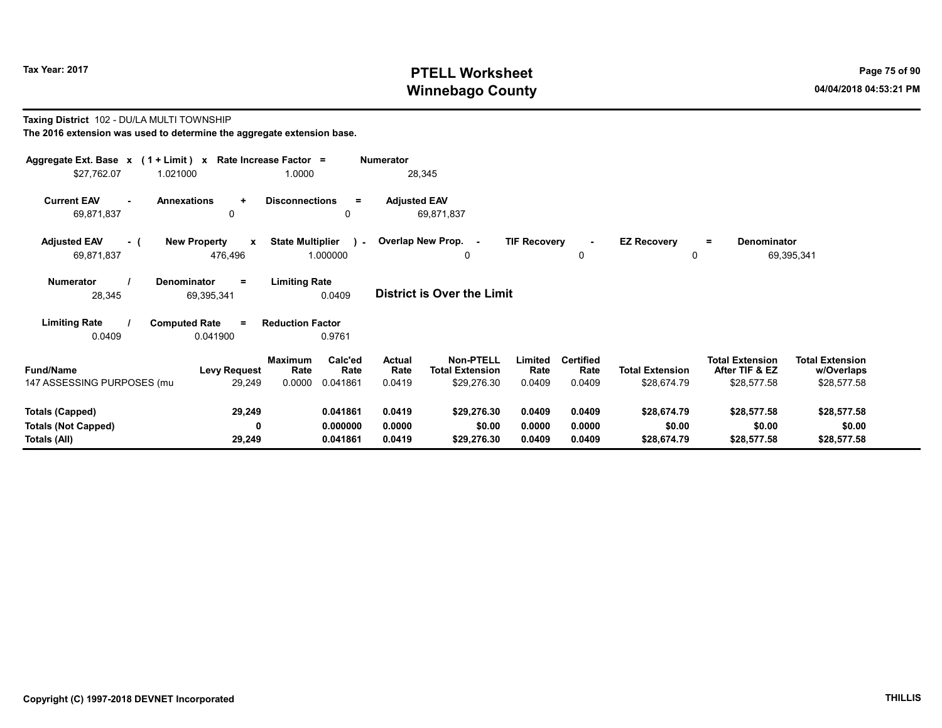# Tax Year: 2017 **PTELL Worksheet** Page 75 of 90 Winnebago County and the County of the County of the County of the County of the County of the County of the County of the County of the County of the County of the County of the County of the County of the County of the C

#### Taxing District 102 - DU/LA MULTI TOWNSHIP The 2016 extension was used to determine the aggregate extension base.

| Aggregate Ext. Base $x$ (1 + Limit) x Rate Increase Factor =<br>\$27,762.07 | 1.021000                                       | 1.0000                                                   | <b>Numerator</b><br>28,345        |                                                                                        |                                    |                                       |                                                         |                                                     |
|-----------------------------------------------------------------------------|------------------------------------------------|----------------------------------------------------------|-----------------------------------|----------------------------------------------------------------------------------------|------------------------------------|---------------------------------------|---------------------------------------------------------|-----------------------------------------------------|
| <b>Current EAV</b><br>69,871,837                                            | <b>Annexations</b><br>$\ddot{}$<br>0           | <b>Disconnections</b><br>$\equiv$<br>0                   | <b>Adjusted EAV</b><br>69,871,837 |                                                                                        |                                    |                                       |                                                         |                                                     |
| <b>Adjusted EAV</b><br>- (<br>69,871,837                                    | <b>New Property</b><br>$\mathbf{x}$<br>476,496 | <b>State Multiplier</b><br>$\sim$<br>1.000000            | Overlap New Prop. -               | <b>TIF Recovery</b><br>0                                                               | $\blacksquare$<br>0                | <b>EZ Recovery</b><br>0               | <b>Denominator</b><br>$=$                               | 69,395,341                                          |
| <b>Numerator</b><br>28,345                                                  | <b>Denominator</b><br>$=$<br>69,395,341        | <b>Limiting Rate</b><br>0.0409                           | <b>District is Over the Limit</b> |                                                                                        |                                    |                                       |                                                         |                                                     |
| <b>Limiting Rate</b><br>0.0409                                              | <b>Computed Rate</b><br>$=$<br>0.041900        | <b>Reduction Factor</b><br>0.9761                        |                                   |                                                                                        |                                    |                                       |                                                         |                                                     |
| <b>Fund/Name</b><br>147 ASSESSING PURPOSES (mu                              | <b>Levy Request</b><br>29,249                  | Calc'ed<br>Maximum<br>Rate<br>Rate<br>0.0000<br>0.041861 | <b>Actual</b><br>Rate<br>0.0419   | <b>Non-PTELL</b><br>Limited<br><b>Total Extension</b><br>Rate<br>\$29,276.30<br>0.0409 | <b>Certified</b><br>Rate<br>0.0409 | <b>Total Extension</b><br>\$28,674.79 | <b>Total Extension</b><br>After TIF & EZ<br>\$28,577.58 | <b>Total Extension</b><br>w/Overlaps<br>\$28,577.58 |
| <b>Totals (Capped)</b><br><b>Totals (Not Capped)</b><br>Totals (All)        | 29,249<br>0<br>29,249                          | 0.041861<br>0.000000<br>0.041861                         | 0.0419<br>0.0000<br>0.0419        | \$29,276.30<br>0.0409<br>\$0.00<br>0.0000<br>\$29,276.30<br>0.0409                     | 0.0409<br>0.0000<br>0.0409         | \$28,674.79<br>\$0.00<br>\$28,674.79  | \$28,577.58<br>\$0.00<br>\$28,577.58                    | \$28,577.58<br>\$0.00<br>\$28,577.58                |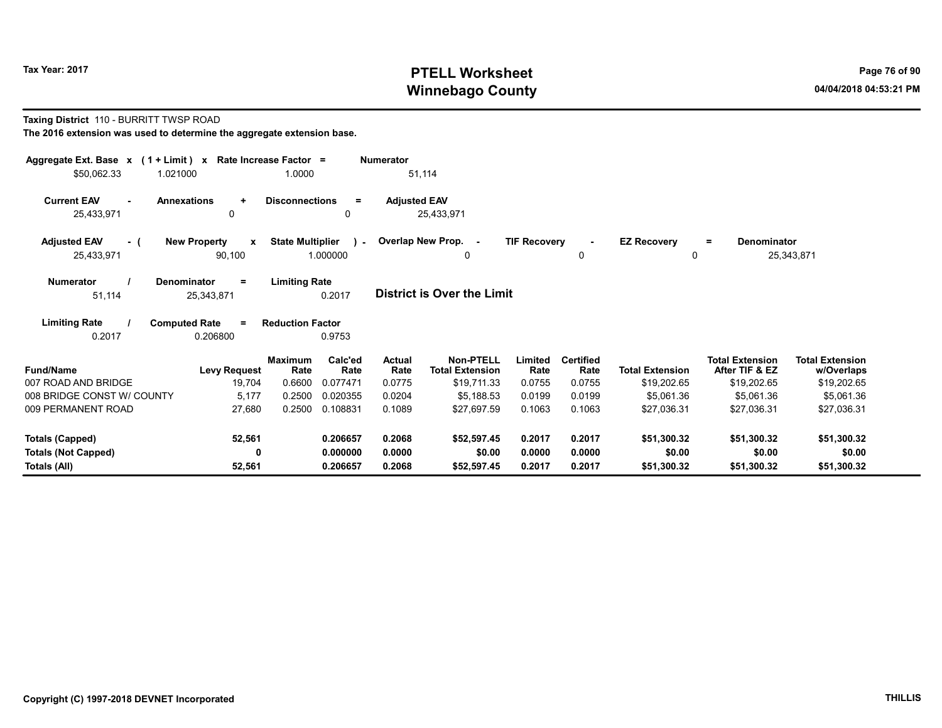# Tax Year: 2017 **PTELL Worksheet** Page 76 of 90 Winnebago County and the County of the County of the County of the County of the County of the County of the County of the County of the County of the County of the County of the County of the County of the County of the C

#### Taxing District 110 - BURRITT TWSP ROAD

| Aggregate Ext. Base $x$ (1 + Limit) $x$<br>\$50,062.33 | 1.021000                                       | Rate Increase Factor =<br>1.0000 |                             | <b>Numerator</b><br>51,114      |                                                           |                           |                                    |                                       |                                                         |                                                     |
|--------------------------------------------------------|------------------------------------------------|----------------------------------|-----------------------------|---------------------------------|-----------------------------------------------------------|---------------------------|------------------------------------|---------------------------------------|---------------------------------------------------------|-----------------------------------------------------|
| <b>Current EAV</b><br>$\mathbf{r}$<br>25,433,971       | <b>Annexations</b><br>$\ddot{}$<br>$\mathbf 0$ | <b>Disconnections</b>            | $\equiv$<br>0               | <b>Adjusted EAV</b>             | 25,433,971                                                |                           |                                    |                                       |                                                         |                                                     |
| <b>Adjusted EAV</b><br>- (<br>25,433,971               | <b>New Property</b><br>$\mathbf{x}$<br>90,100  | <b>State Multiplier</b>          | $\mathbf{1}$<br>1.000000    |                                 | Overlap New Prop. -<br>0                                  | <b>TIF Recovery</b>       | $\sim$<br>0                        | <b>EZ Recovery</b><br>0               | <b>Denominator</b><br>$=$                               | 25,343,871                                          |
| <b>Numerator</b><br>51,114                             | <b>Denominator</b><br>$\equiv$<br>25,343,871   | <b>Limiting Rate</b>             | 0.2017                      |                                 | <b>District is Over the Limit</b>                         |                           |                                    |                                       |                                                         |                                                     |
| <b>Limiting Rate</b><br>0.2017                         | <b>Computed Rate</b><br>$\equiv$<br>0.206800   | <b>Reduction Factor</b>          | 0.9753                      |                                 |                                                           |                           |                                    |                                       |                                                         |                                                     |
| <b>Fund/Name</b><br>007 ROAD AND BRIDGE                | <b>Levy Request</b><br>19,704                  | <b>Maximum</b><br>Rate<br>0.6600 | Calc'ed<br>Rate<br>0.077471 | <b>Actual</b><br>Rate<br>0.0775 | <b>Non-PTELL</b><br><b>Total Extension</b><br>\$19,711.33 | Limited<br>Rate<br>0.0755 | <b>Certified</b><br>Rate<br>0.0755 | <b>Total Extension</b><br>\$19,202.65 | <b>Total Extension</b><br>After TIF & EZ<br>\$19,202.65 | <b>Total Extension</b><br>w/Overlaps<br>\$19,202.65 |
| 008 BRIDGE CONST W/ COUNTY<br>009 PERMANENT ROAD       | 5,177<br>27,680                                | 0.2500<br>0.2500                 | 0.020355<br>0.108831        | 0.0204<br>0.1089                | \$5.188.53<br>\$27,697.59                                 | 0.0199<br>0.1063          | 0.0199<br>0.1063                   | \$5,061.36<br>\$27,036.31             | \$5,061.36<br>\$27.036.31                               | \$5,061.36<br>\$27,036.31                           |
| <b>Totals (Capped)</b><br><b>Totals (Not Capped)</b>   | 52,561<br>0                                    |                                  | 0.206657<br>0.000000        | 0.2068<br>0.0000                | \$52,597.45<br>\$0.00                                     | 0.2017<br>0.0000          | 0.2017<br>0.0000                   | \$51,300.32<br>\$0.00                 | \$51,300.32<br>\$0.00                                   | \$51,300.32<br>\$0.00                               |
| Totals (All)                                           | 52,561                                         |                                  | 0.206657                    | 0.2068                          | \$52,597.45                                               | 0.2017                    | 0.2017                             | \$51,300.32                           | \$51,300.32                                             | \$51,300.32                                         |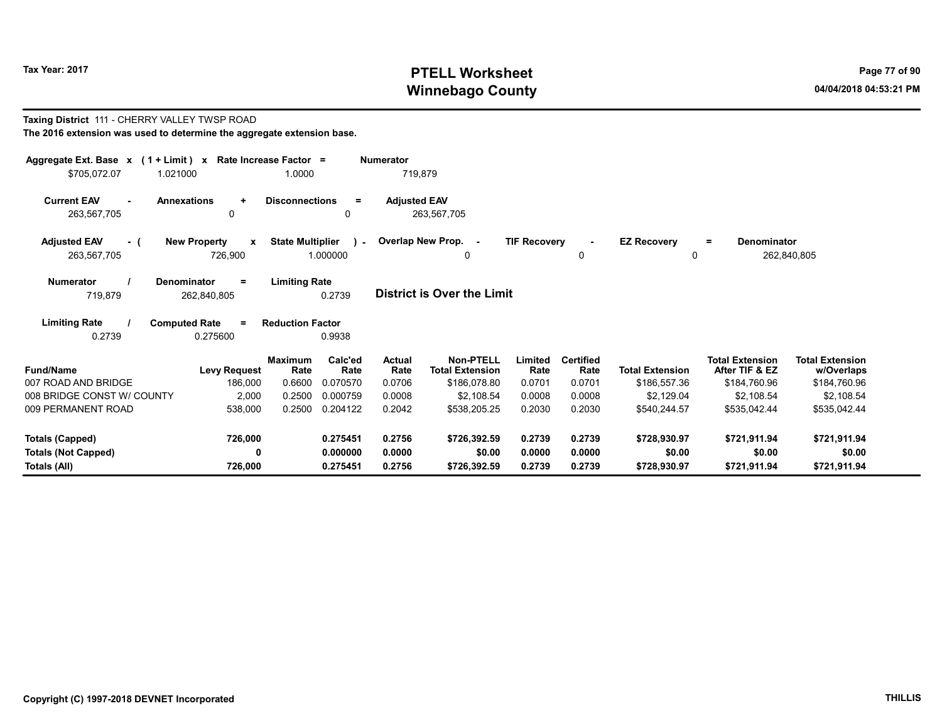Taxing District 111 - CHERRY VALLEY TWSP ROAD

# Tax Year: 2017 **PTELL Worksheet** Page 77 of 90 Winnebago County and the County of the County of the County of the County of the County of the County of the County of the County of the County of the County of the County of the County of the County of the County of the C

| The 2016 extension was used to determine the aggregate extension base.                   |                                                                           |                             |                             |                                                            |                           |                                    |                                        |                                                          |                                                      |
|------------------------------------------------------------------------------------------|---------------------------------------------------------------------------|-----------------------------|-----------------------------|------------------------------------------------------------|---------------------------|------------------------------------|----------------------------------------|----------------------------------------------------------|------------------------------------------------------|
| Aggregate Ext. Base $x$ (1 + Limit) x Rate Increase Factor =<br>1.021000<br>\$705,072.07 | 1.0000                                                                    |                             | <b>Numerator</b><br>719,879 |                                                            |                           |                                    |                                        |                                                          |                                                      |
| <b>Current EAV</b><br>263,567,705                                                        | <b>Annexations</b><br><b>Disconnections</b><br>÷<br>0                     | Ξ<br>$\mathbf{0}$           | <b>Adjusted EAV</b>         | 263,567,705                                                |                           |                                    |                                        |                                                          |                                                      |
| <b>Adjusted EAV</b><br>- (<br>263,567,705                                                | <b>New Property</b><br><b>State Multiplier</b><br>$\mathbf{x}$<br>726,900 | $\lambda$<br>1.000000       | Overlap New Prop. -         | 0                                                          | <b>TIF Recovery</b>       | 0                                  | <b>EZ Recovery</b><br>0                | Denominator<br>$\equiv$                                  | 262,840,805                                          |
| <b>Numerator</b><br>719,879                                                              | <b>Limiting Rate</b><br>Denominator<br>=<br>262,840,805                   | 0.2739                      |                             | <b>District is Over the Limit</b>                          |                           |                                    |                                        |                                                          |                                                      |
| <b>Limiting Rate</b><br>0.2739                                                           | <b>Computed Rate</b><br><b>Reduction Factor</b><br>$=$<br>0.275600        | 0.9938                      |                             |                                                            |                           |                                    |                                        |                                                          |                                                      |
| <b>Fund/Name</b><br>007 ROAD AND BRIDGE                                                  | <b>Maximum</b><br>Rate<br><b>Levy Request</b><br>186,000<br>0.6600        | Calc'ed<br>Rate<br>0.070570 | Actual<br>Rate<br>0.0706    | <b>Non-PTELL</b><br><b>Total Extension</b><br>\$186,078.80 | Limited<br>Rate<br>0.0701 | <b>Certified</b><br>Rate<br>0.0701 | <b>Total Extension</b><br>\$186,557.36 | <b>Total Extension</b><br>After TIF & EZ<br>\$184,760.96 | <b>Total Extension</b><br>w/Overlaps<br>\$184,760.96 |
| 008 BRIDGE CONST W/ COUNTY                                                               | 2,000<br>0.2500                                                           | 0.000759                    | 0.0008                      | \$2.108.54                                                 | 0.0008                    | 0.0008                             | \$2.129.04                             | \$2.108.54                                               | \$2.108.54                                           |
| 009 PERMANENT ROAD                                                                       | 0.2500<br>538,000                                                         | 0.204122                    | 0.2042                      | \$538,205.25                                               | 0.2030                    | 0.2030                             | \$540,244.57                           | \$535,042.44                                             | \$535,042.44                                         |
| Totals (Capped)                                                                          | 726,000                                                                   | 0.275451                    | 0.2756                      | \$726,392.59                                               | 0.2739                    | 0.2739                             | \$728,930.97                           | \$721,911.94                                             | \$721,911.94                                         |
| <b>Totals (Not Capped)</b>                                                               | 0                                                                         | 0.000000                    | 0.0000                      | \$0.00                                                     | 0.0000                    | 0.0000                             | \$0.00                                 | \$0.00                                                   | \$0.00                                               |
| Totals (All)                                                                             | 726,000                                                                   | 0.275451                    | 0.2756                      | \$726,392.59                                               | 0.2739                    | 0.2739                             | \$728,930.97                           | \$721,911.94                                             | \$721,911.94                                         |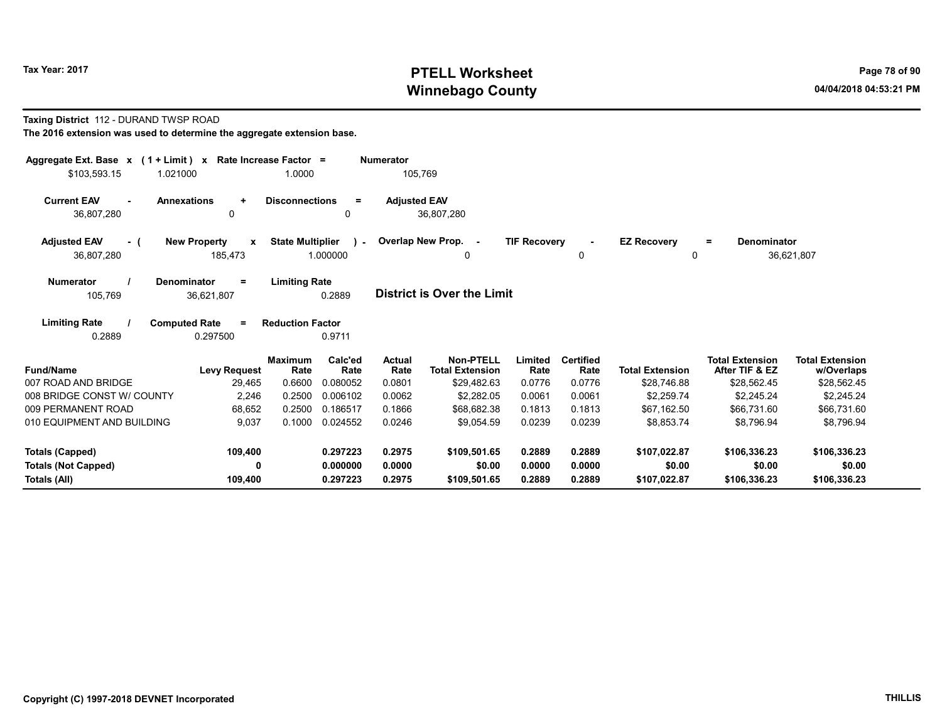# Tax Year: 2017 **PTELL Worksheet** Page 78 of 90 Winnebago County and the County of the County of the County of the County of the County of the County of the County of the County of the County of the County of the County of the County of the County of the County of the C

#### Taxing District 112 - DURAND TWSP ROAD

| Aggregate Ext. Base $x$ (1 + Limit) x Rate Increase Factor = |                                              |                         |                           | <b>Numerator</b>      |                                            |                     |                          |                         |                                          |                                      |
|--------------------------------------------------------------|----------------------------------------------|-------------------------|---------------------------|-----------------------|--------------------------------------------|---------------------|--------------------------|-------------------------|------------------------------------------|--------------------------------------|
| \$103,593.15                                                 | 1.021000                                     | 1.0000                  |                           | 105,769               |                                            |                     |                          |                         |                                          |                                      |
| <b>Current EAV</b><br>36,807,280                             | <b>Annexations</b><br>$\ddot{}$<br>0         | <b>Disconnections</b>   | $\equiv$<br>$\Omega$      | <b>Adjusted EAV</b>   | 36,807,280                                 |                     |                          |                         |                                          |                                      |
| <b>Adjusted EAV</b><br>- (<br>36,807,280                     | <b>New Property</b><br>X<br>185,473          | <b>State Multiplier</b> | $\mathcal{L}$<br>1.000000 |                       | Overlap New Prop. -<br>0                   | <b>TIF Recovery</b> | 0                        | <b>EZ Recovery</b><br>0 | Denominator<br>$=$                       | 36,621,807                           |
| <b>Numerator</b><br>105,769                                  | Denominator<br>$=$<br>36,621,807             | <b>Limiting Rate</b>    | 0.2889                    |                       | <b>District is Over the Limit</b>          |                     |                          |                         |                                          |                                      |
| <b>Limiting Rate</b><br>0.2889                               | <b>Computed Rate</b><br>$\equiv$<br>0.297500 | <b>Reduction Factor</b> | 0.9711                    |                       |                                            |                     |                          |                         |                                          |                                      |
| <b>Fund/Name</b>                                             | <b>Levy Request</b>                          | <b>Maximum</b><br>Rate  | Calc'ed<br>Rate           | <b>Actual</b><br>Rate | <b>Non-PTELL</b><br><b>Total Extension</b> | Limited<br>Rate     | <b>Certified</b><br>Rate | <b>Total Extension</b>  | <b>Total Extension</b><br>After TIF & EZ | <b>Total Extension</b><br>w/Overlaps |
| 007 ROAD AND BRIDGE                                          | 29,465                                       | 0.6600                  | 0.080052                  | 0.0801                | \$29,482.63                                | 0.0776              | 0.0776                   | \$28.746.88             | \$28,562.45                              | \$28,562.45                          |
| 008 BRIDGE CONST W/ COUNTY                                   | 2,246                                        | 0.2500                  | 0.006102                  | 0.0062                | \$2,282.05                                 | 0.0061              | 0.0061                   | \$2,259.74              | \$2,245.24                               | \$2,245.24                           |
| 009 PERMANENT ROAD                                           | 68,652                                       | 0.2500                  | 0.186517                  | 0.1866                | \$68,682.38                                | 0.1813              | 0.1813                   | \$67,162.50             | \$66,731.60                              | \$66,731.60                          |
| 010 EQUIPMENT AND BUILDING                                   | 9,037                                        | 0.1000                  | 0.024552                  | 0.0246                | \$9.054.59                                 | 0.0239              | 0.0239                   | \$8.853.74              | \$8.796.94                               | \$8,796.94                           |
| <b>Totals (Capped)</b>                                       | 109,400                                      |                         | 0.297223                  | 0.2975                | \$109,501.65                               | 0.2889              | 0.2889                   | \$107,022.87            | \$106,336.23                             | \$106,336.23                         |
| <b>Totals (Not Capped)</b>                                   | 0                                            |                         | 0.000000                  | 0.0000                | \$0.00                                     | 0.0000              | 0.0000                   | \$0.00                  | \$0.00                                   | \$0.00                               |
| Totals (All)                                                 | 109,400                                      |                         | 0.297223                  | 0.2975                | \$109,501.65                               | 0.2889              | 0.2889                   | \$107,022.87            | \$106,336.23                             | \$106,336.23                         |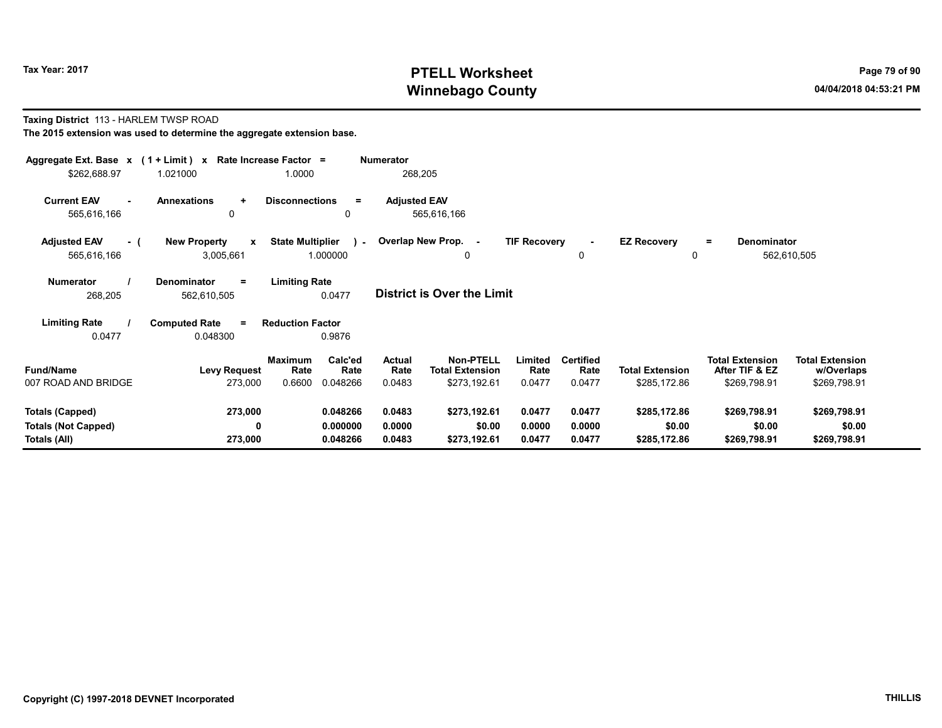# Tax Year: 2017 **PTELL Worksheet** Page 79 of 90 Winnebago County and the County of the County of the County of the County of the County of the County of the County of the County of the County of the County of the County of the County of the County of the County of the C

#### Taxing District 113 - HARLEM TWSP ROAD The 2015 extension was used to determine the aggregate extension base.

| Aggregate Ext. Base $x$ (1 + Limit) $x$<br>\$262,688.97       | 1.021000                                         | Rate Increase Factor =<br>1.0000                         | <b>Numerator</b><br>268,205     |                                                            |                            |                                    |                                        |                                                          |                                                      |
|---------------------------------------------------------------|--------------------------------------------------|----------------------------------------------------------|---------------------------------|------------------------------------------------------------|----------------------------|------------------------------------|----------------------------------------|----------------------------------------------------------|------------------------------------------------------|
| <b>Current EAV</b><br>565,616,166                             | <b>Annexations</b><br>$\ddot{}$<br>$\mathbf{0}$  | <b>Disconnections</b><br>0                               | <b>Adjusted EAV</b><br>$\equiv$ | 565,616,166                                                |                            |                                    |                                        |                                                          |                                                      |
| <b>Adjusted EAV</b><br>- (<br>565,616,166                     | <b>New Property</b><br>$\mathbf{x}$<br>3,005,661 | <b>State Multiplier</b><br>1.000000                      | ) -                             | Overlap New Prop. -<br>0                                   | <b>TIF Recovery</b>        | $\sim$<br>0                        | <b>EZ Recovery</b><br>0                | Denominator<br>$=$                                       | 562,610,505                                          |
| Numerator<br>268,205                                          | Denominator<br>$=$<br>562,610,505                | <b>Limiting Rate</b><br>0.0477                           |                                 | <b>District is Over the Limit</b>                          |                            |                                    |                                        |                                                          |                                                      |
| <b>Limiting Rate</b><br>0.0477                                | <b>Computed Rate</b><br>$=$<br>0.048300          | <b>Reduction Factor</b><br>0.9876                        |                                 |                                                            |                            |                                    |                                        |                                                          |                                                      |
| <b>Fund/Name</b><br>007 ROAD AND BRIDGE                       | <b>Levy Request</b><br>273,000                   | Calc'ed<br>Maximum<br>Rate<br>Rate<br>0.6600<br>0.048266 | Actual<br>Rate<br>0.0483        | <b>Non-PTELL</b><br><b>Total Extension</b><br>\$273,192.61 | Limited<br>Rate<br>0.0477  | <b>Certified</b><br>Rate<br>0.0477 | <b>Total Extension</b><br>\$285,172.86 | <b>Total Extension</b><br>After TIF & EZ<br>\$269,798.91 | <b>Total Extension</b><br>w/Overlaps<br>\$269,798.91 |
| Totals (Capped)<br><b>Totals (Not Capped)</b><br>Totals (All) | 273,000<br>0<br>273,000                          | 0.048266<br>0.000000<br>0.048266                         | 0.0483<br>0.0000<br>0.0483      | \$273,192.61<br>\$0.00<br>\$273,192.61                     | 0.0477<br>0.0000<br>0.0477 | 0.0477<br>0.0000<br>0.0477         | \$285,172.86<br>\$0.00<br>\$285,172.86 | \$269,798.91<br>\$0.00<br>\$269,798.91                   | \$269,798.91<br>\$0.00<br>\$269,798.91               |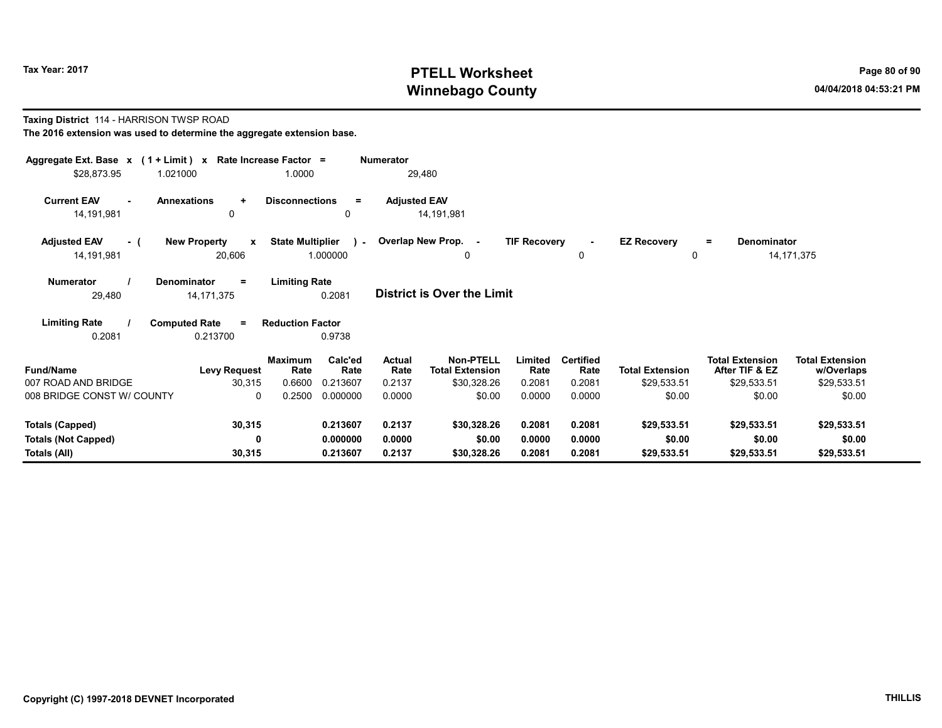# Tax Year: 2017 **PTELL Worksheet** Page 80 of 90 Winnebago County and the County of the County of the County of the County of the County of the County of the County of the County of the County of the County of the County of the County of the County of the County of the C

#### Taxing District 114 - HARRISON TWSP ROAD The 2016 extension was used to determine the aggregate extension base.

| Aggregate Ext. Base x (1 + Limit) x Rate Increase Factor =<br>\$28,873.95<br>1.021000 |                                               | 1.0000                                     |                                         | <b>Numerator</b><br>29,480                |                                                                     |                                     |                                              |                                                 |                                                                   |                                                               |  |
|---------------------------------------------------------------------------------------|-----------------------------------------------|--------------------------------------------|-----------------------------------------|-------------------------------------------|---------------------------------------------------------------------|-------------------------------------|----------------------------------------------|-------------------------------------------------|-------------------------------------------------------------------|---------------------------------------------------------------|--|
| <b>Current EAV</b><br>14,191,981                                                      | <b>Annexations</b><br>$\ddot{}$<br>0          | <b>Disconnections</b>                      | $=$<br>0                                | <b>Adjusted EAV</b>                       | 14,191,981                                                          |                                     |                                              |                                                 |                                                                   |                                                               |  |
| <b>Adjusted EAV</b><br>- (<br>14,191,981                                              | <b>New Property</b><br>$\mathbf{x}$<br>20,606 | <b>State Multiplier</b><br>1.000000        |                                         |                                           | ) - Overlap New Prop. -<br>0                                        | <b>TIF Recovery</b>                 | $\blacksquare$<br>0                          | <b>EZ Recovery</b><br>0                         | <b>Denominator</b><br>$=$                                         | 14, 171, 375                                                  |  |
| <b>Numerator</b><br>29,480                                                            | <b>Denominator</b><br>$=$<br>14, 171, 375     | <b>Limiting Rate</b>                       | 0.2081                                  |                                           | <b>District is Over the Limit</b>                                   |                                     |                                              |                                                 |                                                                   |                                                               |  |
| <b>Limiting Rate</b><br>0.2081                                                        | <b>Computed Rate</b><br>$=$<br>0.213700       | <b>Reduction Factor</b>                    | 0.9738                                  |                                           |                                                                     |                                     |                                              |                                                 |                                                                   |                                                               |  |
| <b>Fund/Name</b><br>007 ROAD AND BRIDGE<br>008 BRIDGE CONST W/ COUNTY                 | <b>Levy Request</b><br>30,315<br>$\mathbf{0}$ | <b>Maximum</b><br>Rate<br>0.6600<br>0.2500 | Calc'ed<br>Rate<br>0.213607<br>0.000000 | <b>Actual</b><br>Rate<br>0.2137<br>0.0000 | <b>Non-PTELL</b><br><b>Total Extension</b><br>\$30,328.26<br>\$0.00 | Limited<br>Rate<br>0.2081<br>0.0000 | <b>Certified</b><br>Rate<br>0.2081<br>0.0000 | <b>Total Extension</b><br>\$29,533.51<br>\$0.00 | <b>Total Extension</b><br>After TIF & EZ<br>\$29,533.51<br>\$0.00 | <b>Total Extension</b><br>w/Overlaps<br>\$29,533.51<br>\$0.00 |  |
| <b>Totals (Capped)</b>                                                                | 30,315                                        |                                            | 0.213607                                | 0.2137                                    | \$30,328.26                                                         | 0.2081                              | 0.2081                                       | \$29,533.51                                     | \$29,533.51                                                       | \$29,533.51                                                   |  |
| <b>Totals (Not Capped)</b><br>Totals (All)                                            | 0<br>30,315                                   |                                            | 0.000000<br>0.213607                    | 0.0000<br>0.2137                          | \$0.00<br>\$30,328.26                                               | 0.0000<br>0.2081                    | 0.0000<br>0.2081                             | \$0.00<br>\$29,533.51                           | \$0.00<br>\$29,533.51                                             | \$0.00<br>\$29,533.51                                         |  |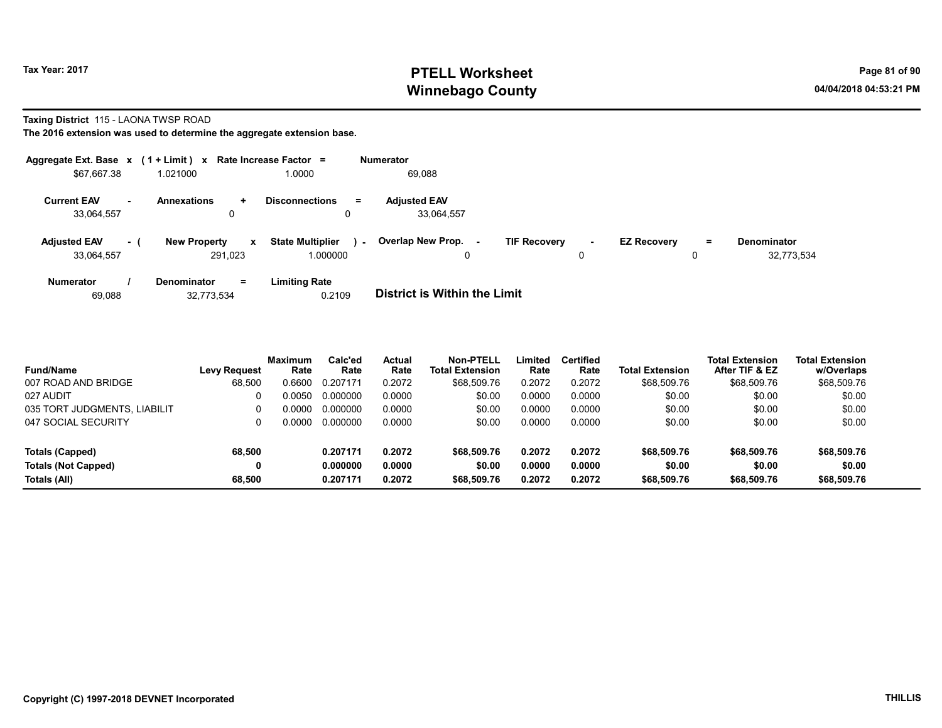# Tax Year: 2017 **PTELL Worksheet** Page 81 of 90 Winnebago County and the County of the County of the County of the County of the County of the County of the County of the County of the County of the County of the County of the County of the County of the County of the C

#### Taxing District 115 - LAONA TWSP ROAD

| Aggregate Ext. Base $x$ (1 + Limit) $x$ Rate Increase Factor = |           |                                |              |                                     |        | <b>Numerator</b>                  |    |                     |             |                    |         |                                  |
|----------------------------------------------------------------|-----------|--------------------------------|--------------|-------------------------------------|--------|-----------------------------------|----|---------------------|-------------|--------------------|---------|----------------------------------|
| \$67,667.38                                                    |           | 1.021000                       |              | 1.0000                              |        | 69,088                            |    |                     |             |                    |         |                                  |
| <b>Current EAV</b><br>33,064,557                               | <b>м.</b> | <b>Annexations</b>             | ÷.<br>0      | <b>Disconnections</b>               | Ξ.     | <b>Adjusted EAV</b><br>33,064,557 |    |                     |             |                    |         |                                  |
| <b>Adjusted EAV</b><br>33.064.557                              | $\sim$ 1  | <b>New Property</b><br>291.023 | $\mathbf{x}$ | <b>State Multiplier</b><br>1.000000 | $\sim$ | <b>Overlap New Prop.</b><br>0     | ۰. | <b>TIF Recovery</b> | $\sim$<br>0 | <b>EZ Recovery</b> | Ξ.<br>0 | <b>Denominator</b><br>32,773,534 |
| <b>Numerator</b>                                               |           | <b>Denominator</b>             | $=$          | <b>Limiting Rate</b>                |        | _ _ _ _ _ _ _ _ _ _ _ _ _ _ _ _   |    |                     |             |                    |         |                                  |

| 0.2109<br>32,773,534<br>69,088 | District is Within the Limit |
|--------------------------------|------------------------------|
|--------------------------------|------------------------------|

| <b>Fund/Name</b>             | <b>Levy Request</b> | <b>Maximum</b><br>Rate | Calc'ed<br>Rate | Actual<br>Rate | Non-PTELL<br><b>Total Extension</b> | Limited<br>Rate | <b>Certified</b><br>Rate | <b>Total Extension</b> | <b>Total Extension</b><br>After TIF & EZ | <b>Total Extension</b><br>w/Overlaps |
|------------------------------|---------------------|------------------------|-----------------|----------------|-------------------------------------|-----------------|--------------------------|------------------------|------------------------------------------|--------------------------------------|
| 007 ROAD AND BRIDGE          | 68,500              | 0.6600                 | 0.207171        | 0.2072         | \$68,509.76                         | 0.2072          | 0.2072                   | \$68,509.76            | \$68,509.76                              | \$68,509.76                          |
| 027 AUDIT                    |                     | 0.0050                 | 0.000000        | 0.0000         | \$0.00                              | 0.0000          | 0.0000                   | \$0.00                 | \$0.00                                   | \$0.00                               |
| 035 TORT JUDGMENTS, LIABILIT |                     | 0.0000                 | 0.000000        | 0.0000         | \$0.00                              | 0.0000          | 0.0000                   | \$0.00                 | \$0.00                                   | \$0.00                               |
| 047 SOCIAL SECURITY          |                     | ი იიიი                 | 0.000000        | 0.0000         | \$0.00                              | 0.0000          | 0.0000                   | \$0.00                 | \$0.00                                   | \$0.00                               |
| Totals (Capped)              | 68,500              |                        | 0.207171        | 0.2072         | \$68,509.76                         | 0.2072          | 0.2072                   | \$68,509.76            | \$68,509.76                              | \$68,509.76                          |
| <b>Totals (Not Capped)</b>   | 0                   |                        | 0.000000        | 0.0000         | \$0.00                              | 0.0000          | 0.0000                   | \$0.00                 | \$0.00                                   | \$0.00                               |
| Totals (All)                 | 68.500              |                        | 0.207171        | 0.2072         | \$68,509.76                         | 0.2072          | 0.2072                   | \$68,509.76            | \$68,509.76                              | \$68,509.76                          |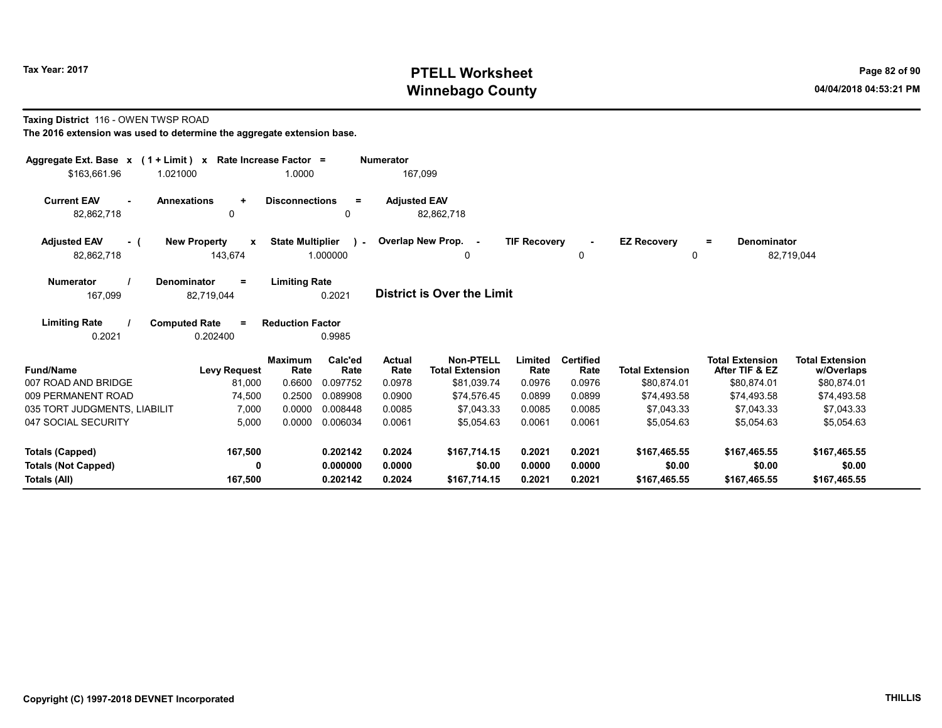# Tax Year: 2017 **PTELL Worksheet** Page 82 of 90 Winnebago County and the County of the County of the County of the County of the County of the County of the County of the County of the County of the County of the County of the County of the County of the County of the C

#### Taxing District 116 - OWEN TWSP ROAD

| Aggregate Ext. Base $x$ (1 + Limit) $x$                | Rate Increase Factor =                                                    |                       | <b>Numerator</b>      |                                            |                     |                          |                                |                                          |                                      |
|--------------------------------------------------------|---------------------------------------------------------------------------|-----------------------|-----------------------|--------------------------------------------|---------------------|--------------------------|--------------------------------|------------------------------------------|--------------------------------------|
| \$163.661.96<br>1.021000                               | 1.0000                                                                    |                       | 167,099               |                                            |                     |                          |                                |                                          |                                      |
| <b>Current EAV</b><br><b>Annexations</b><br>82,862,718 | <b>Disconnections</b><br>$\ddot{}$<br>0                                   | $=$<br>0              | <b>Adjusted EAV</b>   | 82,862,718                                 |                     |                          |                                |                                          |                                      |
| <b>Adjusted EAV</b><br>- (<br>82,862,718               | <b>State Multiplier</b><br><b>New Property</b><br>$\mathbf{x}$<br>143,674 | $\lambda$<br>1.000000 |                       | Overlap New Prop. -<br>0                   | <b>TIF Recovery</b> | 0                        | <b>EZ Recovery</b><br>$\Omega$ | <b>Denominator</b><br>$\equiv$           | 82,719,044                           |
| <b>Numerator</b><br><b>Denominator</b><br>167,099      | <b>Limiting Rate</b><br>$\equiv$<br>82,719,044                            | 0.2021                |                       | <b>District is Over the Limit</b>          |                     |                          |                                |                                          |                                      |
| <b>Limiting Rate</b><br><b>Computed Rate</b><br>0.2021 | <b>Reduction Factor</b><br>$\equiv$<br>0.202400                           | 0.9985                |                       |                                            |                     |                          |                                |                                          |                                      |
| <b>Fund/Name</b>                                       | <b>Maximum</b><br><b>Levy Request</b><br>Rate                             | Calc'ed<br>Rate       | <b>Actual</b><br>Rate | <b>Non-PTELL</b><br><b>Total Extension</b> | Limited<br>Rate     | <b>Certified</b><br>Rate | <b>Total Extension</b>         | <b>Total Extension</b><br>After TIF & EZ | <b>Total Extension</b><br>w/Overlaps |
| 007 ROAD AND BRIDGE                                    | 0.6600<br>81,000                                                          | 0.097752              | 0.0978                | \$81,039.74                                | 0.0976              | 0.0976                   | \$80,874.01                    | \$80,874.01                              | \$80,874.01                          |
| 009 PERMANENT ROAD                                     | 0.2500<br>74,500                                                          | 0.089908              | 0.0900                | \$74,576.45                                | 0.0899              | 0.0899                   | \$74,493.58                    | \$74,493.58                              | \$74,493.58                          |
| 035 TORT JUDGMENTS, LIABILIT                           | 7,000<br>0.0000                                                           | 0.008448              | 0.0085                | \$7,043.33                                 | 0.0085              | 0.0085                   | \$7.043.33                     | \$7,043.33                               | \$7,043.33                           |
| 047 SOCIAL SECURITY                                    | 5,000<br>0.0000                                                           | 0.006034              | 0.0061                | \$5,054.63                                 | 0.0061              | 0.0061                   | \$5,054.63                     | \$5,054.63                               | \$5,054.63                           |
| Totals (Capped)                                        | 167,500                                                                   | 0.202142              | 0.2024                | \$167.714.15                               | 0.2021              | 0.2021                   | \$167,465.55                   | \$167,465.55                             | \$167,465.55                         |
| <b>Totals (Not Capped)</b>                             | 0                                                                         | 0.000000              | 0.0000                | \$0.00                                     | 0.0000              | 0.0000                   | \$0.00                         | \$0.00                                   | \$0.00                               |
| Totals (All)                                           | 167,500                                                                   | 0.202142              | 0.2024                | \$167,714.15                               | 0.2021              | 0.2021                   | \$167,465.55                   | \$167,465.55                             | \$167,465.55                         |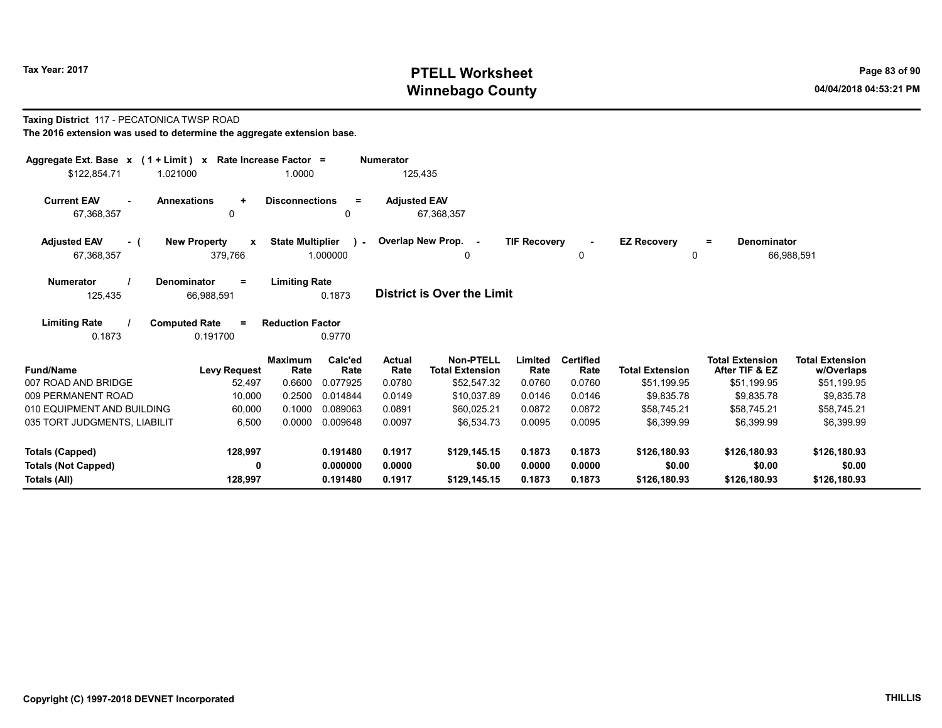# Tax Year: 2017 **PTELL Worksheet** Page 83 of 90 Winnebago County and the County of the County of the County of the County of the County of the County of the County of the County of the County of the County of the County of the County of the County of the County of the C

#### Taxing District 117 - PECATONICA TWSP ROAD The 2016 extension was used to determine the aggregate extension base.

| Aggregate Ext. Base $x$ (1 + Limit) x Rate Increase Factor = |                    |   |                       |          | <b>Numerator</b>    |
|--------------------------------------------------------------|--------------------|---|-----------------------|----------|---------------------|
| \$122.854.71                                                 | 1.021000           |   | 1.0000                |          | 125.435             |
| <b>Current EAV</b><br>$\sim$                                 | <b>Annexations</b> | ÷ | <b>Disconnections</b> | $\equiv$ | <b>Adjusted EAV</b> |
| 67.368.357                                                   |                    | 0 |                       | 0        | 67.368.357          |

| <b>Adiusted EAV</b><br>. . | <b>New Property</b> | <b>State Multiplier</b> | Overlap New Prop. | <b>TIF Recovery</b> | <b>EZ Recovery</b><br>$\equiv$ | Denominator |
|----------------------------|---------------------|-------------------------|-------------------|---------------------|--------------------------------|-------------|
| 67,368,357                 | 379,766             | .000000                 |                   |                     |                                | 66.988.59   |

| <b>Numerator</b> | <b>Denominator</b> | <b>Limiting Rate</b> |                                   |
|------------------|--------------------|----------------------|-----------------------------------|
| 125.435          | 66.988.591         | 0.1873               | <b>District is Over the Limit</b> |

| <b>Limiting Rate</b> | <b>Computed Rate</b> | <b>Reduction Factor</b> |
|----------------------|----------------------|-------------------------|
| 0.1873               | 0.191700             | 0.9770                  |

| <b>Fund/Name</b>             | <b>Levy Request</b> | <b>Maximum</b><br>Rate | Calc'ed<br>Rate | <b>Actual</b><br>Rate | <b>Non-PTELL</b><br><b>Total Extension</b> | Limited<br>Rate | <b>Certified</b><br>Rate | <b>Total Extension</b> | Total Extension<br>After TIF & EZ | <b>Total Extension</b><br>w/Overlaps |
|------------------------------|---------------------|------------------------|-----------------|-----------------------|--------------------------------------------|-----------------|--------------------------|------------------------|-----------------------------------|--------------------------------------|
| 007 ROAD AND BRIDGE          | 52.497              | 0.6600                 | 0.077925        | 0.0780                | \$52.547.32                                | 0.0760          | 0.0760                   | \$51,199.95            | \$51.199.95                       | \$51,199.95                          |
| 009 PERMANENT ROAD           | 10,000              | 0.2500                 | 0.014844        | 0.0149                | \$10.037.89                                | 0.0146          | 0.0146                   | \$9,835.78             | \$9,835.78                        | \$9,835.78                           |
| 010 EQUIPMENT AND BUILDING   | 60.000              | 0.1000                 | 0.089063        | 0.0891                | \$60.025.21                                | 0.0872          | 0.0872                   | \$58.745.21            | \$58.745.21                       | \$58.745.21                          |
| 035 TORT JUDGMENTS, LIABILIT | 6,500               | 0.0000                 | 0.009648        | 0.0097                | \$6.534.73                                 | 0.0095          | 0.0095                   | \$6,399.99             | \$6,399.99                        | \$6,399.99                           |
| Totals (Capped)              | 128,997             |                        | 0.191480        | 0.1917                | \$129,145.15                               | 0.1873          | 0.1873                   | \$126,180.93           | \$126,180.93                      | \$126,180.93                         |
| <b>Totals (Not Capped)</b>   |                     |                        | 0.000000        | 0.0000                | \$0.00                                     | 0.0000          | 0.0000                   | \$0.00                 | \$0.00                            | \$0.00                               |
| Totals (All)                 | 128.997             |                        | 0.191480        | 0.1917                | \$129,145.15                               | 0.1873          | 0.1873                   | \$126,180.93           | \$126,180.93                      | \$126,180.93                         |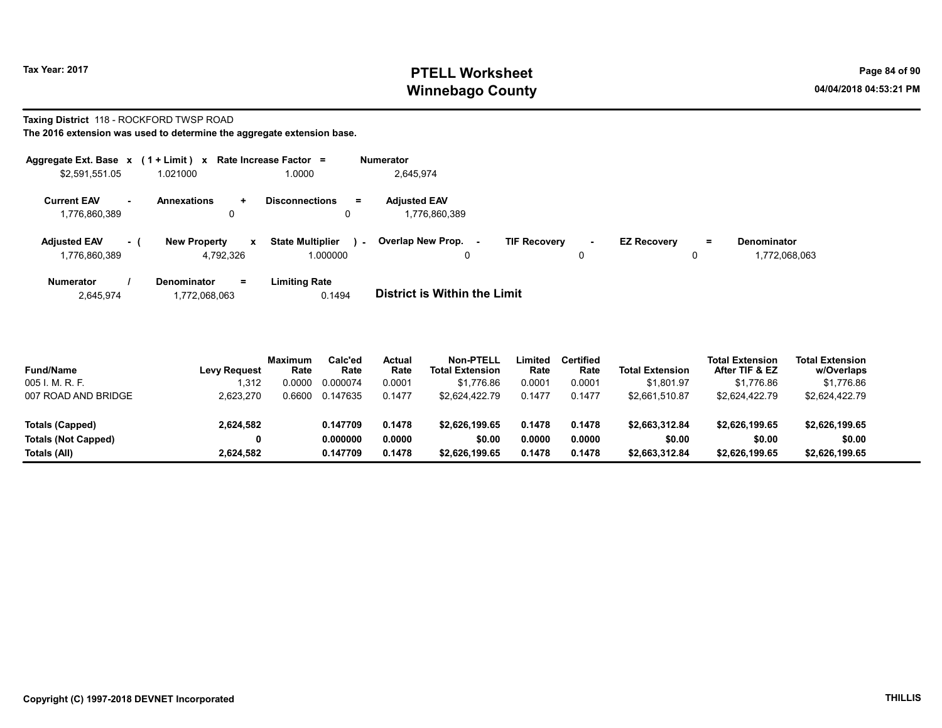# Tax Year: 2017 **PTELL Worksheet** Page 84 of 90 Winnebago County and the County of the County of the County of the County of the County of the County of the County of the County of the County of the County of the County of the County of the County of the County of the C

# Taxing District 118 - ROCKFORD TWSP ROAD

The 2016 extension was used to determine the aggregate extension base.

| Aggregate Ext. Base $x$ (1 + Limit) $x$ |            |                                                  | Rate Increase Factor =                        | <b>Numerator</b>                     |                     |   |                    |          |                                     |
|-----------------------------------------|------------|--------------------------------------------------|-----------------------------------------------|--------------------------------------|---------------------|---|--------------------|----------|-------------------------------------|
| \$2,591,551.05                          |            | 1.021000                                         | 1.0000                                        | 2.645.974                            |                     |   |                    |          |                                     |
| <b>Current EAV</b><br>1,776,860,389     | <b>COL</b> | <b>Annexations</b><br>$\ddot{}$                  | <b>Disconnections</b><br>$=$<br>0             | <b>Adjusted EAV</b><br>1,776,860,389 |                     |   |                    |          |                                     |
| <b>Adjusted EAV</b><br>1,776,860,389    | - (        | <b>New Property</b><br>$\mathbf{x}$<br>4.792.326 | <b>State Multiplier</b><br>$\sim$<br>1.000000 | Overlap New Prop.<br>0               | <b>TIF Recovery</b> | 0 | <b>EZ Recovery</b> | $=$<br>0 | <b>Denominator</b><br>1,772,068,063 |
| Numerator                               |            | <b>Denominator</b><br>$=$                        | <b>Limiting Rate</b>                          |                                      |                     |   |                    |          |                                     |

2,645,974 1,772,068,063 0.1494 District is Within the Limit

| <b>Fund/Name</b>           | <b>Levy Request</b> | <b>Maximum</b><br>Rate | Calc'ed<br>Rate | Actual<br>Rate | Non-PTELL<br><b>Total Extension</b> | ∟imited<br>Rate | <b>Certified</b><br>Rate | <b>Total Extension</b> | <b>Total Extension</b><br>After TIF & EZ | <b>Total Extension</b><br>w/Overlaps |  |
|----------------------------|---------------------|------------------------|-----------------|----------------|-------------------------------------|-----------------|--------------------------|------------------------|------------------------------------------|--------------------------------------|--|
| 005 I. M. R. F.            | 1.312               | .0000                  | 0.000074        | 0.0001         | \$1.776.86                          | 0.0001          | 0.0001                   | \$1.801.97             | \$1.776.86                               | \$1,776.86                           |  |
| 007 ROAD AND BRIDGE        | 2,623,270           | .6600                  | 0.147635        | 0.1477         | \$2.624.422.79                      | 0.1477          | 0.1477                   | \$2,661,510.87         | \$2.624.422.79                           | \$2.624.422.79                       |  |
| Totals (Capped)            | 2,624,582           |                        | 0.147709        | 0.1478         | \$2.626.199.65                      | 0.1478          | 0.1478                   | \$2,663,312.84         | \$2.626.199.65                           | \$2,626,199.65                       |  |
| <b>Totals (Not Capped)</b> | 0                   |                        | 0.000000        | 0.0000         | \$0.00                              | 0.0000          | 0.0000                   | \$0.00                 | \$0.00                                   | \$0.00                               |  |
| Totals (All)               | 2.624.582           |                        | 0.147709        | 0.1478         | \$2,626,199.65                      | 0.1478          | 0.1478                   | \$2,663,312.84         | \$2.626.199.65                           | \$2,626,199.65                       |  |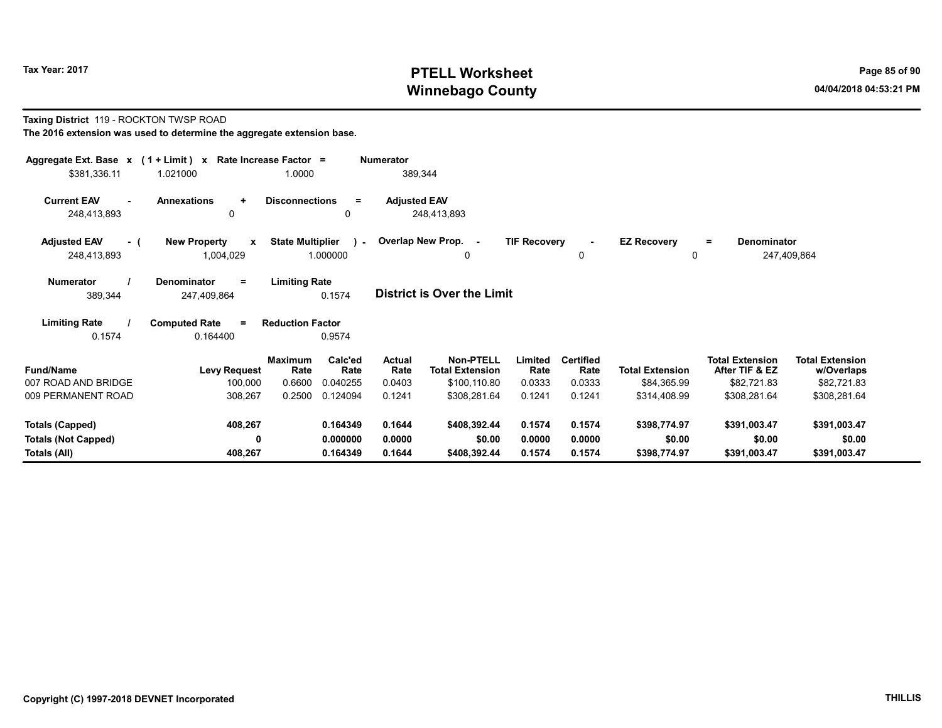# Tax Year: 2017 **PTELL Worksheet** Page 85 of 90 Winnebago County and the County of the County of the County of the County of the County of the County of the County of the County of the County of the County of the County of the County of the County of the County of the C

#### Taxing District 119 - ROCKTON TWSP ROAD The 2016 extension was used to determine the aggregate extension base.

| Aggregate Ext. Base $x$ (1 + Limit) x Rate Increase Factor =<br>\$381,336.11                                                            | 1.021000                                         | 1.0000                  |                         | <b>Numerator</b><br>389,344 |                                     |                     |                          |                                |                                          |                                      |
|-----------------------------------------------------------------------------------------------------------------------------------------|--------------------------------------------------|-------------------------|-------------------------|-----------------------------|-------------------------------------|---------------------|--------------------------|--------------------------------|------------------------------------------|--------------------------------------|
| <b>Current EAV</b><br>248,413,893                                                                                                       | <b>Annexations</b><br>$\ddot{\phantom{1}}$<br>0  | <b>Disconnections</b>   | $\equiv$<br>$\Omega$    | <b>Adjusted EAV</b>         | 248,413,893                         |                     |                          |                                |                                          |                                      |
| <b>Adjusted EAV</b><br>- (<br>248,413,893                                                                                               | <b>New Property</b><br>$\mathbf{x}$<br>1,004,029 | <b>State Multiplier</b> | $\lambda$ -<br>1.000000 |                             | Overlap New Prop. -<br>0            | <b>TIF Recovery</b> | $\blacksquare$<br>0      | <b>EZ Recovery</b><br>$\Omega$ | <b>Denominator</b><br>$=$                | 247,409,864                          |
| <b>Limiting Rate</b><br><b>Numerator</b><br>Denominator<br>$=$<br><b>District is Over the Limit</b><br>0.1574<br>389,344<br>247,409,864 |                                                  |                         |                         |                             |                                     |                     |                          |                                |                                          |                                      |
| <b>Limiting Rate</b><br>0.1574                                                                                                          | <b>Computed Rate</b><br>$\equiv$<br>0.164400     | <b>Reduction Factor</b> | 0.9574                  |                             |                                     |                     |                          |                                |                                          |                                      |
| <b>Fund/Name</b>                                                                                                                        | <b>Levy Request</b>                              | <b>Maximum</b><br>Rate  | Calc'ed<br>Rate         | <b>Actual</b><br>Rate       | Non-PTELL<br><b>Total Extension</b> | Limited<br>Rate     | <b>Certified</b><br>Rate | <b>Total Extension</b>         | <b>Total Extension</b><br>After TIF & EZ | <b>Total Extension</b><br>w/Overlaps |
| 007 ROAD AND BRIDGE                                                                                                                     | 100,000                                          | 0.6600                  | 0.040255                | 0.0403                      | \$100,110.80                        | 0.0333              | 0.0333                   | \$84,365.99                    | \$82,721.83                              | \$82,721.83                          |
| 009 PERMANENT ROAD                                                                                                                      | 308,267                                          | 0.2500                  | 0.124094                | 0.1241                      | \$308,281.64                        | 0.1241              | 0.1241                   | \$314,408.99                   | \$308,281.64                             | \$308,281.64                         |
| Totals (Capped)                                                                                                                         | 408,267                                          |                         | 0.164349                | 0.1644                      | \$408,392.44                        | 0.1574              | 0.1574                   | \$398,774.97                   | \$391,003.47                             | \$391,003.47                         |
| <b>Totals (Not Capped)</b>                                                                                                              | 0                                                |                         | 0.000000                | 0.0000                      | \$0.00                              | 0.0000              | 0.0000                   | \$0.00                         | \$0.00                                   | \$0.00                               |
| Totals (All)                                                                                                                            | 408,267                                          |                         | 0.164349                | 0.1644                      | \$408,392.44                        | 0.1574              | 0.1574                   | \$398,774.97                   | \$391,003.47                             | \$391,003.47                         |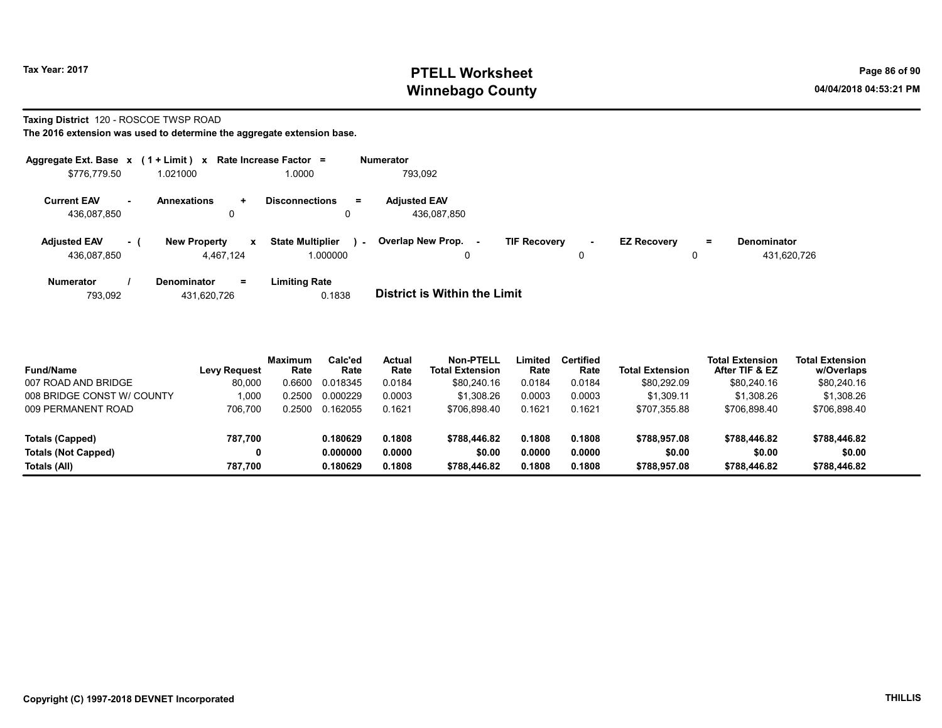# Tax Year: 2017 **PTELL Worksheet** Page 86 of 90 Winnebago County and the County of the County of the County of the County of the County of the County of the County of the County of the County of the County of the County of the County of the County of the County of the C

#### Taxing District 120 - ROSCOE TWSP ROAD

|                                    |        | Aggregate Ext. Base $x$ (1 + Limit) x Rate Increase Factor = |                                               | <b>Numerator</b>                                                                                                                     |
|------------------------------------|--------|--------------------------------------------------------------|-----------------------------------------------|--------------------------------------------------------------------------------------------------------------------------------------|
| \$776,779.50                       |        | 1.021000                                                     | 1.0000                                        | 793.092                                                                                                                              |
| <b>Current EAV</b><br>436.087.850  | $\sim$ | <b>Annexations</b><br>÷.<br>0                                | <b>Disconnections</b><br>$\equiv$             | <b>Adjusted EAV</b><br>436.087.850                                                                                                   |
| <b>Adjusted EAV</b><br>436.087.850 | - 1    | <b>New Property</b><br>$\mathbf{x}$<br>4.467.124             | <b>State Multiplier</b><br>$\sim$<br>1.000000 | Overlap New Prop. -<br><b>TIF Recovery</b><br><b>EZ Recovery</b><br><b>Denominator</b><br>Ξ.<br>$\sim$<br>431,620,726<br>0<br>0<br>0 |
| <b>Numerator</b><br>793.092        |        | Denominator<br>$=$<br>431.620.726                            | <b>Limiting Rate</b><br>0.1838                | <b>District is Within the Limit</b>                                                                                                  |

| <b>Fund/Name</b><br>007 ROAD AND BRIDGE | <b>Levy Request</b><br>80.000 | <b>Maximum</b><br>Rate<br>0.6600 | Calc'ed<br>Rate<br>0.018345 | <b>Actual</b><br>Rate<br>0.0184 | Non-PTELL<br><b>Total Extension</b><br>\$80,240.16 | Limited<br>Rate<br>0.0184 | <b>Certified</b><br>Rate<br>0.0184 | <b>Total Extension</b><br>\$80,292.09 | Total Extension<br>After TIF & EZ<br>\$80.240.16 | <b>Total Extension</b><br>w/Overlaps<br>\$80,240.16 |
|-----------------------------------------|-------------------------------|----------------------------------|-----------------------------|---------------------------------|----------------------------------------------------|---------------------------|------------------------------------|---------------------------------------|--------------------------------------------------|-----------------------------------------------------|
| 008 BRIDGE CONST W/ COUNTY              | 1.000                         | 0.2500                           | 0.000229                    | 0.0003                          | \$1.308.26                                         | 0.0003                    | 0.0003                             | \$1.309.11                            | \$1,308.26                                       | \$1,308.26                                          |
| 009 PERMANENT ROAD                      | 706.700                       | 0.2500                           | 0.162055                    | 0.1621                          | \$706.898.40                                       | 0.1621                    | 0.1621                             | \$707,355.88                          | \$706.898.40                                     | \$706,898.40                                        |
| Totals (Capped)                         | 787.700                       |                                  | 0.180629                    | 0.1808                          | \$788,446.82                                       | 0.1808                    | 0.1808                             | \$788.957.08                          | \$788,446.82                                     | \$788,446.82                                        |
| <b>Totals (Not Capped)</b>              |                               |                                  | 0.000000                    | 0.0000                          | \$0.00                                             | 0.0000                    | 0.0000                             | \$0.00                                | \$0.00                                           | \$0.00                                              |
| Totals (All)                            | 787.700                       |                                  | 0.180629                    | 0.1808                          | \$788,446.82                                       | 0.1808                    | 0.1808                             | \$788,957.08                          | \$788,446.82                                     | \$788,446.82                                        |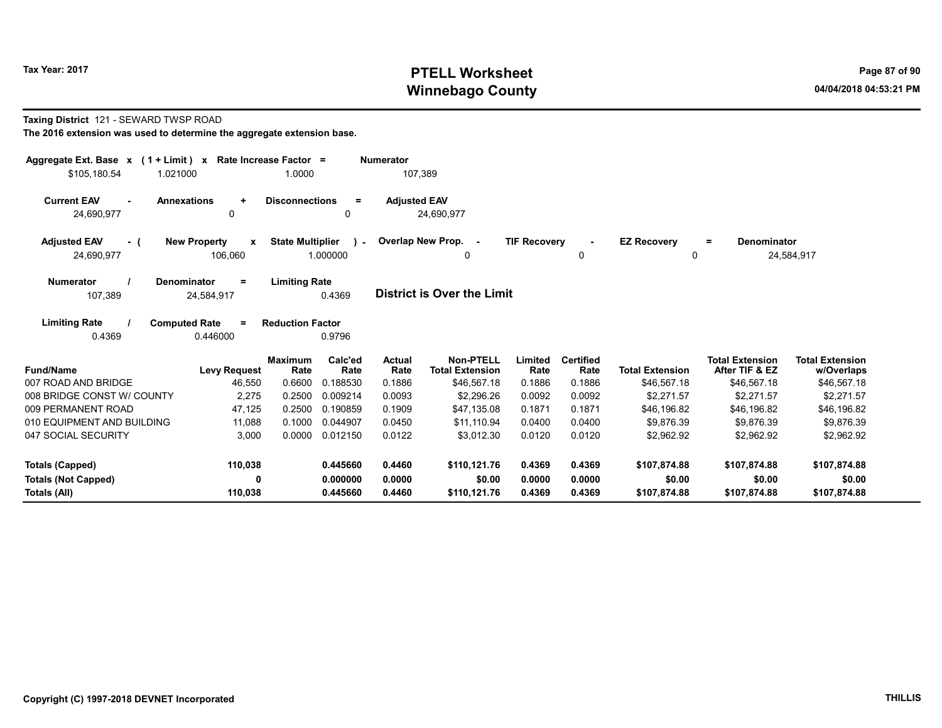# Tax Year: 2017 **PTELL Worksheet** Page 87 of 90 Winnebago County and the County of the County of the County of the County of the County of the County of the County of the County of the County of the County of the County of the County of the County of the County of the C

#### Taxing District 121 - SEWARD TWSP ROAD

| Aggregate Ext. Base $x$ (1 + Limit) $x$<br>\$105.180.54<br>1.021000                                                 |                                     | Rate Increase Factor =<br>1.0000 |                    | <b>Numerator</b><br>107.389 |                                            |                     |                          |                                |                                          |                                      |
|---------------------------------------------------------------------------------------------------------------------|-------------------------------------|----------------------------------|--------------------|-----------------------------|--------------------------------------------|---------------------|--------------------------|--------------------------------|------------------------------------------|--------------------------------------|
| <b>Current EAV</b><br><b>Annexations</b><br>$\sim$<br>24,690,977                                                    | $\ddot{}$<br>0                      | <b>Disconnections</b>            | $\equiv$<br>0      | <b>Adjusted EAV</b>         | 24,690,977                                 |                     |                          |                                |                                          |                                      |
| <b>Adjusted EAV</b><br>- (<br>24,690,977                                                                            | <b>New Property</b><br>X<br>106,060 | <b>State Multiplier</b>          | $\sim$<br>1.000000 |                             | Overlap New Prop. -<br>0                   | <b>TIF Recovery</b> | $\blacksquare$<br>0      | <b>EZ Recovery</b><br>$\Omega$ | <b>Denominator</b><br>$=$                | 24,584,917                           |
| <b>Numerator</b><br>Denominator<br>107,389                                                                          | $\equiv$<br>24,584,917              | <b>Limiting Rate</b>             | 0.4369             |                             | <b>District is Over the Limit</b>          |                     |                          |                                |                                          |                                      |
| <b>Limiting Rate</b><br><b>Computed Rate</b><br><b>Reduction Factor</b><br>$\equiv$<br>0.4369<br>0.446000<br>0.9796 |                                     |                                  |                    |                             |                                            |                     |                          |                                |                                          |                                      |
| <b>Fund/Name</b>                                                                                                    | <b>Levy Request</b>                 | <b>Maximum</b><br>Rate           | Calc'ed<br>Rate    | <b>Actual</b><br>Rate       | <b>Non-PTELL</b><br><b>Total Extension</b> | Limited<br>Rate     | <b>Certified</b><br>Rate | <b>Total Extension</b>         | <b>Total Extension</b><br>After TIF & EZ | <b>Total Extension</b><br>w/Overlaps |
| 007 ROAD AND BRIDGE                                                                                                 | 46,550                              | 0.6600                           | 0.188530           | 0.1886                      | \$46,567.18                                | 0.1886              | 0.1886                   | \$46,567.18                    | \$46,567.18                              | \$46,567.18                          |
| 008 BRIDGE CONST W/ COUNTY                                                                                          | 2,275                               | 0.2500                           | 0.009214           | 0.0093                      | \$2,296.26                                 | 0.0092              | 0.0092                   | \$2,271.57                     | \$2,271.57                               | \$2,271.57                           |
| 009 PERMANENT ROAD                                                                                                  | 47,125                              | 0.2500                           | 0.190859           | 0.1909                      | \$47,135.08                                | 0.1871              | 0.1871                   | \$46.196.82                    | \$46,196.82                              | \$46,196.82                          |
| 010 EQUIPMENT AND BUILDING                                                                                          | 11,088                              | 0.1000                           | 0.044907           | 0.0450                      | \$11,110.94                                | 0.0400              | 0.0400                   | \$9,876.39                     | \$9,876.39                               | \$9,876.39                           |
| 047 SOCIAL SECURITY                                                                                                 | 3,000                               | 0.0000                           | 0.012150           | 0.0122                      | \$3,012.30                                 | 0.0120              | 0.0120                   | \$2,962.92                     | \$2,962.92                               | \$2,962.92                           |
| <b>Totals (Capped)</b>                                                                                              | 110,038                             |                                  | 0.445660           | 0.4460                      | \$110,121.76                               | 0.4369              | 0.4369                   | \$107,874.88                   | \$107,874.88                             | \$107,874.88                         |
| <b>Totals (Not Capped)</b>                                                                                          | $\mathbf{0}$                        |                                  | 0.000000           | 0.0000                      | \$0.00                                     | 0.0000              | 0.0000                   | \$0.00                         | \$0.00                                   | \$0.00                               |
| Totals (All)                                                                                                        | 110,038                             |                                  | 0.445660           | 0.4460                      | \$110,121.76                               | 0.4369              | 0.4369                   | \$107,874.88                   | \$107,874.88                             | \$107,874.88                         |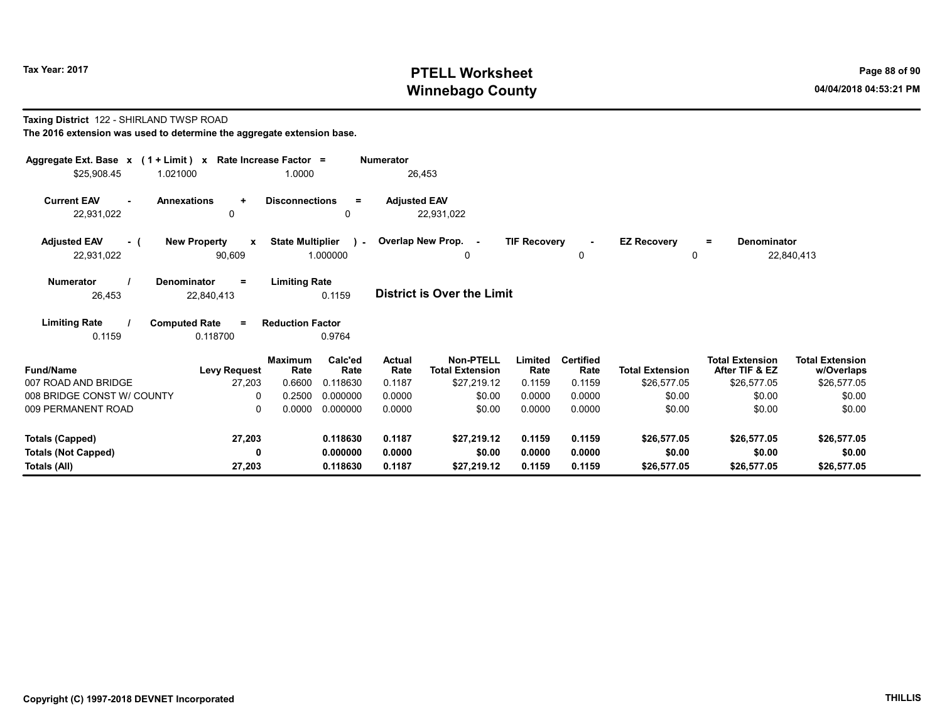# Tax Year: 2017 **PTELL Worksheet** Page 88 of 90 Winnebago County and the County of the County of the County of the County of the County of the County of the County of the County of the County of the County of the County of the County of the County of the County of the C

#### Taxing District 122 - SHIRLAND TWSP ROAD The 2016 extension was used to determine the aggregate extension base.

| Aggregate Ext. Base $x$ (1 + Limit) x Rate Increase Factor =<br>\$25,908.45 | 1.021000                                      | 1.0000                           |                                  | <b>Numerator</b><br>26,453 |                                                           |                            |                                    |                                       |                                                         |                                                     |
|-----------------------------------------------------------------------------|-----------------------------------------------|----------------------------------|----------------------------------|----------------------------|-----------------------------------------------------------|----------------------------|------------------------------------|---------------------------------------|---------------------------------------------------------|-----------------------------------------------------|
| <b>Current EAV</b><br>22,931,022                                            | <b>Annexations</b><br>$\ddot{}$<br>0          | <b>Disconnections</b>            | $\equiv$<br>0                    | <b>Adjusted EAV</b>        | 22,931,022                                                |                            |                                    |                                       |                                                         |                                                     |
| <b>Adjusted EAV</b><br>- (<br>22,931,022                                    | <b>New Property</b><br>$\mathbf{x}$<br>90,609 | <b>State Multiplier</b>          | $\mathbf{r}$<br>1.000000         |                            | Overlap New Prop. -<br>$\Omega$                           | <b>TIF Recovery</b>        | 0                                  | <b>EZ Recovery</b><br>0               | <b>Denominator</b><br>$\equiv$                          | 22,840,413                                          |
| <b>Numerator</b><br>26,453                                                  | Denominator<br>$=$<br>22,840,413              | <b>Limiting Rate</b>             | 0.1159                           |                            | <b>District is Over the Limit</b>                         |                            |                                    |                                       |                                                         |                                                     |
| <b>Limiting Rate</b><br>0.1159                                              | <b>Computed Rate</b><br>$=$<br>0.118700       | <b>Reduction Factor</b>          | 0.9764                           |                            |                                                           |                            |                                    |                                       |                                                         |                                                     |
| <b>Fund/Name</b><br>007 ROAD AND BRIDGE                                     | <b>Levy Request</b><br>27,203                 | <b>Maximum</b><br>Rate<br>0.6600 | Calc'ed<br>Rate<br>0.118630      | Actual<br>Rate<br>0.1187   | <b>Non-PTELL</b><br><b>Total Extension</b><br>\$27,219.12 | Limited<br>Rate<br>0.1159  | <b>Certified</b><br>Rate<br>0.1159 | <b>Total Extension</b><br>\$26,577.05 | <b>Total Extension</b><br>After TIF & EZ<br>\$26,577.05 | <b>Total Extension</b><br>w/Overlaps<br>\$26,577.05 |
| 008 BRIDGE CONST W/ COUNTY<br>009 PERMANENT ROAD                            | $\Omega$<br>0                                 | 0.2500<br>0.0000                 | 0.000000<br>0.000000             | 0.0000<br>0.0000           | \$0.00<br>\$0.00                                          | 0.0000<br>0.0000           | 0.0000<br>0.0000                   | \$0.00<br>\$0.00                      | \$0.00<br>\$0.00                                        | \$0.00<br>\$0.00                                    |
| Totals (Capped)<br><b>Totals (Not Capped)</b><br>Totals (All)               | 27,203<br>0<br>27,203                         |                                  | 0.118630<br>0.000000<br>0.118630 | 0.1187<br>0.0000<br>0.1187 | \$27.219.12<br>\$0.00<br>\$27,219.12                      | 0.1159<br>0.0000<br>0.1159 | 0.1159<br>0.0000<br>0.1159         | \$26,577.05<br>\$0.00<br>\$26,577.05  | \$26,577.05<br>\$0.00<br>\$26,577.05                    | \$26,577.05<br>\$0.00<br>\$26,577.05                |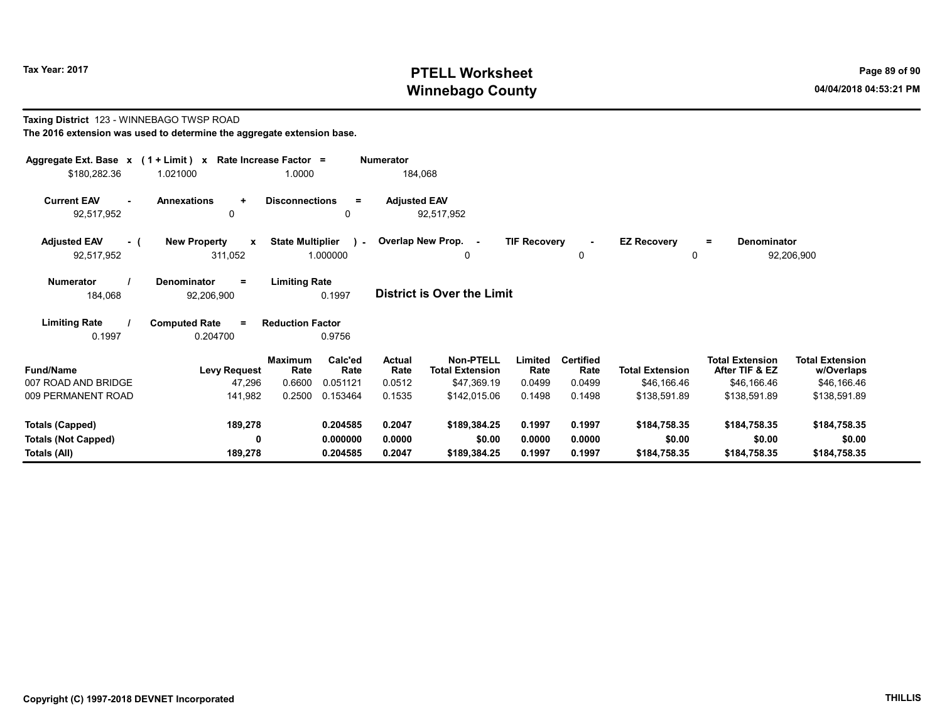# Tax Year: 2017 **PTELL Worksheet** Page 89 of 90 Winnebago County and the county of the county of the county of the county of the county of the county of the county of the county of the county of the county of the county of the county of the county of the county of the c

# Taxing District 123 - WINNEBAGO TWSP ROAD The 2016 extension was used to determine the aggregate extension base. Aggregate Ext. Base x (1 + Limit) x Rate Increase Factor = Numerator \$180,282.36 1.021000 1.0000 184,068 Current EAV - Annexations + Disconnections = Adjusted EAV

92,517,952 0 0 92,517,952

| <b>Adiusted EAV</b> |  | <b>New Property</b> |         | <b>State Multiplier</b> | <b>Overlap New Prop.</b> | <b>TIF Recovery</b> |  | <b>EZ Recoverv</b><br>$\equiv$ | Denominator |
|---------------------|--|---------------------|---------|-------------------------|--------------------------|---------------------|--|--------------------------------|-------------|
| 92,517,952          |  |                     | 311.052 |                         |                          |                     |  |                                | 92,206,900  |
|                     |  |                     |         |                         |                          |                     |  |                                |             |

Numerator / Denominator = Limiting Rate District is Over the Limit 184,068 92,206,900 0.1997

Limiting Rate / Computed Rate = 0.1997 0.204700 Reduction Factor 0.9756

| <b>Fund/Name</b>           | <b>Levy Request</b> | <b>Maximum</b><br>Rate | Calc'ed<br>Rate | <b>Actual</b><br>Rate | <b>Non-PTELL</b><br><b>Total Extension</b> | Limited<br>Rate | <b>Certified</b><br>Rate | <b>Total Extension</b> | <b>Total Extension</b><br>After TIF & EZ | <b>Total Extension</b><br>w/Overlaps |
|----------------------------|---------------------|------------------------|-----------------|-----------------------|--------------------------------------------|-----------------|--------------------------|------------------------|------------------------------------------|--------------------------------------|
| 007 ROAD AND BRIDGE        | 47.296              | 0.6600                 | 0.051121        | 0.0512                | \$47.369.19                                | 0.0499          | 0.0499                   | \$46.166.46            | \$46.166.46                              | \$46,166.46                          |
| 009 PERMANENT ROAD         | 141,982             | 0.2500                 | 0.153464        | 0.1535                | \$142.015.06                               | 0.1498          | 0.1498                   | \$138,591.89           | \$138.591.89                             | \$138,591.89                         |
| Totals (Capped)            | 189,278             |                        | 0.204585        | 0.2047                | \$189,384.25                               | 0.1997          | 0.1997                   | \$184,758,35           | \$184,758,35                             | \$184,758.35                         |
| <b>Totals (Not Capped)</b> | 0                   |                        | 0.000000        | 0.0000                | \$0.00                                     | 0.0000          | 0.0000                   | \$0.00                 | \$0.00                                   | \$0.00                               |
| Totals (All)               | 189.278             |                        | 0.204585        | 0.2047                | \$189.384.25                               | 0.1997          | 0.1997                   | \$184.758.35           | \$184,758.35                             | \$184,758.35                         |